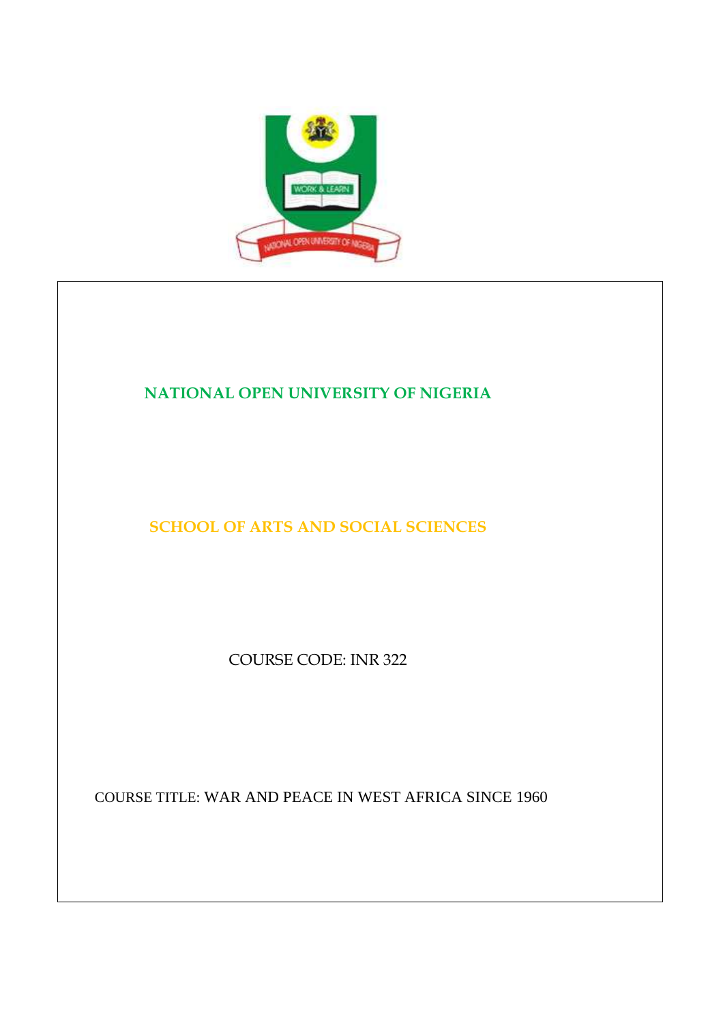

# **NATIONAL OPEN UNIVERSITY OF NIGERIA**

**SCHOOL OF ARTS AND SOCIAL SCIENCES** 

COURSE CODE: INR 322

COURSE TITLE: WAR AND PEACE IN WEST AFRICA SINCE 1960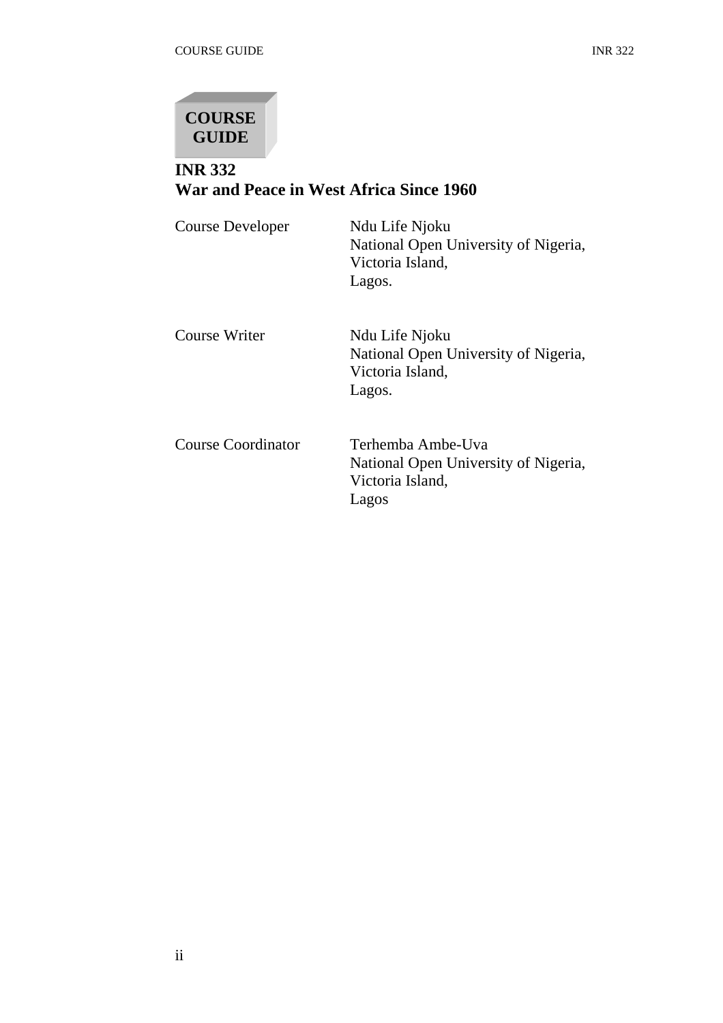

# **INR 332 War and Peace in West Africa Since 1960**

| Course Developer          | Ndu Life Njoku<br>National Open University of Nigeria,<br>Victoria Island,<br>Lagos.   |
|---------------------------|----------------------------------------------------------------------------------------|
| Course Writer             | Ndu Life Njoku<br>National Open University of Nigeria,<br>Victoria Island,<br>Lagos.   |
| <b>Course Coordinator</b> | Terhemba Ambe-Uva<br>National Open University of Nigeria,<br>Victoria Island,<br>Lagos |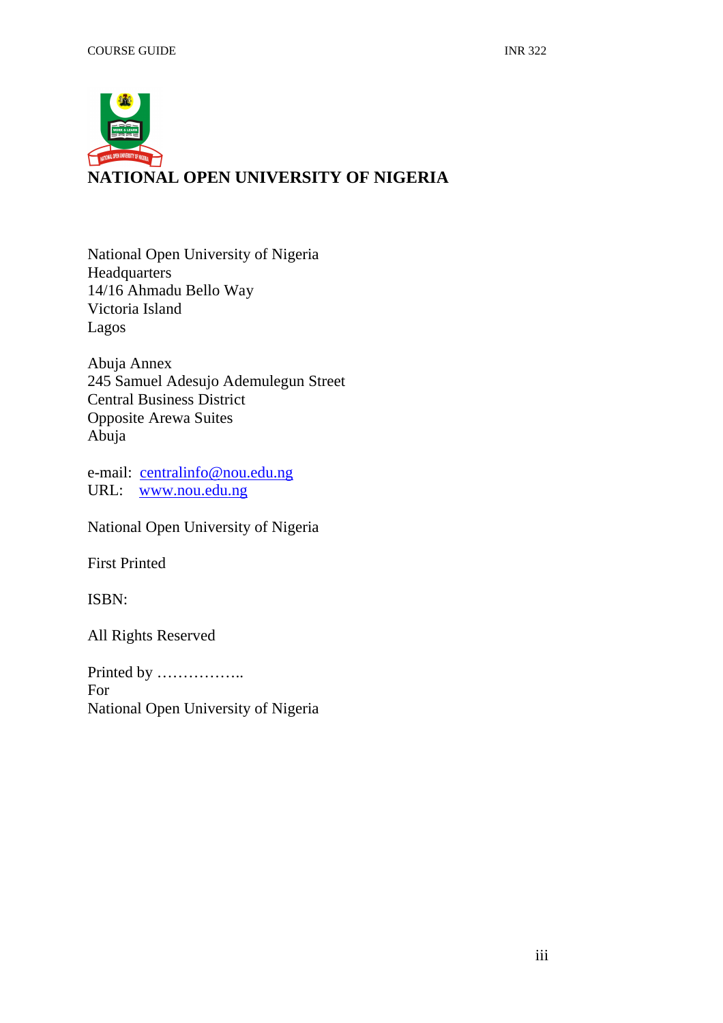

National Open University of Nigeria Headquarters 14/16 Ahmadu Bello Way Victoria Island Lagos

Abuja Annex 245 Samuel Adesujo Ademulegun Street Central Business District Opposite Arewa Suites Abuja

e-mail: centralinfo@nou.edu.ng URL: www.nou.edu.ng

National Open University of Nigeria

First Printed

ISBN:

All Rights Reserved

Printed by …………….. For National Open University of Nigeria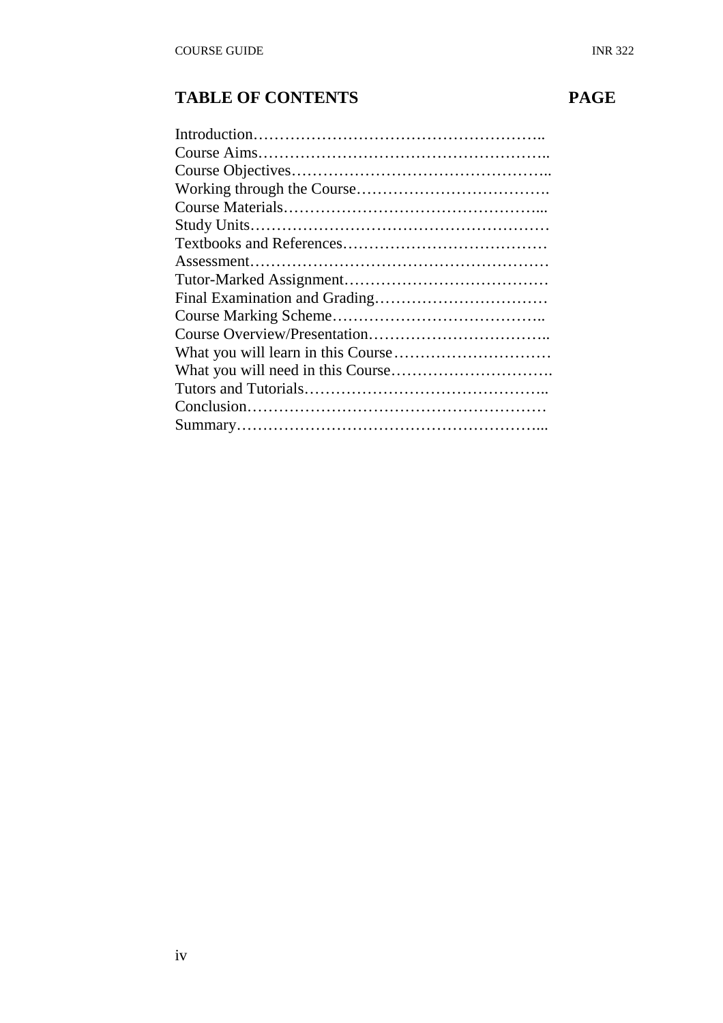# **TABLE OF CONTENTS PAGE**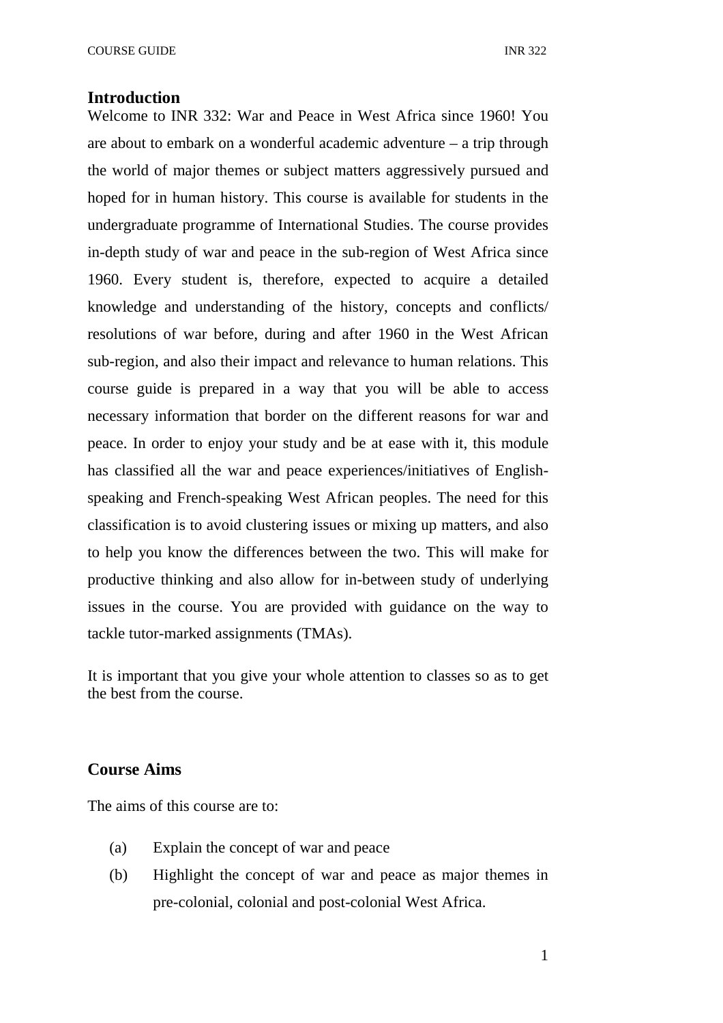#### **Introduction**

Welcome to INR 332: War and Peace in West Africa since 1960! You are about to embark on a wonderful academic adventure – a trip through the world of major themes or subject matters aggressively pursued and hoped for in human history. This course is available for students in the undergraduate programme of International Studies. The course provides in-depth study of war and peace in the sub-region of West Africa since 1960. Every student is, therefore, expected to acquire a detailed knowledge and understanding of the history, concepts and conflicts/ resolutions of war before, during and after 1960 in the West African sub-region, and also their impact and relevance to human relations. This course guide is prepared in a way that you will be able to access necessary information that border on the different reasons for war and peace. In order to enjoy your study and be at ease with it, this module has classified all the war and peace experiences/initiatives of Englishspeaking and French-speaking West African peoples. The need for this classification is to avoid clustering issues or mixing up matters, and also to help you know the differences between the two. This will make for productive thinking and also allow for in-between study of underlying issues in the course. You are provided with guidance on the way to tackle tutor-marked assignments (TMAs).

It is important that you give your whole attention to classes so as to get the best from the course.

#### **Course Aims**

The aims of this course are to:

- (a) Explain the concept of war and peace
- (b) Highlight the concept of war and peace as major themes in pre-colonial, colonial and post-colonial West Africa.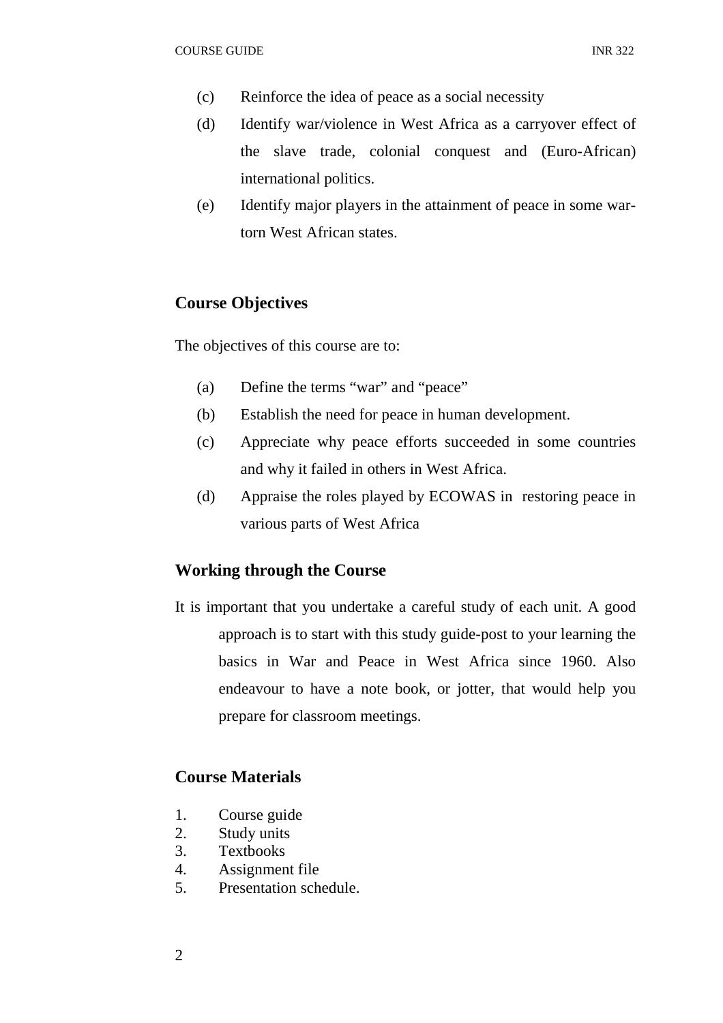- (c) Reinforce the idea of peace as a social necessity
- (d) Identify war/violence in West Africa as a carryover effect of the slave trade, colonial conquest and (Euro-African) international politics.
- (e) Identify major players in the attainment of peace in some wartorn West African states.

### **Course Objectives**

The objectives of this course are to:

- (a) Define the terms "war" and "peace"
- (b) Establish the need for peace in human development.
- (c) Appreciate why peace efforts succeeded in some countries and why it failed in others in West Africa.
- (d) Appraise the roles played by ECOWAS in restoring peace in various parts of West Africa

### **Working through the Course**

It is important that you undertake a careful study of each unit. A good approach is to start with this study guide-post to your learning the basics in War and Peace in West Africa since 1960. Also endeavour to have a note book, or jotter, that would help you prepare for classroom meetings.

### **Course Materials**

- 1. Course guide
- 2. Study units
- 3. Textbooks
- 4. Assignment file
- 5. Presentation schedule.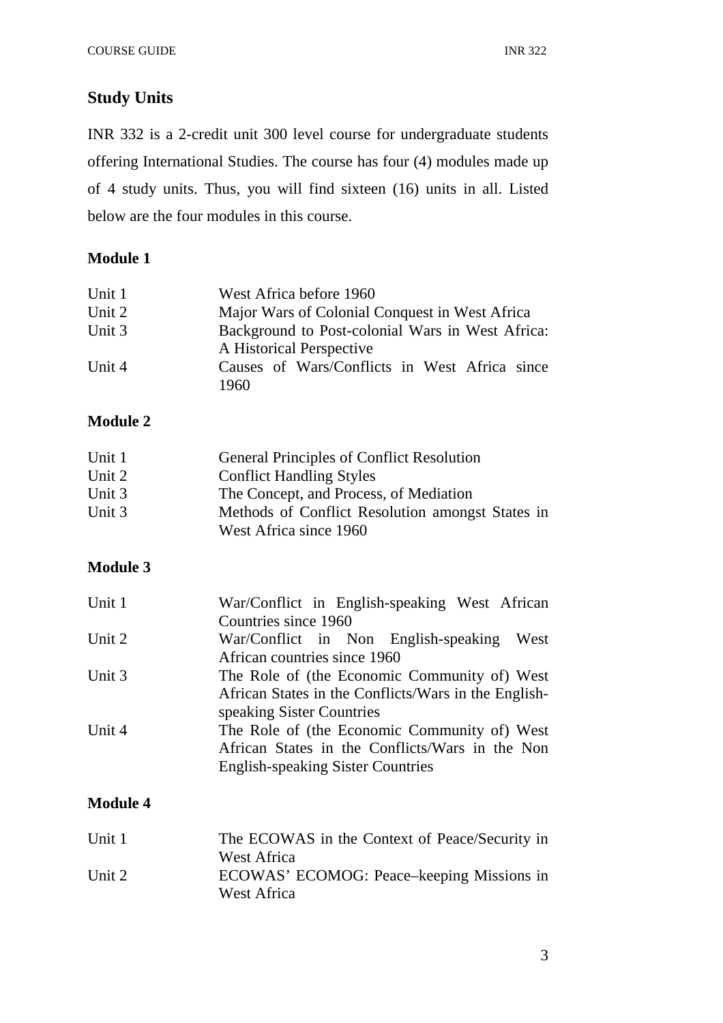# **Study Units**

INR 332 is a 2-credit unit 300 level course for undergraduate students offering International Studies. The course has four (4) modules made up of 4 study units. Thus, you will find sixteen (16) units in all. Listed below are the four modules in this course.

# **Module 1**

| Unit 1 | West Africa before 1960                          |
|--------|--------------------------------------------------|
| Unit 2 | Major Wars of Colonial Conquest in West Africa   |
| Unit 3 | Background to Post-colonial Wars in West Africa: |
|        | A Historical Perspective                         |
| Unit 4 | Causes of Wars/Conflicts in West Africa since    |
|        | 1960                                             |

# **Module 2**

| Unit 1 | <b>General Principles of Conflict Resolution</b> |
|--------|--------------------------------------------------|
| Unit 2 | <b>Conflict Handling Styles</b>                  |
| Unit 3 | The Concept, and Process, of Mediation           |
| Unit 3 | Methods of Conflict Resolution amongst States in |
|        | West Africa since 1960                           |

# **Module 3**

| Unit 1 | War/Conflict in English-speaking West African        |  |  |
|--------|------------------------------------------------------|--|--|
|        | Countries since 1960                                 |  |  |
| Unit 2 | War/Conflict in Non English-speaking West            |  |  |
|        | African countries since 1960                         |  |  |
| Unit 3 | The Role of (the Economic Community of) West         |  |  |
|        | African States in the Conflicts/Wars in the English- |  |  |
|        | speaking Sister Countries                            |  |  |
| Unit 4 | The Role of (the Economic Community of) West         |  |  |
|        | African States in the Conflicts/Wars in the Non      |  |  |
|        | <b>English-speaking Sister Countries</b>             |  |  |
|        |                                                      |  |  |

# **Module 4**

| Unit 1 | The ECOWAS in the Context of Peace/Security in |
|--------|------------------------------------------------|
|        | West Africa                                    |
| Unit 2 | ECOWAS' ECOMOG: Peace–keeping Missions in      |
|        | West Africa                                    |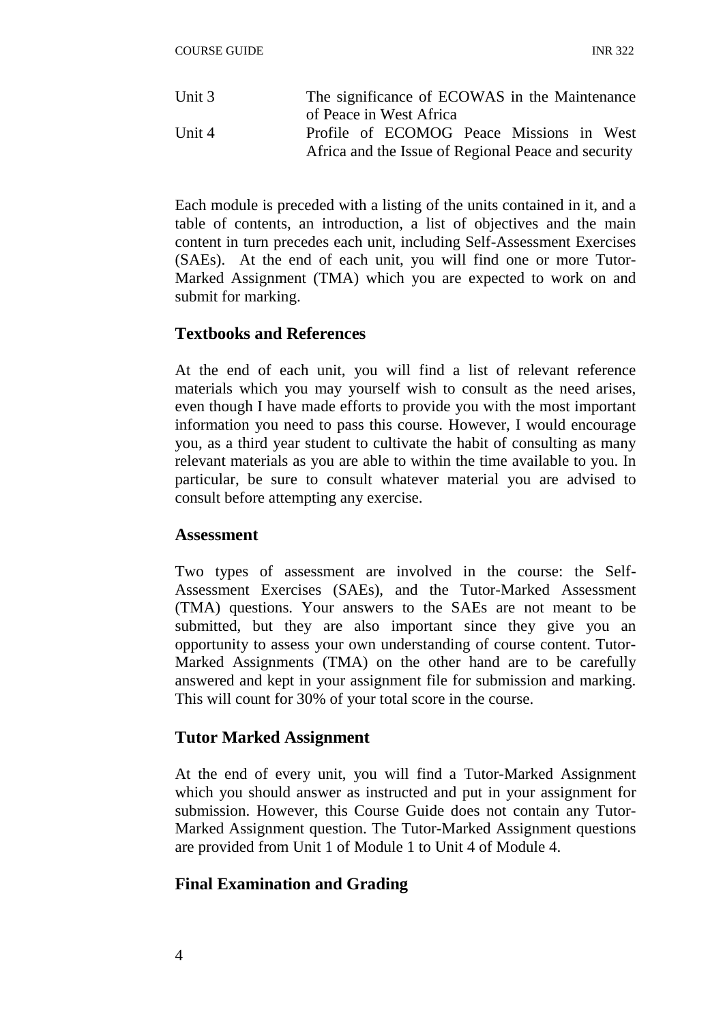| Unit $3$ | The significance of ECOWAS in the Maintenance       |
|----------|-----------------------------------------------------|
|          | of Peace in West Africa                             |
| Unit 4   | Profile of ECOMOG Peace Missions in West            |
|          | Africa and the Issue of Regional Peace and security |

Each module is preceded with a listing of the units contained in it, and a table of contents, an introduction, a list of objectives and the main content in turn precedes each unit, including Self-Assessment Exercises (SAEs). At the end of each unit, you will find one or more Tutor-Marked Assignment (TMA) which you are expected to work on and submit for marking.

# **Textbooks and References**

At the end of each unit, you will find a list of relevant reference materials which you may yourself wish to consult as the need arises, even though I have made efforts to provide you with the most important information you need to pass this course. However, I would encourage you, as a third year student to cultivate the habit of consulting as many relevant materials as you are able to within the time available to you. In particular, be sure to consult whatever material you are advised to consult before attempting any exercise.

#### **Assessment**

Two types of assessment are involved in the course: the Self-Assessment Exercises (SAEs), and the Tutor-Marked Assessment (TMA) questions. Your answers to the SAEs are not meant to be submitted, but they are also important since they give you an opportunity to assess your own understanding of course content. Tutor-Marked Assignments (TMA) on the other hand are to be carefully answered and kept in your assignment file for submission and marking. This will count for 30% of your total score in the course.

## **Tutor Marked Assignment**

At the end of every unit, you will find a Tutor-Marked Assignment which you should answer as instructed and put in your assignment for submission. However, this Course Guide does not contain any Tutor-Marked Assignment question. The Tutor-Marked Assignment questions are provided from Unit 1 of Module 1 to Unit 4 of Module 4.

## **Final Examination and Grading**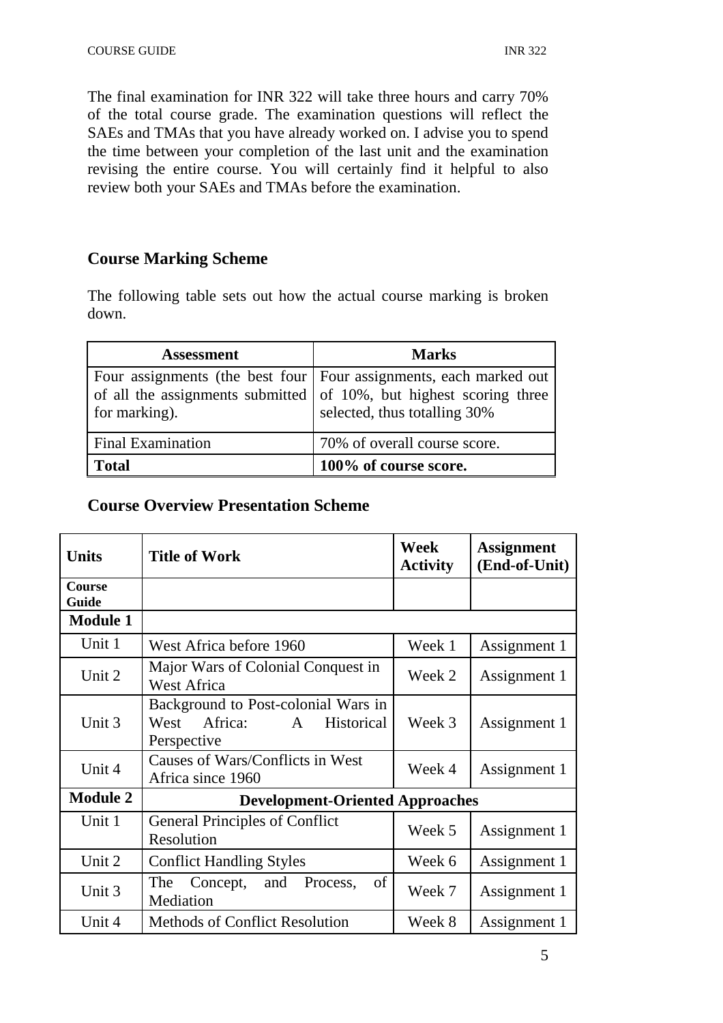The final examination for INR 322 will take three hours and carry 70% of the total course grade. The examination questions will reflect the SAEs and TMAs that you have already worked on. I advise you to spend the time between your completion of the last unit and the examination revising the entire course. You will certainly find it helpful to also review both your SAEs and TMAs before the examination.

# **Course Marking Scheme**

The following table sets out how the actual course marking is broken down.

| <b>Assessment</b>        | <b>Marks</b>                                                                                                                                                              |
|--------------------------|---------------------------------------------------------------------------------------------------------------------------------------------------------------------------|
| for marking).            | Four assignments (the best four   Four assignments, each marked out<br>of all the assignments submitted of 10%, but highest scoring three<br>selected, thus totalling 30% |
| <b>Final Examination</b> | 70% of overall course score.                                                                                                                                              |
| <b>Total</b>             | 100% of course score.                                                                                                                                                     |

# **Course Overview Presentation Scheme**

| <b>Units</b>           | <b>Title of Work</b>                                                                                       | Week<br><b>Activity</b> | <b>Assignment</b><br>(End-of-Unit) |
|------------------------|------------------------------------------------------------------------------------------------------------|-------------------------|------------------------------------|
| <b>Course</b><br>Guide |                                                                                                            |                         |                                    |
| <b>Module 1</b>        |                                                                                                            |                         |                                    |
| Unit 1                 | West Africa before 1960                                                                                    | Week 1                  | Assignment 1                       |
| Unit 2                 | Major Wars of Colonial Conquest in<br><b>West Africa</b>                                                   | Week 2                  | Assignment 1                       |
| Unit 3                 | Background to Post-colonial Wars in<br>Africa:<br>West<br>$\mathbf{A}$<br><b>Historical</b><br>Perspective | Week 3                  | Assignment 1                       |
| Unit 4                 | Causes of Wars/Conflicts in West<br>Africa since 1960                                                      | Week 4                  | Assignment 1                       |
| <b>Module 2</b>        | <b>Development-Oriented Approaches</b>                                                                     |                         |                                    |
| Unit 1                 | <b>General Principles of Conflict</b><br>Resolution                                                        | Week 5                  | Assignment 1                       |
| Unit 2                 | <b>Conflict Handling Styles</b>                                                                            | Week 6                  | Assignment 1                       |
| Unit 3                 | The<br>Concept, and<br>Process,<br>of<br>Mediation                                                         | Week 7                  | Assignment 1                       |
| Unit 4                 | <b>Methods of Conflict Resolution</b>                                                                      | Week 8                  | Assignment 1                       |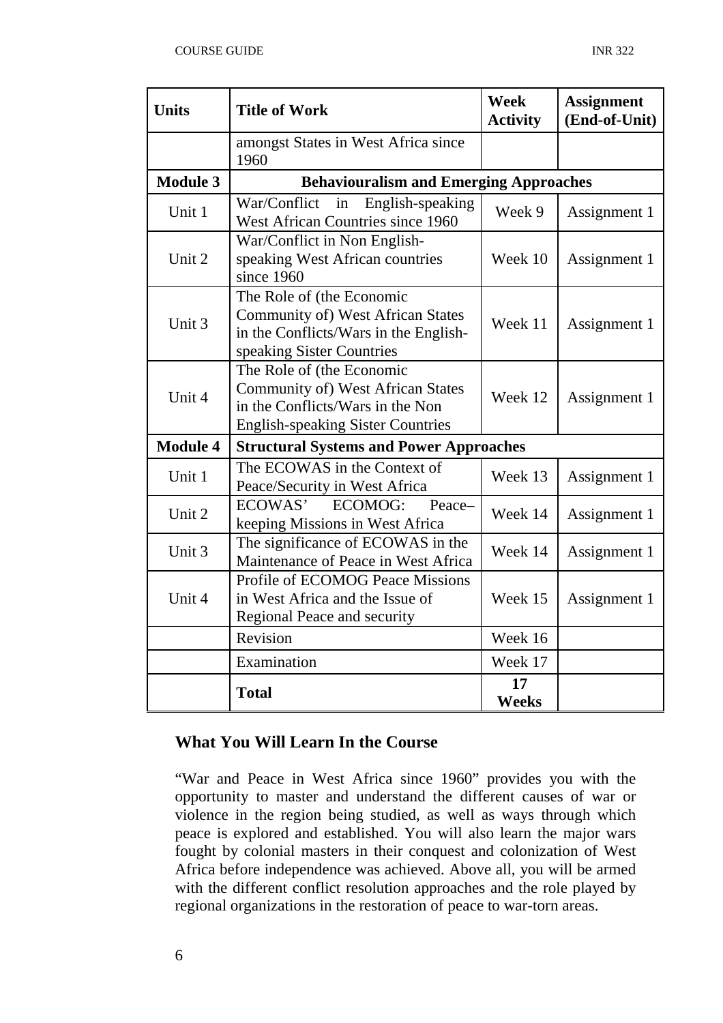| <b>Units</b>    | <b>Title of Work</b>                                                                                                                                  | <b>Week</b><br><b>Activity</b> | <b>Assignment</b><br>(End-of-Unit) |
|-----------------|-------------------------------------------------------------------------------------------------------------------------------------------------------|--------------------------------|------------------------------------|
|                 | amongst States in West Africa since<br>1960                                                                                                           |                                |                                    |
| <b>Module 3</b> | <b>Behaviouralism and Emerging Approaches</b>                                                                                                         |                                |                                    |
| Unit 1          | War/Conflict<br>English-speaking<br>in<br>West African Countries since 1960                                                                           | Week 9                         | Assignment 1                       |
| Unit 2          | War/Conflict in Non English-<br>speaking West African countries<br>since 1960                                                                         | Week 10                        | Assignment 1                       |
| Unit 3          | The Role of (the Economic<br>Community of) West African States<br>in the Conflicts/Wars in the English-<br>speaking Sister Countries                  | Week 11                        | Assignment 1                       |
| Unit 4          | The Role of (the Economic<br><b>Community of) West African States</b><br>in the Conflicts/Wars in the Non<br><b>English-speaking Sister Countries</b> | Week 12                        | Assignment 1                       |
| <b>Module 4</b> | <b>Structural Systems and Power Approaches</b>                                                                                                        |                                |                                    |
| Unit 1          | The ECOWAS in the Context of<br>Peace/Security in West Africa                                                                                         | Week 13                        | Assignment 1                       |
| Unit 2          | ECOWAS'<br>ECOMOG:<br>Peace-<br>keeping Missions in West Africa                                                                                       | Week 14                        | Assignment 1                       |
| Unit 3          | The significance of ECOWAS in the<br>Maintenance of Peace in West Africa                                                                              | Week 14                        | Assignment 1                       |
| Unit 4          | <b>Profile of ECOMOG Peace Missions</b><br>in West Africa and the Issue of<br>Regional Peace and security                                             | Week 15                        | Assignment 1                       |
|                 | Revision                                                                                                                                              | Week 16                        |                                    |
|                 | Examination                                                                                                                                           | Week 17                        |                                    |
|                 | <b>Total</b>                                                                                                                                          | 17<br><b>Weeks</b>             |                                    |

## **What You Will Learn In the Course**

"War and Peace in West Africa since 1960" provides you with the opportunity to master and understand the different causes of war or violence in the region being studied, as well as ways through which peace is explored and established. You will also learn the major wars fought by colonial masters in their conquest and colonization of West Africa before independence was achieved. Above all, you will be armed with the different conflict resolution approaches and the role played by regional organizations in the restoration of peace to war-torn areas.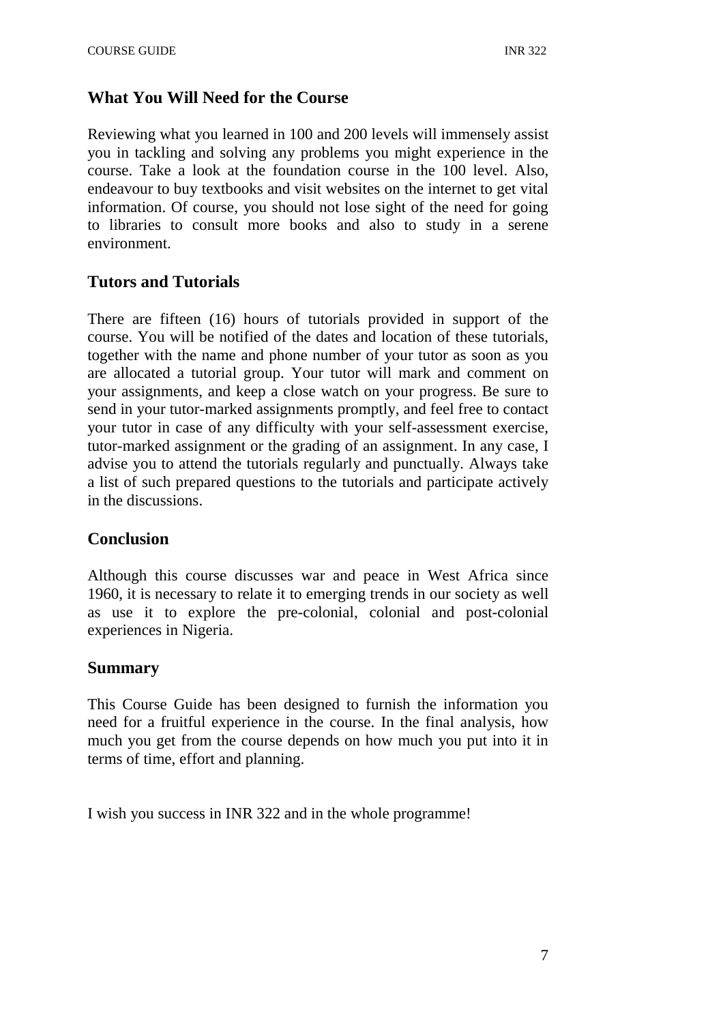# **What You Will Need for the Course**

Reviewing what you learned in 100 and 200 levels will immensely assist you in tackling and solving any problems you might experience in the course. Take a look at the foundation course in the 100 level. Also, endeavour to buy textbooks and visit websites on the internet to get vital information. Of course, you should not lose sight of the need for going to libraries to consult more books and also to study in a serene environment.

# **Tutors and Tutorials**

There are fifteen (16) hours of tutorials provided in support of the course. You will be notified of the dates and location of these tutorials, together with the name and phone number of your tutor as soon as you are allocated a tutorial group. Your tutor will mark and comment on your assignments, and keep a close watch on your progress. Be sure to send in your tutor-marked assignments promptly, and feel free to contact your tutor in case of any difficulty with your self-assessment exercise, tutor-marked assignment or the grading of an assignment. In any case, I advise you to attend the tutorials regularly and punctually. Always take a list of such prepared questions to the tutorials and participate actively in the discussions.

## **Conclusion**

Although this course discusses war and peace in West Africa since 1960, it is necessary to relate it to emerging trends in our society as well as use it to explore the pre-colonial, colonial and post-colonial experiences in Nigeria.

## **Summary**

This Course Guide has been designed to furnish the information you need for a fruitful experience in the course. In the final analysis, how much you get from the course depends on how much you put into it in terms of time, effort and planning.

I wish you success in INR 322 and in the whole programme!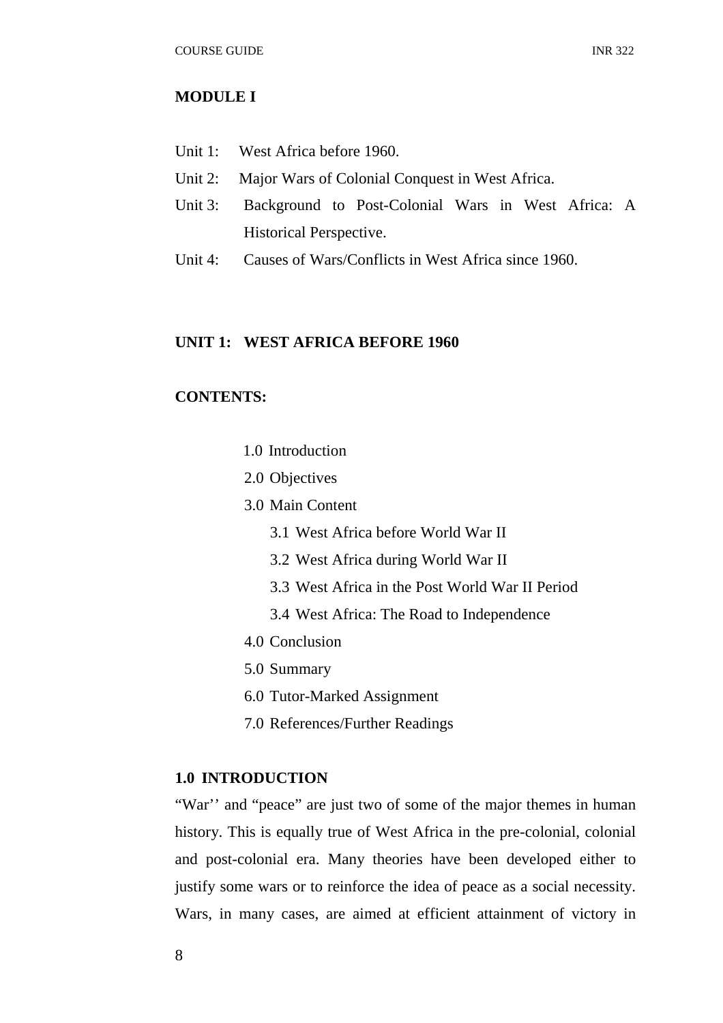#### **MODULE I**

- Unit 1: West Africa before 1960.
- Unit 2: Major Wars of Colonial Conquest in West Africa.
- Unit 3: Background to Post-Colonial Wars in West Africa: A Historical Perspective.
- Unit 4: Causes of Wars/Conflicts in West Africa since 1960.

#### **UNIT 1: WEST AFRICA BEFORE 1960**

#### **CONTENTS:**

- 1.0 Introduction
- 2.0 Objectives
- 3.0 Main Content
	- 3.1 West Africa before World War II
	- 3.2 West Africa during World War II
	- 3.3 West Africa in the Post World War II Period
	- 3.4 West Africa: The Road to Independence
- 4.0 Conclusion
- 5.0 Summary
- 6.0 Tutor-Marked Assignment
- 7.0 References/Further Readings

#### **1.0 INTRODUCTION**

"War" and "peace" are just two of some of the major themes in human history. This is equally true of West Africa in the pre-colonial, colonial and post-colonial era. Many theories have been developed either to justify some wars or to reinforce the idea of peace as a social necessity. Wars, in many cases, are aimed at efficient attainment of victory in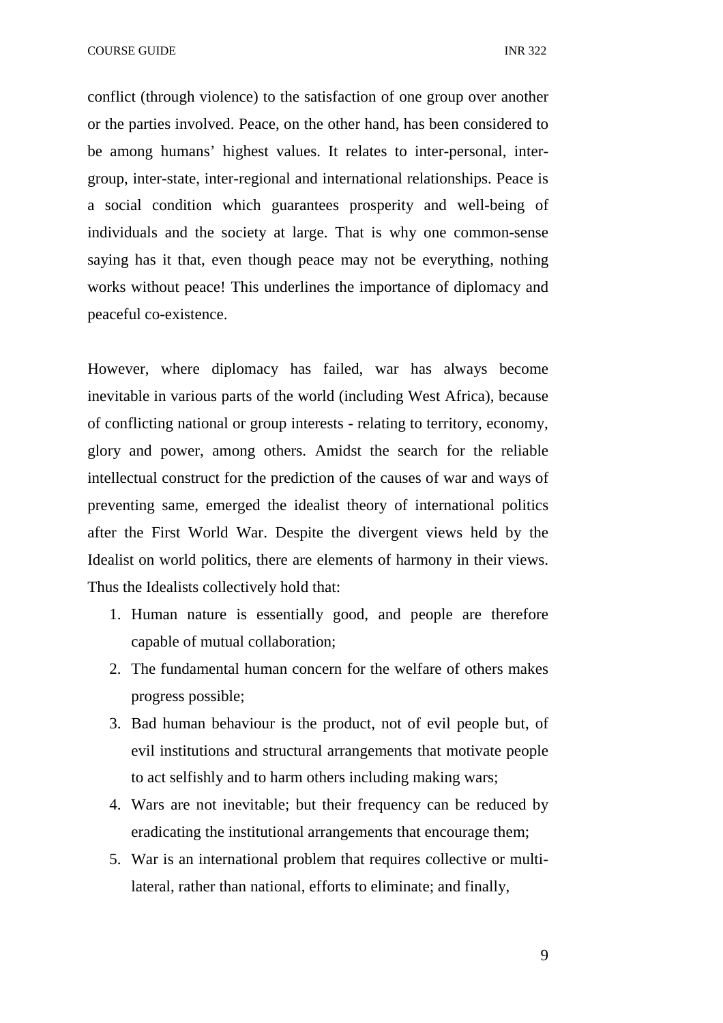COURSE GUIDE **INR** 322

conflict (through violence) to the satisfaction of one group over another or the parties involved. Peace, on the other hand, has been considered to be among humans' highest values. It relates to inter-personal, intergroup, inter-state, inter-regional and international relationships. Peace is a social condition which guarantees prosperity and well-being of individuals and the society at large. That is why one common-sense saying has it that, even though peace may not be everything, nothing works without peace! This underlines the importance of diplomacy and peaceful co-existence.

However, where diplomacy has failed, war has always become inevitable in various parts of the world (including West Africa), because of conflicting national or group interests - relating to territory, economy, glory and power, among others. Amidst the search for the reliable intellectual construct for the prediction of the causes of war and ways of preventing same, emerged the idealist theory of international politics after the First World War. Despite the divergent views held by the Idealist on world politics, there are elements of harmony in their views. Thus the Idealists collectively hold that:

- 1. Human nature is essentially good, and people are therefore capable of mutual collaboration;
- 2. The fundamental human concern for the welfare of others makes progress possible;
- 3. Bad human behaviour is the product, not of evil people but, of evil institutions and structural arrangements that motivate people to act selfishly and to harm others including making wars;
- 4. Wars are not inevitable; but their frequency can be reduced by eradicating the institutional arrangements that encourage them;
- 5. War is an international problem that requires collective or multilateral, rather than national, efforts to eliminate; and finally,

9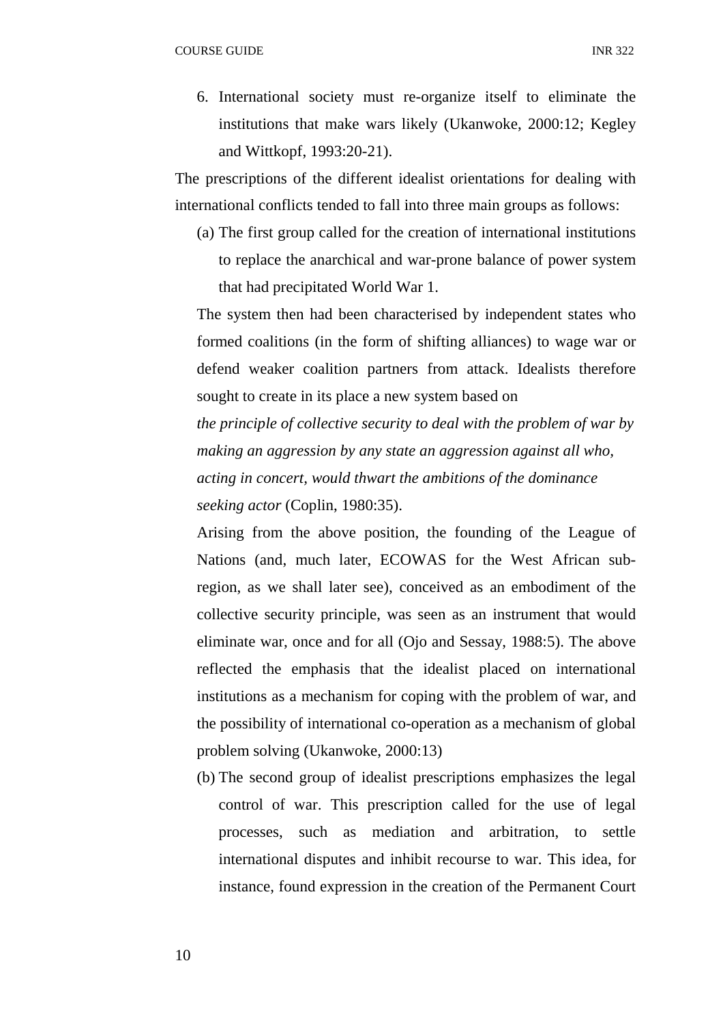6. International society must re-organize itself to eliminate the institutions that make wars likely (Ukanwoke, 2000:12; Kegley and Wittkopf, 1993:20-21).

The prescriptions of the different idealist orientations for dealing with international conflicts tended to fall into three main groups as follows:

(a) The first group called for the creation of international institutions to replace the anarchical and war-prone balance of power system that had precipitated World War 1.

The system then had been characterised by independent states who formed coalitions (in the form of shifting alliances) to wage war or defend weaker coalition partners from attack. Idealists therefore sought to create in its place a new system based on

*the principle of collective security to deal with the problem of war by making an aggression by any state an aggression against all who, acting in concert, would thwart the ambitions of the dominance seeking actor* (Coplin, 1980:35).

Arising from the above position, the founding of the League of Nations (and, much later, ECOWAS for the West African subregion, as we shall later see), conceived as an embodiment of the collective security principle, was seen as an instrument that would eliminate war, once and for all (Ojo and Sessay, 1988:5). The above reflected the emphasis that the idealist placed on international institutions as a mechanism for coping with the problem of war, and the possibility of international co-operation as a mechanism of global problem solving (Ukanwoke, 2000:13)

(b) The second group of idealist prescriptions emphasizes the legal control of war. This prescription called for the use of legal processes, such as mediation and arbitration, to settle international disputes and inhibit recourse to war. This idea, for instance, found expression in the creation of the Permanent Court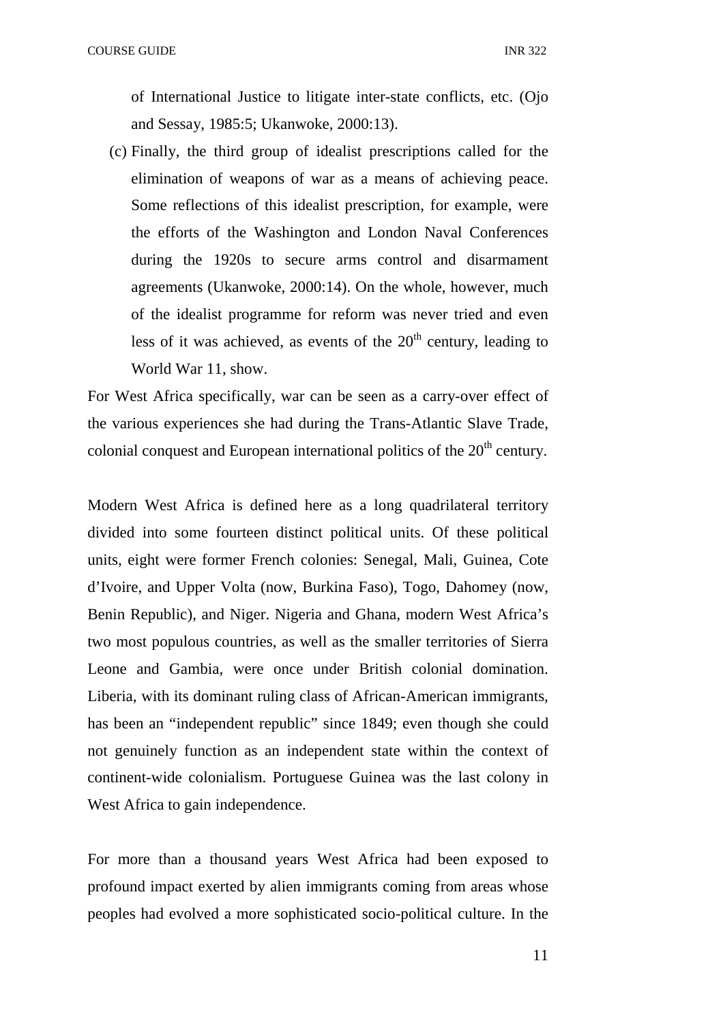of International Justice to litigate inter-state conflicts, etc. (Ojo and Sessay, 1985:5; Ukanwoke, 2000:13).

(c) Finally, the third group of idealist prescriptions called for the elimination of weapons of war as a means of achieving peace. Some reflections of this idealist prescription, for example, were the efforts of the Washington and London Naval Conferences during the 1920s to secure arms control and disarmament agreements (Ukanwoke, 2000:14). On the whole, however, much of the idealist programme for reform was never tried and even less of it was achieved, as events of the  $20<sup>th</sup>$  century, leading to World War 11, show.

For West Africa specifically, war can be seen as a carry-over effect of the various experiences she had during the Trans-Atlantic Slave Trade, colonial conquest and European international politics of the  $20<sup>th</sup>$  century.

Modern West Africa is defined here as a long quadrilateral territory divided into some fourteen distinct political units. Of these political units, eight were former French colonies: Senegal, Mali, Guinea, Cote d'Ivoire, and Upper Volta (now, Burkina Faso), Togo, Dahomey (now, Benin Republic), and Niger. Nigeria and Ghana, modern West Africa's two most populous countries, as well as the smaller territories of Sierra Leone and Gambia, were once under British colonial domination. Liberia, with its dominant ruling class of African-American immigrants, has been an "independent republic" since 1849; even though she could not genuinely function as an independent state within the context of continent-wide colonialism. Portuguese Guinea was the last colony in West Africa to gain independence.

For more than a thousand years West Africa had been exposed to profound impact exerted by alien immigrants coming from areas whose peoples had evolved a more sophisticated socio-political culture. In the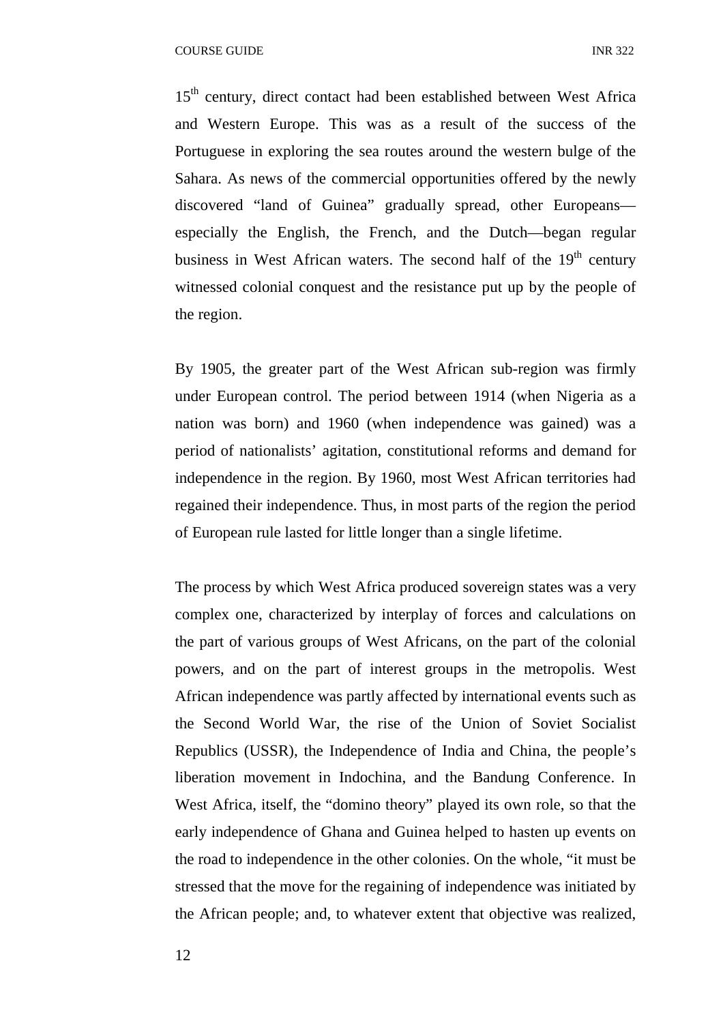15<sup>th</sup> century, direct contact had been established between West Africa and Western Europe. This was as a result of the success of the Portuguese in exploring the sea routes around the western bulge of the Sahara. As news of the commercial opportunities offered by the newly discovered "land of Guinea" gradually spread, other Europeans especially the English, the French, and the Dutch—began regular business in West African waters. The second half of the  $19<sup>th</sup>$  century witnessed colonial conquest and the resistance put up by the people of the region.

By 1905, the greater part of the West African sub-region was firmly under European control. The period between 1914 (when Nigeria as a nation was born) and 1960 (when independence was gained) was a period of nationalists' agitation, constitutional reforms and demand for independence in the region. By 1960, most West African territories had regained their independence. Thus, in most parts of the region the period of European rule lasted for little longer than a single lifetime.

The process by which West Africa produced sovereign states was a very complex one, characterized by interplay of forces and calculations on the part of various groups of West Africans, on the part of the colonial powers, and on the part of interest groups in the metropolis. West African independence was partly affected by international events such as the Second World War, the rise of the Union of Soviet Socialist Republics (USSR), the Independence of India and China, the people's liberation movement in Indochina, and the Bandung Conference. In West Africa, itself, the "domino theory" played its own role, so that the early independence of Ghana and Guinea helped to hasten up events on the road to independence in the other colonies. On the whole, "it must be stressed that the move for the regaining of independence was initiated by the African people; and, to whatever extent that objective was realized,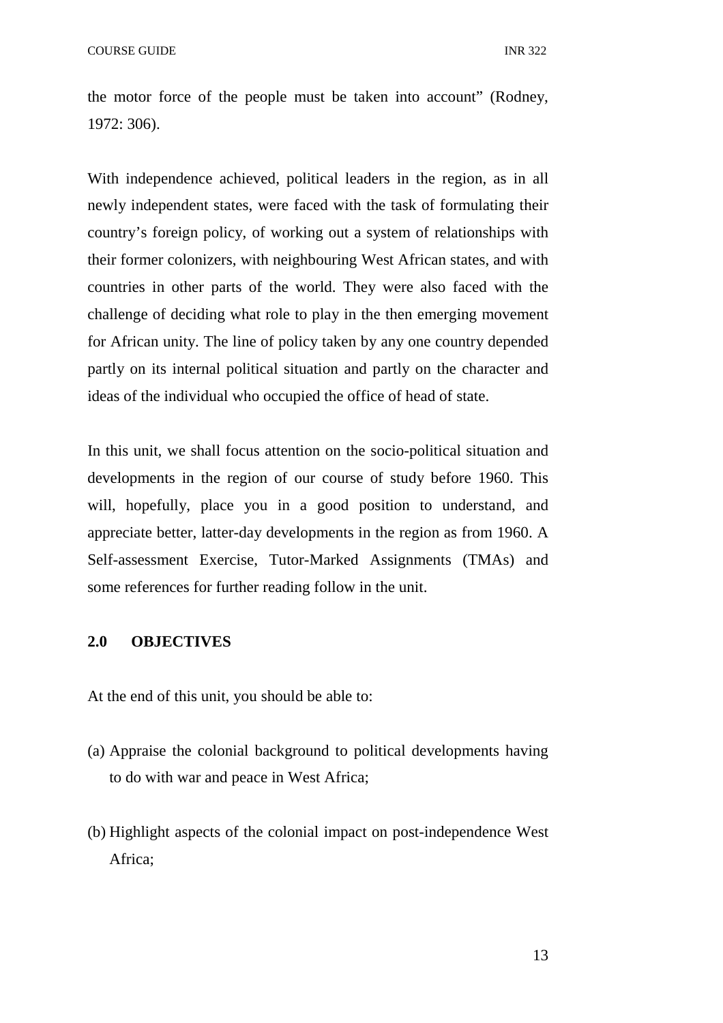the motor force of the people must be taken into account" (Rodney, 1972: 306).

With independence achieved, political leaders in the region, as in all newly independent states, were faced with the task of formulating their country's foreign policy, of working out a system of relationships with their former colonizers, with neighbouring West African states, and with countries in other parts of the world. They were also faced with the challenge of deciding what role to play in the then emerging movement for African unity. The line of policy taken by any one country depended partly on its internal political situation and partly on the character and ideas of the individual who occupied the office of head of state.

In this unit, we shall focus attention on the socio-political situation and developments in the region of our course of study before 1960. This will, hopefully, place you in a good position to understand, and appreciate better, latter-day developments in the region as from 1960. A Self-assessment Exercise, Tutor-Marked Assignments (TMAs) and some references for further reading follow in the unit.

#### **2.0 OBJECTIVES**

At the end of this unit, you should be able to:

- (a) Appraise the colonial background to political developments having to do with war and peace in West Africa;
- (b) Highlight aspects of the colonial impact on post-independence West Africa;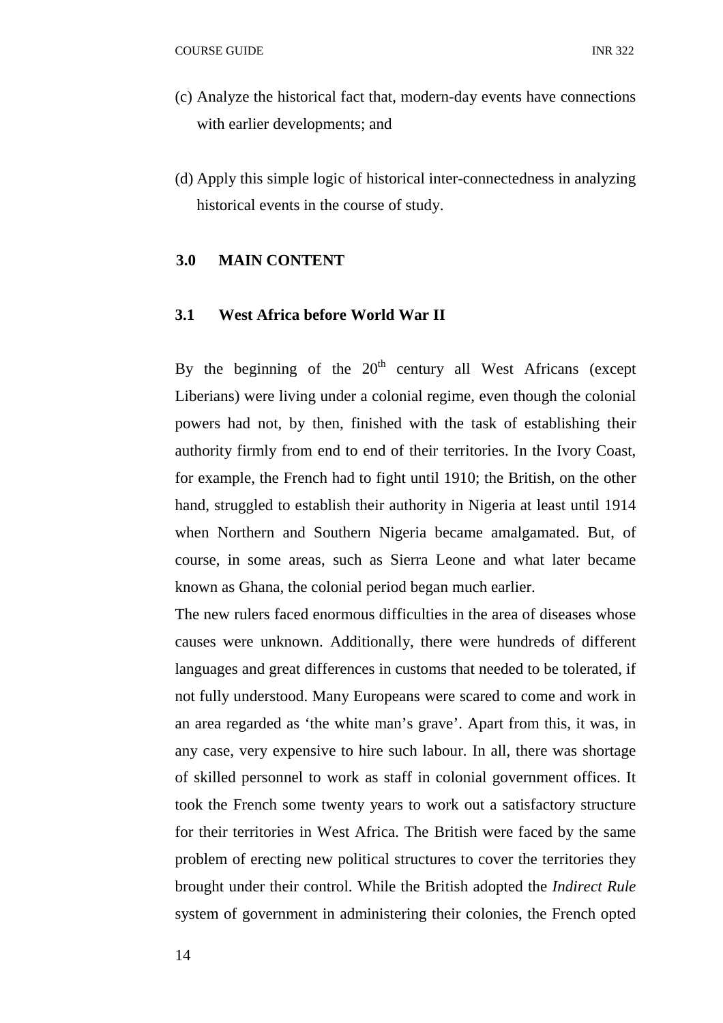- (c) Analyze the historical fact that, modern-day events have connections with earlier developments; and
- (d) Apply this simple logic of historical inter-connectedness in analyzing historical events in the course of study.

### **3.0 MAIN CONTENT**

#### **3.1 West Africa before World War II**

By the beginning of the  $20<sup>th</sup>$  century all West Africans (except Liberians) were living under a colonial regime, even though the colonial powers had not, by then, finished with the task of establishing their authority firmly from end to end of their territories. In the Ivory Coast, for example, the French had to fight until 1910; the British, on the other hand, struggled to establish their authority in Nigeria at least until 1914 when Northern and Southern Nigeria became amalgamated. But, of course, in some areas, such as Sierra Leone and what later became known as Ghana, the colonial period began much earlier.

The new rulers faced enormous difficulties in the area of diseases whose causes were unknown. Additionally, there were hundreds of different languages and great differences in customs that needed to be tolerated, if not fully understood. Many Europeans were scared to come and work in an area regarded as 'the white man's grave'. Apart from this, it was, in any case, very expensive to hire such labour. In all, there was shortage of skilled personnel to work as staff in colonial government offices. It took the French some twenty years to work out a satisfactory structure for their territories in West Africa. The British were faced by the same problem of erecting new political structures to cover the territories they brought under their control. While the British adopted the *Indirect Rule* system of government in administering their colonies, the French opted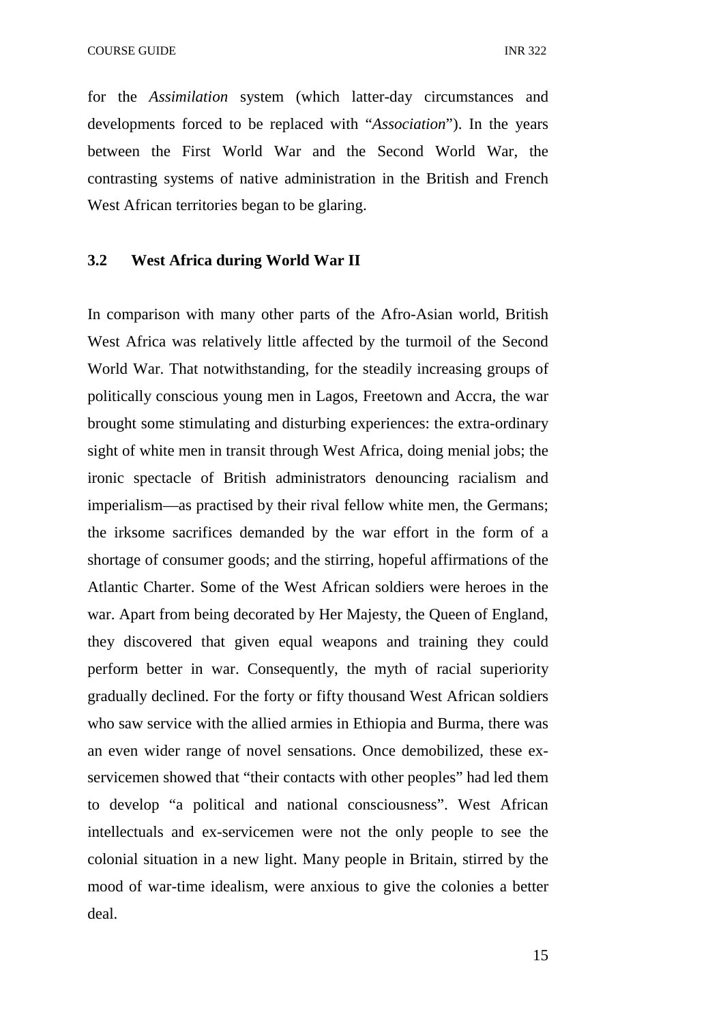for the *Assimilation* system (which latter-day circumstances and developments forced to be replaced with "*Association*"). In the years between the First World War and the Second World War, the contrasting systems of native administration in the British and French West African territories began to be glaring.

#### **3.2 West Africa during World War II**

In comparison with many other parts of the Afro-Asian world, British West Africa was relatively little affected by the turmoil of the Second World War. That notwithstanding, for the steadily increasing groups of politically conscious young men in Lagos, Freetown and Accra, the war brought some stimulating and disturbing experiences: the extra-ordinary sight of white men in transit through West Africa, doing menial jobs; the ironic spectacle of British administrators denouncing racialism and imperialism—as practised by their rival fellow white men, the Germans; the irksome sacrifices demanded by the war effort in the form of a shortage of consumer goods; and the stirring, hopeful affirmations of the Atlantic Charter. Some of the West African soldiers were heroes in the war. Apart from being decorated by Her Majesty, the Queen of England, they discovered that given equal weapons and training they could perform better in war. Consequently, the myth of racial superiority gradually declined. For the forty or fifty thousand West African soldiers who saw service with the allied armies in Ethiopia and Burma, there was an even wider range of novel sensations. Once demobilized, these exservicemen showed that "their contacts with other peoples" had led them to develop "a political and national consciousness". West African intellectuals and ex-servicemen were not the only people to see the colonial situation in a new light. Many people in Britain, stirred by the mood of war-time idealism, were anxious to give the colonies a better deal.

15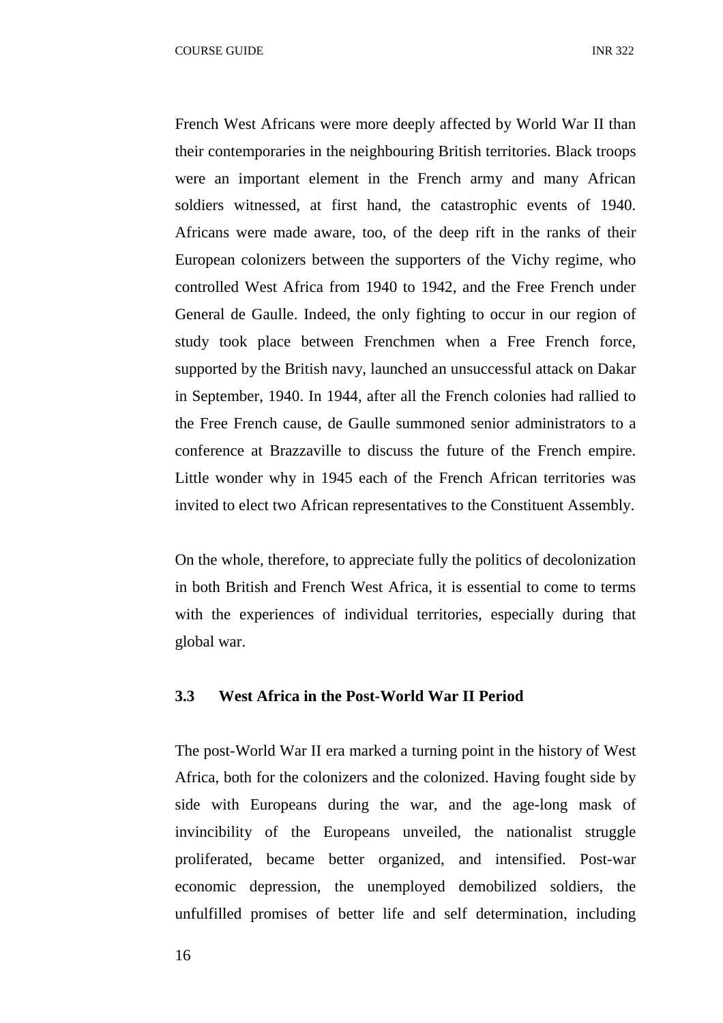French West Africans were more deeply affected by World War II than their contemporaries in the neighbouring British territories. Black troops were an important element in the French army and many African soldiers witnessed, at first hand, the catastrophic events of 1940. Africans were made aware, too, of the deep rift in the ranks of their European colonizers between the supporters of the Vichy regime, who controlled West Africa from 1940 to 1942, and the Free French under General de Gaulle. Indeed, the only fighting to occur in our region of study took place between Frenchmen when a Free French force, supported by the British navy, launched an unsuccessful attack on Dakar in September, 1940. In 1944, after all the French colonies had rallied to the Free French cause, de Gaulle summoned senior administrators to a conference at Brazzaville to discuss the future of the French empire. Little wonder why in 1945 each of the French African territories was invited to elect two African representatives to the Constituent Assembly.

On the whole, therefore, to appreciate fully the politics of decolonization in both British and French West Africa, it is essential to come to terms with the experiences of individual territories, especially during that global war.

#### **3.3 West Africa in the Post-World War II Period**

The post-World War II era marked a turning point in the history of West Africa, both for the colonizers and the colonized. Having fought side by side with Europeans during the war, and the age-long mask of invincibility of the Europeans unveiled, the nationalist struggle proliferated, became better organized, and intensified. Post-war economic depression, the unemployed demobilized soldiers, the unfulfilled promises of better life and self determination, including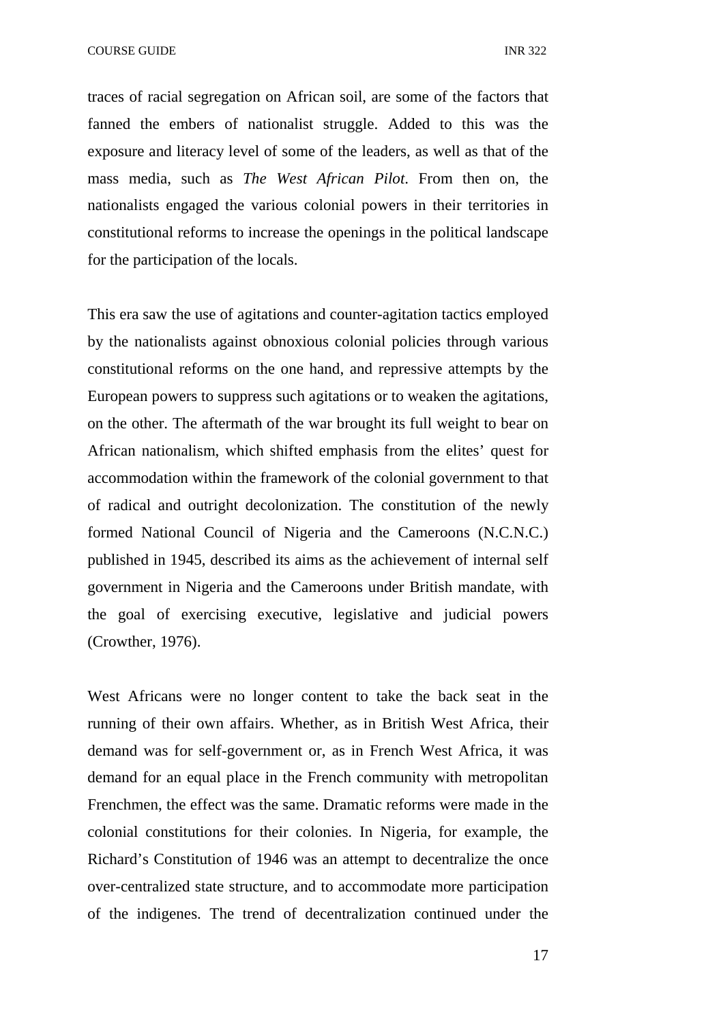COURSE GUIDE **INR** 322

traces of racial segregation on African soil, are some of the factors that fanned the embers of nationalist struggle. Added to this was the exposure and literacy level of some of the leaders, as well as that of the mass media, such as *The West African Pilot*. From then on, the nationalists engaged the various colonial powers in their territories in constitutional reforms to increase the openings in the political landscape for the participation of the locals.

This era saw the use of agitations and counter-agitation tactics employed by the nationalists against obnoxious colonial policies through various constitutional reforms on the one hand, and repressive attempts by the European powers to suppress such agitations or to weaken the agitations, on the other. The aftermath of the war brought its full weight to bear on African nationalism, which shifted emphasis from the elites' quest for accommodation within the framework of the colonial government to that of radical and outright decolonization. The constitution of the newly formed National Council of Nigeria and the Cameroons (N.C.N.C.) published in 1945, described its aims as the achievement of internal self government in Nigeria and the Cameroons under British mandate, with the goal of exercising executive, legislative and judicial powers (Crowther, 1976).

West Africans were no longer content to take the back seat in the running of their own affairs. Whether, as in British West Africa, their demand was for self-government or, as in French West Africa, it was demand for an equal place in the French community with metropolitan Frenchmen, the effect was the same. Dramatic reforms were made in the colonial constitutions for their colonies. In Nigeria, for example, the Richard's Constitution of 1946 was an attempt to decentralize the once over-centralized state structure, and to accommodate more participation of the indigenes. The trend of decentralization continued under the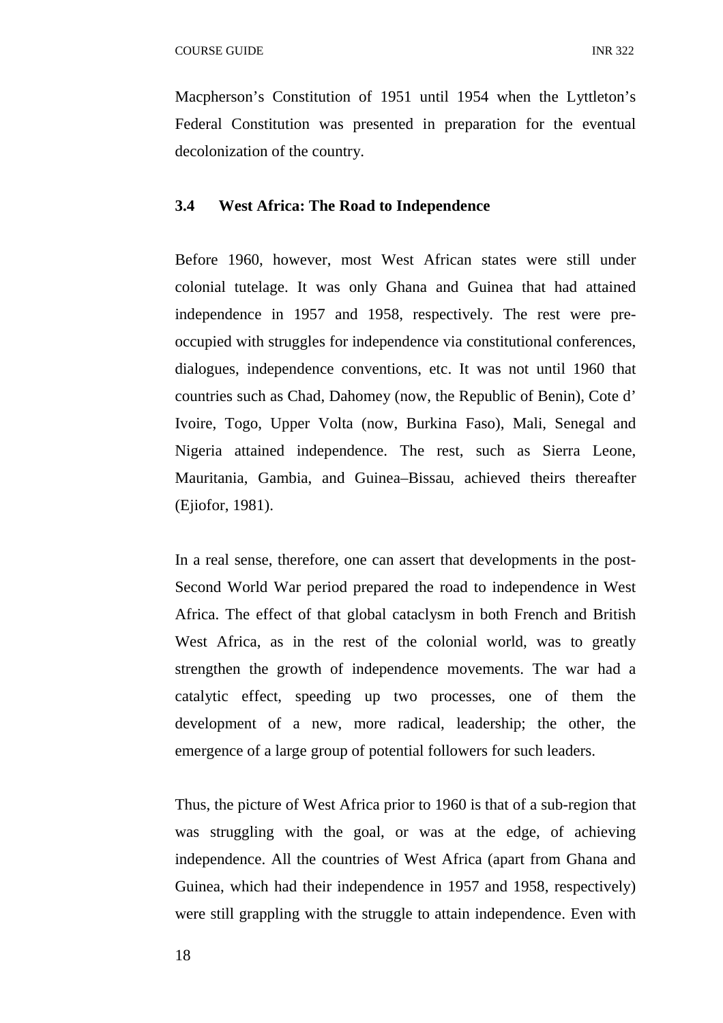Macpherson's Constitution of 1951 until 1954 when the Lyttleton's Federal Constitution was presented in preparation for the eventual decolonization of the country.

### **3.4 West Africa: The Road to Independence**

Before 1960, however, most West African states were still under colonial tutelage. It was only Ghana and Guinea that had attained independence in 1957 and 1958, respectively. The rest were preoccupied with struggles for independence via constitutional conferences, dialogues, independence conventions, etc. It was not until 1960 that countries such as Chad, Dahomey (now, the Republic of Benin), Cote d' Ivoire, Togo, Upper Volta (now, Burkina Faso), Mali, Senegal and Nigeria attained independence. The rest, such as Sierra Leone, Mauritania, Gambia, and Guinea–Bissau, achieved theirs thereafter (Ejiofor, 1981).

In a real sense, therefore, one can assert that developments in the post-Second World War period prepared the road to independence in West Africa. The effect of that global cataclysm in both French and British West Africa, as in the rest of the colonial world, was to greatly strengthen the growth of independence movements. The war had a catalytic effect, speeding up two processes, one of them the development of a new, more radical, leadership; the other, the emergence of a large group of potential followers for such leaders.

Thus, the picture of West Africa prior to 1960 is that of a sub-region that was struggling with the goal, or was at the edge, of achieving independence. All the countries of West Africa (apart from Ghana and Guinea, which had their independence in 1957 and 1958, respectively) were still grappling with the struggle to attain independence. Even with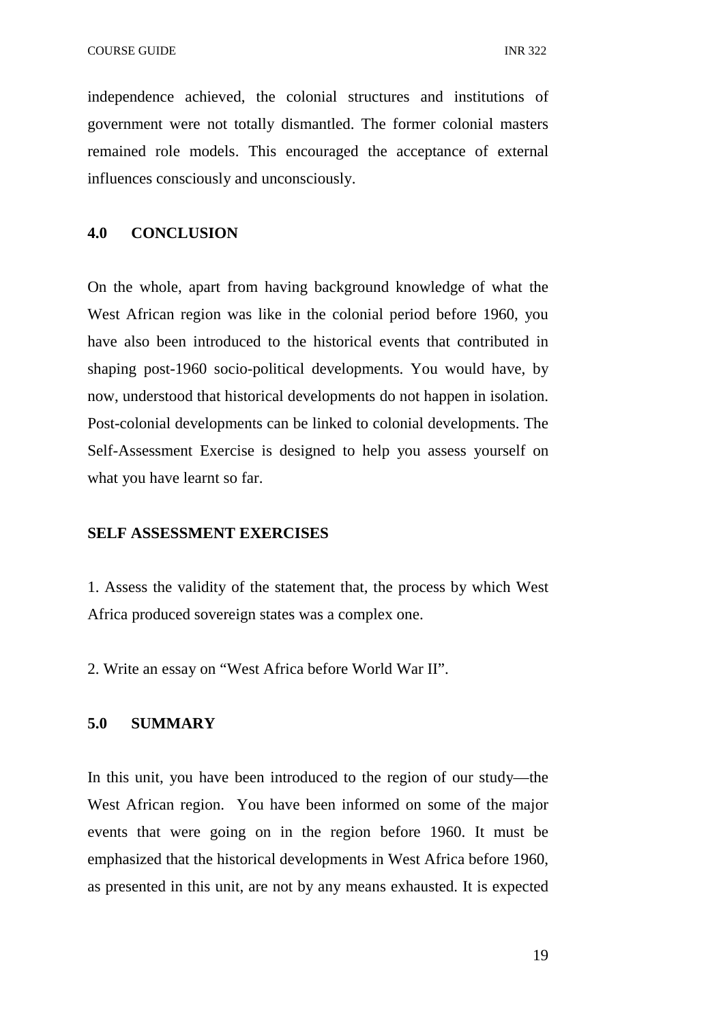independence achieved, the colonial structures and institutions of government were not totally dismantled. The former colonial masters remained role models. This encouraged the acceptance of external influences consciously and unconsciously.

#### **4.0 CONCLUSION**

On the whole, apart from having background knowledge of what the West African region was like in the colonial period before 1960, you have also been introduced to the historical events that contributed in shaping post-1960 socio-political developments. You would have, by now, understood that historical developments do not happen in isolation. Post-colonial developments can be linked to colonial developments. The Self-Assessment Exercise is designed to help you assess yourself on what you have learnt so far.

#### **SELF ASSESSMENT EXERCISES**

1. Assess the validity of the statement that, the process by which West Africa produced sovereign states was a complex one.

2. Write an essay on "West Africa before World War II".

#### **5.0 SUMMARY**

In this unit, you have been introduced to the region of our study—the West African region. You have been informed on some of the major events that were going on in the region before 1960. It must be emphasized that the historical developments in West Africa before 1960, as presented in this unit, are not by any means exhausted. It is expected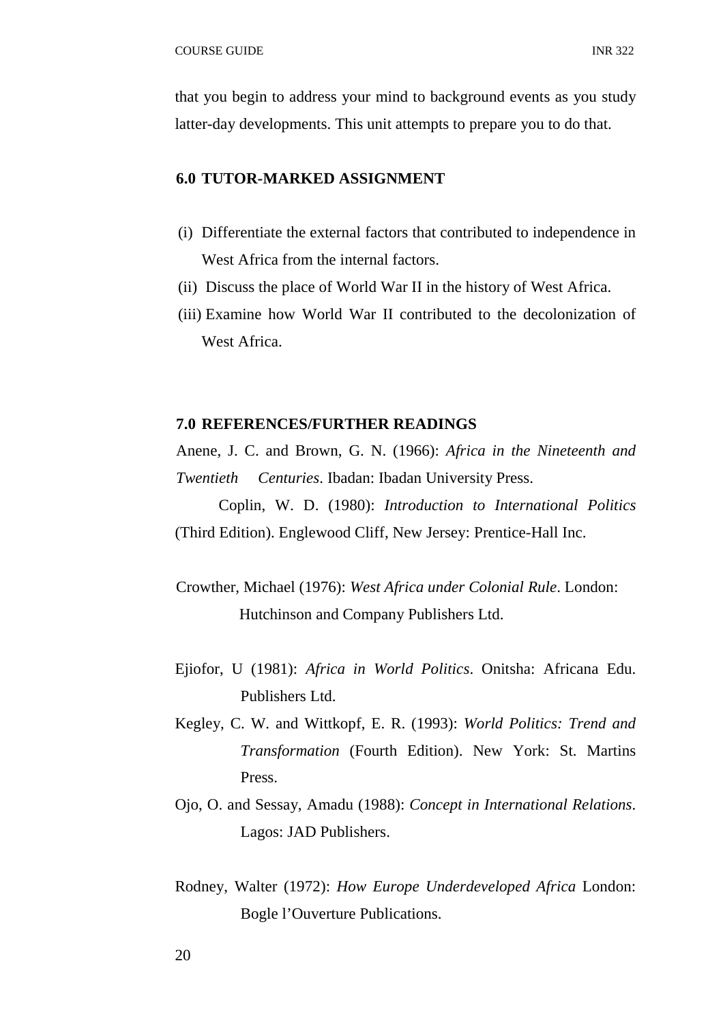that you begin to address your mind to background events as you study latter-day developments. This unit attempts to prepare you to do that.

#### **6.0 TUTOR-MARKED ASSIGNMENT**

- (i) Differentiate the external factors that contributed to independence in West Africa from the internal factors.
- (ii) Discuss the place of World War II in the history of West Africa.
- (iii) Examine how World War II contributed to the decolonization of West Africa.

#### **7.0 REFERENCES/FURTHER READINGS**

Anene, J. C. and Brown, G. N. (1966): *Africa in the Nineteenth and Twentieth Centuries*. Ibadan: Ibadan University Press.

Coplin, W. D. (1980): *Introduction to International Politics* (Third Edition). Englewood Cliff, New Jersey: Prentice-Hall Inc.

- Crowther, Michael (1976): *West Africa under Colonial Rule*. London: Hutchinson and Company Publishers Ltd.
- Ejiofor, U (1981): *Africa in World Politics*. Onitsha: Africana Edu. Publishers Ltd.
- Kegley, C. W. and Wittkopf, E. R. (1993): *World Politics: Trend and Transformation* (Fourth Edition). New York: St. Martins Press.
- Ojo, O. and Sessay, Amadu (1988): *Concept in International Relations*. Lagos: JAD Publishers.
- Rodney, Walter (1972): *How Europe Underdeveloped Africa* London: Bogle l'Ouverture Publications.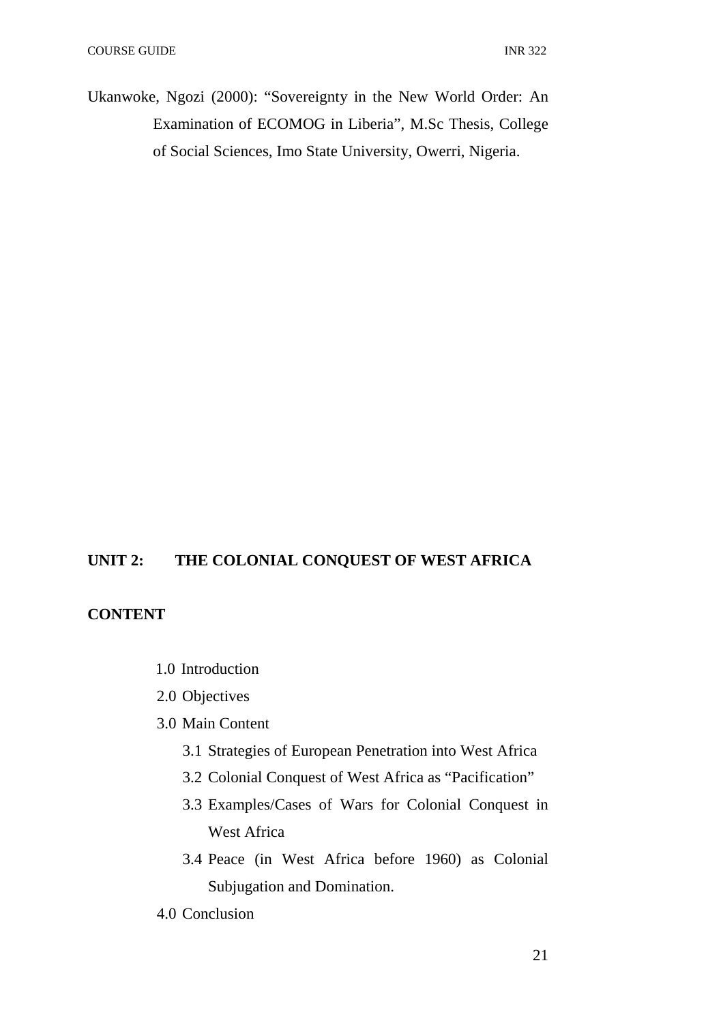Ukanwoke, Ngozi (2000): "Sovereignty in the New World Order: An Examination of ECOMOG in Liberia", M.Sc Thesis, College of Social Sciences, Imo State University, Owerri, Nigeria.

# **UNIT 2: THE COLONIAL CONQUEST OF WEST AFRICA**

# **CONTENT**

- 1.0 Introduction
- 2.0 Objectives
- 3.0 Main Content
	- 3.1 Strategies of European Penetration into West Africa
	- 3.2 Colonial Conquest of West Africa as "Pacification"
	- 3.3 Examples/Cases of Wars for Colonial Conquest in West Africa
	- 3.4 Peace (in West Africa before 1960) as Colonial Subjugation and Domination.
- 4.0 Conclusion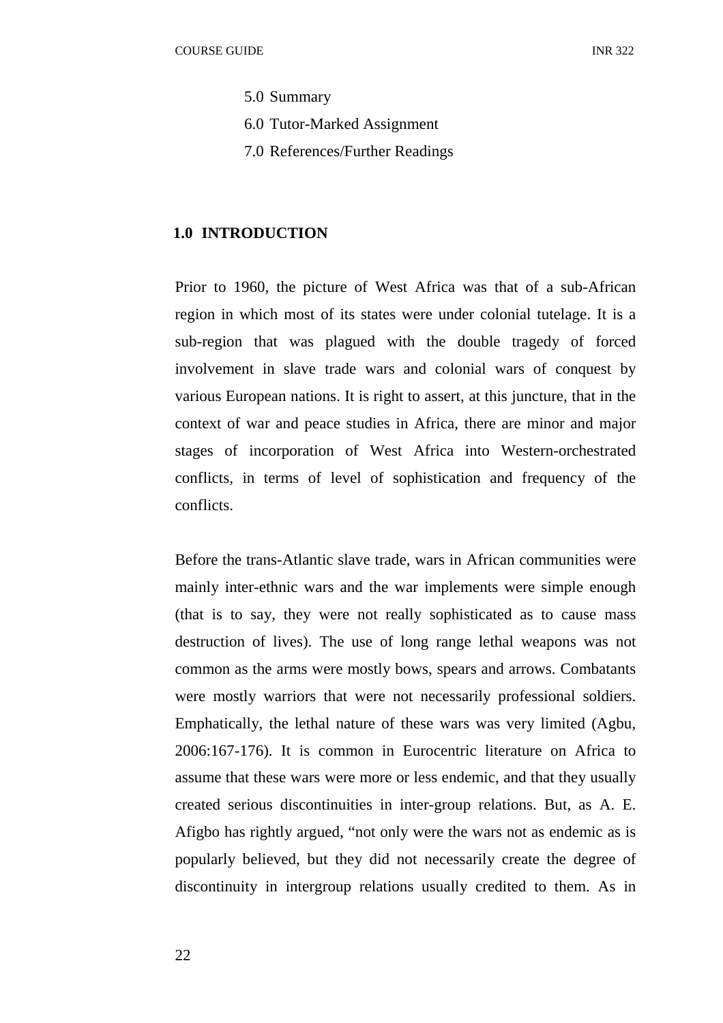- 5.0 Summary
- 6.0 Tutor-Marked Assignment
- 7.0 References/Further Readings

#### **1.0 INTRODUCTION**

Prior to 1960, the picture of West Africa was that of a sub-African region in which most of its states were under colonial tutelage. It is a sub-region that was plagued with the double tragedy of forced involvement in slave trade wars and colonial wars of conquest by various European nations. It is right to assert, at this juncture, that in the context of war and peace studies in Africa, there are minor and major stages of incorporation of West Africa into Western-orchestrated conflicts, in terms of level of sophistication and frequency of the conflicts.

Before the trans-Atlantic slave trade, wars in African communities were mainly inter-ethnic wars and the war implements were simple enough (that is to say, they were not really sophisticated as to cause mass destruction of lives). The use of long range lethal weapons was not common as the arms were mostly bows, spears and arrows. Combatants were mostly warriors that were not necessarily professional soldiers. Emphatically, the lethal nature of these wars was very limited (Agbu, 2006:167-176). It is common in Eurocentric literature on Africa to assume that these wars were more or less endemic, and that they usually created serious discontinuities in inter-group relations. But, as A. E. Afigbo has rightly argued, "not only were the wars not as endemic as is popularly believed, but they did not necessarily create the degree of discontinuity in intergroup relations usually credited to them. As in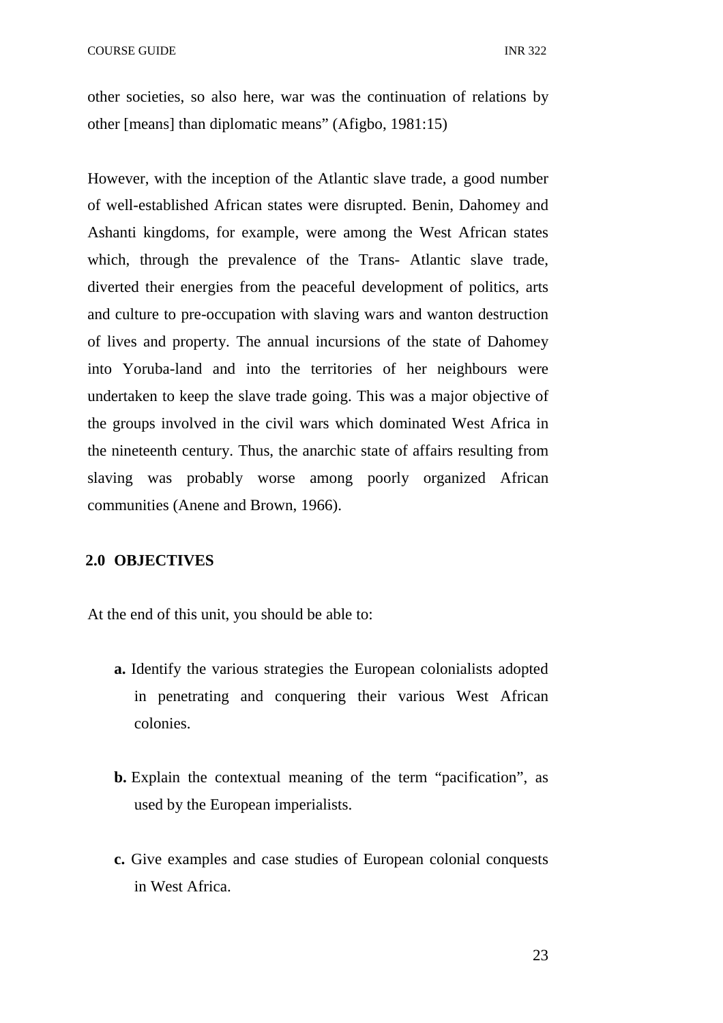other societies, so also here, war was the continuation of relations by other [means] than diplomatic means" (Afigbo, 1981:15)

However, with the inception of the Atlantic slave trade, a good number of well-established African states were disrupted. Benin, Dahomey and Ashanti kingdoms, for example, were among the West African states which, through the prevalence of the Trans- Atlantic slave trade, diverted their energies from the peaceful development of politics, arts and culture to pre-occupation with slaving wars and wanton destruction of lives and property. The annual incursions of the state of Dahomey into Yoruba-land and into the territories of her neighbours were undertaken to keep the slave trade going. This was a major objective of the groups involved in the civil wars which dominated West Africa in the nineteenth century. Thus, the anarchic state of affairs resulting from slaving was probably worse among poorly organized African communities (Anene and Brown, 1966).

#### **2.0 OBJECTIVES**

At the end of this unit, you should be able to:

- **a.** Identify the various strategies the European colonialists adopted in penetrating and conquering their various West African colonies.
- **b.** Explain the contextual meaning of the term "pacification", as used by the European imperialists.
- **c.** Give examples and case studies of European colonial conquests in West Africa.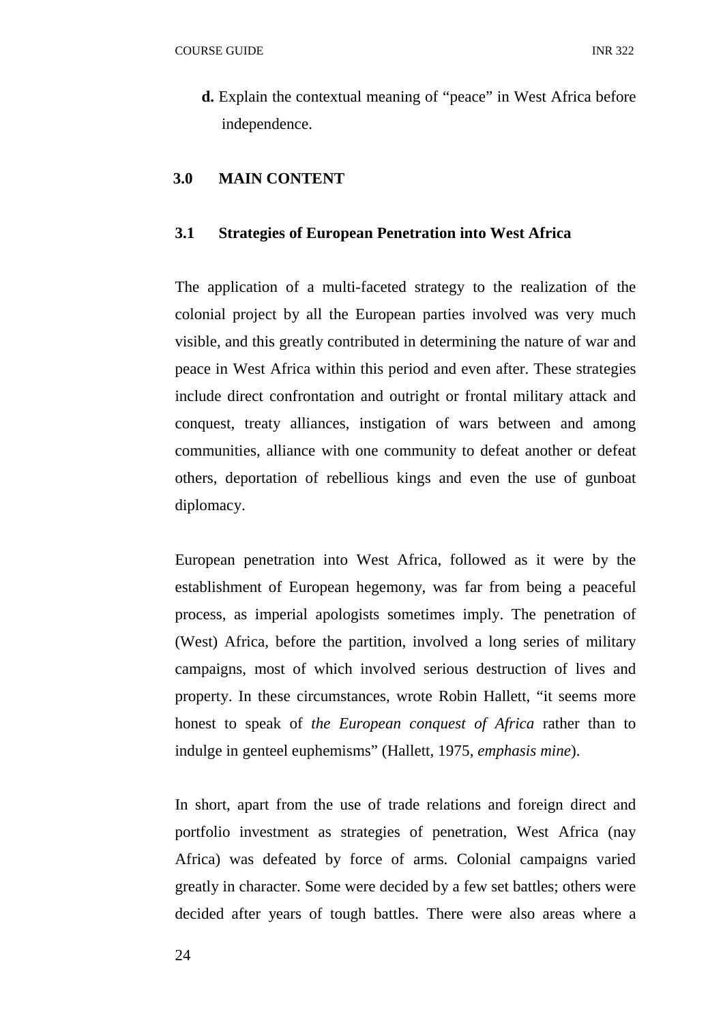**d.** Explain the contextual meaning of "peace" in West Africa before independence.

#### **3.0 MAIN CONTENT**

#### **3.1 Strategies of European Penetration into West Africa**

The application of a multi-faceted strategy to the realization of the colonial project by all the European parties involved was very much visible, and this greatly contributed in determining the nature of war and peace in West Africa within this period and even after. These strategies include direct confrontation and outright or frontal military attack and conquest, treaty alliances, instigation of wars between and among communities, alliance with one community to defeat another or defeat others, deportation of rebellious kings and even the use of gunboat diplomacy.

European penetration into West Africa, followed as it were by the establishment of European hegemony, was far from being a peaceful process, as imperial apologists sometimes imply. The penetration of (West) Africa, before the partition, involved a long series of military campaigns, most of which involved serious destruction of lives and property. In these circumstances, wrote Robin Hallett, "it seems more honest to speak of *the European conquest of Africa* rather than to indulge in genteel euphemisms" (Hallett, 1975, *emphasis mine*).

In short, apart from the use of trade relations and foreign direct and portfolio investment as strategies of penetration, West Africa (nay Africa) was defeated by force of arms. Colonial campaigns varied greatly in character. Some were decided by a few set battles; others were decided after years of tough battles. There were also areas where a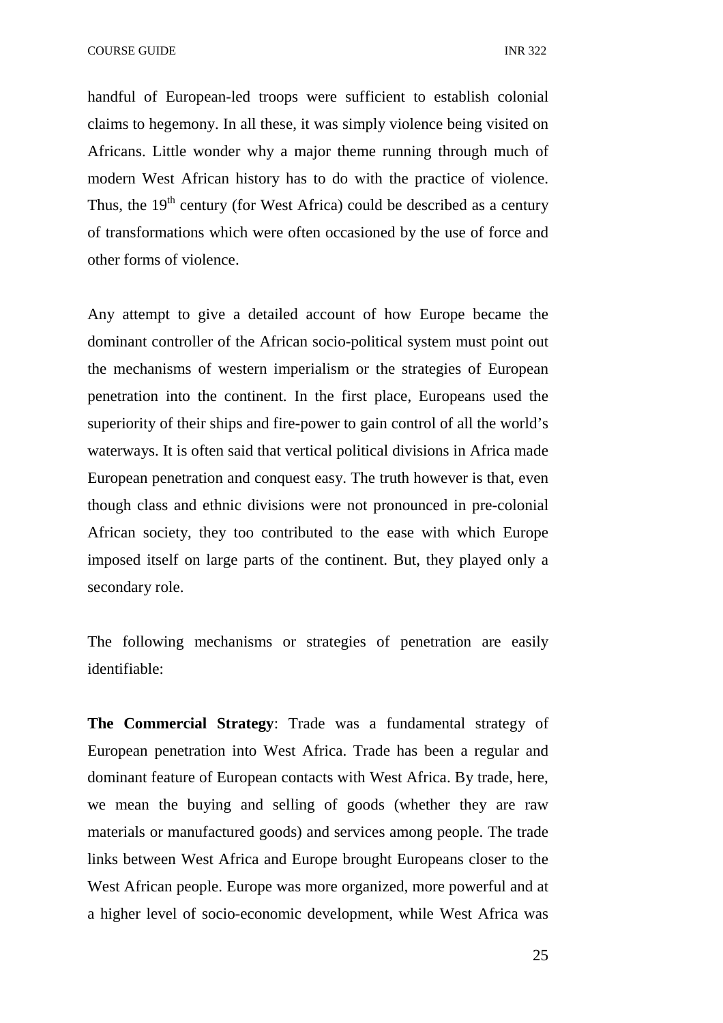COURSE GUIDE **INR** 322

handful of European-led troops were sufficient to establish colonial claims to hegemony. In all these, it was simply violence being visited on Africans. Little wonder why a major theme running through much of modern West African history has to do with the practice of violence. Thus, the  $19<sup>th</sup>$  century (for West Africa) could be described as a century of transformations which were often occasioned by the use of force and other forms of violence.

Any attempt to give a detailed account of how Europe became the dominant controller of the African socio-political system must point out the mechanisms of western imperialism or the strategies of European penetration into the continent. In the first place, Europeans used the superiority of their ships and fire-power to gain control of all the world's waterways. It is often said that vertical political divisions in Africa made European penetration and conquest easy. The truth however is that, even though class and ethnic divisions were not pronounced in pre-colonial African society, they too contributed to the ease with which Europe imposed itself on large parts of the continent. But, they played only a secondary role.

The following mechanisms or strategies of penetration are easily identifiable:

**The Commercial Strategy**: Trade was a fundamental strategy of European penetration into West Africa. Trade has been a regular and dominant feature of European contacts with West Africa. By trade, here, we mean the buying and selling of goods (whether they are raw materials or manufactured goods) and services among people. The trade links between West Africa and Europe brought Europeans closer to the West African people. Europe was more organized, more powerful and at a higher level of socio-economic development, while West Africa was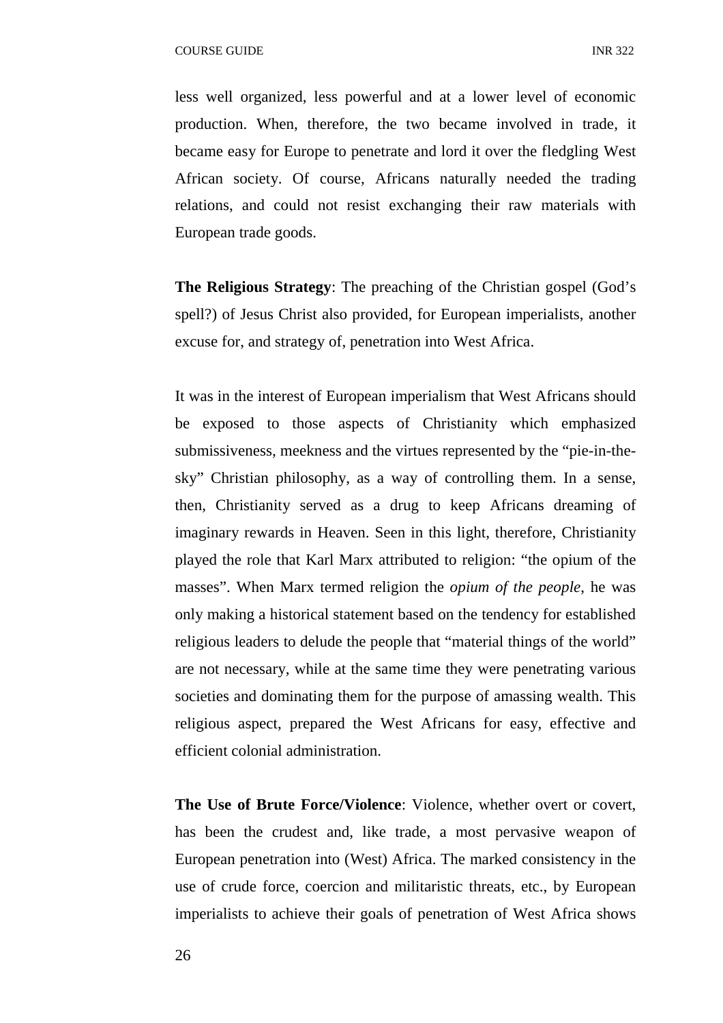less well organized, less powerful and at a lower level of economic production. When, therefore, the two became involved in trade, it became easy for Europe to penetrate and lord it over the fledgling West African society. Of course, Africans naturally needed the trading relations, and could not resist exchanging their raw materials with European trade goods.

**The Religious Strategy**: The preaching of the Christian gospel (God's spell?) of Jesus Christ also provided, for European imperialists, another excuse for, and strategy of, penetration into West Africa.

It was in the interest of European imperialism that West Africans should be exposed to those aspects of Christianity which emphasized submissiveness, meekness and the virtues represented by the "pie-in-thesky" Christian philosophy, as a way of controlling them. In a sense, then, Christianity served as a drug to keep Africans dreaming of imaginary rewards in Heaven. Seen in this light, therefore, Christianity played the role that Karl Marx attributed to religion: "the opium of the masses". When Marx termed religion the *opium of the people*, he was only making a historical statement based on the tendency for established religious leaders to delude the people that "material things of the world" are not necessary, while at the same time they were penetrating various societies and dominating them for the purpose of amassing wealth. This religious aspect, prepared the West Africans for easy, effective and efficient colonial administration.

**The Use of Brute Force/Violence**: Violence, whether overt or covert, has been the crudest and, like trade, a most pervasive weapon of European penetration into (West) Africa. The marked consistency in the use of crude force, coercion and militaristic threats, etc., by European imperialists to achieve their goals of penetration of West Africa shows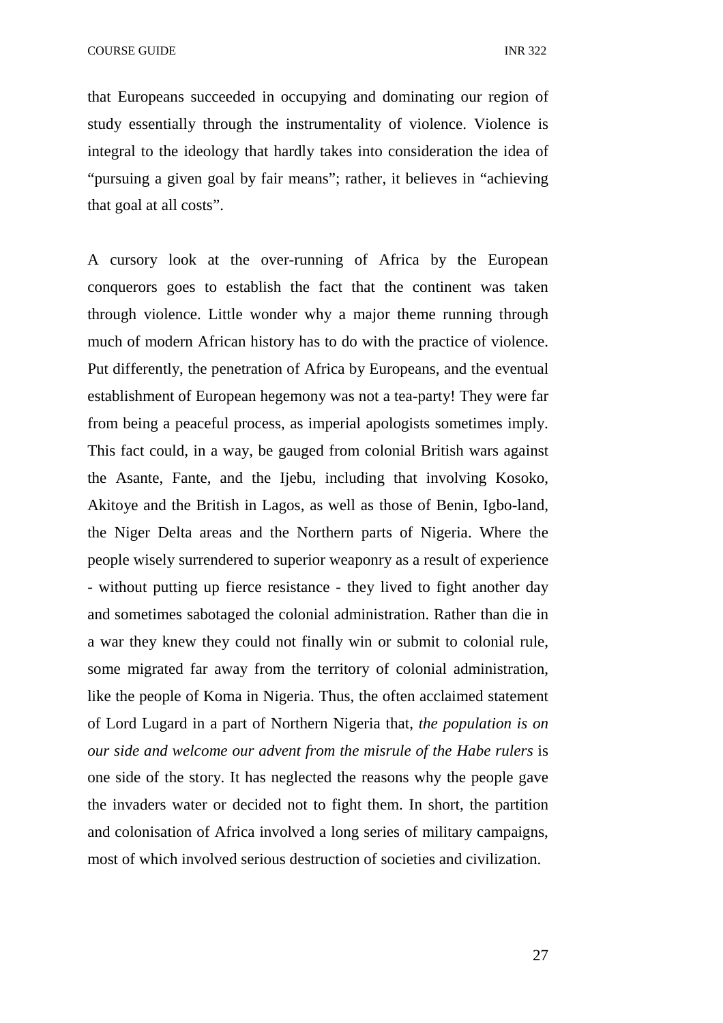that Europeans succeeded in occupying and dominating our region of study essentially through the instrumentality of violence. Violence is integral to the ideology that hardly takes into consideration the idea of "pursuing a given goal by fair means"; rather, it believes in "achieving that goal at all costs".

A cursory look at the over-running of Africa by the European conquerors goes to establish the fact that the continent was taken through violence. Little wonder why a major theme running through much of modern African history has to do with the practice of violence. Put differently, the penetration of Africa by Europeans, and the eventual establishment of European hegemony was not a tea-party! They were far from being a peaceful process, as imperial apologists sometimes imply. This fact could, in a way, be gauged from colonial British wars against the Asante, Fante, and the Ijebu, including that involving Kosoko, Akitoye and the British in Lagos, as well as those of Benin, Igbo-land, the Niger Delta areas and the Northern parts of Nigeria. Where the people wisely surrendered to superior weaponry as a result of experience - without putting up fierce resistance - they lived to fight another day and sometimes sabotaged the colonial administration. Rather than die in a war they knew they could not finally win or submit to colonial rule, some migrated far away from the territory of colonial administration, like the people of Koma in Nigeria. Thus, the often acclaimed statement of Lord Lugard in a part of Northern Nigeria that, *the population is on our side and welcome our advent from the misrule of the Habe rulers* is one side of the story. It has neglected the reasons why the people gave the invaders water or decided not to fight them. In short, the partition and colonisation of Africa involved a long series of military campaigns, most of which involved serious destruction of societies and civilization.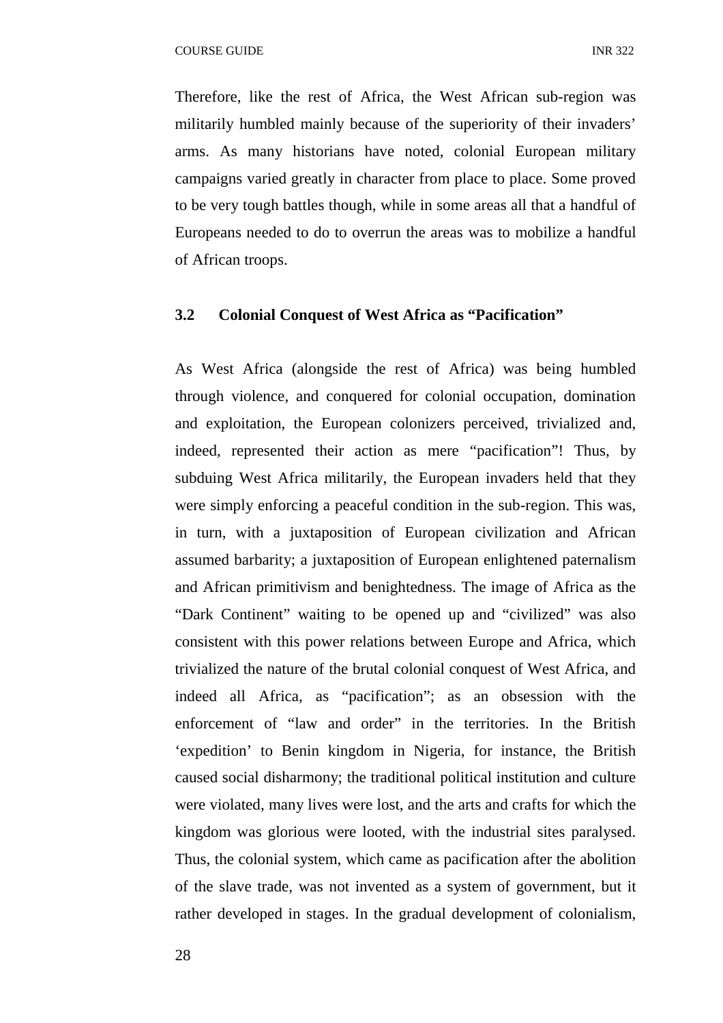Therefore, like the rest of Africa, the West African sub-region was militarily humbled mainly because of the superiority of their invaders' arms. As many historians have noted, colonial European military campaigns varied greatly in character from place to place. Some proved to be very tough battles though, while in some areas all that a handful of Europeans needed to do to overrun the areas was to mobilize a handful of African troops.

#### **3.2 Colonial Conquest of West Africa as "Pacification"**

As West Africa (alongside the rest of Africa) was being humbled through violence, and conquered for colonial occupation, domination and exploitation, the European colonizers perceived, trivialized and, indeed, represented their action as mere "pacification"! Thus, by subduing West Africa militarily, the European invaders held that they were simply enforcing a peaceful condition in the sub-region. This was, in turn, with a juxtaposition of European civilization and African assumed barbarity; a juxtaposition of European enlightened paternalism and African primitivism and benightedness. The image of Africa as the "Dark Continent" waiting to be opened up and "civilized" was also consistent with this power relations between Europe and Africa, which trivialized the nature of the brutal colonial conquest of West Africa, and indeed all Africa, as "pacification"; as an obsession with the enforcement of "law and order" in the territories. In the British 'expedition' to Benin kingdom in Nigeria, for instance, the British caused social disharmony; the traditional political institution and culture were violated, many lives were lost, and the arts and crafts for which the kingdom was glorious were looted, with the industrial sites paralysed. Thus, the colonial system, which came as pacification after the abolition of the slave trade, was not invented as a system of government, but it rather developed in stages. In the gradual development of colonialism,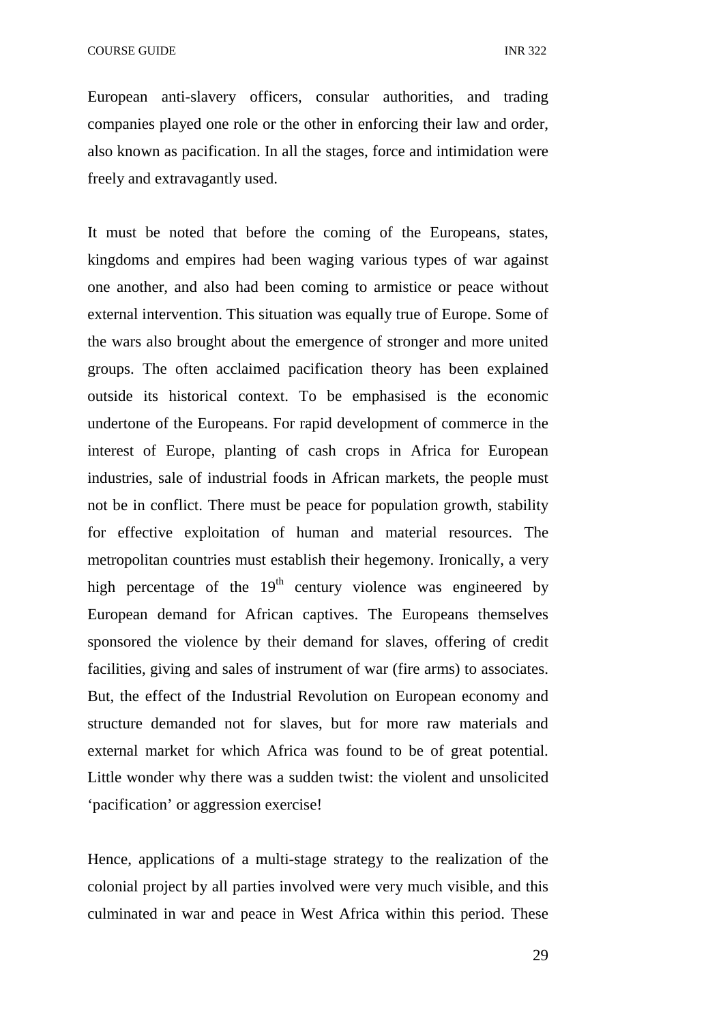European anti-slavery officers, consular authorities, and trading companies played one role or the other in enforcing their law and order, also known as pacification. In all the stages, force and intimidation were freely and extravagantly used.

It must be noted that before the coming of the Europeans, states, kingdoms and empires had been waging various types of war against one another, and also had been coming to armistice or peace without external intervention. This situation was equally true of Europe. Some of the wars also brought about the emergence of stronger and more united groups. The often acclaimed pacification theory has been explained outside its historical context. To be emphasised is the economic undertone of the Europeans. For rapid development of commerce in the interest of Europe, planting of cash crops in Africa for European industries, sale of industrial foods in African markets, the people must not be in conflict. There must be peace for population growth, stability for effective exploitation of human and material resources. The metropolitan countries must establish their hegemony. Ironically, a very high percentage of the  $19<sup>th</sup>$  century violence was engineered by European demand for African captives. The Europeans themselves sponsored the violence by their demand for slaves, offering of credit facilities, giving and sales of instrument of war (fire arms) to associates. But, the effect of the Industrial Revolution on European economy and structure demanded not for slaves, but for more raw materials and external market for which Africa was found to be of great potential. Little wonder why there was a sudden twist: the violent and unsolicited 'pacification' or aggression exercise!

Hence, applications of a multi-stage strategy to the realization of the colonial project by all parties involved were very much visible, and this culminated in war and peace in West Africa within this period. These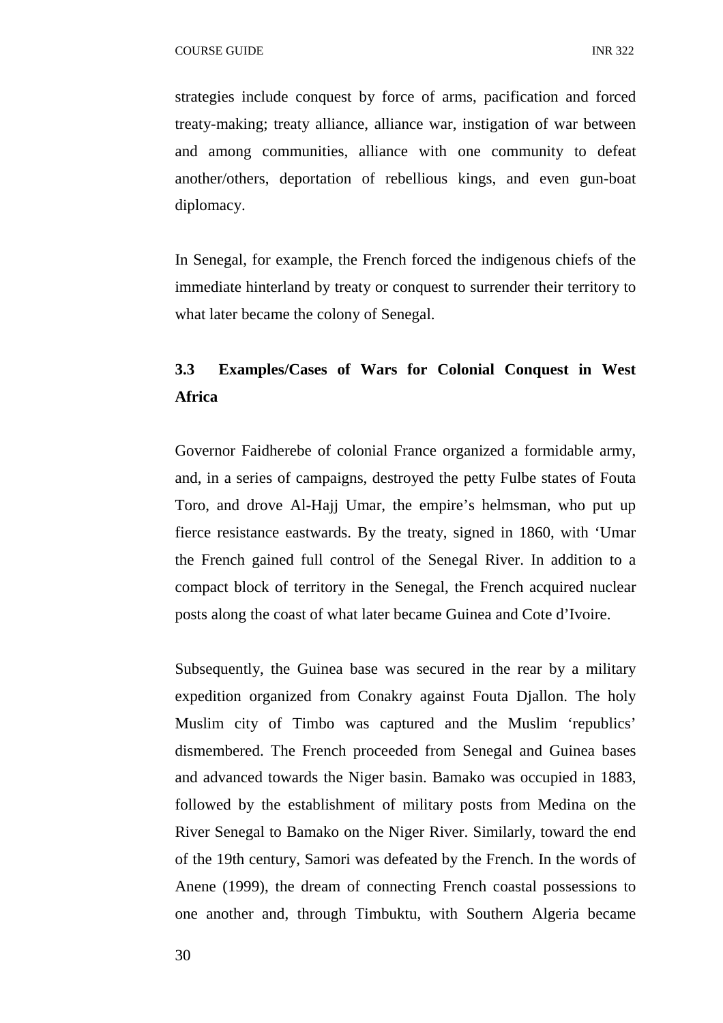strategies include conquest by force of arms, pacification and forced treaty-making; treaty alliance, alliance war, instigation of war between and among communities, alliance with one community to defeat another/others, deportation of rebellious kings, and even gun-boat diplomacy.

In Senegal, for example, the French forced the indigenous chiefs of the immediate hinterland by treaty or conquest to surrender their territory to what later became the colony of Senegal.

# **3.3 Examples/Cases of Wars for Colonial Conquest in West Africa**

Governor Faidherebe of colonial France organized a formidable army, and, in a series of campaigns, destroyed the petty Fulbe states of Fouta Toro, and drove Al-Hajj Umar, the empire's helmsman, who put up fierce resistance eastwards. By the treaty, signed in 1860, with 'Umar the French gained full control of the Senegal River. In addition to a compact block of territory in the Senegal, the French acquired nuclear posts along the coast of what later became Guinea and Cote d'Ivoire.

Subsequently, the Guinea base was secured in the rear by a military expedition organized from Conakry against Fouta Djallon. The holy Muslim city of Timbo was captured and the Muslim 'republics' dismembered. The French proceeded from Senegal and Guinea bases and advanced towards the Niger basin. Bamako was occupied in 1883, followed by the establishment of military posts from Medina on the River Senegal to Bamako on the Niger River. Similarly, toward the end of the 19th century, Samori was defeated by the French. In the words of Anene (1999), the dream of connecting French coastal possessions to one another and, through Timbuktu, with Southern Algeria became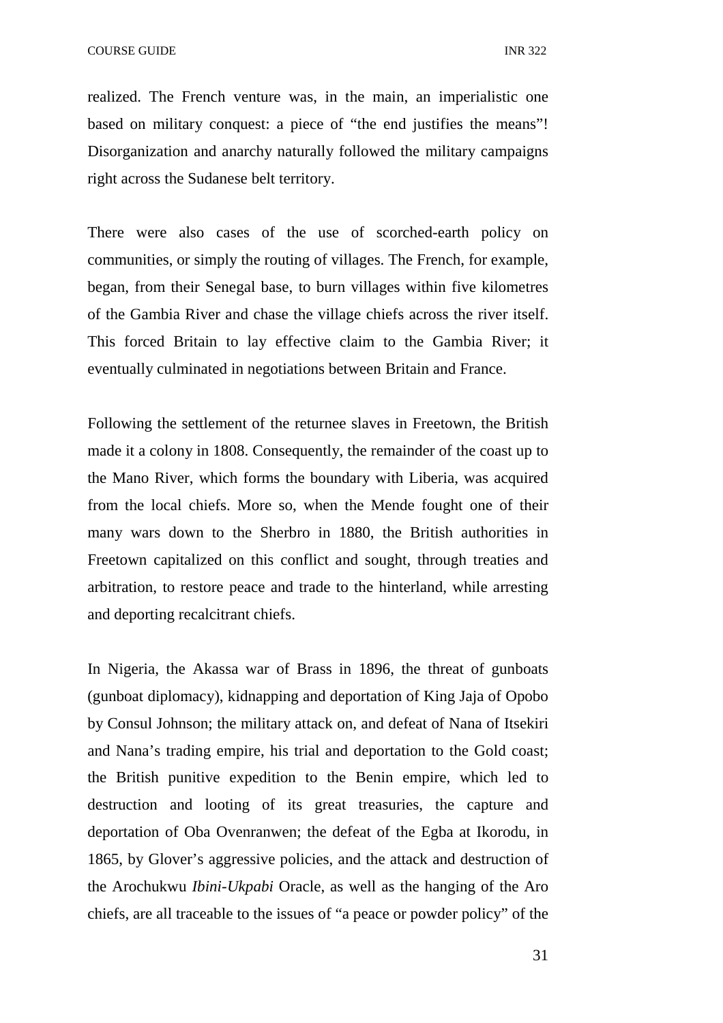realized. The French venture was, in the main, an imperialistic one based on military conquest: a piece of "the end justifies the means"! Disorganization and anarchy naturally followed the military campaigns right across the Sudanese belt territory.

There were also cases of the use of scorched-earth policy on communities, or simply the routing of villages. The French, for example, began, from their Senegal base, to burn villages within five kilometres of the Gambia River and chase the village chiefs across the river itself. This forced Britain to lay effective claim to the Gambia River; it eventually culminated in negotiations between Britain and France.

Following the settlement of the returnee slaves in Freetown, the British made it a colony in 1808. Consequently, the remainder of the coast up to the Mano River, which forms the boundary with Liberia, was acquired from the local chiefs. More so, when the Mende fought one of their many wars down to the Sherbro in 1880, the British authorities in Freetown capitalized on this conflict and sought, through treaties and arbitration, to restore peace and trade to the hinterland, while arresting and deporting recalcitrant chiefs.

In Nigeria, the Akassa war of Brass in 1896, the threat of gunboats (gunboat diplomacy), kidnapping and deportation of King Jaja of Opobo by Consul Johnson; the military attack on, and defeat of Nana of Itsekiri and Nana's trading empire, his trial and deportation to the Gold coast; the British punitive expedition to the Benin empire, which led to destruction and looting of its great treasuries, the capture and deportation of Oba Ovenranwen; the defeat of the Egba at Ikorodu, in 1865, by Glover's aggressive policies, and the attack and destruction of the Arochukwu *Ibini-Ukpabi* Oracle, as well as the hanging of the Aro chiefs, are all traceable to the issues of "a peace or powder policy" of the

31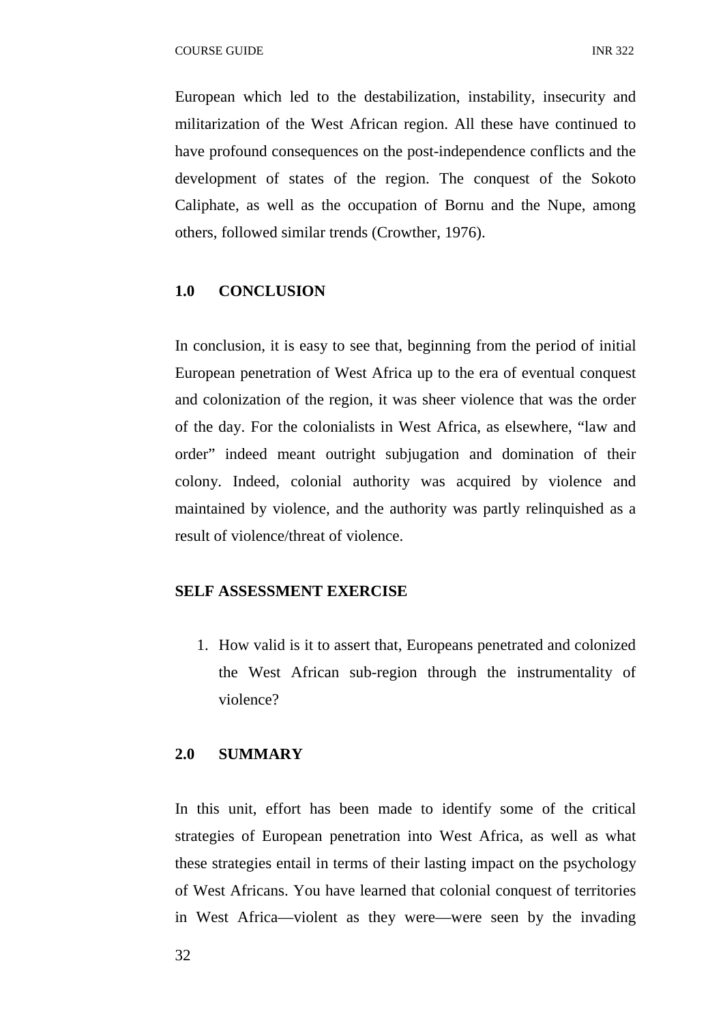European which led to the destabilization, instability, insecurity and militarization of the West African region. All these have continued to have profound consequences on the post-independence conflicts and the development of states of the region. The conquest of the Sokoto Caliphate, as well as the occupation of Bornu and the Nupe, among others, followed similar trends (Crowther, 1976).

#### **1.0 CONCLUSION**

In conclusion, it is easy to see that, beginning from the period of initial European penetration of West Africa up to the era of eventual conquest and colonization of the region, it was sheer violence that was the order of the day. For the colonialists in West Africa, as elsewhere, "law and order" indeed meant outright subjugation and domination of their colony. Indeed, colonial authority was acquired by violence and maintained by violence, and the authority was partly relinquished as a result of violence/threat of violence.

#### **SELF ASSESSMENT EXERCISE**

1. How valid is it to assert that, Europeans penetrated and colonized the West African sub-region through the instrumentality of violence?

#### **2.0 SUMMARY**

In this unit, effort has been made to identify some of the critical strategies of European penetration into West Africa, as well as what these strategies entail in terms of their lasting impact on the psychology of West Africans. You have learned that colonial conquest of territories in West Africa—violent as they were—were seen by the invading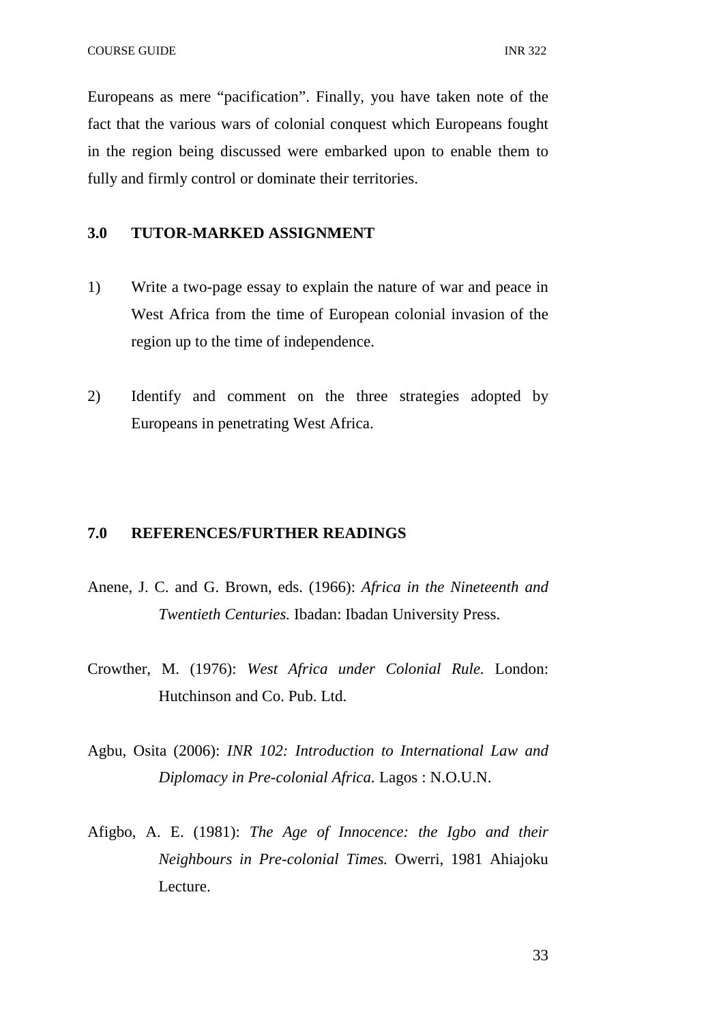Europeans as mere "pacification". Finally, you have taken note of the fact that the various wars of colonial conquest which Europeans fought in the region being discussed were embarked upon to enable them to fully and firmly control or dominate their territories.

## **3.0 TUTOR-MARKED ASSIGNMENT**

- 1) Write a two-page essay to explain the nature of war and peace in West Africa from the time of European colonial invasion of the region up to the time of independence.
- 2) Identify and comment on the three strategies adopted by Europeans in penetrating West Africa.

#### **7.0 REFERENCES/FURTHER READINGS**

- Anene, J. C. and G. Brown, eds. (1966): *Africa in the Nineteenth and Twentieth Centuries.* Ibadan: Ibadan University Press.
- Crowther, M. (1976): *West Africa under Colonial Rule.* London: Hutchinson and Co. Pub. Ltd.
- Agbu, Osita (2006): *INR 102: Introduction to International Law and Diplomacy in Pre-colonial Africa.* Lagos : N.O.U.N.
- Afigbo, A. E. (1981): *The Age of Innocence: the Igbo and their Neighbours in Pre-colonial Times.* Owerri, 1981 Ahiajoku Lecture.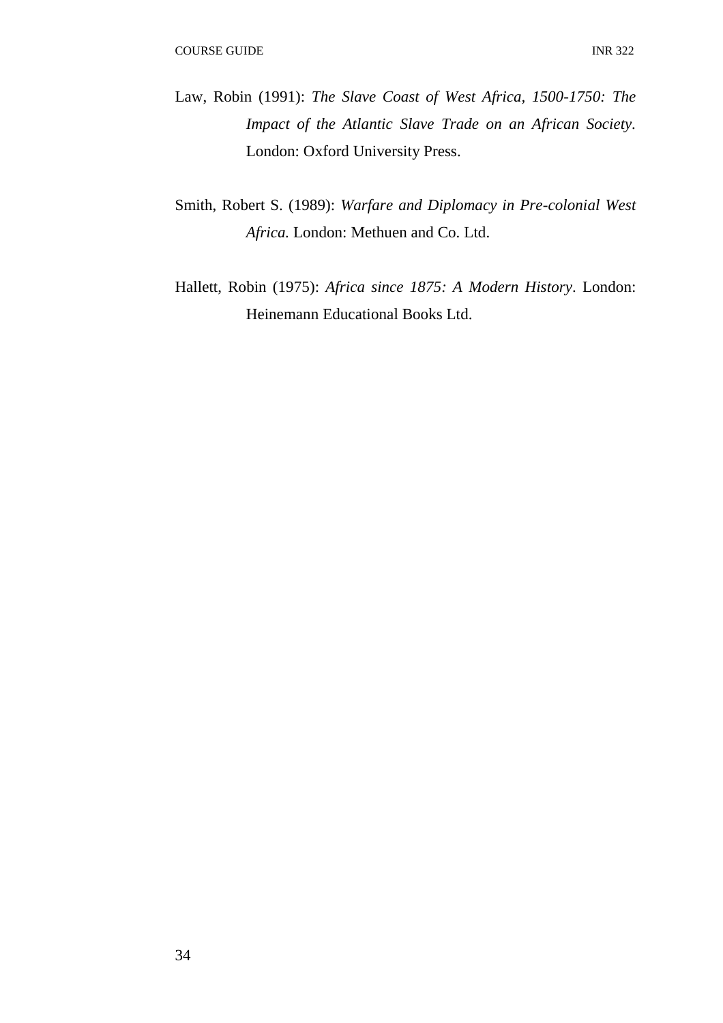- Law, Robin (1991): *The Slave Coast of West Africa, 1500-1750: The Impact of the Atlantic Slave Trade on an African Society.*  London: Oxford University Press.
- Smith, Robert S. (1989): *Warfare and Diplomacy in Pre-colonial West Africa.* London: Methuen and Co. Ltd.
- Hallett, Robin (1975): *Africa since 1875: A Modern History*. London: Heinemann Educational Books Ltd.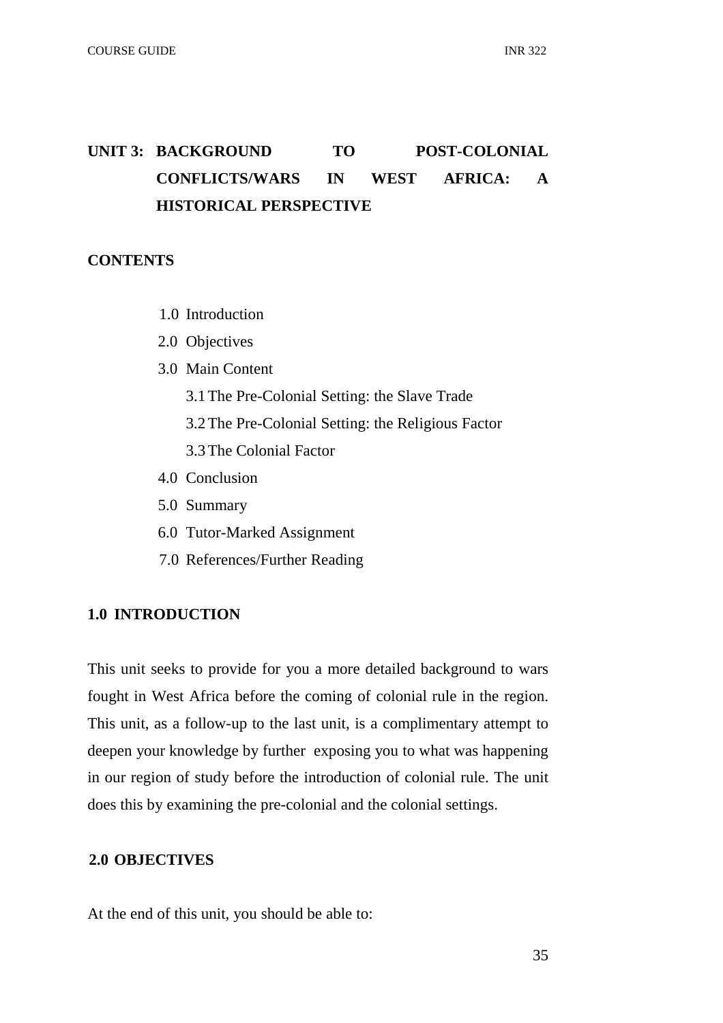# UNIT 3: BACKGROUND TO POST-COLONIAL **CONFLICTS/WARS IN WEST AFRICA: A HISTORICAL PERSPECTIVE**

# **CONTENTS**

- 1.0 Introduction
- 2.0 Objectives
- 3.0 Main Content
	- 3.1The Pre-Colonial Setting: the Slave Trade
	- 3.2The Pre-Colonial Setting: the Religious Factor
	- 3.3The Colonial Factor
- 4.0 Conclusion
- 5.0 Summary
- 6.0 Tutor-Marked Assignment
- 7.0 References/Further Reading

# **1.0 INTRODUCTION**

This unit seeks to provide for you a more detailed background to wars fought in West Africa before the coming of colonial rule in the region. This unit, as a follow-up to the last unit, is a complimentary attempt to deepen your knowledge by further exposing you to what was happening in our region of study before the introduction of colonial rule. The unit does this by examining the pre-colonial and the colonial settings.

# **2.0 OBJECTIVES**

At the end of this unit, you should be able to: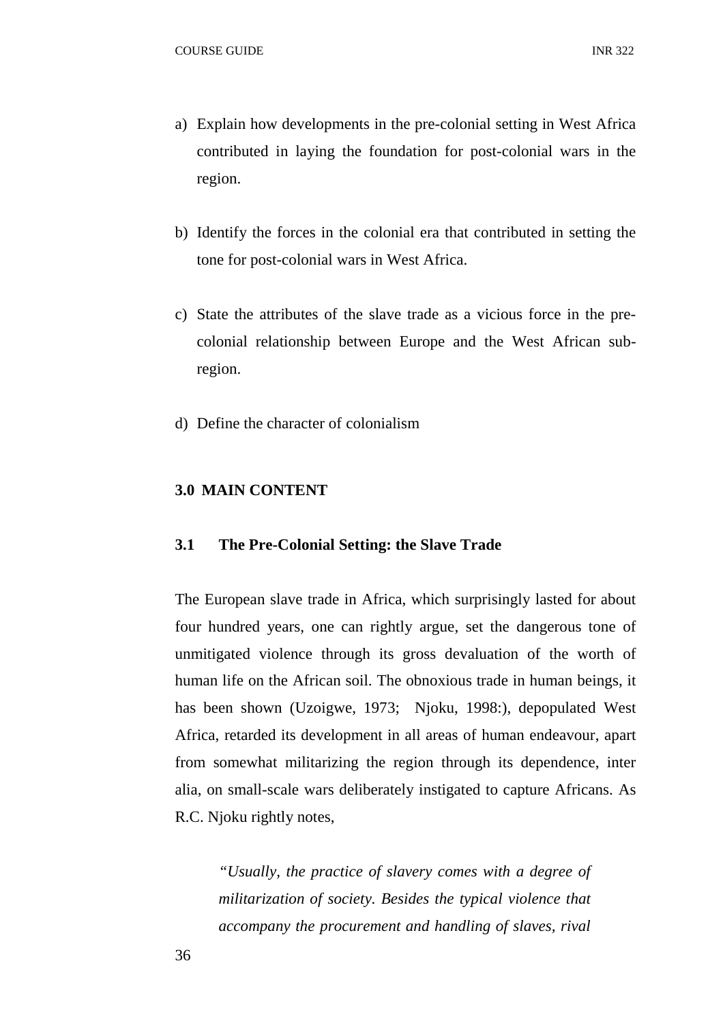- a) Explain how developments in the pre-colonial setting in West Africa contributed in laying the foundation for post-colonial wars in the region.
- b) Identify the forces in the colonial era that contributed in setting the tone for post-colonial wars in West Africa.
- c) State the attributes of the slave trade as a vicious force in the precolonial relationship between Europe and the West African subregion.
- d) Define the character of colonialism

## **3.0 MAIN CONTENT**

## **3.1 The Pre-Colonial Setting: the Slave Trade**

The European slave trade in Africa, which surprisingly lasted for about four hundred years, one can rightly argue, set the dangerous tone of unmitigated violence through its gross devaluation of the worth of human life on the African soil. The obnoxious trade in human beings, it has been shown (Uzoigwe, 1973; Njoku, 1998:), depopulated West Africa, retarded its development in all areas of human endeavour, apart from somewhat militarizing the region through its dependence, inter alia, on small-scale wars deliberately instigated to capture Africans. As R.C. Njoku rightly notes,

*"Usually, the practice of slavery comes with a degree of militarization of society. Besides the typical violence that accompany the procurement and handling of slaves, rival*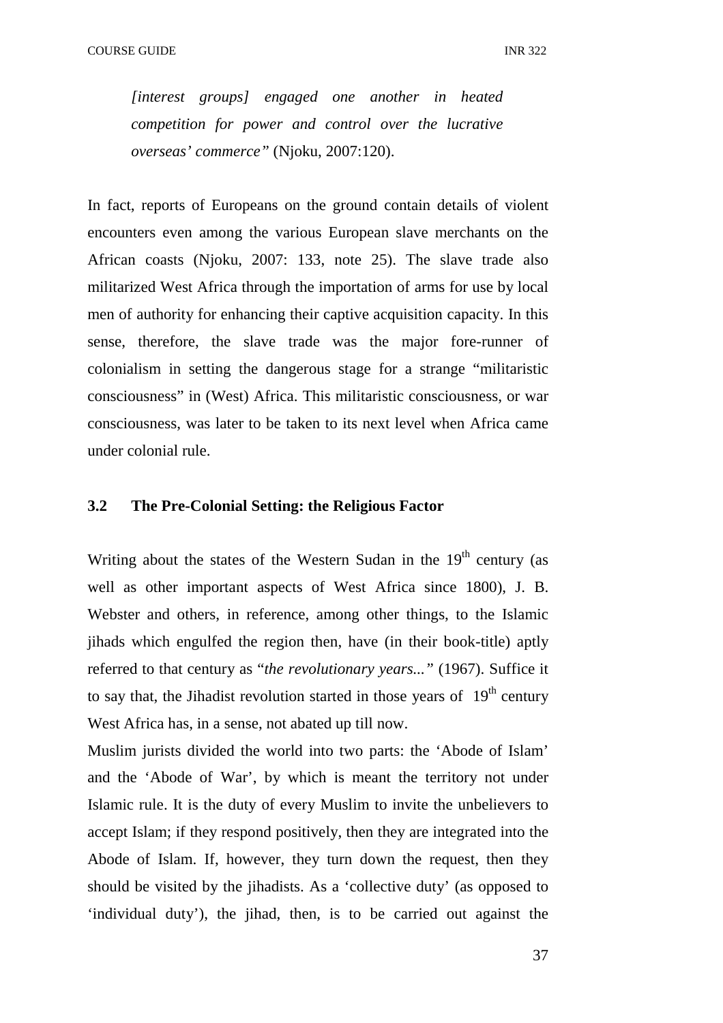*[interest groups] engaged one another in heated competition for power and control over the lucrative overseas' commerce"* (Njoku, 2007:120).

In fact, reports of Europeans on the ground contain details of violent encounters even among the various European slave merchants on the African coasts (Njoku, 2007: 133, note 25). The slave trade also militarized West Africa through the importation of arms for use by local men of authority for enhancing their captive acquisition capacity. In this sense, therefore, the slave trade was the major fore-runner of colonialism in setting the dangerous stage for a strange "militaristic consciousness" in (West) Africa. This militaristic consciousness, or war consciousness, was later to be taken to its next level when Africa came under colonial rule.

# **3.2 The Pre-Colonial Setting: the Religious Factor**

Writing about the states of the Western Sudan in the  $19<sup>th</sup>$  century (as well as other important aspects of West Africa since 1800), J. B. Webster and others, in reference, among other things, to the Islamic jihads which engulfed the region then, have (in their book-title) aptly referred to that century as "*the revolutionary years..."* (1967). Suffice it to say that, the Jihadist revolution started in those years of  $19<sup>th</sup>$  century West Africa has, in a sense, not abated up till now.

Muslim jurists divided the world into two parts: the 'Abode of Islam' and the 'Abode of War', by which is meant the territory not under Islamic rule. It is the duty of every Muslim to invite the unbelievers to accept Islam; if they respond positively, then they are integrated into the Abode of Islam. If, however, they turn down the request, then they should be visited by the jihadists. As a 'collective duty' (as opposed to 'individual duty'), the jihad, then, is to be carried out against the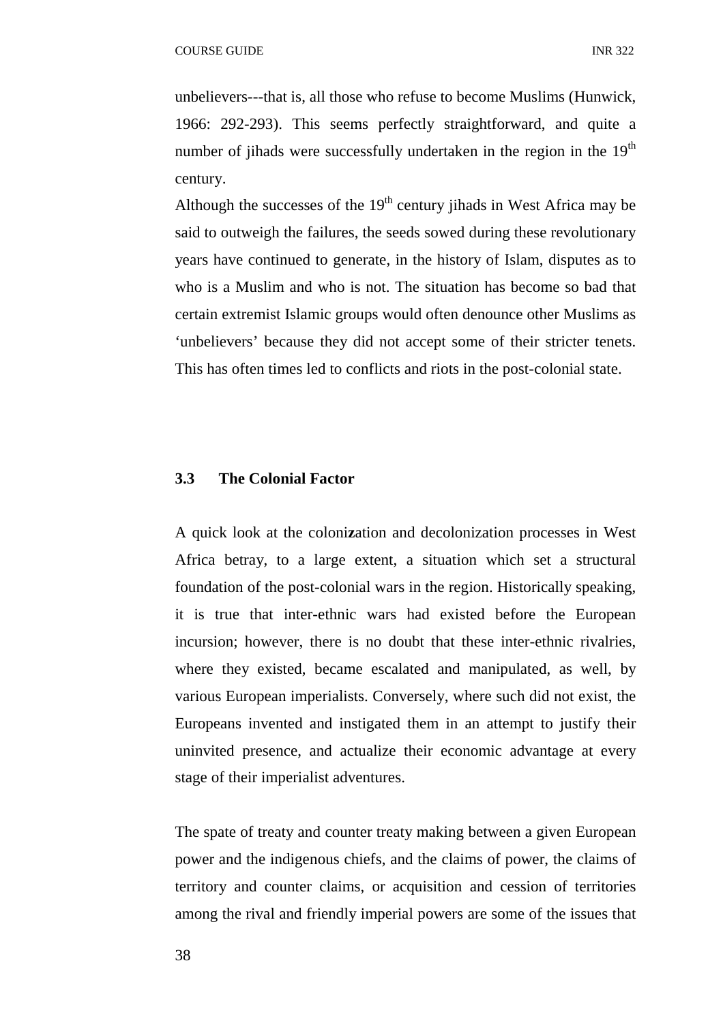unbelievers---that is, all those who refuse to become Muslims (Hunwick, 1966: 292-293). This seems perfectly straightforward, and quite a number of jihads were successfully undertaken in the region in the  $19<sup>th</sup>$ century.

Although the successes of the  $19<sup>th</sup>$  century jihads in West Africa may be said to outweigh the failures, the seeds sowed during these revolutionary years have continued to generate, in the history of Islam, disputes as to who is a Muslim and who is not. The situation has become so bad that certain extremist Islamic groups would often denounce other Muslims as 'unbelievers' because they did not accept some of their stricter tenets. This has often times led to conflicts and riots in the post-colonial state.

#### **3.3 The Colonial Factor**

A quick look at the coloni**z**ation and decolonization processes in West Africa betray, to a large extent, a situation which set a structural foundation of the post-colonial wars in the region. Historically speaking, it is true that inter-ethnic wars had existed before the European incursion; however, there is no doubt that these inter-ethnic rivalries, where they existed, became escalated and manipulated, as well, by various European imperialists. Conversely, where such did not exist, the Europeans invented and instigated them in an attempt to justify their uninvited presence, and actualize their economic advantage at every stage of their imperialist adventures.

The spate of treaty and counter treaty making between a given European power and the indigenous chiefs, and the claims of power, the claims of territory and counter claims, or acquisition and cession of territories among the rival and friendly imperial powers are some of the issues that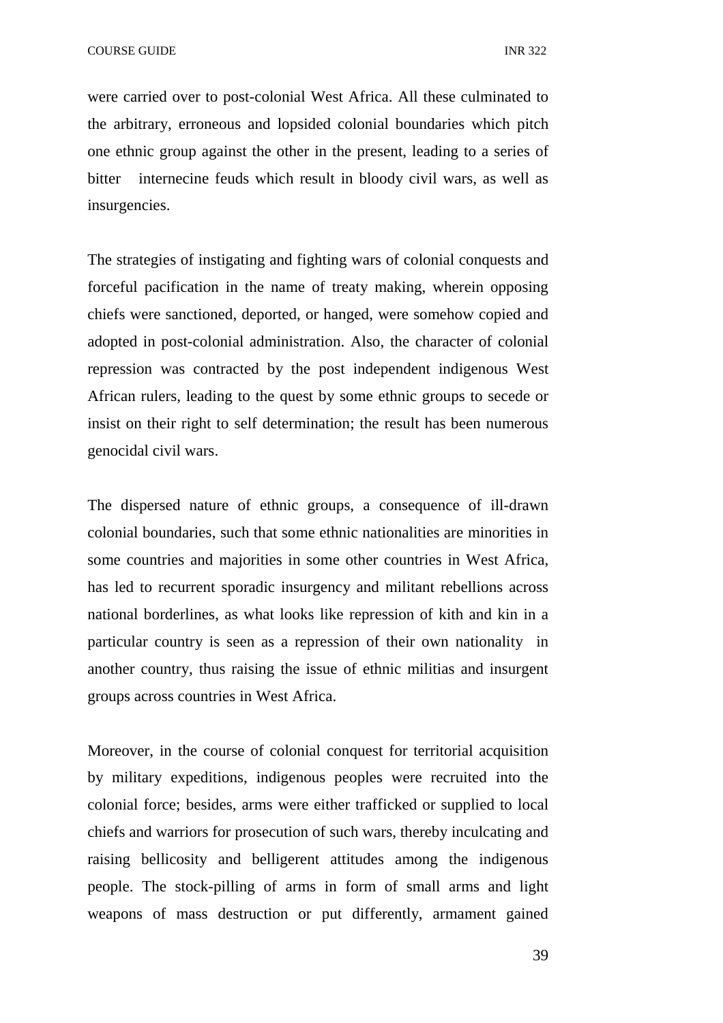were carried over to post-colonial West Africa. All these culminated to the arbitrary, erroneous and lopsided colonial boundaries which pitch one ethnic group against the other in the present, leading to a series of bitter internecine feuds which result in bloody civil wars, as well as insurgencies.

The strategies of instigating and fighting wars of colonial conquests and forceful pacification in the name of treaty making, wherein opposing chiefs were sanctioned, deported, or hanged, were somehow copied and adopted in post-colonial administration. Also, the character of colonial repression was contracted by the post independent indigenous West African rulers, leading to the quest by some ethnic groups to secede or insist on their right to self determination; the result has been numerous genocidal civil wars.

The dispersed nature of ethnic groups, a consequence of ill-drawn colonial boundaries, such that some ethnic nationalities are minorities in some countries and majorities in some other countries in West Africa, has led to recurrent sporadic insurgency and militant rebellions across national borderlines, as what looks like repression of kith and kin in a particular country is seen as a repression of their own nationality in another country, thus raising the issue of ethnic militias and insurgent groups across countries in West Africa.

Moreover, in the course of colonial conquest for territorial acquisition by military expeditions, indigenous peoples were recruited into the colonial force; besides, arms were either trafficked or supplied to local chiefs and warriors for prosecution of such wars, thereby inculcating and raising bellicosity and belligerent attitudes among the indigenous people. The stock-pilling of arms in form of small arms and light weapons of mass destruction or put differently, armament gained

39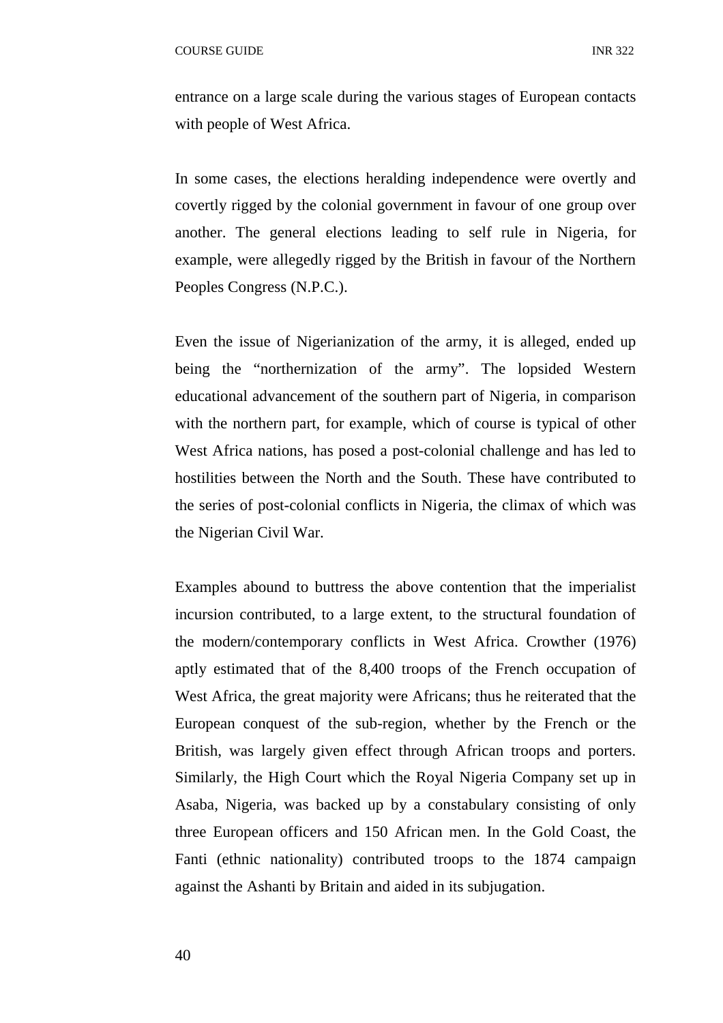entrance on a large scale during the various stages of European contacts with people of West Africa.

In some cases, the elections heralding independence were overtly and covertly rigged by the colonial government in favour of one group over another. The general elections leading to self rule in Nigeria, for example, were allegedly rigged by the British in favour of the Northern Peoples Congress (N.P.C.).

Even the issue of Nigerianization of the army, it is alleged, ended up being the "northernization of the army". The lopsided Western educational advancement of the southern part of Nigeria, in comparison with the northern part, for example, which of course is typical of other West Africa nations, has posed a post-colonial challenge and has led to hostilities between the North and the South. These have contributed to the series of post-colonial conflicts in Nigeria, the climax of which was the Nigerian Civil War.

Examples abound to buttress the above contention that the imperialist incursion contributed, to a large extent, to the structural foundation of the modern/contemporary conflicts in West Africa. Crowther (1976) aptly estimated that of the 8,400 troops of the French occupation of West Africa, the great majority were Africans; thus he reiterated that the European conquest of the sub-region, whether by the French or the British, was largely given effect through African troops and porters. Similarly, the High Court which the Royal Nigeria Company set up in Asaba, Nigeria, was backed up by a constabulary consisting of only three European officers and 150 African men. In the Gold Coast, the Fanti (ethnic nationality) contributed troops to the 1874 campaign against the Ashanti by Britain and aided in its subjugation.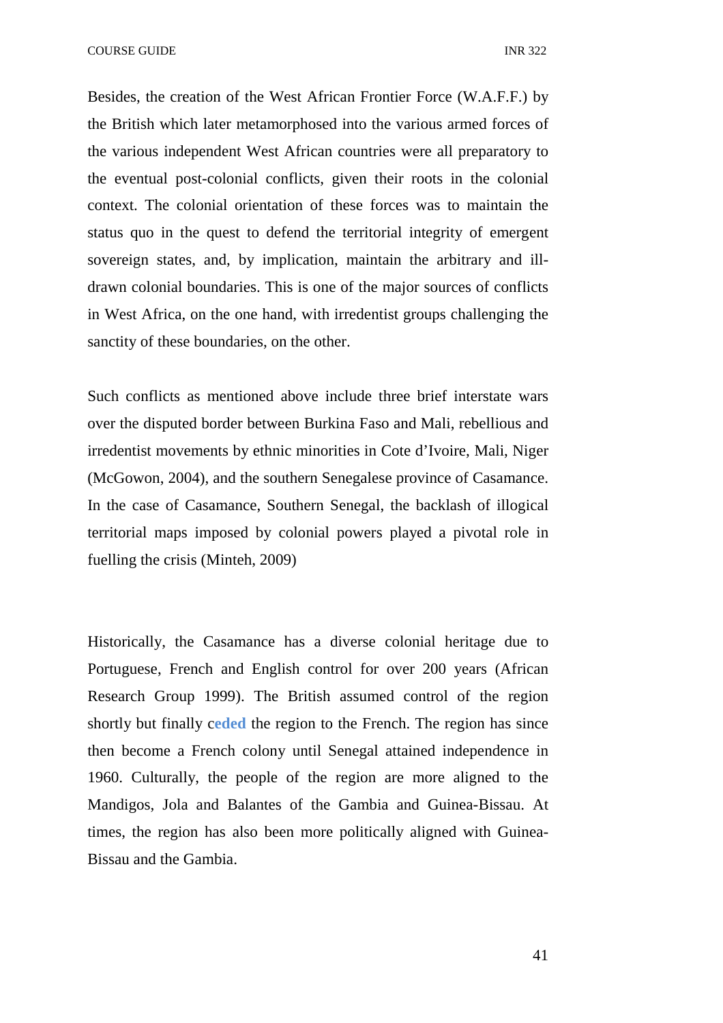COURSE GUIDE **INR** 322

Besides, the creation of the West African Frontier Force (W.A.F.F.) by the British which later metamorphosed into the various armed forces of the various independent West African countries were all preparatory to the eventual post-colonial conflicts, given their roots in the colonial context. The colonial orientation of these forces was to maintain the status quo in the quest to defend the territorial integrity of emergent sovereign states, and, by implication, maintain the arbitrary and illdrawn colonial boundaries. This is one of the major sources of conflicts in West Africa, on the one hand, with irredentist groups challenging the sanctity of these boundaries, on the other.

Such conflicts as mentioned above include three brief interstate wars over the disputed border between Burkina Faso and Mali, rebellious and irredentist movements by ethnic minorities in Cote d'Ivoire, Mali, Niger (McGowon, 2004), and the southern Senegalese province of Casamance. In the case of Casamance, Southern Senegal, the backlash of illogical territorial maps imposed by colonial powers played a pivotal role in fuelling the crisis (Minteh, 2009)

Historically, the Casamance has a diverse colonial heritage due to Portuguese, French and English control for over 200 years (African Research Group 1999). The British assumed control of the region shortly but finally c**eded** the region to the French. The region has since then become a French colony until Senegal attained independence in 1960. Culturally, the people of the region are more aligned to the Mandigos, Jola and Balantes of the Gambia and Guinea-Bissau. At times, the region has also been more politically aligned with Guinea-Bissau and the Gambia.

41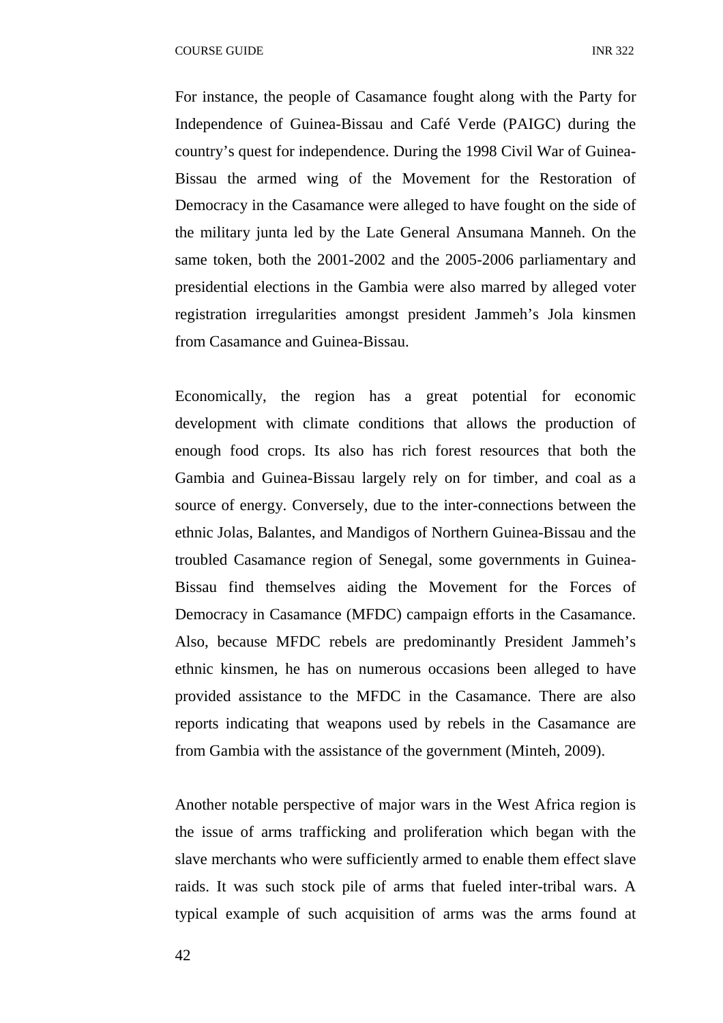For instance, the people of Casamance fought along with the Party for Independence of Guinea-Bissau and Café Verde (PAIGC) during the country's quest for independence. During the 1998 Civil War of Guinea-Bissau the armed wing of the Movement for the Restoration of Democracy in the Casamance were alleged to have fought on the side of the military junta led by the Late General Ansumana Manneh. On the same token, both the 2001-2002 and the 2005-2006 parliamentary and presidential elections in the Gambia were also marred by alleged voter registration irregularities amongst president Jammeh's Jola kinsmen from Casamance and Guinea-Bissau.

Economically, the region has a great potential for economic development with climate conditions that allows the production of enough food crops. Its also has rich forest resources that both the Gambia and Guinea-Bissau largely rely on for timber, and coal as a source of energy. Conversely, due to the inter-connections between the ethnic Jolas, Balantes, and Mandigos of Northern Guinea-Bissau and the troubled Casamance region of Senegal, some governments in Guinea-Bissau find themselves aiding the Movement for the Forces of Democracy in Casamance (MFDC) campaign efforts in the Casamance. Also, because MFDC rebels are predominantly President Jammeh's ethnic kinsmen, he has on numerous occasions been alleged to have provided assistance to the MFDC in the Casamance. There are also reports indicating that weapons used by rebels in the Casamance are from Gambia with the assistance of the government (Minteh, 2009).

Another notable perspective of major wars in the West Africa region is the issue of arms trafficking and proliferation which began with the slave merchants who were sufficiently armed to enable them effect slave raids. It was such stock pile of arms that fueled inter-tribal wars. A typical example of such acquisition of arms was the arms found at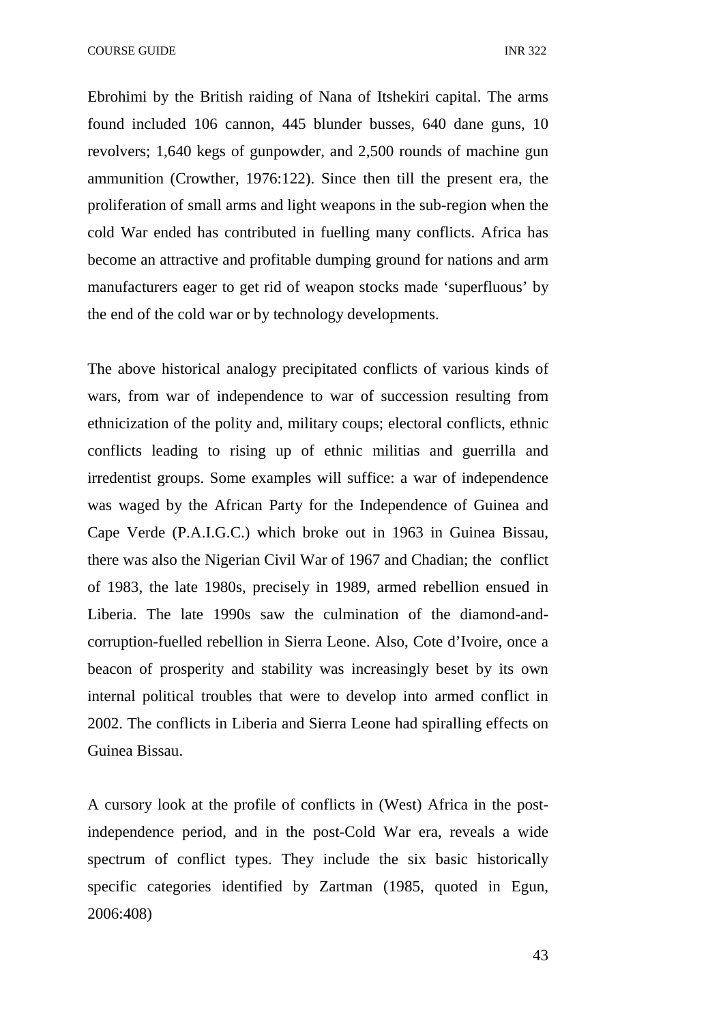COURSE GUIDE **INR** 322

Ebrohimi by the British raiding of Nana of Itshekiri capital. The arms found included 106 cannon, 445 blunder busses, 640 dane guns, 10 revolvers; 1,640 kegs of gunpowder, and 2,500 rounds of machine gun ammunition (Crowther, 1976:122). Since then till the present era, the proliferation of small arms and light weapons in the sub-region when the cold War ended has contributed in fuelling many conflicts. Africa has become an attractive and profitable dumping ground for nations and arm manufacturers eager to get rid of weapon stocks made 'superfluous' by the end of the cold war or by technology developments.

The above historical analogy precipitated conflicts of various kinds of wars, from war of independence to war of succession resulting from ethnicization of the polity and, military coups; electoral conflicts, ethnic conflicts leading to rising up of ethnic militias and guerrilla and irredentist groups. Some examples will suffice: a war of independence was waged by the African Party for the Independence of Guinea and Cape Verde (P.A.I.G.C.) which broke out in 1963 in Guinea Bissau, there was also the Nigerian Civil War of 1967 and Chadian; the conflict of 1983, the late 1980s, precisely in 1989, armed rebellion ensued in Liberia. The late 1990s saw the culmination of the diamond-andcorruption-fuelled rebellion in Sierra Leone. Also, Cote d'Ivoire, once a beacon of prosperity and stability was increasingly beset by its own internal political troubles that were to develop into armed conflict in 2002. The conflicts in Liberia and Sierra Leone had spiralling effects on Guinea Bissau.

A cursory look at the profile of conflicts in (West) Africa in the postindependence period, and in the post-Cold War era, reveals a wide spectrum of conflict types. They include the six basic historically specific categories identified by Zartman (1985, quoted in Egun, 2006:408)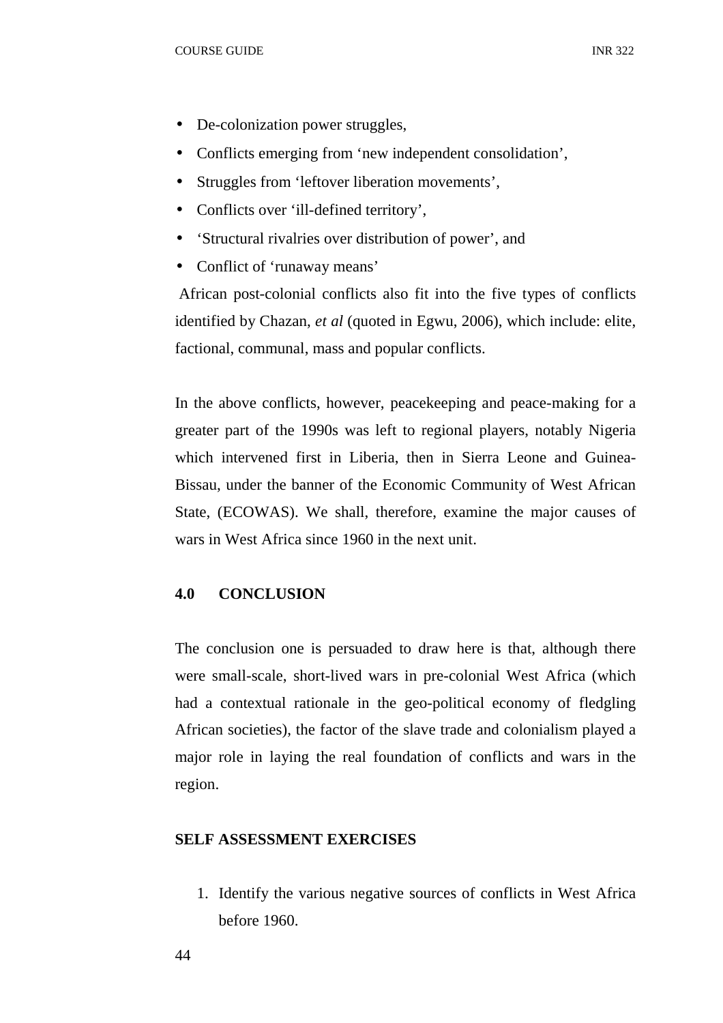- De-colonization power struggles,
- Conflicts emerging from 'new independent consolidation',
- Struggles from 'leftover liberation movements',
- Conflicts over 'ill-defined territory',
- 'Structural rivalries over distribution of power', and
- Conflict of 'runaway means'

 African post-colonial conflicts also fit into the five types of conflicts identified by Chazan, *et al* (quoted in Egwu, 2006), which include: elite, factional, communal, mass and popular conflicts.

In the above conflicts, however, peacekeeping and peace-making for a greater part of the 1990s was left to regional players, notably Nigeria which intervened first in Liberia, then in Sierra Leone and Guinea-Bissau, under the banner of the Economic Community of West African State, (ECOWAS). We shall, therefore, examine the major causes of wars in West Africa since 1960 in the next unit.

# **4.0 CONCLUSION**

The conclusion one is persuaded to draw here is that, although there were small-scale, short-lived wars in pre-colonial West Africa (which had a contextual rationale in the geo-political economy of fledgling African societies), the factor of the slave trade and colonialism played a major role in laying the real foundation of conflicts and wars in the region.

## **SELF ASSESSMENT EXERCISES**

1. Identify the various negative sources of conflicts in West Africa before 1960.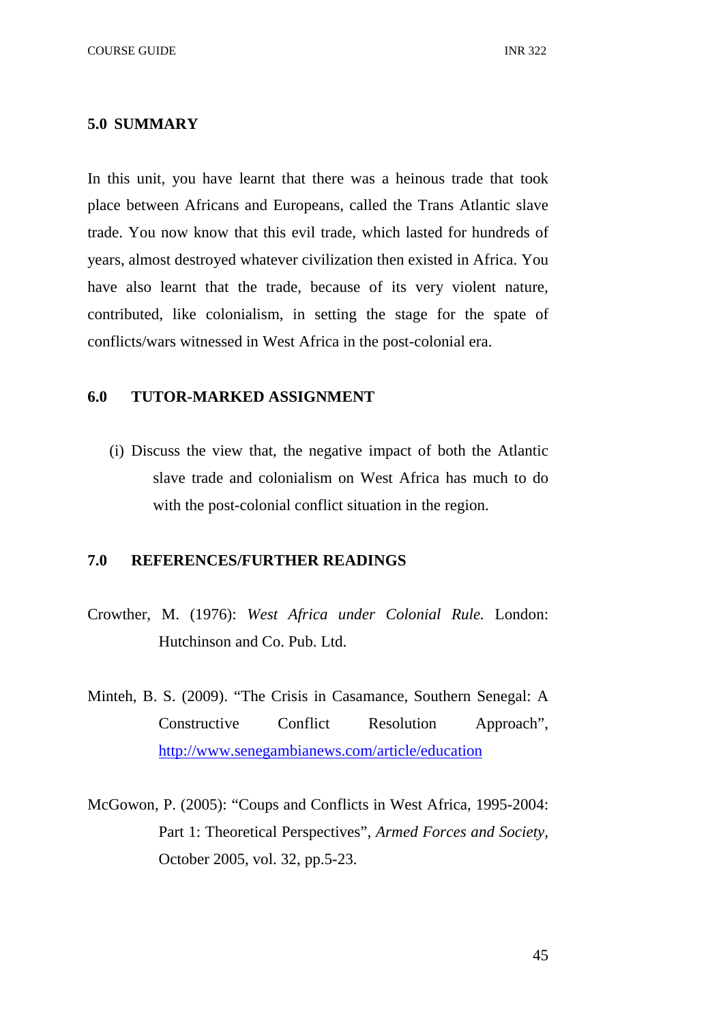#### **5.0 SUMMARY**

In this unit, you have learnt that there was a heinous trade that took place between Africans and Europeans, called the Trans Atlantic slave trade. You now know that this evil trade, which lasted for hundreds of years, almost destroyed whatever civilization then existed in Africa. You have also learnt that the trade, because of its very violent nature, contributed, like colonialism, in setting the stage for the spate of conflicts/wars witnessed in West Africa in the post-colonial era.

# **6.0 TUTOR-MARKED ASSIGNMENT**

(i) Discuss the view that, the negative impact of both the Atlantic slave trade and colonialism on West Africa has much to do with the post-colonial conflict situation in the region.

#### **7.0 REFERENCES/FURTHER READINGS**

- Crowther, M. (1976): *West Africa under Colonial Rule.* London: Hutchinson and Co. Pub. Ltd.
- Minteh, B. S. (2009). "The Crisis in Casamance, Southern Senegal: A Constructive Conflict Resolution Approach", http://www.senegambianews.com/article/education
- McGowon, P. (2005): "Coups and Conflicts in West Africa, 1995-2004: Part 1: Theoretical Perspectives", *Armed Forces and Society,*  October 2005, vol. 32, pp.5-23.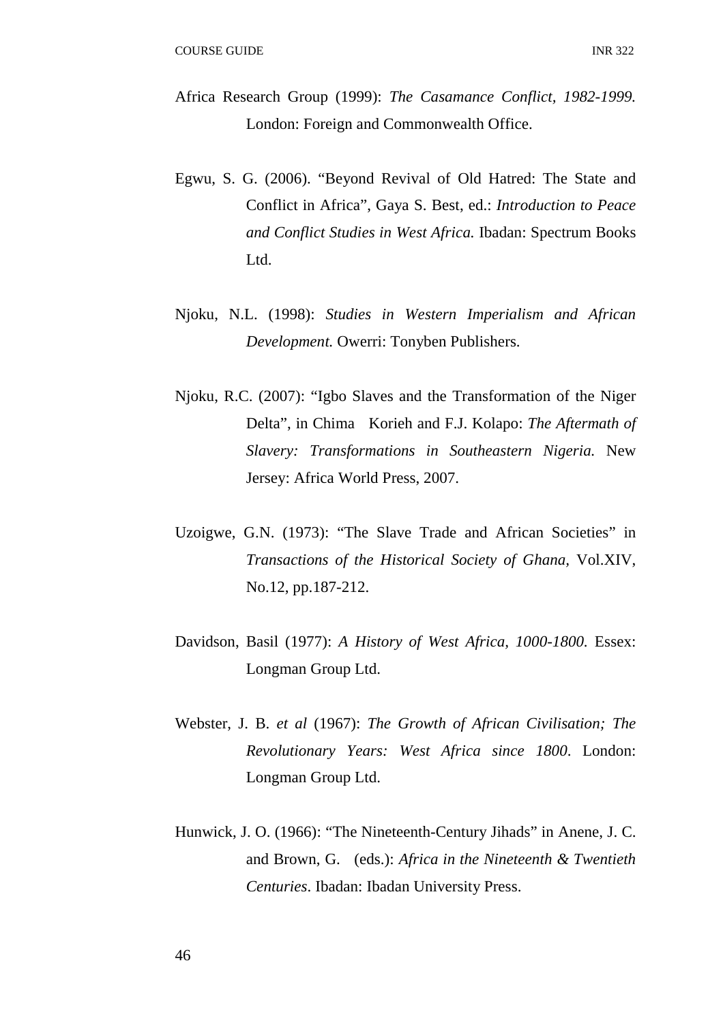- Africa Research Group (1999): *The Casamance Conflict, 1982-1999.*  London: Foreign and Commonwealth Office.
- Egwu, S. G. (2006). "Beyond Revival of Old Hatred: The State and Conflict in Africa", Gaya S. Best, ed.: *Introduction to Peace and Conflict Studies in West Africa.* Ibadan: Spectrum Books Ltd.
- Njoku, N.L. (1998): *Studies in Western Imperialism and African Development.* Owerri: Tonyben Publishers.
- Njoku, R.C. (2007): "Igbo Slaves and the Transformation of the Niger Delta", in Chima Korieh and F.J. Kolapo: *The Aftermath of Slavery: Transformations in Southeastern Nigeria.* New Jersey: Africa World Press, 2007.
- Uzoigwe, G.N. (1973): "The Slave Trade and African Societies" in *Transactions of the Historical Society of Ghana,* Vol.XIV, No.12, pp.187-212.
- Davidson, Basil (1977): *A History of West Africa, 1000-1800.* Essex: Longman Group Ltd.
- Webster, J. B. *et al* (1967): *The Growth of African Civilisation; The Revolutionary Years: West Africa since 1800*. London: Longman Group Ltd.
- Hunwick, J. O. (1966): "The Nineteenth-Century Jihads" in Anene, J. C. and Brown, G. (eds.): *Africa in the Nineteenth & Twentieth Centuries*. Ibadan: Ibadan University Press.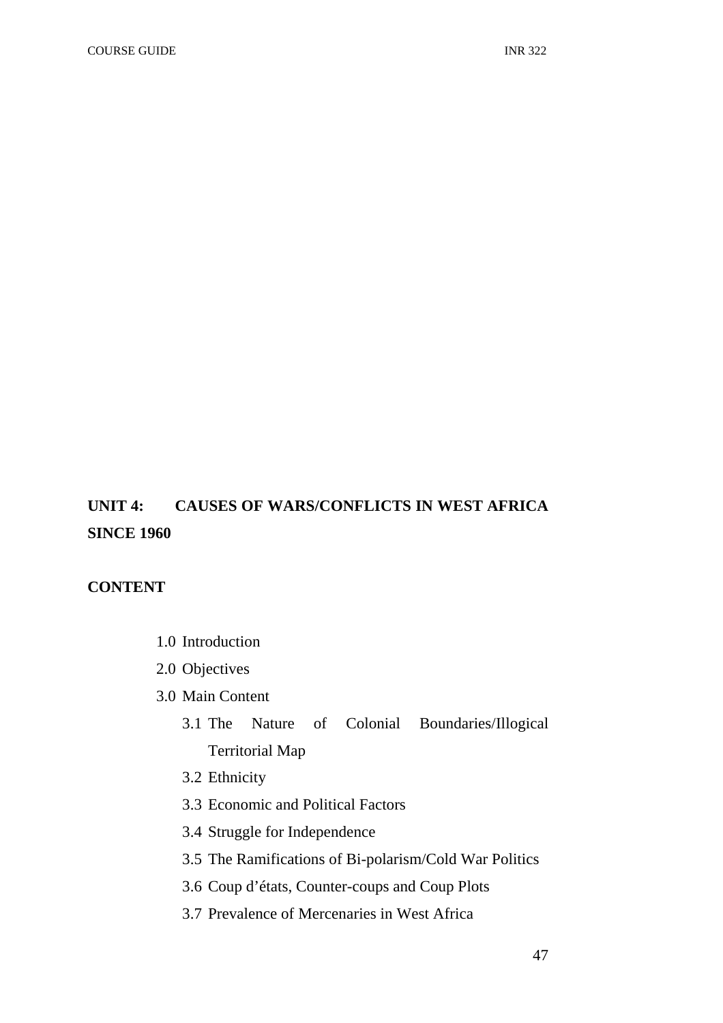# **UNIT 4: CAUSES OF WARS/CONFLICTS IN WEST AFRICA SINCE 1960**

# **CONTENT**

- 1.0 Introduction
- 2.0 Objectives
- 3.0 Main Content
	- 3.1 The Nature of Colonial Boundaries/Illogical Territorial Map
	- 3.2 Ethnicity
	- 3.3 Economic and Political Factors
	- 3.4 Struggle for Independence
	- 3.5 The Ramifications of Bi-polarism/Cold War Politics
	- 3.6 Coup d'états, Counter-coups and Coup Plots
	- 3.7 Prevalence of Mercenaries in West Africa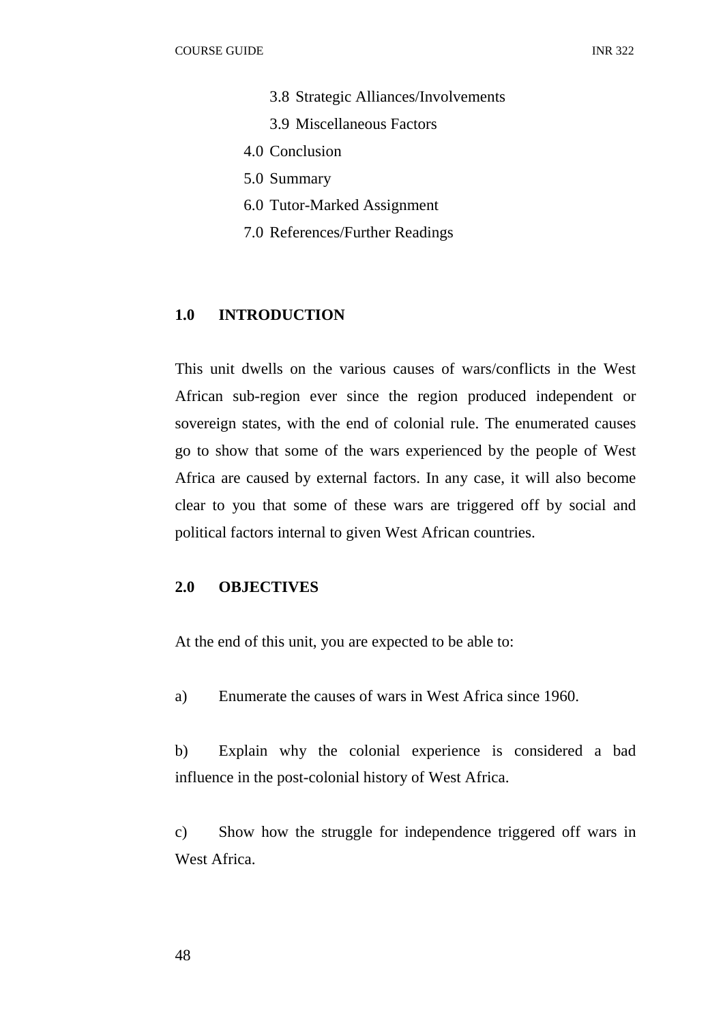- 3.8 Strategic Alliances/Involvements
- 3.9 Miscellaneous Factors
- 4.0 Conclusion
- 5.0 Summary
- 6.0 Tutor-Marked Assignment
- 7.0 References/Further Readings

## **1.0 INTRODUCTION**

This unit dwells on the various causes of wars/conflicts in the West African sub-region ever since the region produced independent or sovereign states, with the end of colonial rule. The enumerated causes go to show that some of the wars experienced by the people of West Africa are caused by external factors. In any case, it will also become clear to you that some of these wars are triggered off by social and political factors internal to given West African countries.

#### **2.0 OBJECTIVES**

At the end of this unit, you are expected to be able to:

a) Enumerate the causes of wars in West Africa since 1960.

b) Explain why the colonial experience is considered a bad influence in the post-colonial history of West Africa.

c) Show how the struggle for independence triggered off wars in West Africa.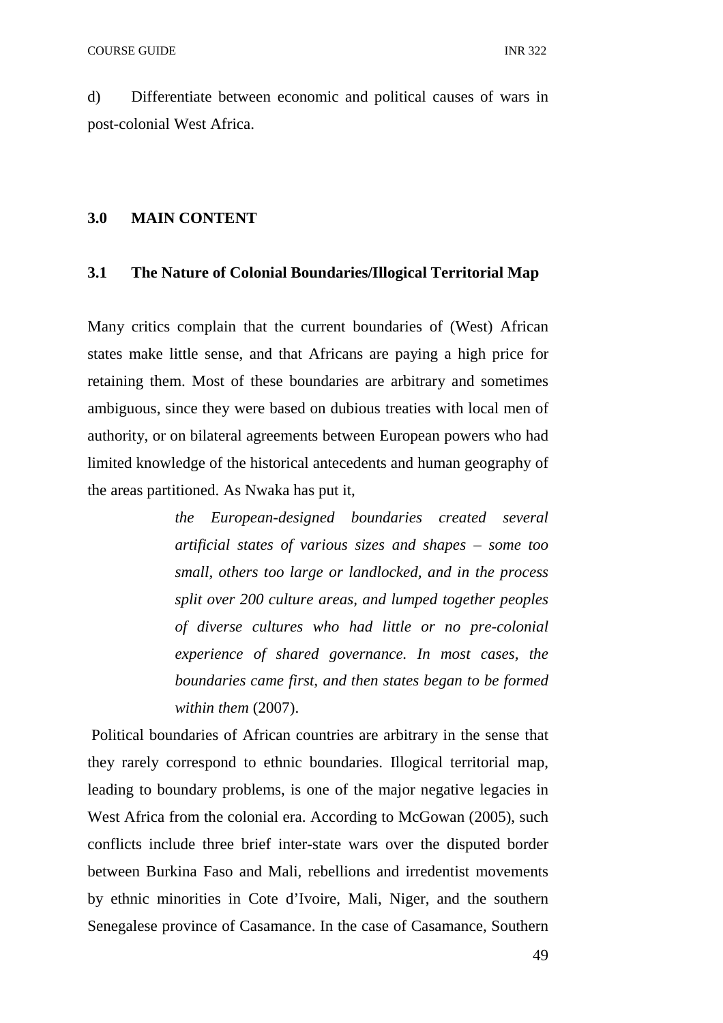d) Differentiate between economic and political causes of wars in post-colonial West Africa.

#### **3.0 MAIN CONTENT**

#### **3.1 The Nature of Colonial Boundaries/Illogical Territorial Map**

Many critics complain that the current boundaries of (West) African states make little sense, and that Africans are paying a high price for retaining them. Most of these boundaries are arbitrary and sometimes ambiguous, since they were based on dubious treaties with local men of authority, or on bilateral agreements between European powers who had limited knowledge of the historical antecedents and human geography of the areas partitioned. As Nwaka has put it,

> *the European-designed boundaries created several artificial states of various sizes and shapes – some too small, others too large or landlocked, and in the process split over 200 culture areas, and lumped together peoples of diverse cultures who had little or no pre-colonial experience of shared governance. In most cases, the boundaries came first, and then states began to be formed within them* (2007).

 Political boundaries of African countries are arbitrary in the sense that they rarely correspond to ethnic boundaries. Illogical territorial map, leading to boundary problems, is one of the major negative legacies in West Africa from the colonial era. According to McGowan (2005), such conflicts include three brief inter-state wars over the disputed border between Burkina Faso and Mali, rebellions and irredentist movements by ethnic minorities in Cote d'Ivoire, Mali, Niger, and the southern Senegalese province of Casamance. In the case of Casamance, Southern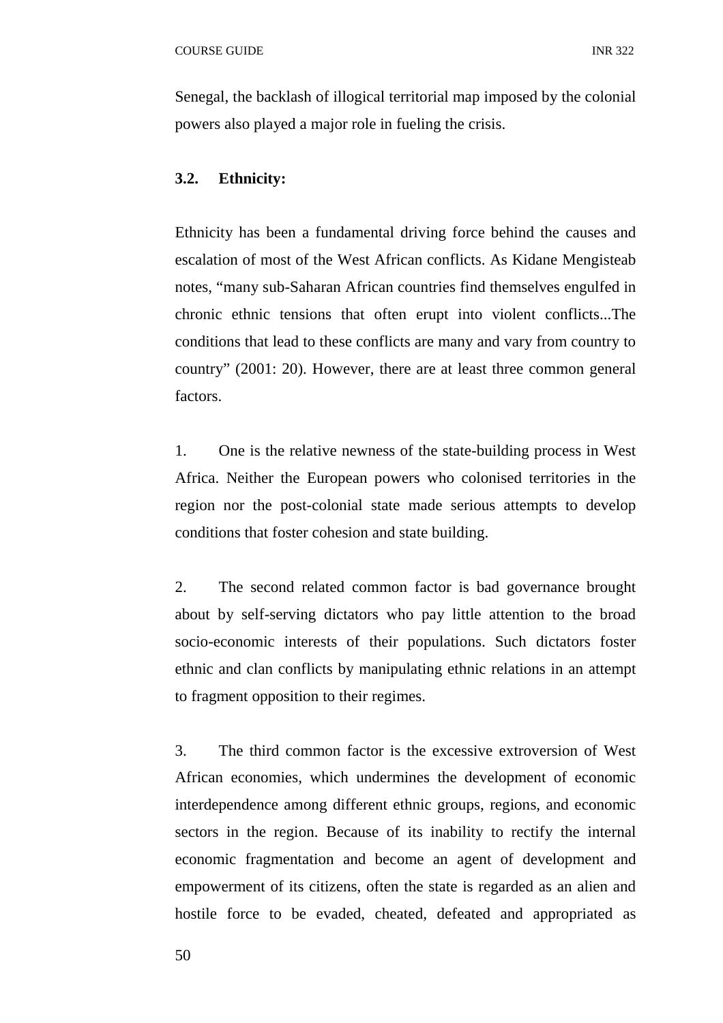Senegal, the backlash of illogical territorial map imposed by the colonial powers also played a major role in fueling the crisis.

## **3.2. Ethnicity:**

Ethnicity has been a fundamental driving force behind the causes and escalation of most of the West African conflicts. As Kidane Mengisteab notes, "many sub-Saharan African countries find themselves engulfed in chronic ethnic tensions that often erupt into violent conflicts...The conditions that lead to these conflicts are many and vary from country to country" (2001: 20). However, there are at least three common general factors.

1. One is the relative newness of the state-building process in West Africa. Neither the European powers who colonised territories in the region nor the post-colonial state made serious attempts to develop conditions that foster cohesion and state building.

2. The second related common factor is bad governance brought about by self-serving dictators who pay little attention to the broad socio-economic interests of their populations. Such dictators foster ethnic and clan conflicts by manipulating ethnic relations in an attempt to fragment opposition to their regimes.

3. The third common factor is the excessive extroversion of West African economies, which undermines the development of economic interdependence among different ethnic groups, regions, and economic sectors in the region. Because of its inability to rectify the internal economic fragmentation and become an agent of development and empowerment of its citizens, often the state is regarded as an alien and hostile force to be evaded, cheated, defeated and appropriated as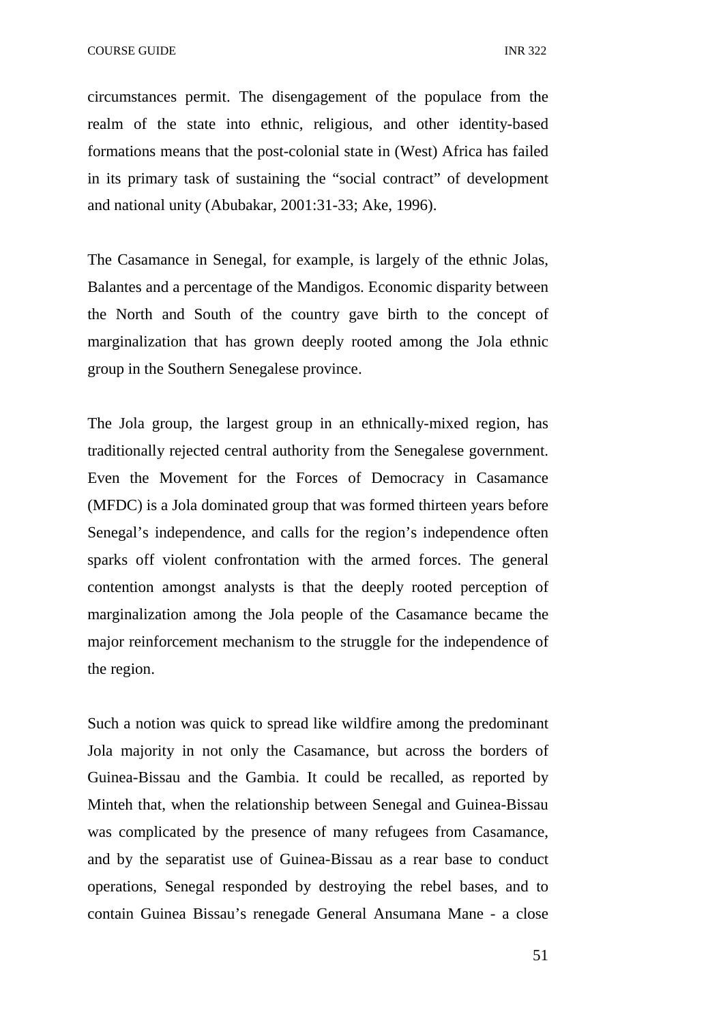circumstances permit. The disengagement of the populace from the realm of the state into ethnic, religious, and other identity-based formations means that the post-colonial state in (West) Africa has failed in its primary task of sustaining the "social contract" of development and national unity (Abubakar, 2001:31-33; Ake, 1996).

The Casamance in Senegal, for example, is largely of the ethnic Jolas, Balantes and a percentage of the Mandigos. Economic disparity between the North and South of the country gave birth to the concept of marginalization that has grown deeply rooted among the Jola ethnic group in the Southern Senegalese province.

The Jola group, the largest group in an ethnically-mixed region, has traditionally rejected central authority from the Senegalese government. Even the Movement for the Forces of Democracy in Casamance (MFDC) is a Jola dominated group that was formed thirteen years before Senegal's independence, and calls for the region's independence often sparks off violent confrontation with the armed forces. The general contention amongst analysts is that the deeply rooted perception of marginalization among the Jola people of the Casamance became the major reinforcement mechanism to the struggle for the independence of the region.

Such a notion was quick to spread like wildfire among the predominant Jola majority in not only the Casamance, but across the borders of Guinea-Bissau and the Gambia. It could be recalled, as reported by Minteh that, when the relationship between Senegal and Guinea-Bissau was complicated by the presence of many refugees from Casamance, and by the separatist use of Guinea-Bissau as a rear base to conduct operations, Senegal responded by destroying the rebel bases, and to contain Guinea Bissau's renegade General Ansumana Mane - a close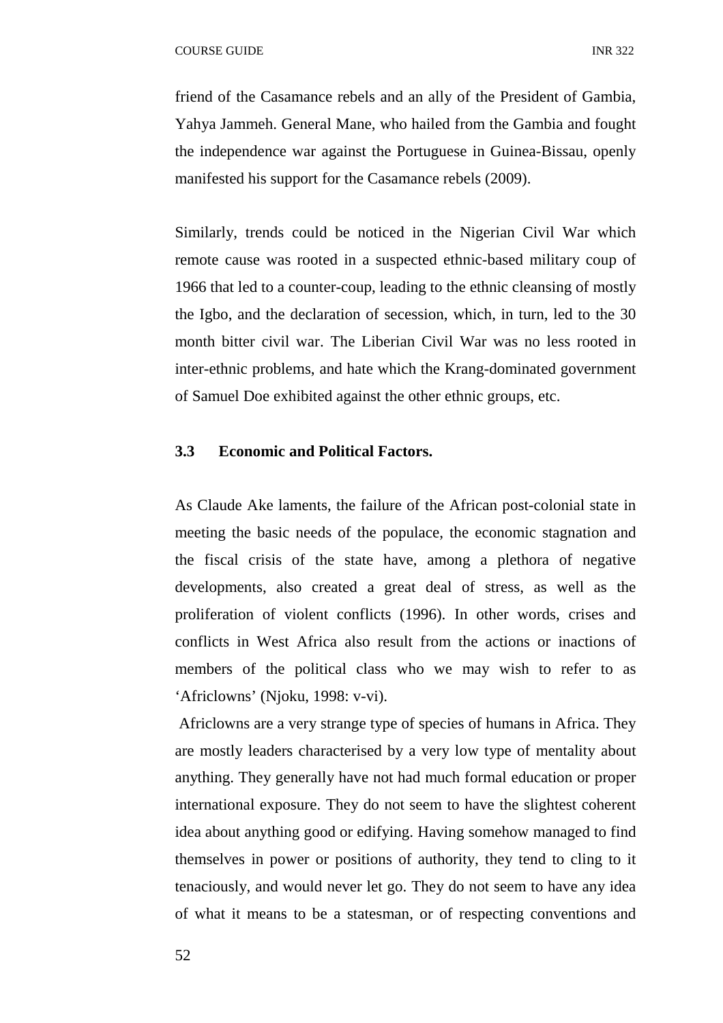friend of the Casamance rebels and an ally of the President of Gambia, Yahya Jammeh. General Mane, who hailed from the Gambia and fought the independence war against the Portuguese in Guinea-Bissau, openly manifested his support for the Casamance rebels (2009).

Similarly, trends could be noticed in the Nigerian Civil War which remote cause was rooted in a suspected ethnic-based military coup of 1966 that led to a counter-coup, leading to the ethnic cleansing of mostly the Igbo, and the declaration of secession, which, in turn, led to the 30 month bitter civil war. The Liberian Civil War was no less rooted in inter-ethnic problems, and hate which the Krang-dominated government of Samuel Doe exhibited against the other ethnic groups, etc.

# **3.3 Economic and Political Factors.**

As Claude Ake laments, the failure of the African post-colonial state in meeting the basic needs of the populace, the economic stagnation and the fiscal crisis of the state have, among a plethora of negative developments, also created a great deal of stress, as well as the proliferation of violent conflicts (1996). In other words, crises and conflicts in West Africa also result from the actions or inactions of members of the political class who we may wish to refer to as 'Africlowns' (Njoku, 1998: v-vi).

 Africlowns are a very strange type of species of humans in Africa. They are mostly leaders characterised by a very low type of mentality about anything. They generally have not had much formal education or proper international exposure. They do not seem to have the slightest coherent idea about anything good or edifying. Having somehow managed to find themselves in power or positions of authority, they tend to cling to it tenaciously, and would never let go. They do not seem to have any idea of what it means to be a statesman, or of respecting conventions and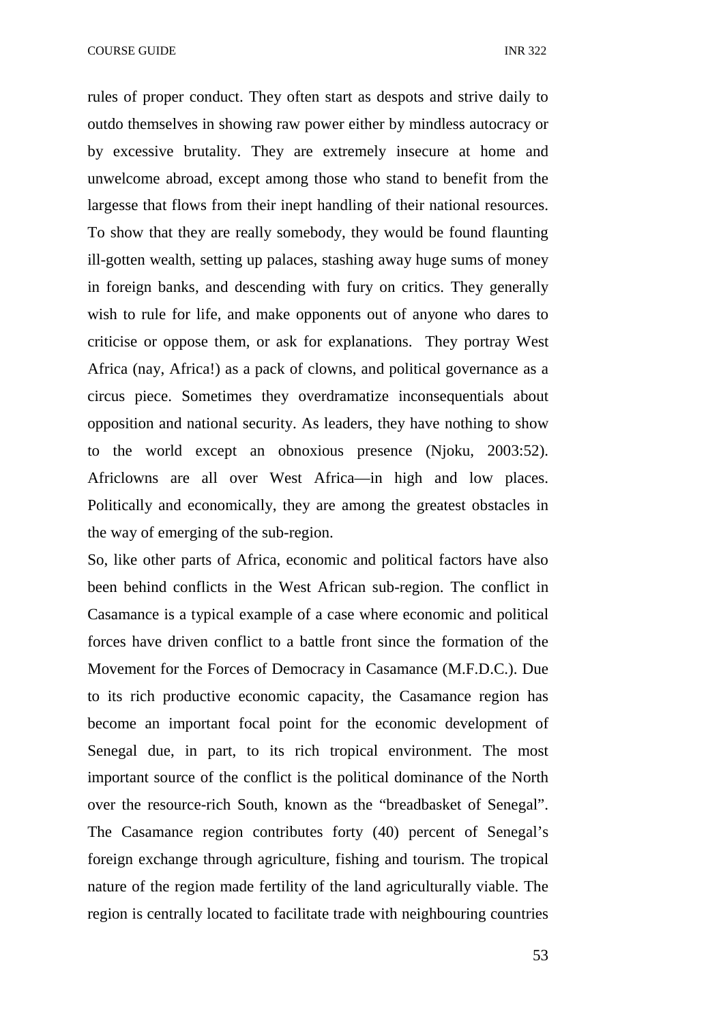COURSE GUIDE **INR** 322

rules of proper conduct. They often start as despots and strive daily to outdo themselves in showing raw power either by mindless autocracy or by excessive brutality. They are extremely insecure at home and unwelcome abroad, except among those who stand to benefit from the largesse that flows from their inept handling of their national resources. To show that they are really somebody, they would be found flaunting ill-gotten wealth, setting up palaces, stashing away huge sums of money in foreign banks, and descending with fury on critics. They generally wish to rule for life, and make opponents out of anyone who dares to criticise or oppose them, or ask for explanations. They portray West Africa (nay, Africa!) as a pack of clowns, and political governance as a circus piece. Sometimes they overdramatize inconsequentials about opposition and national security. As leaders, they have nothing to show to the world except an obnoxious presence (Njoku, 2003:52). Africlowns are all over West Africa—in high and low places. Politically and economically, they are among the greatest obstacles in the way of emerging of the sub-region.

So, like other parts of Africa, economic and political factors have also been behind conflicts in the West African sub-region. The conflict in Casamance is a typical example of a case where economic and political forces have driven conflict to a battle front since the formation of the Movement for the Forces of Democracy in Casamance (M.F.D.C.). Due to its rich productive economic capacity, the Casamance region has become an important focal point for the economic development of Senegal due, in part, to its rich tropical environment. The most important source of the conflict is the political dominance of the North over the resource-rich South, known as the "breadbasket of Senegal". The Casamance region contributes forty (40) percent of Senegal's foreign exchange through agriculture, fishing and tourism. The tropical nature of the region made fertility of the land agriculturally viable. The region is centrally located to facilitate trade with neighbouring countries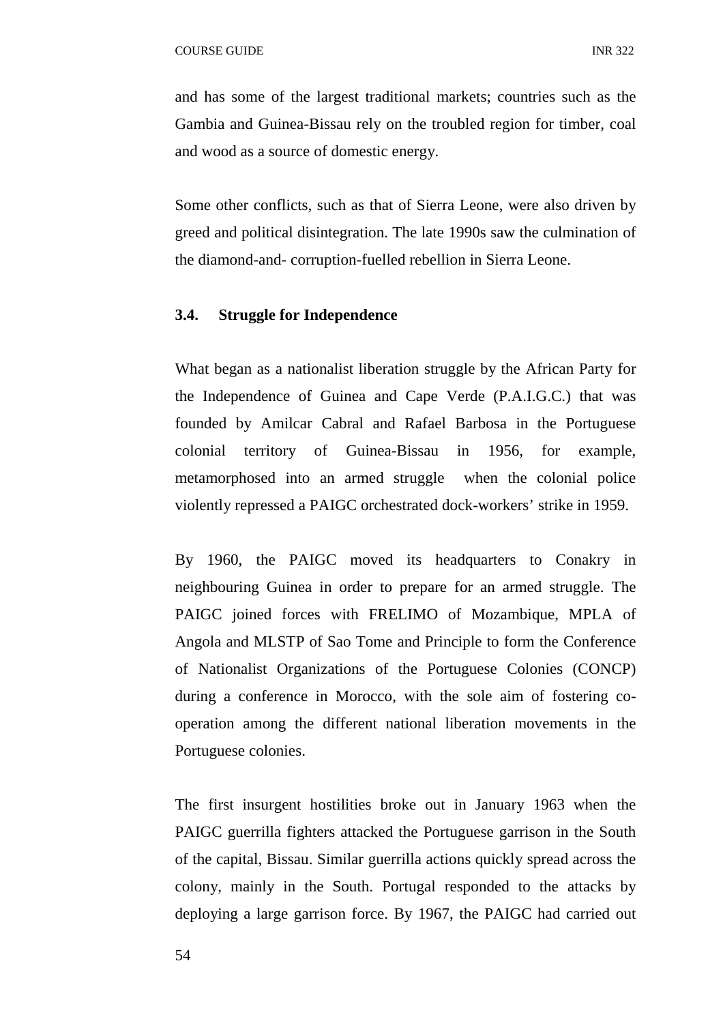and has some of the largest traditional markets; countries such as the Gambia and Guinea-Bissau rely on the troubled region for timber, coal and wood as a source of domestic energy.

Some other conflicts, such as that of Sierra Leone, were also driven by greed and political disintegration. The late 1990s saw the culmination of the diamond-and- corruption-fuelled rebellion in Sierra Leone.

## **3.4. Struggle for Independence**

What began as a nationalist liberation struggle by the African Party for the Independence of Guinea and Cape Verde (P.A.I.G.C.) that was founded by Amilcar Cabral and Rafael Barbosa in the Portuguese colonial territory of Guinea-Bissau in 1956, for example, metamorphosed into an armed struggle when the colonial police violently repressed a PAIGC orchestrated dock-workers' strike in 1959.

By 1960, the PAIGC moved its headquarters to Conakry in neighbouring Guinea in order to prepare for an armed struggle. The PAIGC joined forces with FRELIMO of Mozambique, MPLA of Angola and MLSTP of Sao Tome and Principle to form the Conference of Nationalist Organizations of the Portuguese Colonies (CONCP) during a conference in Morocco, with the sole aim of fostering cooperation among the different national liberation movements in the Portuguese colonies.

The first insurgent hostilities broke out in January 1963 when the PAIGC guerrilla fighters attacked the Portuguese garrison in the South of the capital, Bissau. Similar guerrilla actions quickly spread across the colony, mainly in the South. Portugal responded to the attacks by deploying a large garrison force. By 1967, the PAIGC had carried out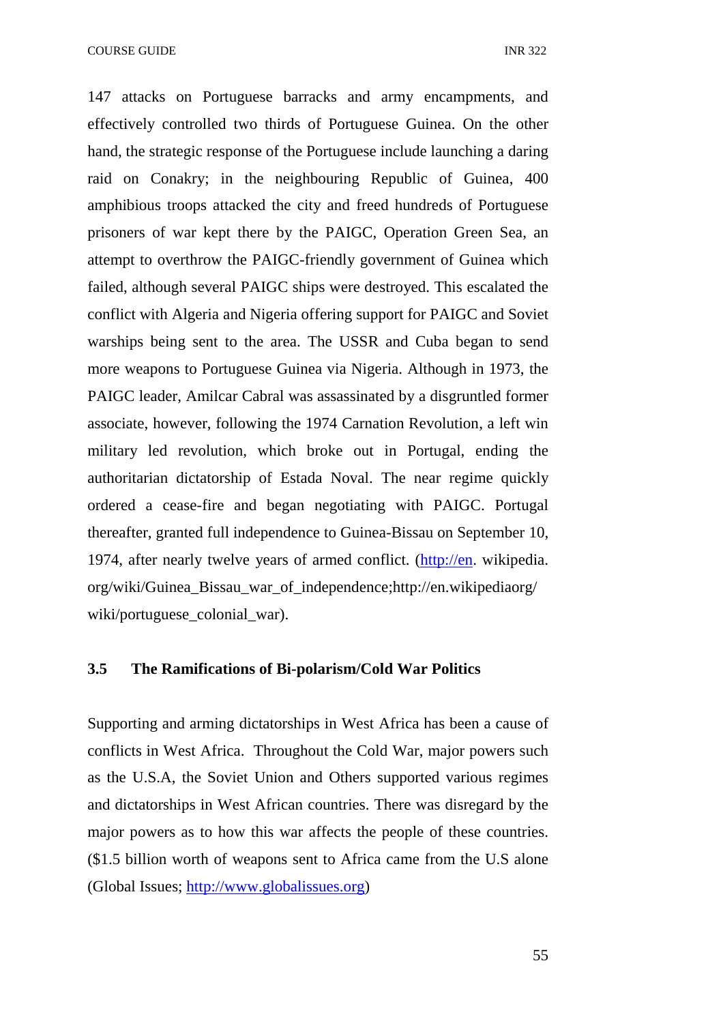COURSE GUIDE **INR** 322

147 attacks on Portuguese barracks and army encampments, and effectively controlled two thirds of Portuguese Guinea. On the other hand, the strategic response of the Portuguese include launching a daring raid on Conakry; in the neighbouring Republic of Guinea, 400 amphibious troops attacked the city and freed hundreds of Portuguese prisoners of war kept there by the PAIGC, Operation Green Sea, an attempt to overthrow the PAIGC-friendly government of Guinea which failed, although several PAIGC ships were destroyed. This escalated the conflict with Algeria and Nigeria offering support for PAIGC and Soviet warships being sent to the area. The USSR and Cuba began to send more weapons to Portuguese Guinea via Nigeria. Although in 1973, the PAIGC leader, Amilcar Cabral was assassinated by a disgruntled former associate, however, following the 1974 Carnation Revolution, a left win military led revolution, which broke out in Portugal, ending the authoritarian dictatorship of Estada Noval. The near regime quickly ordered a cease-fire and began negotiating with PAIGC. Portugal thereafter, granted full independence to Guinea-Bissau on September 10, 1974, after nearly twelve years of armed conflict. (http://en. wikipedia. org/wiki/Guinea\_Bissau\_war\_of\_independence;http://en.wikipediaorg/ wiki/portuguese colonial war).

## **3.5 The Ramifications of Bi-polarism/Cold War Politics**

Supporting and arming dictatorships in West Africa has been a cause of conflicts in West Africa. Throughout the Cold War, major powers such as the U.S.A, the Soviet Union and Others supported various regimes and dictatorships in West African countries. There was disregard by the major powers as to how this war affects the people of these countries. (\$1.5 billion worth of weapons sent to Africa came from the U.S alone (Global Issues; http://www.globalissues.org)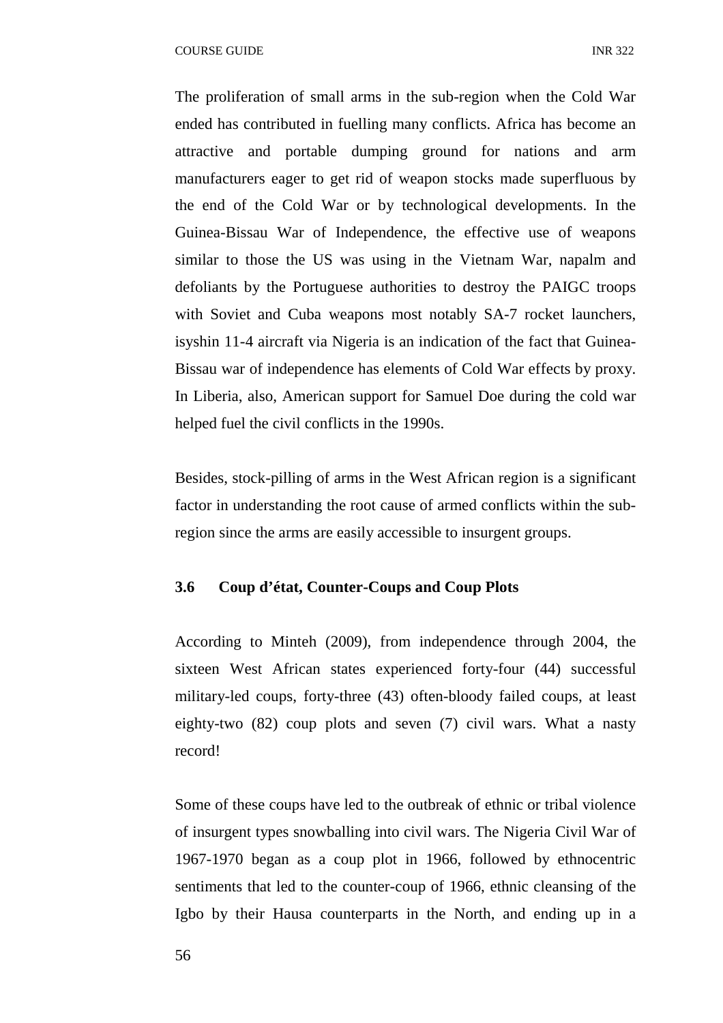COURSE GUIDE **INR** 322

The proliferation of small arms in the sub-region when the Cold War ended has contributed in fuelling many conflicts. Africa has become an attractive and portable dumping ground for nations and arm manufacturers eager to get rid of weapon stocks made superfluous by the end of the Cold War or by technological developments. In the Guinea-Bissau War of Independence, the effective use of weapons similar to those the US was using in the Vietnam War, napalm and defoliants by the Portuguese authorities to destroy the PAIGC troops with Soviet and Cuba weapons most notably SA-7 rocket launchers, isyshin 11-4 aircraft via Nigeria is an indication of the fact that Guinea-Bissau war of independence has elements of Cold War effects by proxy. In Liberia, also, American support for Samuel Doe during the cold war helped fuel the civil conflicts in the 1990s.

Besides, stock-pilling of arms in the West African region is a significant factor in understanding the root cause of armed conflicts within the subregion since the arms are easily accessible to insurgent groups.

## **3.6 Coup d'état, Counter-Coups and Coup Plots**

According to Minteh (2009), from independence through 2004, the sixteen West African states experienced forty-four (44) successful military-led coups, forty-three (43) often-bloody failed coups, at least eighty-two (82) coup plots and seven (7) civil wars. What a nasty record!

Some of these coups have led to the outbreak of ethnic or tribal violence of insurgent types snowballing into civil wars. The Nigeria Civil War of 1967-1970 began as a coup plot in 1966, followed by ethnocentric sentiments that led to the counter-coup of 1966, ethnic cleansing of the Igbo by their Hausa counterparts in the North, and ending up in a

56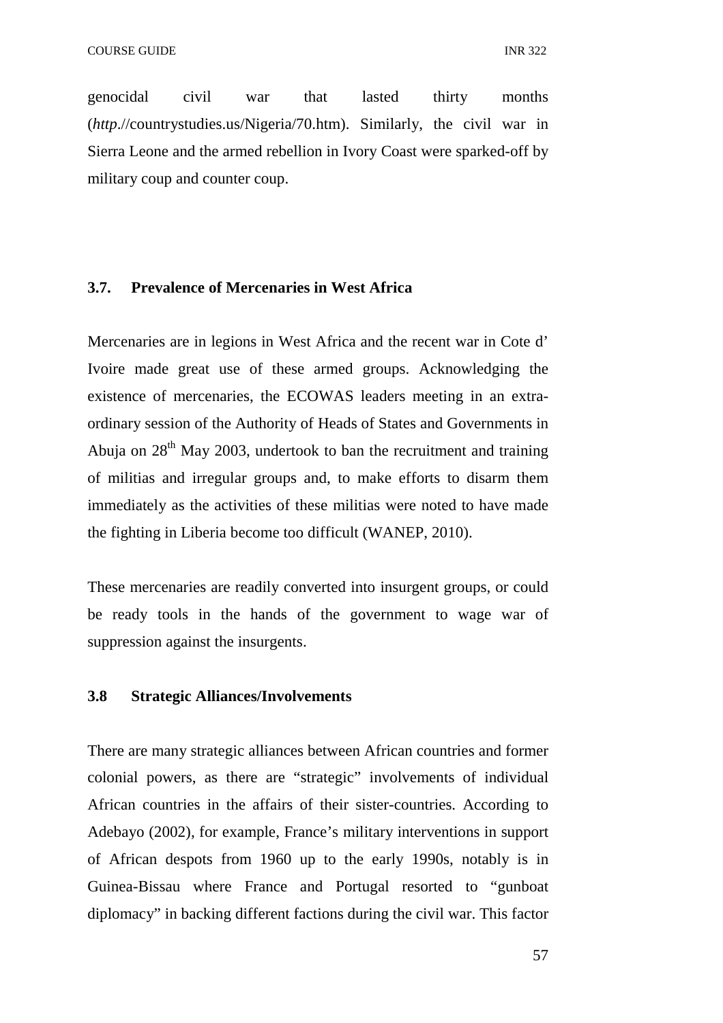genocidal civil war that lasted thirty months (*http*.//countrystudies.us/Nigeria/70.htm). Similarly, the civil war in Sierra Leone and the armed rebellion in Ivory Coast were sparked-off by military coup and counter coup.

## **3.7. Prevalence of Mercenaries in West Africa**

Mercenaries are in legions in West Africa and the recent war in Cote d' Ivoire made great use of these armed groups. Acknowledging the existence of mercenaries, the ECOWAS leaders meeting in an extraordinary session of the Authority of Heads of States and Governments in Abuja on  $28<sup>th</sup>$  May 2003, undertook to ban the recruitment and training of militias and irregular groups and, to make efforts to disarm them immediately as the activities of these militias were noted to have made the fighting in Liberia become too difficult (WANEP, 2010).

These mercenaries are readily converted into insurgent groups, or could be ready tools in the hands of the government to wage war of suppression against the insurgents.

#### **3.8 Strategic Alliances/Involvements**

There are many strategic alliances between African countries and former colonial powers, as there are "strategic" involvements of individual African countries in the affairs of their sister-countries. According to Adebayo (2002), for example, France's military interventions in support of African despots from 1960 up to the early 1990s, notably is in Guinea-Bissau where France and Portugal resorted to "gunboat diplomacy" in backing different factions during the civil war. This factor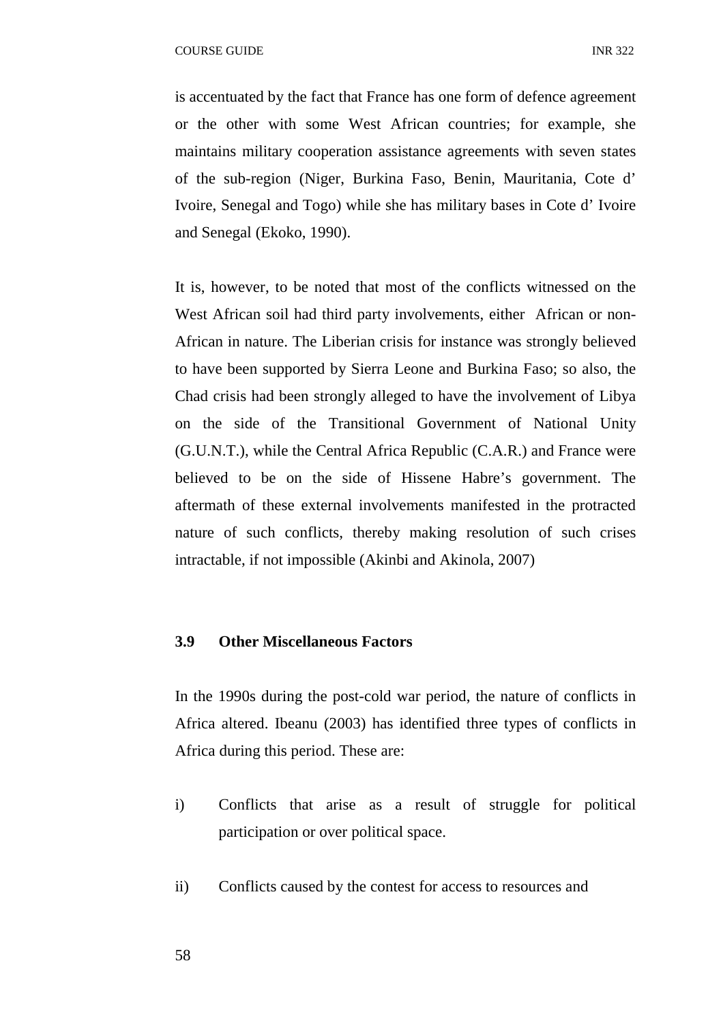is accentuated by the fact that France has one form of defence agreement or the other with some West African countries; for example, she maintains military cooperation assistance agreements with seven states of the sub-region (Niger, Burkina Faso, Benin, Mauritania, Cote d' Ivoire, Senegal and Togo) while she has military bases in Cote d' Ivoire and Senegal (Ekoko, 1990).

It is, however, to be noted that most of the conflicts witnessed on the West African soil had third party involvements, either African or non-African in nature. The Liberian crisis for instance was strongly believed to have been supported by Sierra Leone and Burkina Faso; so also, the Chad crisis had been strongly alleged to have the involvement of Libya on the side of the Transitional Government of National Unity (G.U.N.T.), while the Central Africa Republic (C.A.R.) and France were believed to be on the side of Hissene Habre's government. The aftermath of these external involvements manifested in the protracted nature of such conflicts, thereby making resolution of such crises intractable, if not impossible (Akinbi and Akinola, 2007)

## **3.9 Other Miscellaneous Factors**

In the 1990s during the post-cold war period, the nature of conflicts in Africa altered. Ibeanu (2003) has identified three types of conflicts in Africa during this period. These are:

- i) Conflicts that arise as a result of struggle for political participation or over political space.
- ii) Conflicts caused by the contest for access to resources and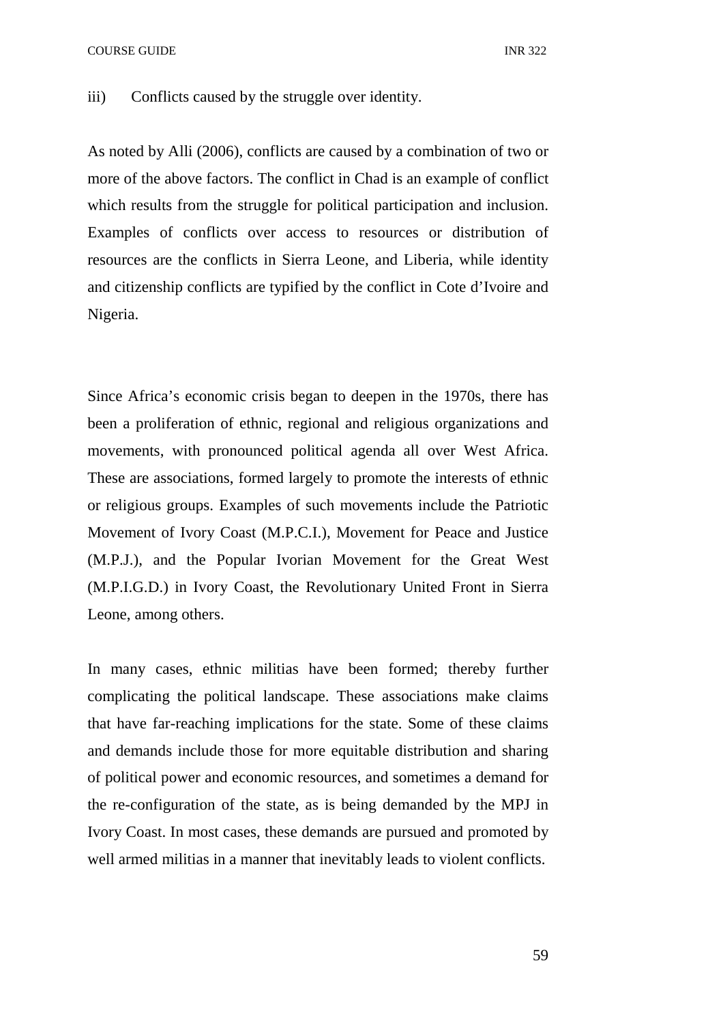COURSE GUIDE **INR** 322

iii) Conflicts caused by the struggle over identity.

As noted by Alli (2006), conflicts are caused by a combination of two or more of the above factors. The conflict in Chad is an example of conflict which results from the struggle for political participation and inclusion. Examples of conflicts over access to resources or distribution of resources are the conflicts in Sierra Leone, and Liberia, while identity and citizenship conflicts are typified by the conflict in Cote d'Ivoire and Nigeria.

Since Africa's economic crisis began to deepen in the 1970s, there has been a proliferation of ethnic, regional and religious organizations and movements, with pronounced political agenda all over West Africa. These are associations, formed largely to promote the interests of ethnic or religious groups. Examples of such movements include the Patriotic Movement of Ivory Coast (M.P.C.I.), Movement for Peace and Justice (M.P.J.), and the Popular Ivorian Movement for the Great West (M.P.I.G.D.) in Ivory Coast, the Revolutionary United Front in Sierra Leone, among others.

In many cases, ethnic militias have been formed; thereby further complicating the political landscape. These associations make claims that have far-reaching implications for the state. Some of these claims and demands include those for more equitable distribution and sharing of political power and economic resources, and sometimes a demand for the re-configuration of the state, as is being demanded by the MPJ in Ivory Coast. In most cases, these demands are pursued and promoted by well armed militias in a manner that inevitably leads to violent conflicts.

59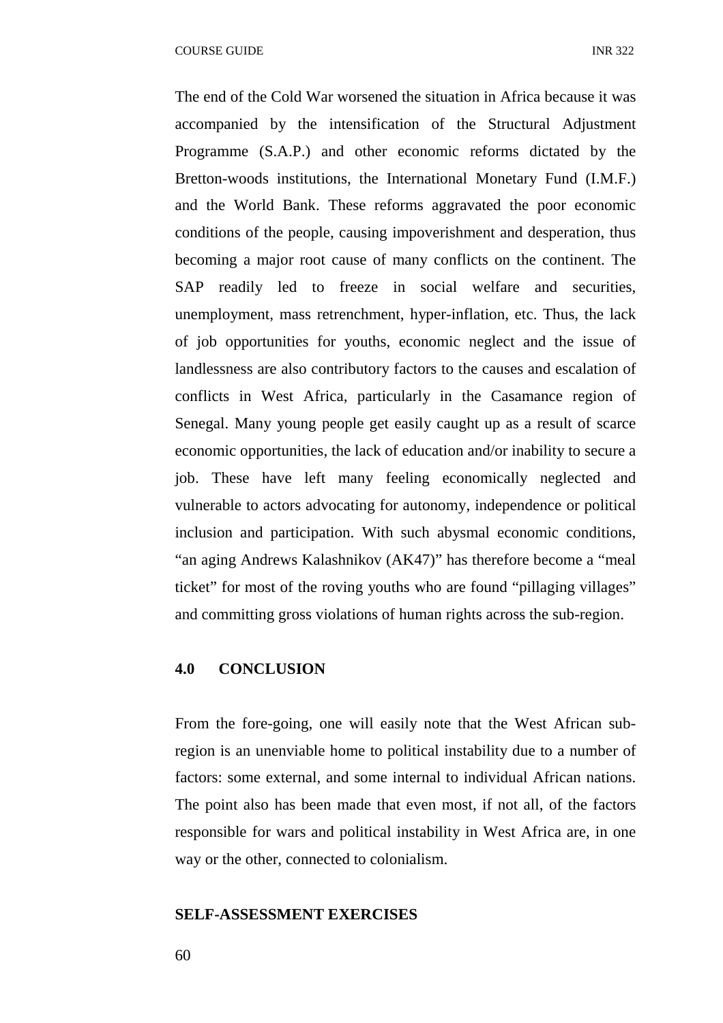The end of the Cold War worsened the situation in Africa because it was accompanied by the intensification of the Structural Adjustment Programme (S.A.P.) and other economic reforms dictated by the Bretton-woods institutions, the International Monetary Fund (I.M.F.) and the World Bank. These reforms aggravated the poor economic conditions of the people, causing impoverishment and desperation, thus becoming a major root cause of many conflicts on the continent. The SAP readily led to freeze in social welfare and securities, unemployment, mass retrenchment, hyper-inflation, etc. Thus, the lack of job opportunities for youths, economic neglect and the issue of landlessness are also contributory factors to the causes and escalation of conflicts in West Africa, particularly in the Casamance region of Senegal. Many young people get easily caught up as a result of scarce economic opportunities, the lack of education and/or inability to secure a job. These have left many feeling economically neglected and vulnerable to actors advocating for autonomy, independence or political inclusion and participation. With such abysmal economic conditions, "an aging Andrews Kalashnikov (AK47)" has therefore become a "meal ticket" for most of the roving youths who are found "pillaging villages" and committing gross violations of human rights across the sub-region.

#### **4.0 CONCLUSION**

From the fore-going, one will easily note that the West African subregion is an unenviable home to political instability due to a number of factors: some external, and some internal to individual African nations. The point also has been made that even most, if not all, of the factors responsible for wars and political instability in West Africa are, in one way or the other, connected to colonialism.

#### **SELF-ASSESSMENT EXERCISES**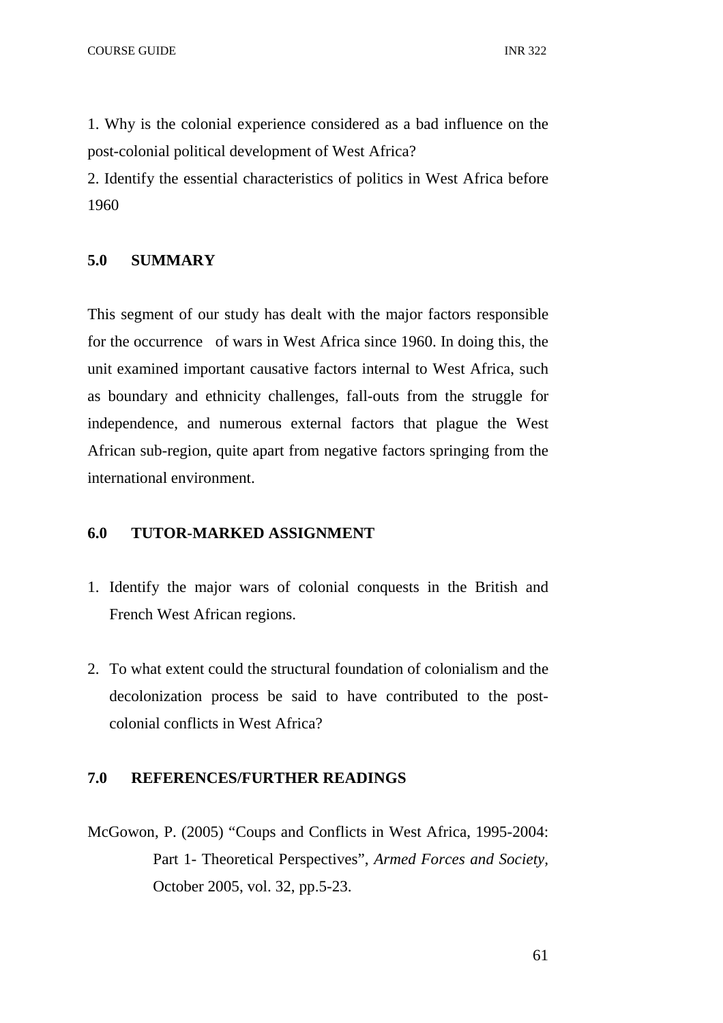1. Why is the colonial experience considered as a bad influence on the post-colonial political development of West Africa?

2. Identify the essential characteristics of politics in West Africa before 1960

# **5.0 SUMMARY**

This segment of our study has dealt with the major factors responsible for the occurrence of wars in West Africa since 1960. In doing this, the unit examined important causative factors internal to West Africa, such as boundary and ethnicity challenges, fall-outs from the struggle for independence, and numerous external factors that plague the West African sub-region, quite apart from negative factors springing from the international environment.

## **6.0 TUTOR-MARKED ASSIGNMENT**

- 1. Identify the major wars of colonial conquests in the British and French West African regions.
- 2. To what extent could the structural foundation of colonialism and the decolonization process be said to have contributed to the postcolonial conflicts in West Africa?

# **7.0 REFERENCES/FURTHER READINGS**

McGowon, P. (2005) "Coups and Conflicts in West Africa, 1995-2004: Part 1- Theoretical Perspectives", *Armed Forces and Society,*  October 2005, vol. 32, pp.5-23.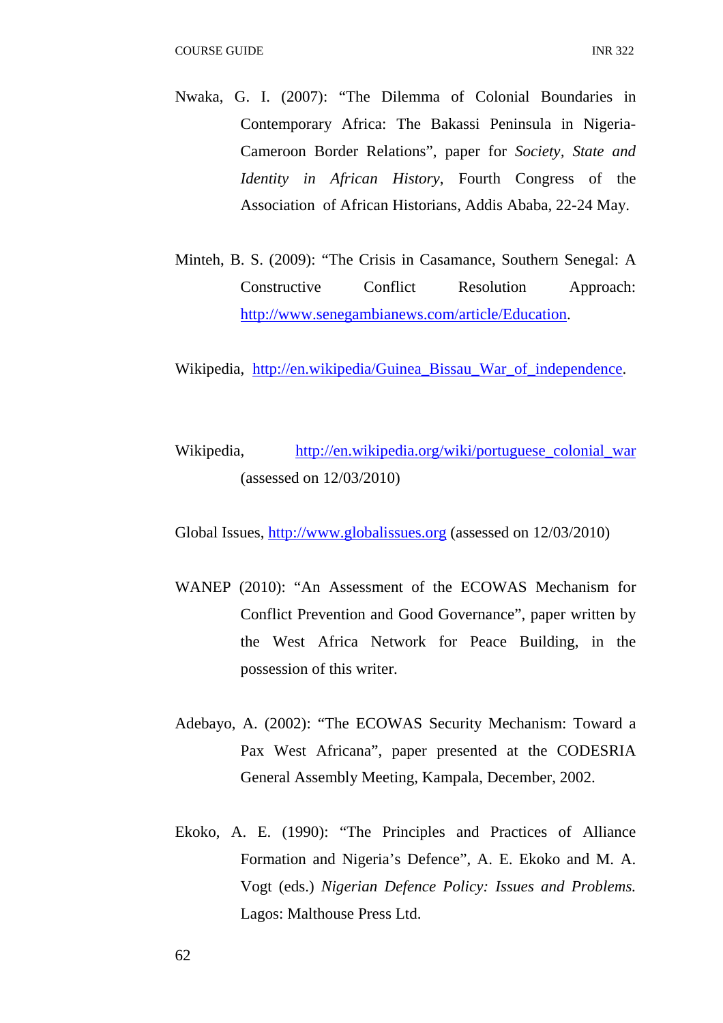- Nwaka, G. I. (2007): "The Dilemma of Colonial Boundaries in Contemporary Africa: The Bakassi Peninsula in Nigeria-Cameroon Border Relations", paper for *Society, State and Identity in African History*, Fourth Congress of the Association of African Historians, Addis Ababa, 22-24 May.
- Minteh, B. S. (2009): "The Crisis in Casamance, Southern Senegal: A Constructive Conflict Resolution Approach: http://www.senegambianews.com/article/Education.

Wikipedia, http://en.wikipedia/Guinea Bissau War of independence.

Wikipedia, http://en.wikipedia.org/wiki/portuguese\_colonial\_war (assessed on 12/03/2010)

Global Issues, http://www.globalissues.org (assessed on 12/03/2010)

- WANEP (2010): "An Assessment of the ECOWAS Mechanism for Conflict Prevention and Good Governance", paper written by the West Africa Network for Peace Building, in the possession of this writer.
- Adebayo, A. (2002): "The ECOWAS Security Mechanism: Toward a Pax West Africana", paper presented at the CODESRIA General Assembly Meeting, Kampala, December, 2002.
- Ekoko, A. E. (1990): "The Principles and Practices of Alliance Formation and Nigeria's Defence", A. E. Ekoko and M. A. Vogt (eds.) *Nigerian Defence Policy: Issues and Problems.*  Lagos: Malthouse Press Ltd.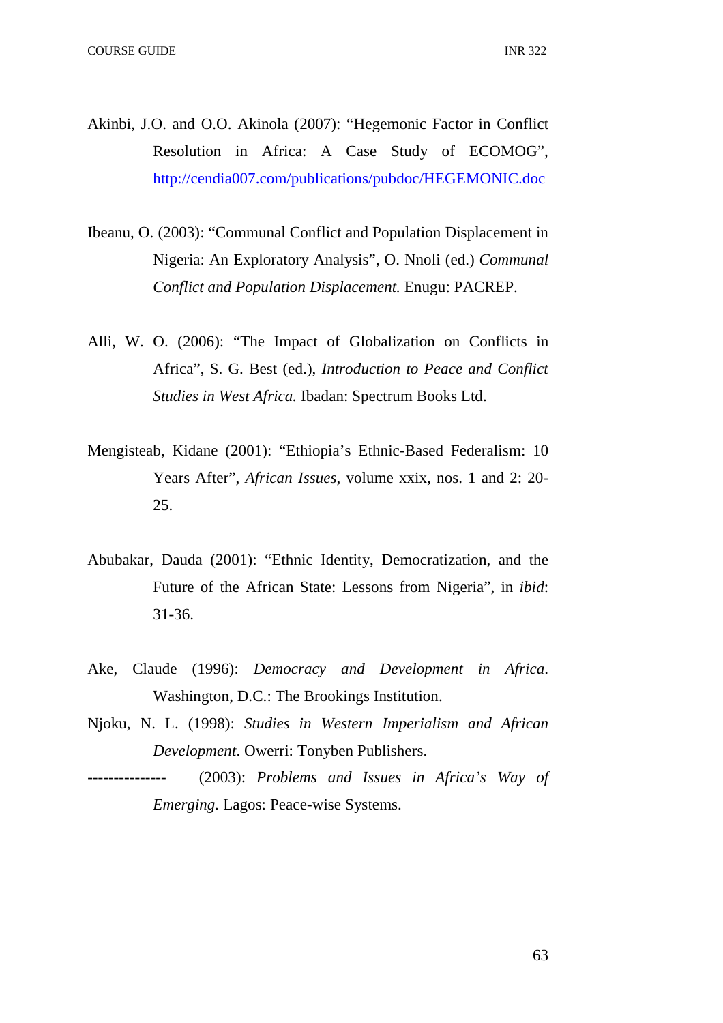- Akinbi, J.O. and O.O. Akinola (2007): "Hegemonic Factor in Conflict Resolution in Africa: A Case Study of ECOMOG", http://cendia007.com/publications/pubdoc/HEGEMONIC.doc
- Ibeanu, O. (2003): "Communal Conflict and Population Displacement in Nigeria: An Exploratory Analysis", O. Nnoli (ed.) *Communal Conflict and Population Displacement.* Enugu: PACREP.
- Alli, W. O. (2006): "The Impact of Globalization on Conflicts in Africa", S. G. Best (ed.), *Introduction to Peace and Conflict Studies in West Africa.* Ibadan: Spectrum Books Ltd.
- Mengisteab, Kidane (2001): "Ethiopia's Ethnic-Based Federalism: 10 Years After", *African Issues*, volume xxix, nos. 1 and 2: 20- 25.
- Abubakar, Dauda (2001): "Ethnic Identity, Democratization, and the Future of the African State: Lessons from Nigeria", in *ibid*: 31-36.
- Ake, Claude (1996): *Democracy and Development in Africa*. Washington, D.C.: The Brookings Institution.
- Njoku, N. L. (1998): *Studies in Western Imperialism and African Development*. Owerri: Tonyben Publishers.
	- --------------- (2003): *Problems and Issues in Africa's Way of Emerging.* Lagos: Peace-wise Systems.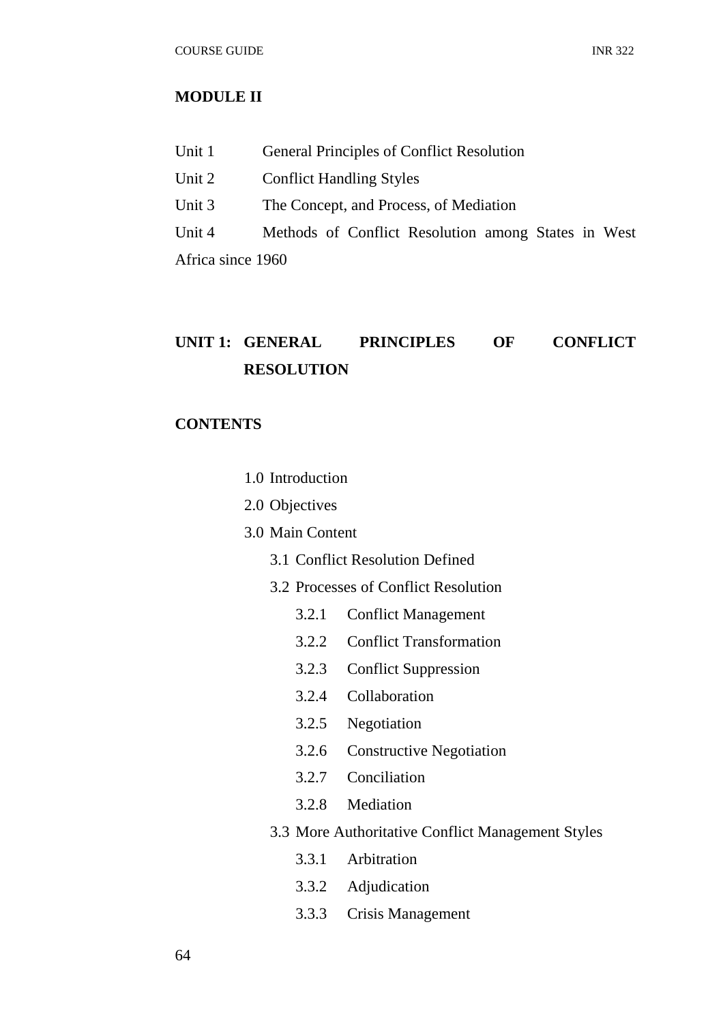# **MODULE II**

| Unit 1            | <b>General Principles of Conflict Resolution</b>    |
|-------------------|-----------------------------------------------------|
| Unit 2            | <b>Conflict Handling Styles</b>                     |
| Unit 3            | The Concept, and Process, of Mediation              |
| Unit 4            | Methods of Conflict Resolution among States in West |
| Africa since 1960 |                                                     |

# **UNIT 1: GENERAL PRINCIPLES OF CONFLICT RESOLUTION**

# **CONTENTS**

- 1.0 Introduction
- 2.0 Objectives
- 3.0 Main Content
	- 3.1 Conflict Resolution Defined
	- 3.2 Processes of Conflict Resolution
		- 3.2.1 Conflict Management
		- 3.2.2 Conflict Transformation
		- 3.2.3 Conflict Suppression
		- 3.2.4 Collaboration
		- 3.2.5 Negotiation
		- 3.2.6 Constructive Negotiation
		- 3.2.7 Conciliation
		- 3.2.8 Mediation
	- 3.3 More Authoritative Conflict Management Styles
		- 3.3.1 Arbitration
		- 3.3.2 Adjudication
		- 3.3.3 Crisis Management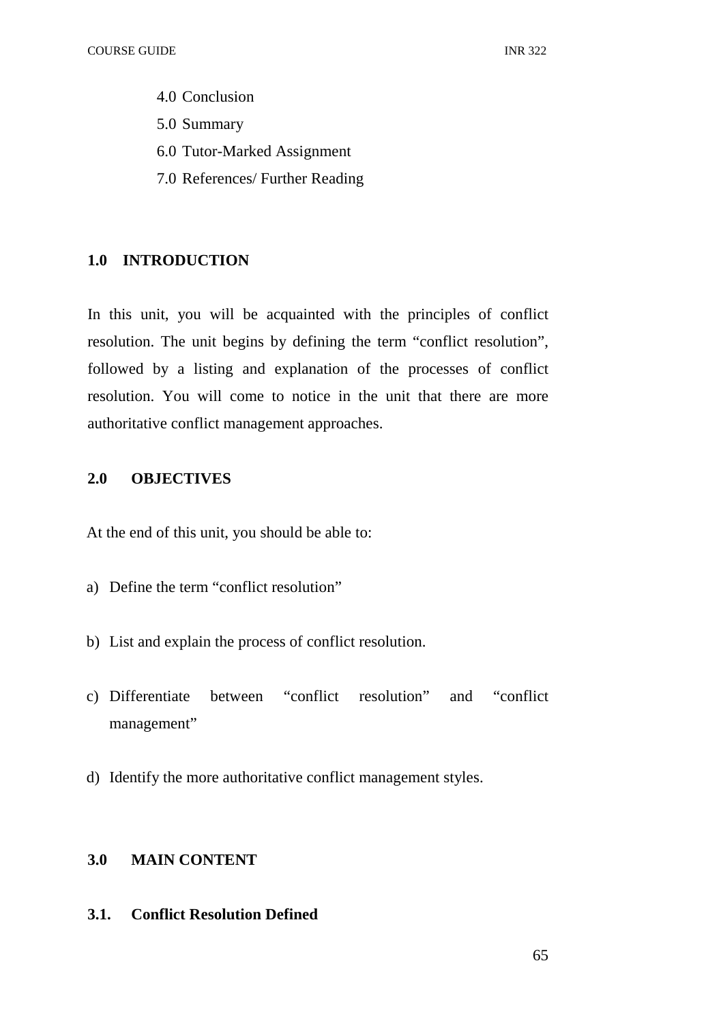- 4.0 Conclusion
- 5.0 Summary
- 6.0 Tutor-Marked Assignment
- 7.0 References/ Further Reading

## **1.0 INTRODUCTION**

In this unit, you will be acquainted with the principles of conflict resolution. The unit begins by defining the term "conflict resolution", followed by a listing and explanation of the processes of conflict resolution. You will come to notice in the unit that there are more authoritative conflict management approaches.

## **2.0 OBJECTIVES**

At the end of this unit, you should be able to:

- a) Define the term "conflict resolution"
- b) List and explain the process of conflict resolution.
- c) Differentiate between "conflict resolution" and "conflict management"
- d) Identify the more authoritative conflict management styles.

# **3.0 MAIN CONTENT**

# **3.1. Conflict Resolution Defined**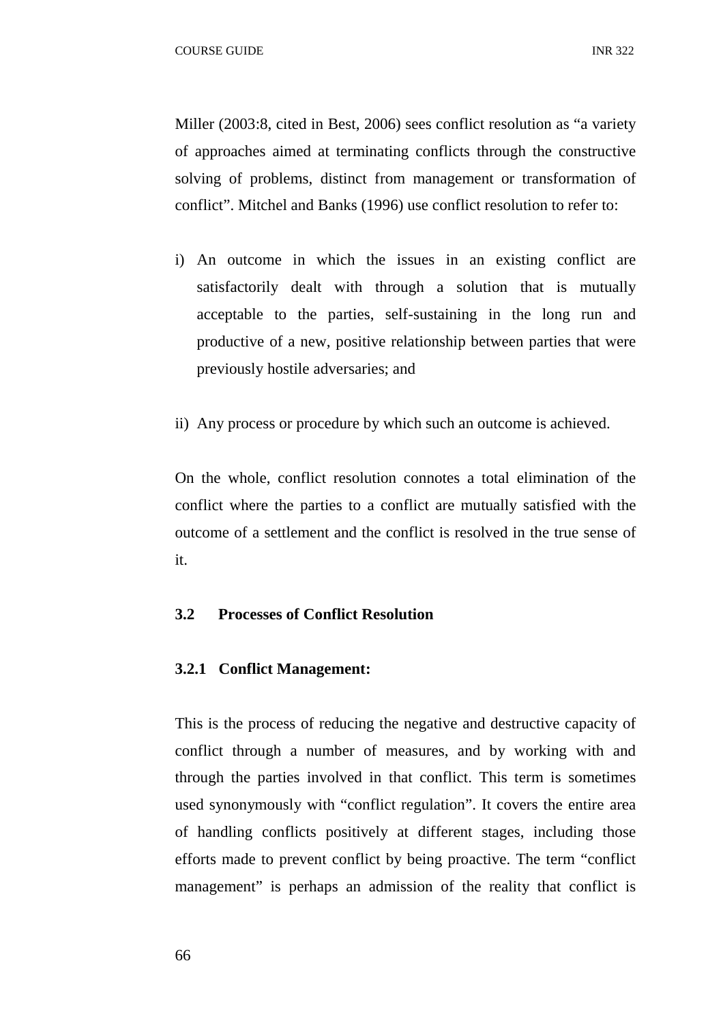Miller (2003:8, cited in Best, 2006) sees conflict resolution as "a variety of approaches aimed at terminating conflicts through the constructive solving of problems, distinct from management or transformation of conflict". Mitchel and Banks (1996) use conflict resolution to refer to:

- i) An outcome in which the issues in an existing conflict are satisfactorily dealt with through a solution that is mutually acceptable to the parties, self-sustaining in the long run and productive of a new, positive relationship between parties that were previously hostile adversaries; and
- ii) Any process or procedure by which such an outcome is achieved.

On the whole, conflict resolution connotes a total elimination of the conflict where the parties to a conflict are mutually satisfied with the outcome of a settlement and the conflict is resolved in the true sense of it.

#### **3.2 Processes of Conflict Resolution**

#### **3.2.1 Conflict Management:**

This is the process of reducing the negative and destructive capacity of conflict through a number of measures, and by working with and through the parties involved in that conflict. This term is sometimes used synonymously with "conflict regulation". It covers the entire area of handling conflicts positively at different stages, including those efforts made to prevent conflict by being proactive. The term "conflict management" is perhaps an admission of the reality that conflict is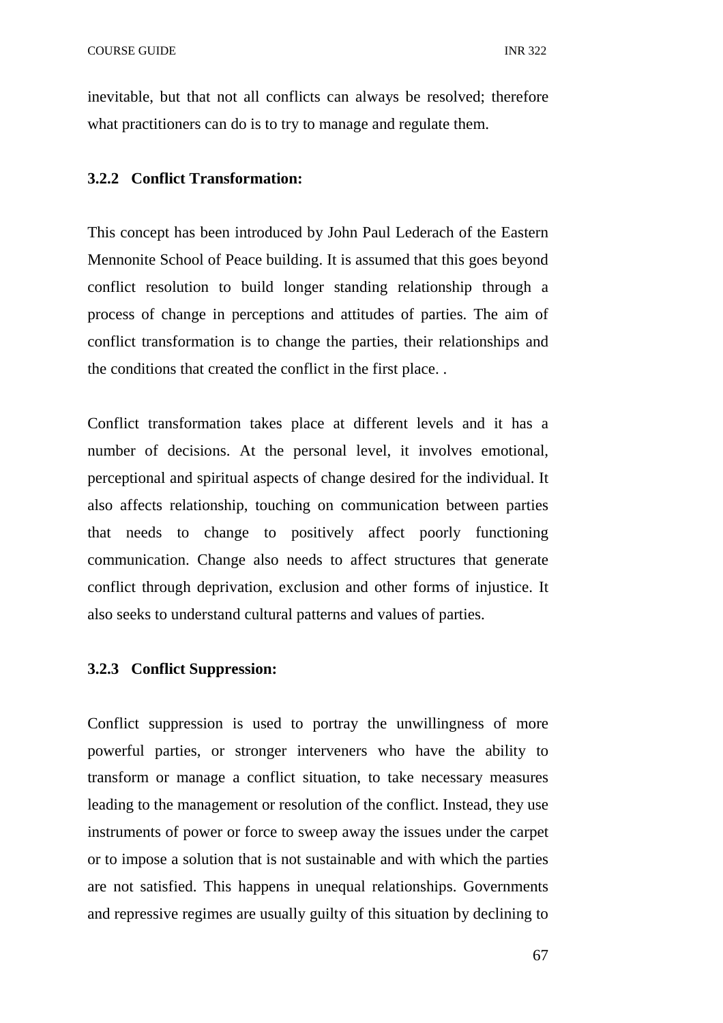inevitable, but that not all conflicts can always be resolved; therefore what practitioners can do is to try to manage and regulate them.

#### **3.2.2 Conflict Transformation:**

This concept has been introduced by John Paul Lederach of the Eastern Mennonite School of Peace building. It is assumed that this goes beyond conflict resolution to build longer standing relationship through a process of change in perceptions and attitudes of parties. The aim of conflict transformation is to change the parties, their relationships and the conditions that created the conflict in the first place. .

Conflict transformation takes place at different levels and it has a number of decisions. At the personal level, it involves emotional, perceptional and spiritual aspects of change desired for the individual. It also affects relationship, touching on communication between parties that needs to change to positively affect poorly functioning communication. Change also needs to affect structures that generate conflict through deprivation, exclusion and other forms of injustice. It also seeks to understand cultural patterns and values of parties.

#### **3.2.3 Conflict Suppression:**

Conflict suppression is used to portray the unwillingness of more powerful parties, or stronger interveners who have the ability to transform or manage a conflict situation, to take necessary measures leading to the management or resolution of the conflict. Instead, they use instruments of power or force to sweep away the issues under the carpet or to impose a solution that is not sustainable and with which the parties are not satisfied. This happens in unequal relationships. Governments and repressive regimes are usually guilty of this situation by declining to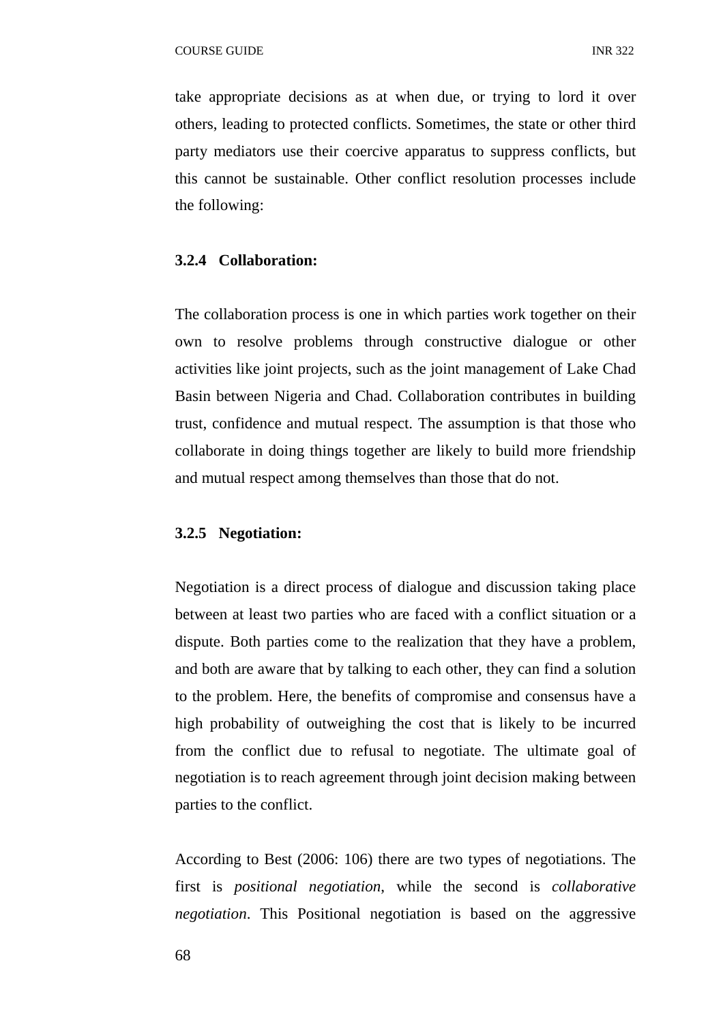take appropriate decisions as at when due, or trying to lord it over others, leading to protected conflicts. Sometimes, the state or other third party mediators use their coercive apparatus to suppress conflicts, but this cannot be sustainable. Other conflict resolution processes include the following:

## **3.2.4 Collaboration:**

The collaboration process is one in which parties work together on their own to resolve problems through constructive dialogue or other activities like joint projects, such as the joint management of Lake Chad Basin between Nigeria and Chad. Collaboration contributes in building trust, confidence and mutual respect. The assumption is that those who collaborate in doing things together are likely to build more friendship and mutual respect among themselves than those that do not.

#### **3.2.5 Negotiation:**

Negotiation is a direct process of dialogue and discussion taking place between at least two parties who are faced with a conflict situation or a dispute. Both parties come to the realization that they have a problem, and both are aware that by talking to each other, they can find a solution to the problem. Here, the benefits of compromise and consensus have a high probability of outweighing the cost that is likely to be incurred from the conflict due to refusal to negotiate. The ultimate goal of negotiation is to reach agreement through joint decision making between parties to the conflict.

According to Best (2006: 106) there are two types of negotiations. The first is *positional negotiation*, while the second is *collaborative negotiation*. This Positional negotiation is based on the aggressive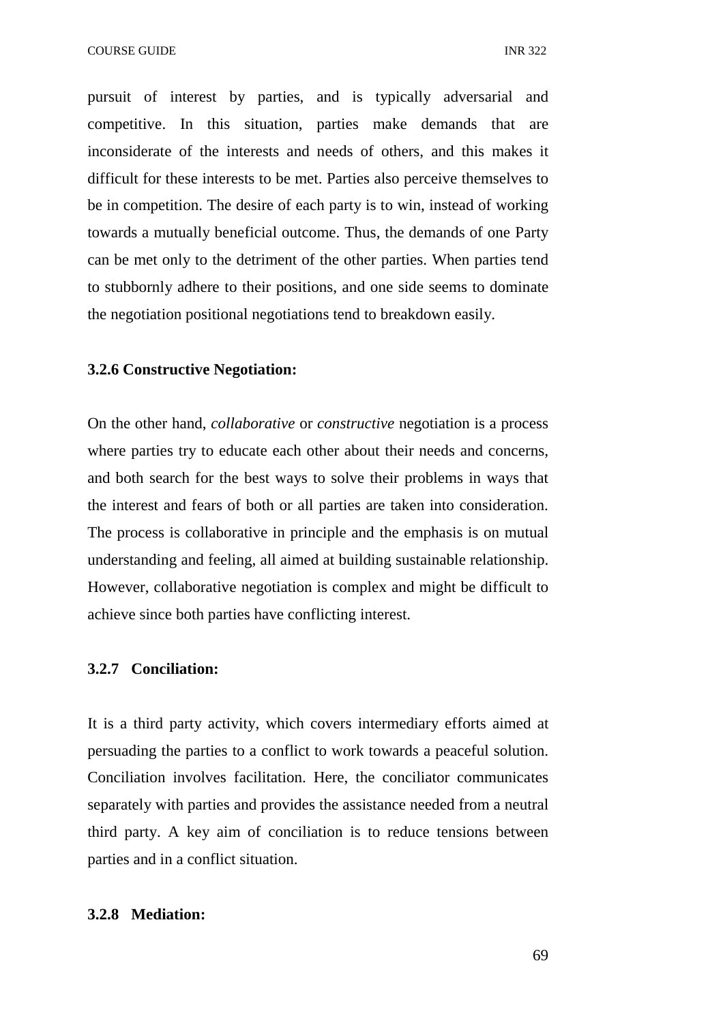pursuit of interest by parties, and is typically adversarial and competitive. In this situation, parties make demands that are inconsiderate of the interests and needs of others, and this makes it difficult for these interests to be met. Parties also perceive themselves to be in competition. The desire of each party is to win, instead of working towards a mutually beneficial outcome. Thus, the demands of one Party can be met only to the detriment of the other parties. When parties tend to stubbornly adhere to their positions, and one side seems to dominate the negotiation positional negotiations tend to breakdown easily.

#### **3.2.6 Constructive Negotiation:**

On the other hand, *collaborative* or *constructive* negotiation is a process where parties try to educate each other about their needs and concerns, and both search for the best ways to solve their problems in ways that the interest and fears of both or all parties are taken into consideration. The process is collaborative in principle and the emphasis is on mutual understanding and feeling, all aimed at building sustainable relationship. However, collaborative negotiation is complex and might be difficult to achieve since both parties have conflicting interest.

#### **3.2.7 Conciliation:**

It is a third party activity, which covers intermediary efforts aimed at persuading the parties to a conflict to work towards a peaceful solution. Conciliation involves facilitation. Here, the conciliator communicates separately with parties and provides the assistance needed from a neutral third party. A key aim of conciliation is to reduce tensions between parties and in a conflict situation.

### **3.2.8 Mediation:**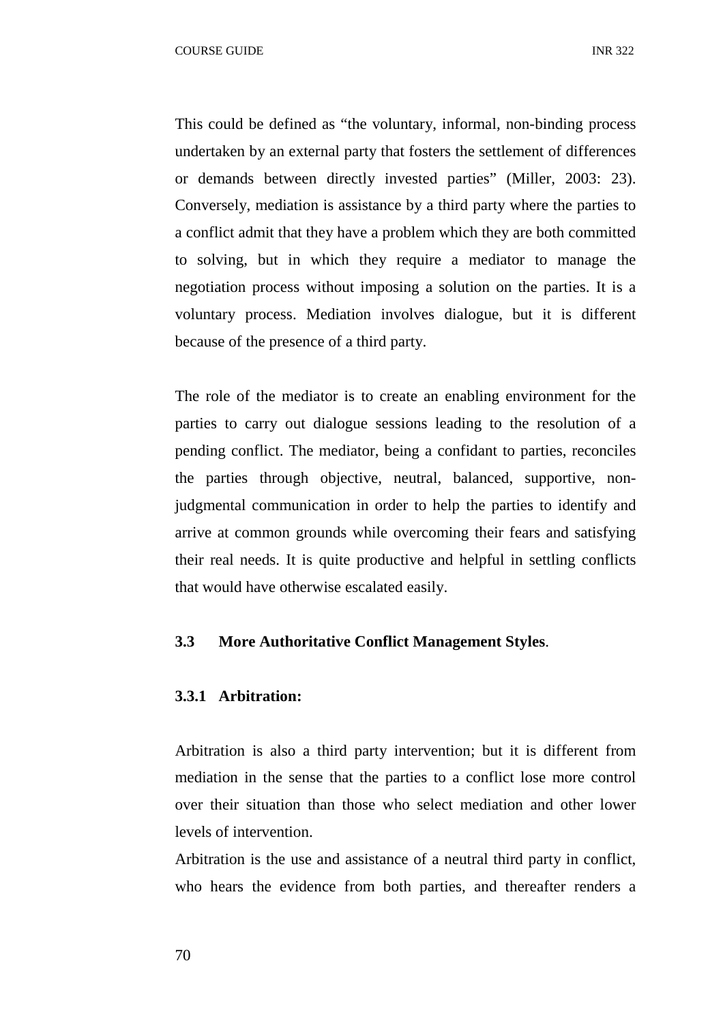This could be defined as "the voluntary, informal, non-binding process undertaken by an external party that fosters the settlement of differences or demands between directly invested parties" (Miller, 2003: 23). Conversely, mediation is assistance by a third party where the parties to a conflict admit that they have a problem which they are both committed to solving, but in which they require a mediator to manage the negotiation process without imposing a solution on the parties. It is a voluntary process. Mediation involves dialogue, but it is different because of the presence of a third party.

The role of the mediator is to create an enabling environment for the parties to carry out dialogue sessions leading to the resolution of a pending conflict. The mediator, being a confidant to parties, reconciles the parties through objective, neutral, balanced, supportive, nonjudgmental communication in order to help the parties to identify and arrive at common grounds while overcoming their fears and satisfying their real needs. It is quite productive and helpful in settling conflicts that would have otherwise escalated easily.

# **3.3 More Authoritative Conflict Management Styles**.

# **3.3.1 Arbitration:**

Arbitration is also a third party intervention; but it is different from mediation in the sense that the parties to a conflict lose more control over their situation than those who select mediation and other lower levels of intervention.

Arbitration is the use and assistance of a neutral third party in conflict, who hears the evidence from both parties, and thereafter renders a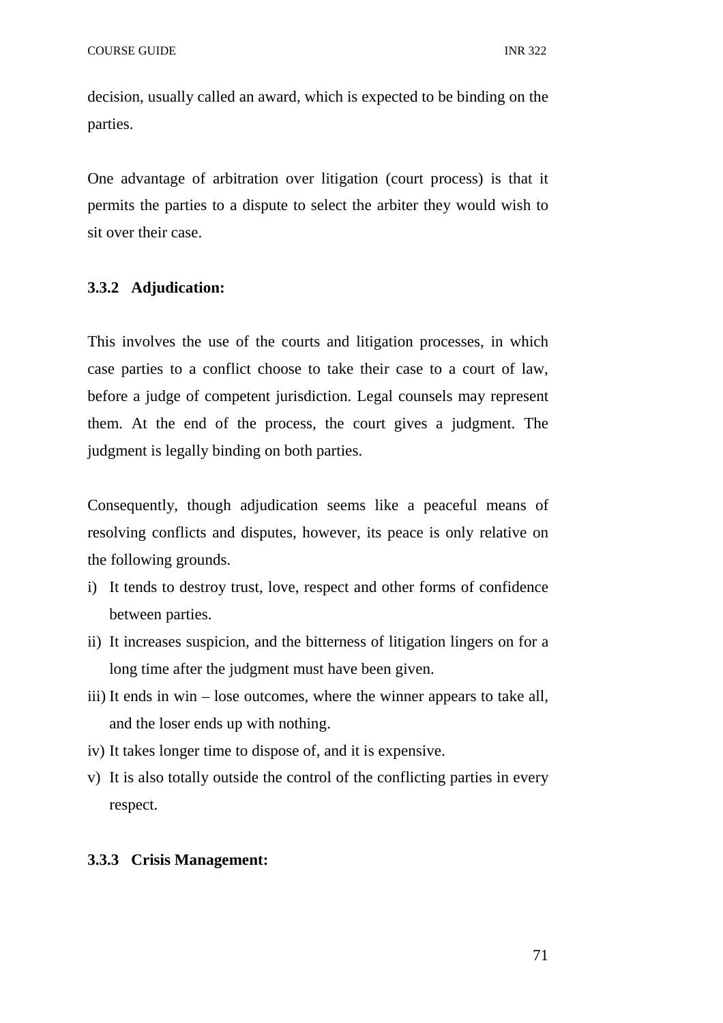decision, usually called an award, which is expected to be binding on the parties.

One advantage of arbitration over litigation (court process) is that it permits the parties to a dispute to select the arbiter they would wish to sit over their case.

# **3.3.2 Adjudication:**

This involves the use of the courts and litigation processes, in which case parties to a conflict choose to take their case to a court of law, before a judge of competent jurisdiction. Legal counsels may represent them. At the end of the process, the court gives a judgment. The judgment is legally binding on both parties.

Consequently, though adjudication seems like a peaceful means of resolving conflicts and disputes, however, its peace is only relative on the following grounds.

- i) It tends to destroy trust, love, respect and other forms of confidence between parties.
- ii) It increases suspicion, and the bitterness of litigation lingers on for a long time after the judgment must have been given.
- iii) It ends in win lose outcomes, where the winner appears to take all, and the loser ends up with nothing.
- iv) It takes longer time to dispose of, and it is expensive.
- v) It is also totally outside the control of the conflicting parties in every respect.

### **3.3.3 Crisis Management:**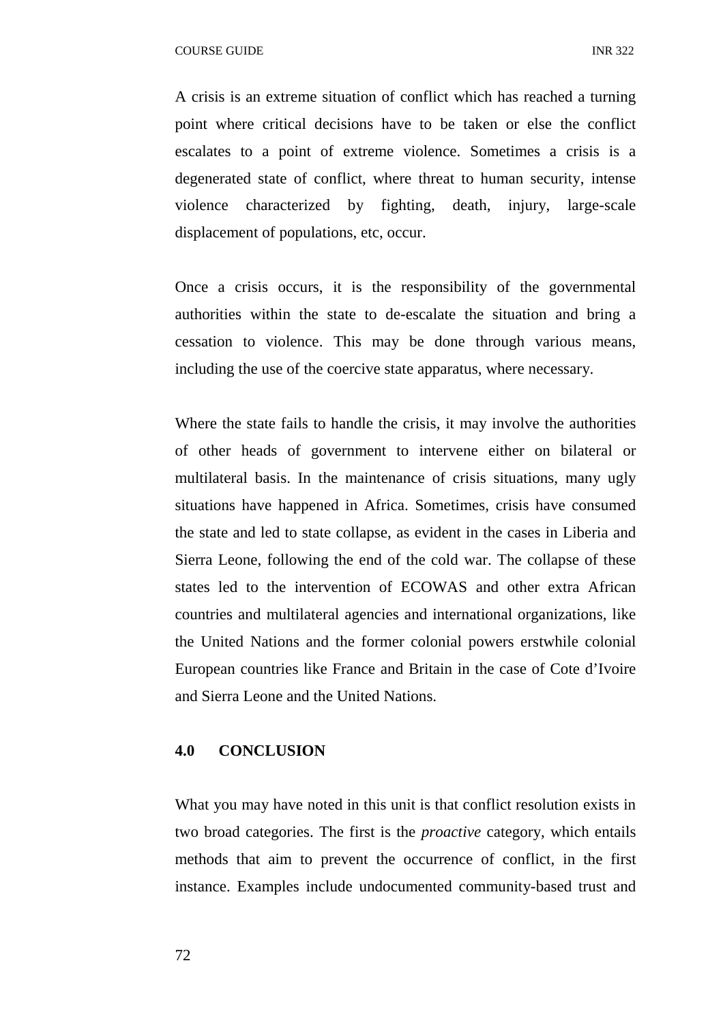A crisis is an extreme situation of conflict which has reached a turning point where critical decisions have to be taken or else the conflict escalates to a point of extreme violence. Sometimes a crisis is a degenerated state of conflict, where threat to human security, intense violence characterized by fighting, death, injury, large-scale displacement of populations, etc, occur.

Once a crisis occurs, it is the responsibility of the governmental authorities within the state to de-escalate the situation and bring a cessation to violence. This may be done through various means, including the use of the coercive state apparatus, where necessary.

Where the state fails to handle the crisis, it may involve the authorities of other heads of government to intervene either on bilateral or multilateral basis. In the maintenance of crisis situations, many ugly situations have happened in Africa. Sometimes, crisis have consumed the state and led to state collapse, as evident in the cases in Liberia and Sierra Leone, following the end of the cold war. The collapse of these states led to the intervention of ECOWAS and other extra African countries and multilateral agencies and international organizations, like the United Nations and the former colonial powers erstwhile colonial European countries like France and Britain in the case of Cote d'Ivoire and Sierra Leone and the United Nations.

# **4.0 CONCLUSION**

What you may have noted in this unit is that conflict resolution exists in two broad categories. The first is the *proactive* category, which entails methods that aim to prevent the occurrence of conflict, in the first instance. Examples include undocumented community-based trust and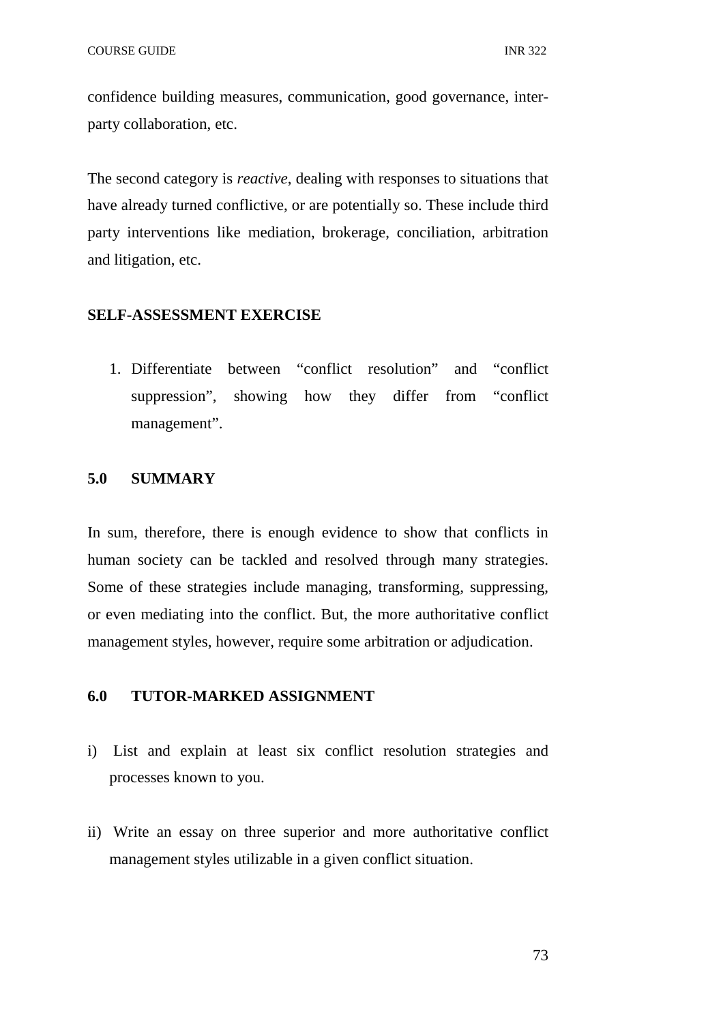confidence building measures, communication, good governance, interparty collaboration, etc.

The second category is *reactive*, dealing with responses to situations that have already turned conflictive, or are potentially so. These include third party interventions like mediation, brokerage, conciliation, arbitration and litigation, etc.

# **SELF-ASSESSMENT EXERCISE**

1. Differentiate between "conflict resolution" and "conflict suppression", showing how they differ from "conflict management".

# **5.0 SUMMARY**

In sum, therefore, there is enough evidence to show that conflicts in human society can be tackled and resolved through many strategies. Some of these strategies include managing, transforming, suppressing, or even mediating into the conflict. But, the more authoritative conflict management styles, however, require some arbitration or adjudication.

### **6.0 TUTOR-MARKED ASSIGNMENT**

- i) List and explain at least six conflict resolution strategies and processes known to you.
- ii) Write an essay on three superior and more authoritative conflict management styles utilizable in a given conflict situation.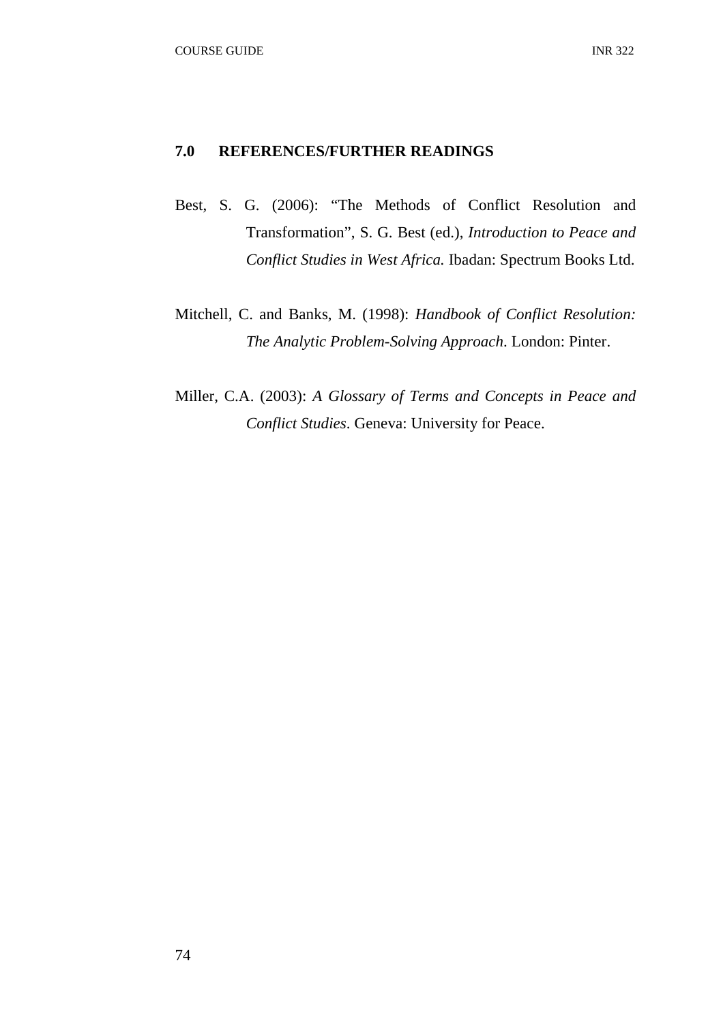### **7.0 REFERENCES/FURTHER READINGS**

- Best, S. G. (2006): "The Methods of Conflict Resolution and Transformation", S. G. Best (ed.), *Introduction to Peace and Conflict Studies in West Africa.* Ibadan: Spectrum Books Ltd.
- Mitchell, C. and Banks, M. (1998): *Handbook of Conflict Resolution: The Analytic Problem-Solving Approach*. London: Pinter.
- Miller, C.A. (2003): *A Glossary of Terms and Concepts in Peace and Conflict Studies*. Geneva: University for Peace.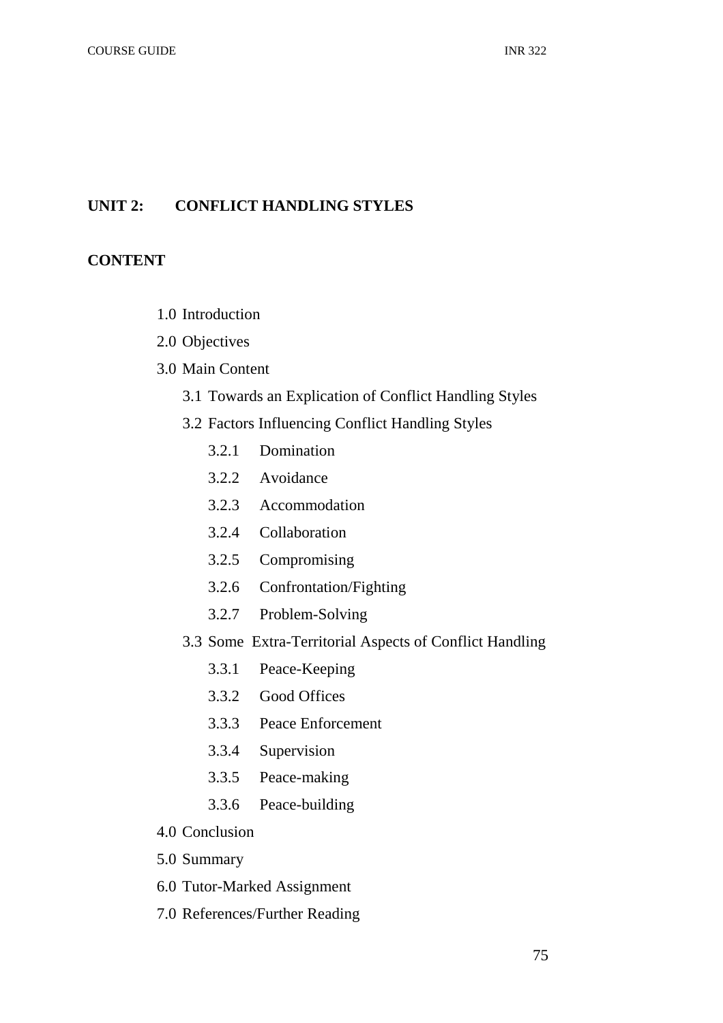# **UNIT 2: CONFLICT HANDLING STYLES**

# **CONTENT**

- 1.0 Introduction
- 2.0 Objectives
- 3.0 Main Content
	- 3.1 Towards an Explication of Conflict Handling Styles
	- 3.2 Factors Influencing Conflict Handling Styles
		- 3.2.1 Domination
		- 3.2.2 Avoidance
		- 3.2.3 Accommodation
		- 3.2.4 Collaboration
		- 3.2.5 Compromising
		- 3.2.6 Confrontation/Fighting
		- 3.2.7 Problem-Solving
	- 3.3 Some Extra-Territorial Aspects of Conflict Handling
		- 3.3.1 Peace-Keeping
		- 3.3.2 Good Offices
		- 3.3.3 Peace Enforcement
		- 3.3.4 Supervision
		- 3.3.5 Peace-making
		- 3.3.6 Peace-building
- 4.0 Conclusion
- 5.0 Summary
- 6.0 Tutor-Marked Assignment
- 7.0 References/Further Reading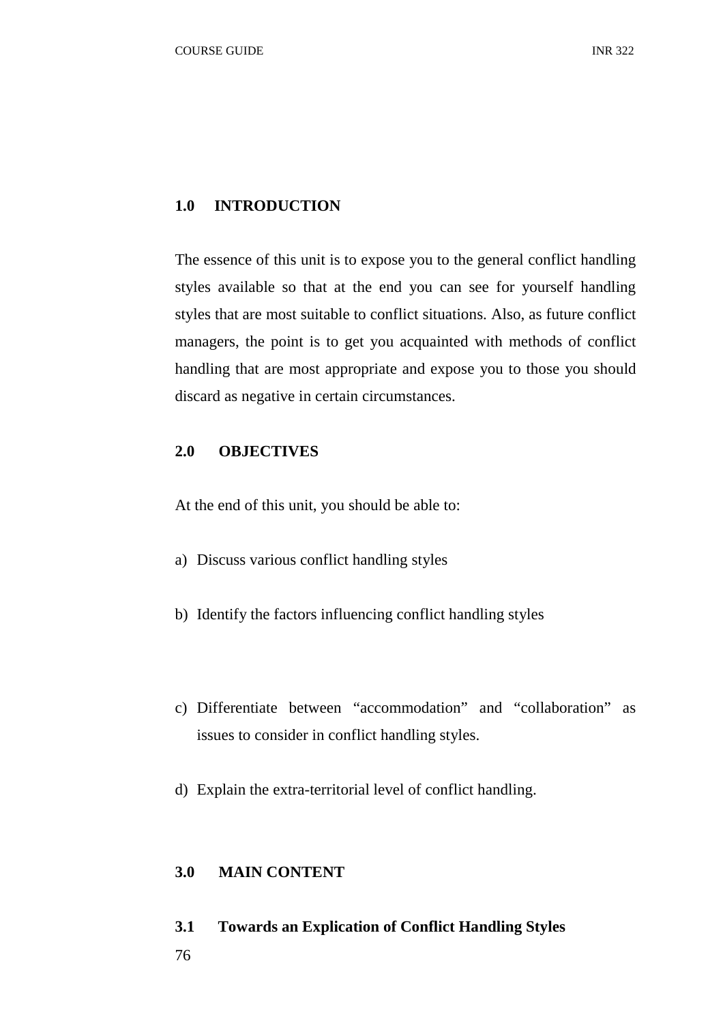# **1.0 INTRODUCTION**

The essence of this unit is to expose you to the general conflict handling styles available so that at the end you can see for yourself handling styles that are most suitable to conflict situations. Also, as future conflict managers, the point is to get you acquainted with methods of conflict handling that are most appropriate and expose you to those you should discard as negative in certain circumstances.

# **2.0 OBJECTIVES**

At the end of this unit, you should be able to:

- a) Discuss various conflict handling styles
- b) Identify the factors influencing conflict handling styles
- c) Differentiate between "accommodation" and "collaboration" as issues to consider in conflict handling styles.
- d) Explain the extra-territorial level of conflict handling.

# **3.0 MAIN CONTENT**

# **3.1 Towards an Explication of Conflict Handling Styles**

76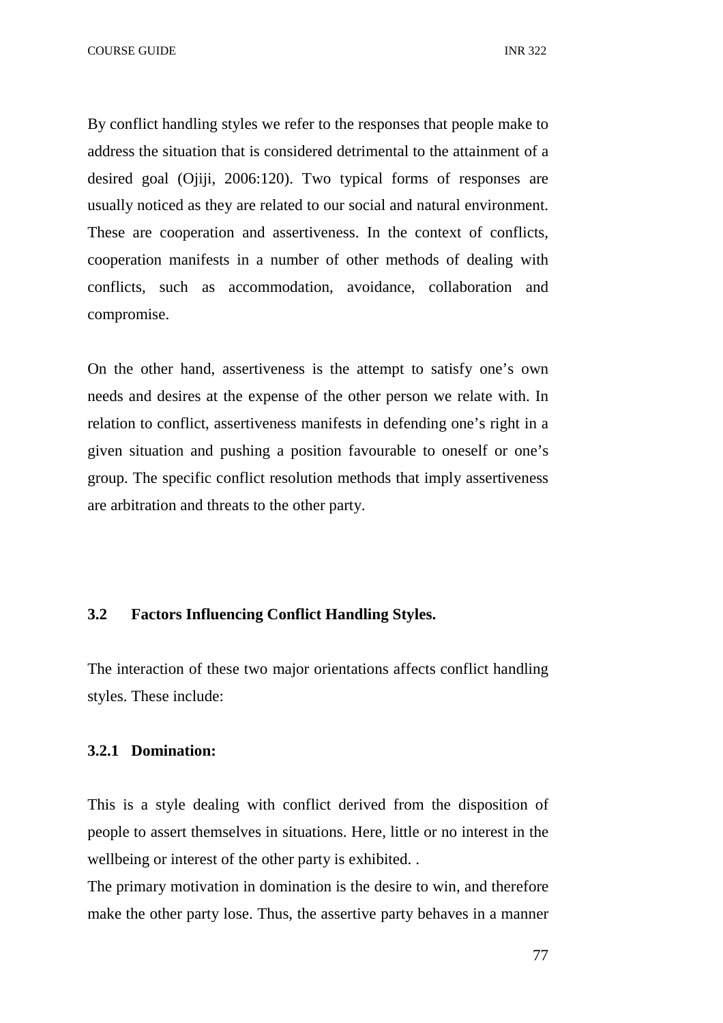COURSE GUIDE **INR** 322

By conflict handling styles we refer to the responses that people make to address the situation that is considered detrimental to the attainment of a desired goal (Ojiji, 2006:120). Two typical forms of responses are usually noticed as they are related to our social and natural environment. These are cooperation and assertiveness. In the context of conflicts, cooperation manifests in a number of other methods of dealing with conflicts, such as accommodation, avoidance, collaboration and compromise.

On the other hand, assertiveness is the attempt to satisfy one's own needs and desires at the expense of the other person we relate with. In relation to conflict, assertiveness manifests in defending one's right in a given situation and pushing a position favourable to oneself or one's group. The specific conflict resolution methods that imply assertiveness are arbitration and threats to the other party.

### **3.2 Factors Influencing Conflict Handling Styles.**

The interaction of these two major orientations affects conflict handling styles. These include:

#### **3.2.1 Domination:**

This is a style dealing with conflict derived from the disposition of people to assert themselves in situations. Here, little or no interest in the wellbeing or interest of the other party is exhibited. .

The primary motivation in domination is the desire to win, and therefore make the other party lose. Thus, the assertive party behaves in a manner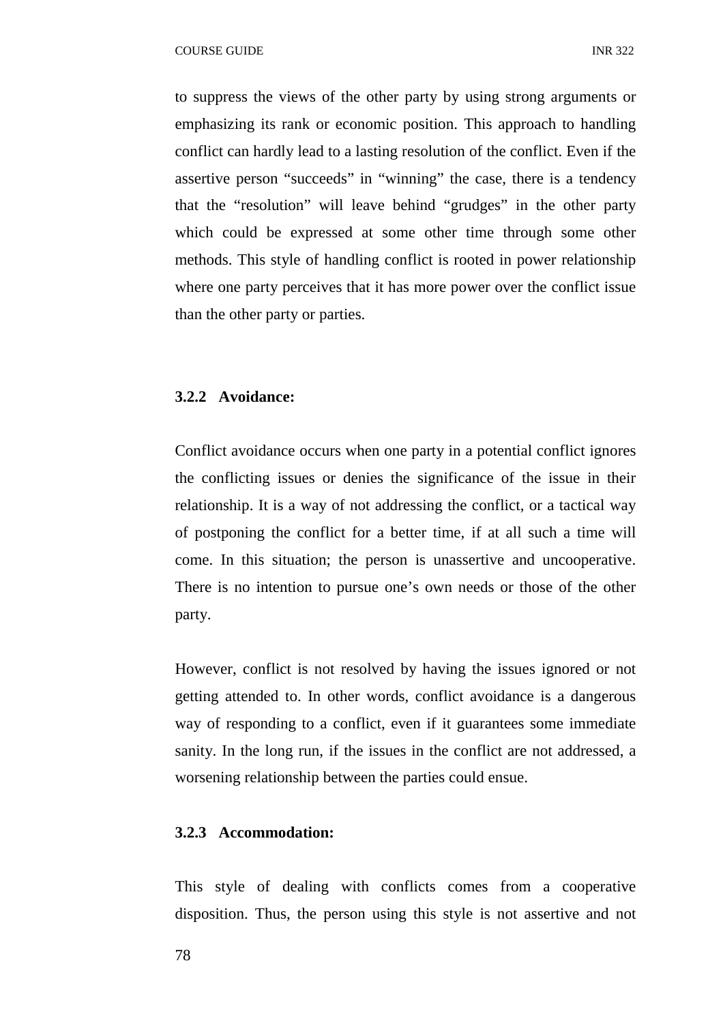to suppress the views of the other party by using strong arguments or emphasizing its rank or economic position. This approach to handling conflict can hardly lead to a lasting resolution of the conflict. Even if the assertive person "succeeds" in "winning" the case, there is a tendency that the "resolution" will leave behind "grudges" in the other party which could be expressed at some other time through some other methods. This style of handling conflict is rooted in power relationship where one party perceives that it has more power over the conflict issue than the other party or parties.

### **3.2.2 Avoidance:**

Conflict avoidance occurs when one party in a potential conflict ignores the conflicting issues or denies the significance of the issue in their relationship. It is a way of not addressing the conflict, or a tactical way of postponing the conflict for a better time, if at all such a time will come. In this situation; the person is unassertive and uncooperative. There is no intention to pursue one's own needs or those of the other party.

However, conflict is not resolved by having the issues ignored or not getting attended to. In other words, conflict avoidance is a dangerous way of responding to a conflict, even if it guarantees some immediate sanity. In the long run, if the issues in the conflict are not addressed, a worsening relationship between the parties could ensue.

#### **3.2.3 Accommodation:**

This style of dealing with conflicts comes from a cooperative disposition. Thus, the person using this style is not assertive and not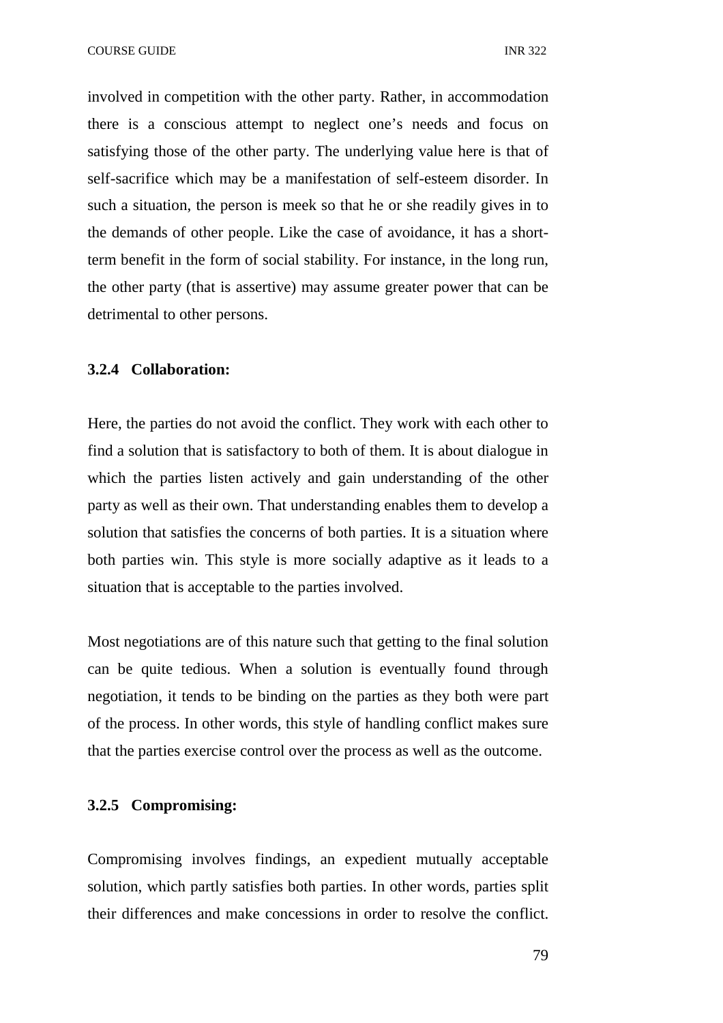involved in competition with the other party. Rather, in accommodation there is a conscious attempt to neglect one's needs and focus on satisfying those of the other party. The underlying value here is that of self-sacrifice which may be a manifestation of self-esteem disorder. In such a situation, the person is meek so that he or she readily gives in to the demands of other people. Like the case of avoidance, it has a shortterm benefit in the form of social stability. For instance, in the long run, the other party (that is assertive) may assume greater power that can be detrimental to other persons.

#### **3.2.4 Collaboration:**

Here, the parties do not avoid the conflict. They work with each other to find a solution that is satisfactory to both of them. It is about dialogue in which the parties listen actively and gain understanding of the other party as well as their own. That understanding enables them to develop a solution that satisfies the concerns of both parties. It is a situation where both parties win. This style is more socially adaptive as it leads to a situation that is acceptable to the parties involved.

Most negotiations are of this nature such that getting to the final solution can be quite tedious. When a solution is eventually found through negotiation, it tends to be binding on the parties as they both were part of the process. In other words, this style of handling conflict makes sure that the parties exercise control over the process as well as the outcome.

# **3.2.5 Compromising:**

Compromising involves findings, an expedient mutually acceptable solution, which partly satisfies both parties. In other words, parties split their differences and make concessions in order to resolve the conflict.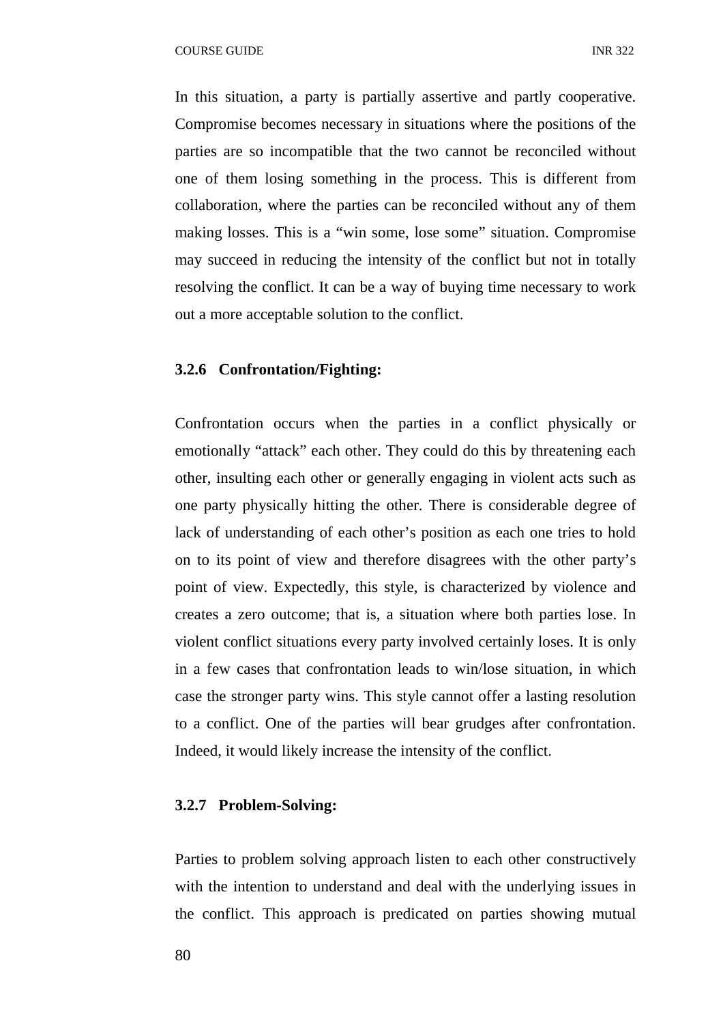In this situation, a party is partially assertive and partly cooperative. Compromise becomes necessary in situations where the positions of the parties are so incompatible that the two cannot be reconciled without one of them losing something in the process. This is different from collaboration, where the parties can be reconciled without any of them making losses. This is a "win some, lose some" situation. Compromise may succeed in reducing the intensity of the conflict but not in totally resolving the conflict. It can be a way of buying time necessary to work out a more acceptable solution to the conflict.

### **3.2.6 Confrontation/Fighting:**

Confrontation occurs when the parties in a conflict physically or emotionally "attack" each other. They could do this by threatening each other, insulting each other or generally engaging in violent acts such as one party physically hitting the other. There is considerable degree of lack of understanding of each other's position as each one tries to hold on to its point of view and therefore disagrees with the other party's point of view. Expectedly, this style, is characterized by violence and creates a zero outcome; that is, a situation where both parties lose. In violent conflict situations every party involved certainly loses. It is only in a few cases that confrontation leads to win/lose situation, in which case the stronger party wins. This style cannot offer a lasting resolution to a conflict. One of the parties will bear grudges after confrontation. Indeed, it would likely increase the intensity of the conflict.

# **3.2.7 Problem-Solving:**

Parties to problem solving approach listen to each other constructively with the intention to understand and deal with the underlying issues in the conflict. This approach is predicated on parties showing mutual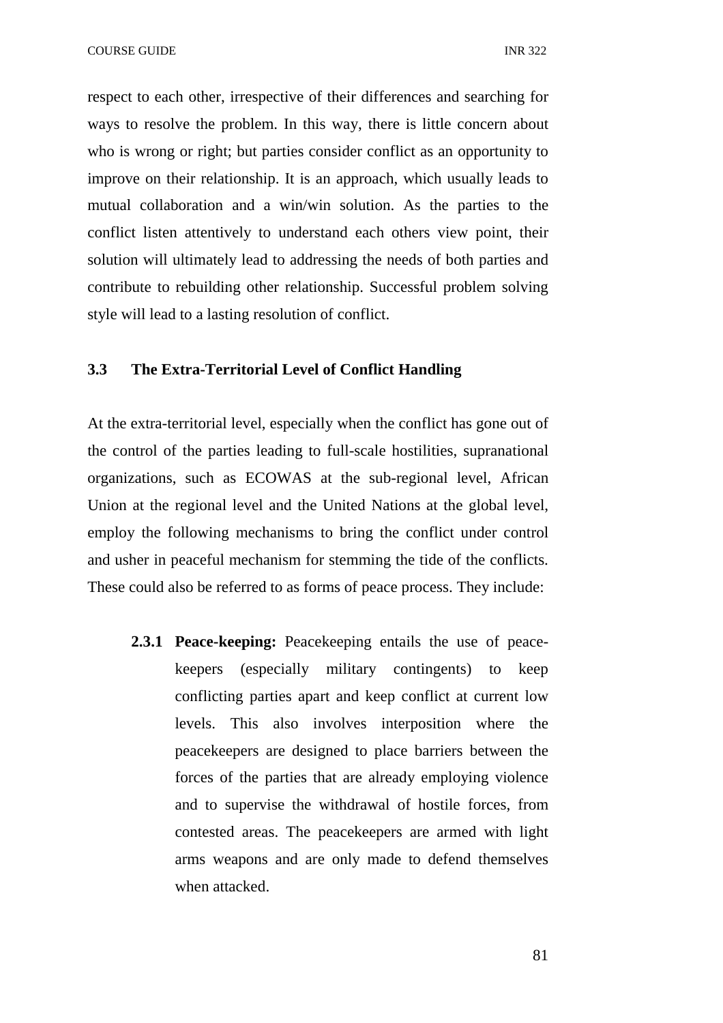COURSE GUIDE **INR** 322

respect to each other, irrespective of their differences and searching for ways to resolve the problem. In this way, there is little concern about who is wrong or right; but parties consider conflict as an opportunity to improve on their relationship. It is an approach, which usually leads to mutual collaboration and a win/win solution. As the parties to the conflict listen attentively to understand each others view point, their solution will ultimately lead to addressing the needs of both parties and contribute to rebuilding other relationship. Successful problem solving style will lead to a lasting resolution of conflict.

# **3.3 The Extra-Territorial Level of Conflict Handling**

At the extra-territorial level, especially when the conflict has gone out of the control of the parties leading to full-scale hostilities, supranational organizations, such as ECOWAS at the sub-regional level, African Union at the regional level and the United Nations at the global level, employ the following mechanisms to bring the conflict under control and usher in peaceful mechanism for stemming the tide of the conflicts. These could also be referred to as forms of peace process. They include:

**2.3.1 Peace-keeping:** Peacekeeping entails the use of peacekeepers (especially military contingents) to keep conflicting parties apart and keep conflict at current low levels. This also involves interposition where the peacekeepers are designed to place barriers between the forces of the parties that are already employing violence and to supervise the withdrawal of hostile forces, from contested areas. The peacekeepers are armed with light arms weapons and are only made to defend themselves when attacked.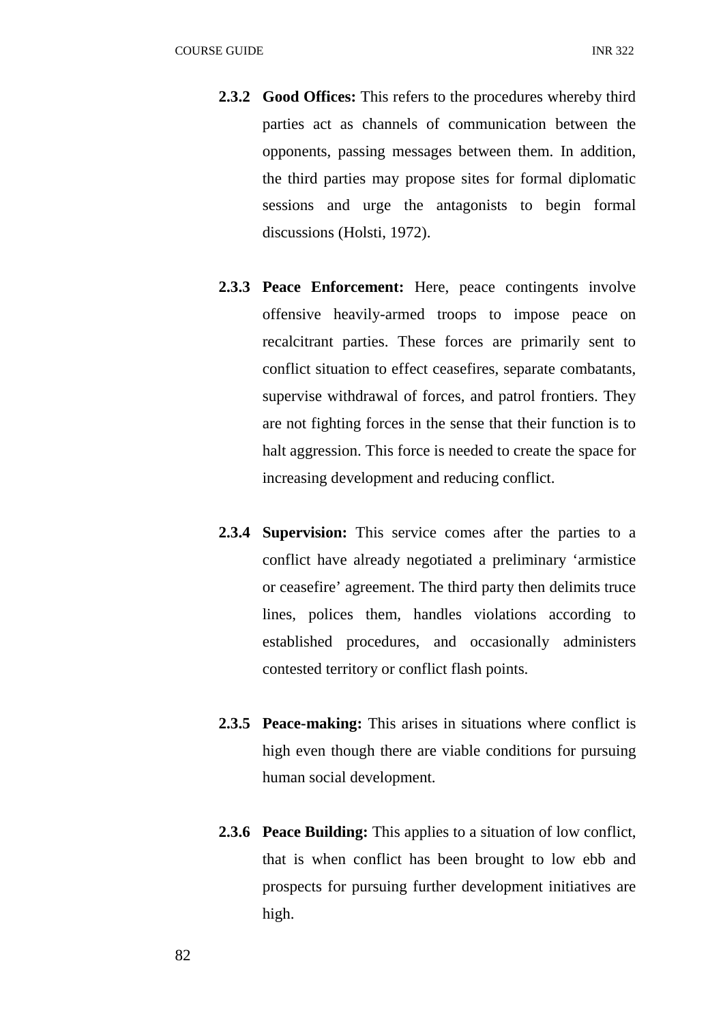- **2.3.2 Good Offices:** This refers to the procedures whereby third parties act as channels of communication between the opponents, passing messages between them. In addition, the third parties may propose sites for formal diplomatic sessions and urge the antagonists to begin formal discussions (Holsti, 1972).
- **2.3.3 Peace Enforcement:** Here, peace contingents involve offensive heavily-armed troops to impose peace on recalcitrant parties. These forces are primarily sent to conflict situation to effect ceasefires, separate combatants, supervise withdrawal of forces, and patrol frontiers. They are not fighting forces in the sense that their function is to halt aggression. This force is needed to create the space for increasing development and reducing conflict.
- **2.3.4 Supervision:** This service comes after the parties to a conflict have already negotiated a preliminary 'armistice or ceasefire' agreement. The third party then delimits truce lines, polices them, handles violations according to established procedures, and occasionally administers contested territory or conflict flash points.
- **2.3.5 Peace-making:** This arises in situations where conflict is high even though there are viable conditions for pursuing human social development.
- **2.3.6 Peace Building:** This applies to a situation of low conflict, that is when conflict has been brought to low ebb and prospects for pursuing further development initiatives are high.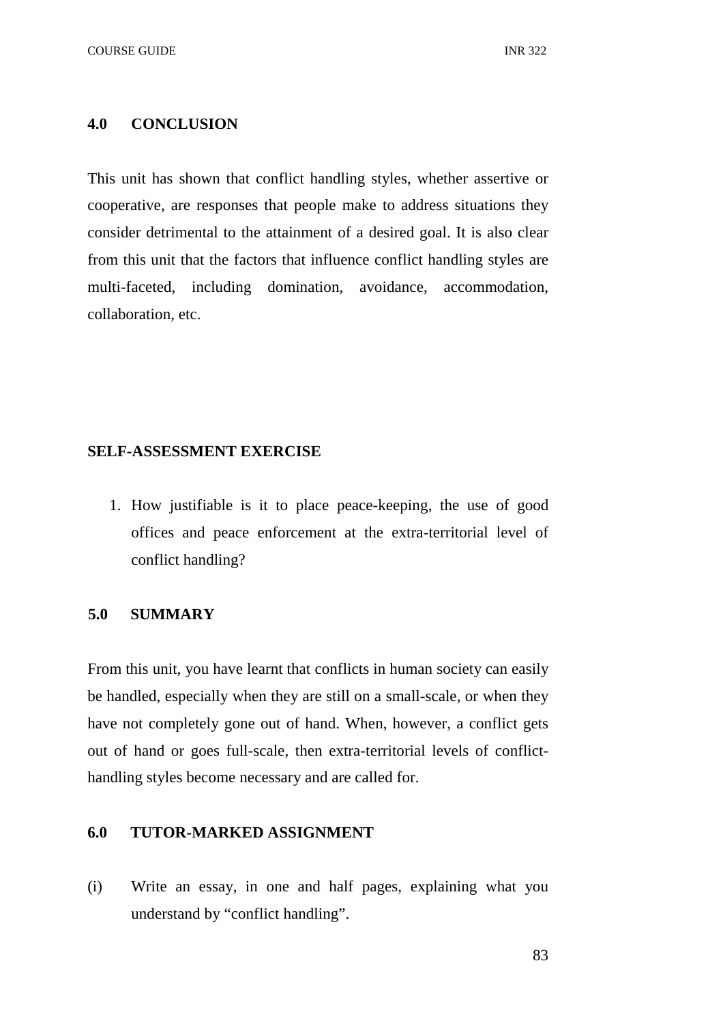#### **4.0 CONCLUSION**

This unit has shown that conflict handling styles, whether assertive or cooperative, are responses that people make to address situations they consider detrimental to the attainment of a desired goal. It is also clear from this unit that the factors that influence conflict handling styles are multi-faceted, including domination, avoidance, accommodation, collaboration, etc.

#### **SELF-ASSESSMENT EXERCISE**

1. How justifiable is it to place peace-keeping, the use of good offices and peace enforcement at the extra-territorial level of conflict handling?

# **5.0 SUMMARY**

From this unit, you have learnt that conflicts in human society can easily be handled, especially when they are still on a small-scale, or when they have not completely gone out of hand. When, however, a conflict gets out of hand or goes full-scale, then extra-territorial levels of conflicthandling styles become necessary and are called for.

# **6.0 TUTOR-MARKED ASSIGNMENT**

(i) Write an essay, in one and half pages, explaining what you understand by "conflict handling".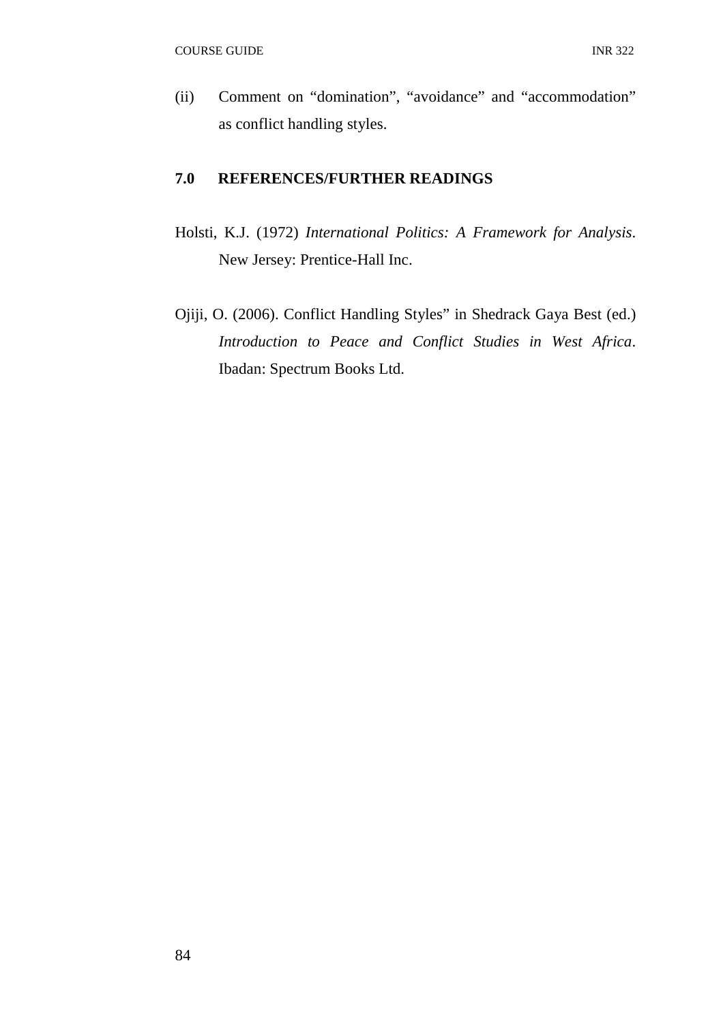(ii) Comment on "domination", "avoidance" and "accommodation" as conflict handling styles.

# **7.0 REFERENCES/FURTHER READINGS**

- Holsti, K.J. (1972) *International Politics: A Framework for Analysis*. New Jersey: Prentice-Hall Inc.
- Ojiji, O. (2006). Conflict Handling Styles" in Shedrack Gaya Best (ed.) *Introduction to Peace and Conflict Studies in West Africa*. Ibadan: Spectrum Books Ltd.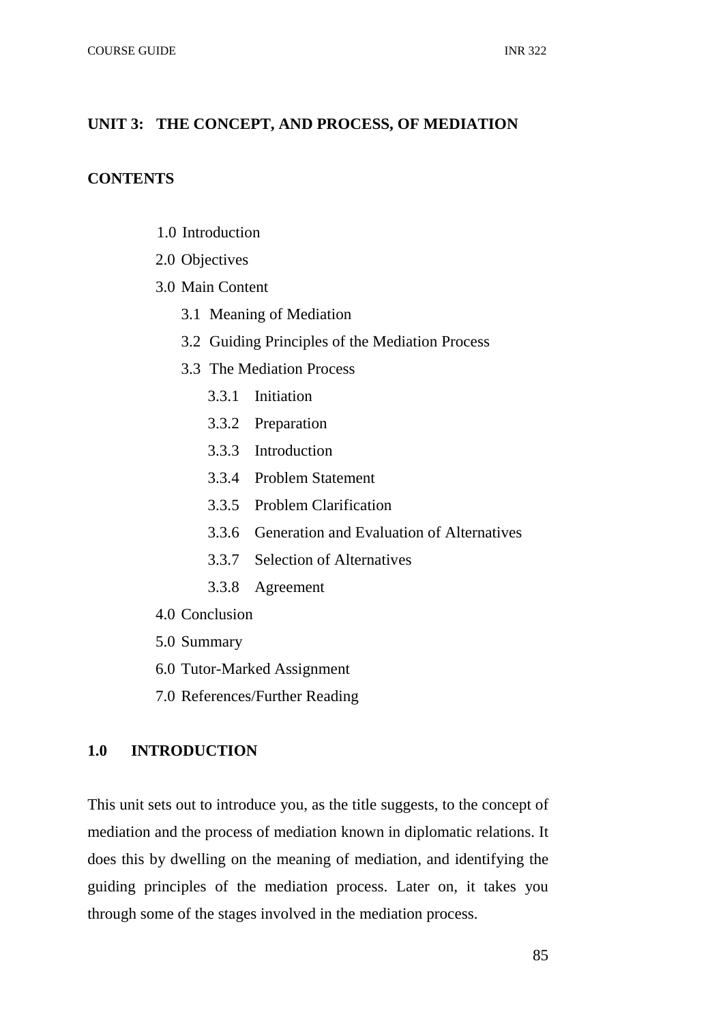### **UNIT 3: THE CONCEPT, AND PROCESS, OF MEDIATION**

### **CONTENTS**

- 1.0 Introduction
- 2.0 Objectives
- 3.0 Main Content
	- 3.1 Meaning of Mediation
	- 3.2 Guiding Principles of the Mediation Process
	- 3.3 The Mediation Process
		- 3.3.1 Initiation
		- 3.3.2 Preparation
		- 3.3.3 Introduction
		- 3.3.4 Problem Statement
		- 3.3.5 Problem Clarification
		- 3.3.6 Generation and Evaluation of Alternatives
		- 3.3.7 Selection of Alternatives
		- 3.3.8 Agreement
- 4.0 Conclusion
- 5.0 Summary
- 6.0 Tutor-Marked Assignment
- 7.0 References/Further Reading

# **1.0 INTRODUCTION**

This unit sets out to introduce you, as the title suggests, to the concept of mediation and the process of mediation known in diplomatic relations. It does this by dwelling on the meaning of mediation, and identifying the guiding principles of the mediation process. Later on, it takes you through some of the stages involved in the mediation process.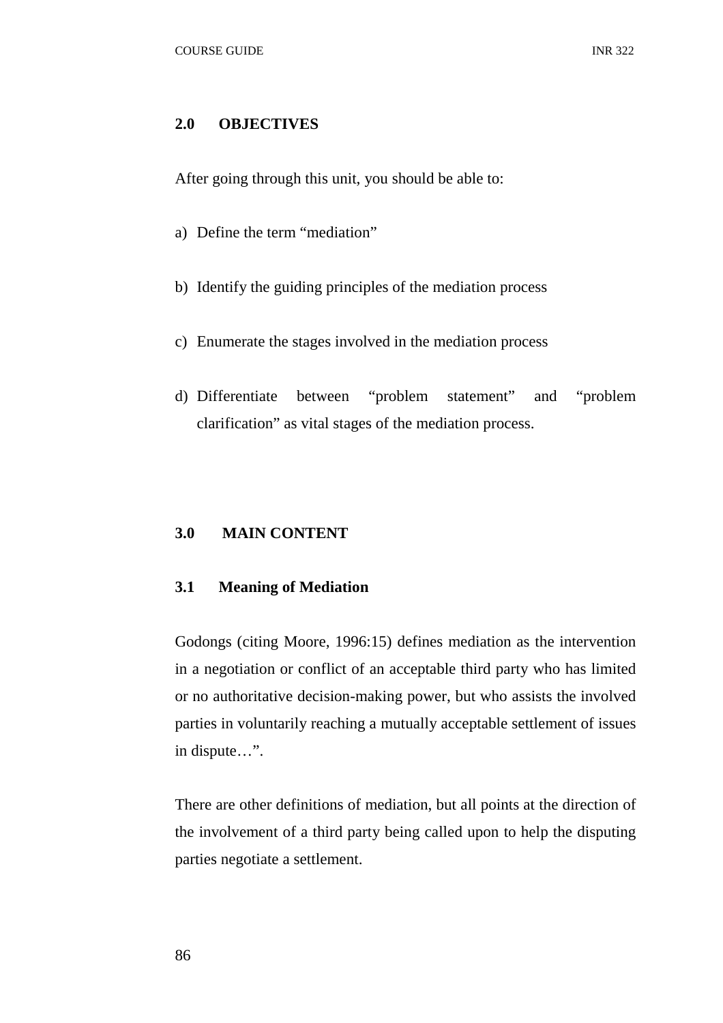#### **2.0 OBJECTIVES**

After going through this unit, you should be able to:

- a) Define the term "mediation"
- b) Identify the guiding principles of the mediation process
- c) Enumerate the stages involved in the mediation process
- d) Differentiate between "problem statement" and "problem clarification" as vital stages of the mediation process.

#### **3.0 MAIN CONTENT**

### **3.1 Meaning of Mediation**

Godongs (citing Moore, 1996:15) defines mediation as the intervention in a negotiation or conflict of an acceptable third party who has limited or no authoritative decision-making power, but who assists the involved parties in voluntarily reaching a mutually acceptable settlement of issues in dispute…".

There are other definitions of mediation, but all points at the direction of the involvement of a third party being called upon to help the disputing parties negotiate a settlement.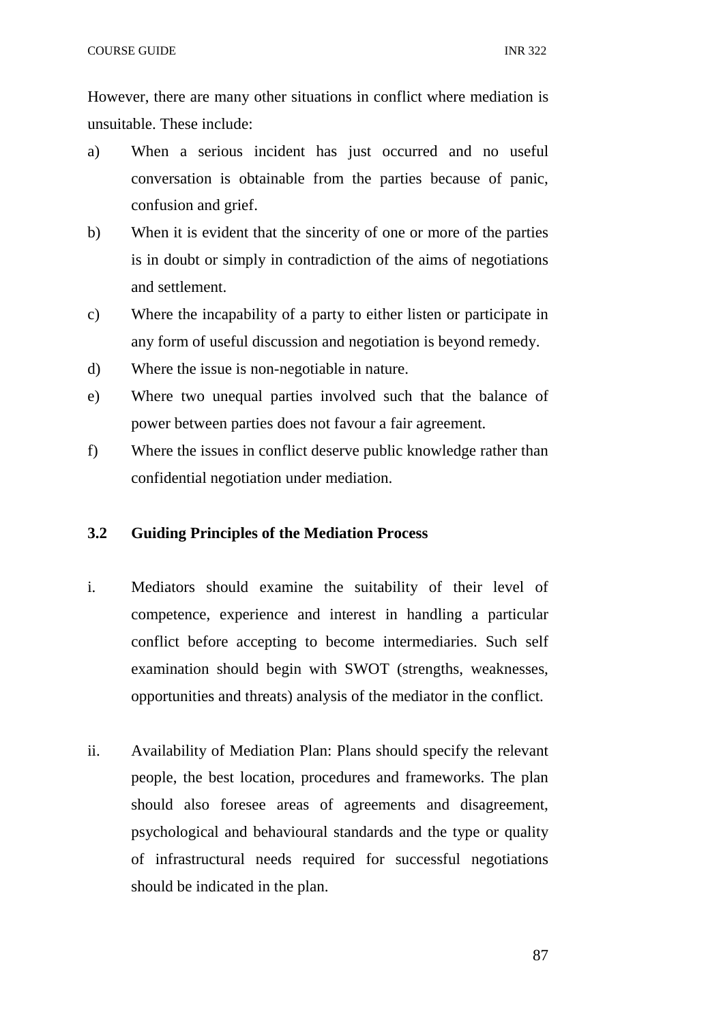However, there are many other situations in conflict where mediation is unsuitable. These include:

- a) When a serious incident has just occurred and no useful conversation is obtainable from the parties because of panic, confusion and grief.
- b) When it is evident that the sincerity of one or more of the parties is in doubt or simply in contradiction of the aims of negotiations and settlement.
- c) Where the incapability of a party to either listen or participate in any form of useful discussion and negotiation is beyond remedy.
- d) Where the issue is non-negotiable in nature.
- e) Where two unequal parties involved such that the balance of power between parties does not favour a fair agreement.
- f) Where the issues in conflict deserve public knowledge rather than confidential negotiation under mediation.

# **3.2 Guiding Principles of the Mediation Process**

- i. Mediators should examine the suitability of their level of competence, experience and interest in handling a particular conflict before accepting to become intermediaries. Such self examination should begin with SWOT (strengths, weaknesses, opportunities and threats) analysis of the mediator in the conflict.
- ii. Availability of Mediation Plan: Plans should specify the relevant people, the best location, procedures and frameworks. The plan should also foresee areas of agreements and disagreement, psychological and behavioural standards and the type or quality of infrastructural needs required for successful negotiations should be indicated in the plan.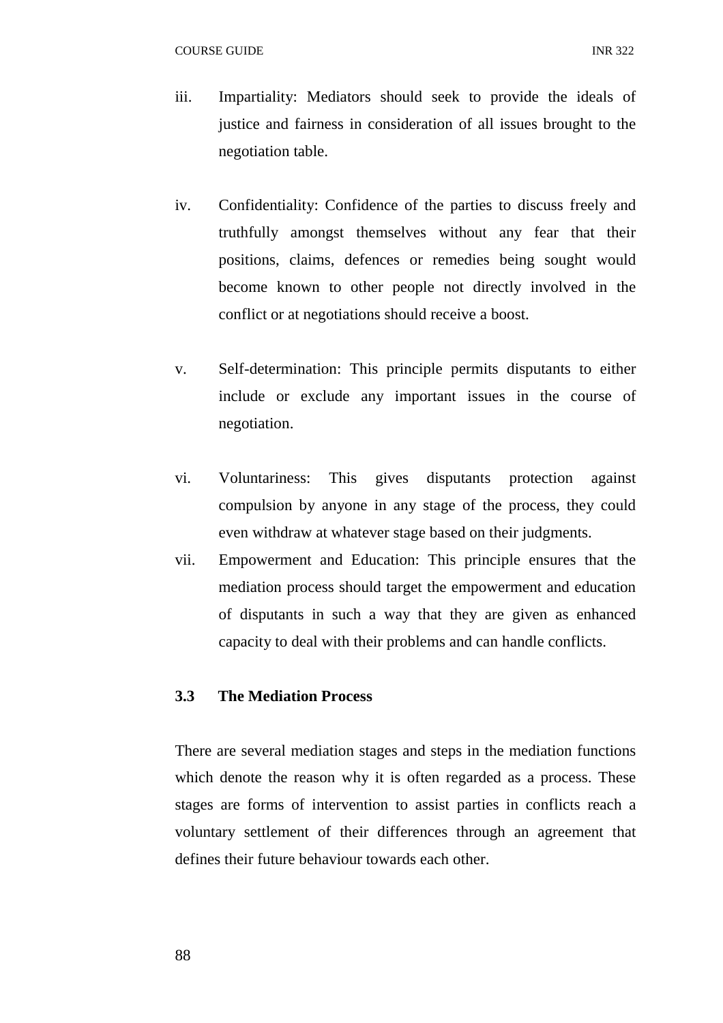- iii. Impartiality: Mediators should seek to provide the ideals of justice and fairness in consideration of all issues brought to the negotiation table.
- iv. Confidentiality: Confidence of the parties to discuss freely and truthfully amongst themselves without any fear that their positions, claims, defences or remedies being sought would become known to other people not directly involved in the conflict or at negotiations should receive a boost.
- v. Self-determination: This principle permits disputants to either include or exclude any important issues in the course of negotiation.
- vi. Voluntariness: This gives disputants protection against compulsion by anyone in any stage of the process, they could even withdraw at whatever stage based on their judgments.
- vii. Empowerment and Education: This principle ensures that the mediation process should target the empowerment and education of disputants in such a way that they are given as enhanced capacity to deal with their problems and can handle conflicts.

# **3.3 The Mediation Process**

There are several mediation stages and steps in the mediation functions which denote the reason why it is often regarded as a process. These stages are forms of intervention to assist parties in conflicts reach a voluntary settlement of their differences through an agreement that defines their future behaviour towards each other.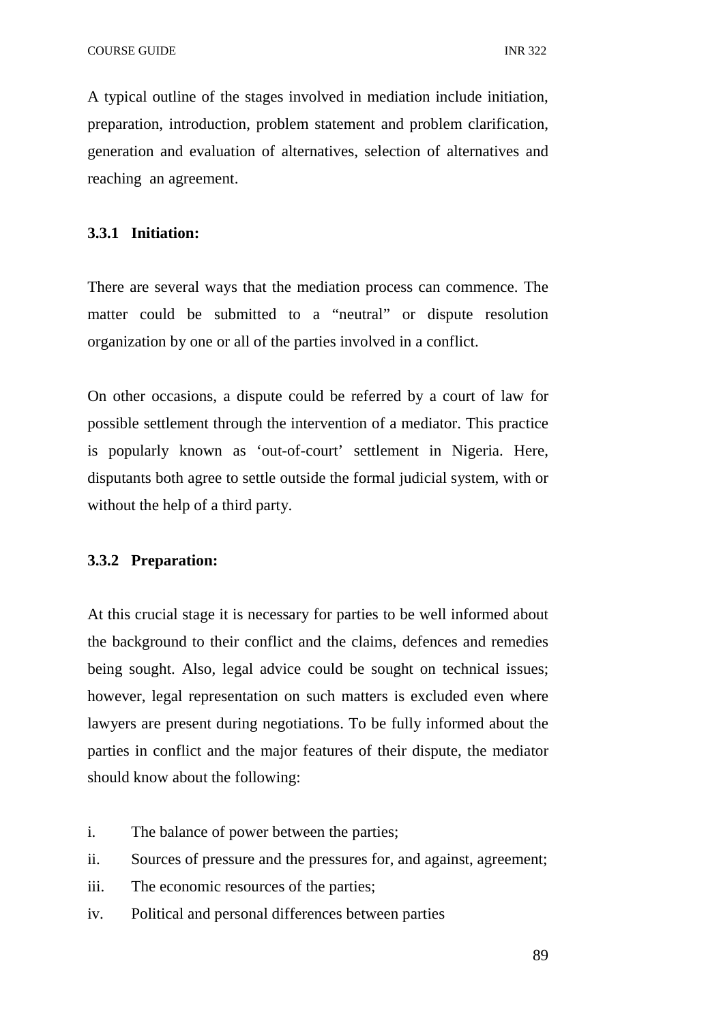A typical outline of the stages involved in mediation include initiation, preparation, introduction, problem statement and problem clarification, generation and evaluation of alternatives, selection of alternatives and reaching an agreement.

# **3.3.1 Initiation:**

There are several ways that the mediation process can commence. The matter could be submitted to a "neutral" or dispute resolution organization by one or all of the parties involved in a conflict.

On other occasions, a dispute could be referred by a court of law for possible settlement through the intervention of a mediator. This practice is popularly known as 'out-of-court' settlement in Nigeria. Here, disputants both agree to settle outside the formal judicial system, with or without the help of a third party.

### **3.3.2 Preparation:**

At this crucial stage it is necessary for parties to be well informed about the background to their conflict and the claims, defences and remedies being sought. Also, legal advice could be sought on technical issues; however, legal representation on such matters is excluded even where lawyers are present during negotiations. To be fully informed about the parties in conflict and the major features of their dispute, the mediator should know about the following:

- i. The balance of power between the parties;
- ii. Sources of pressure and the pressures for, and against, agreement;
- iii. The economic resources of the parties;
- iv. Political and personal differences between parties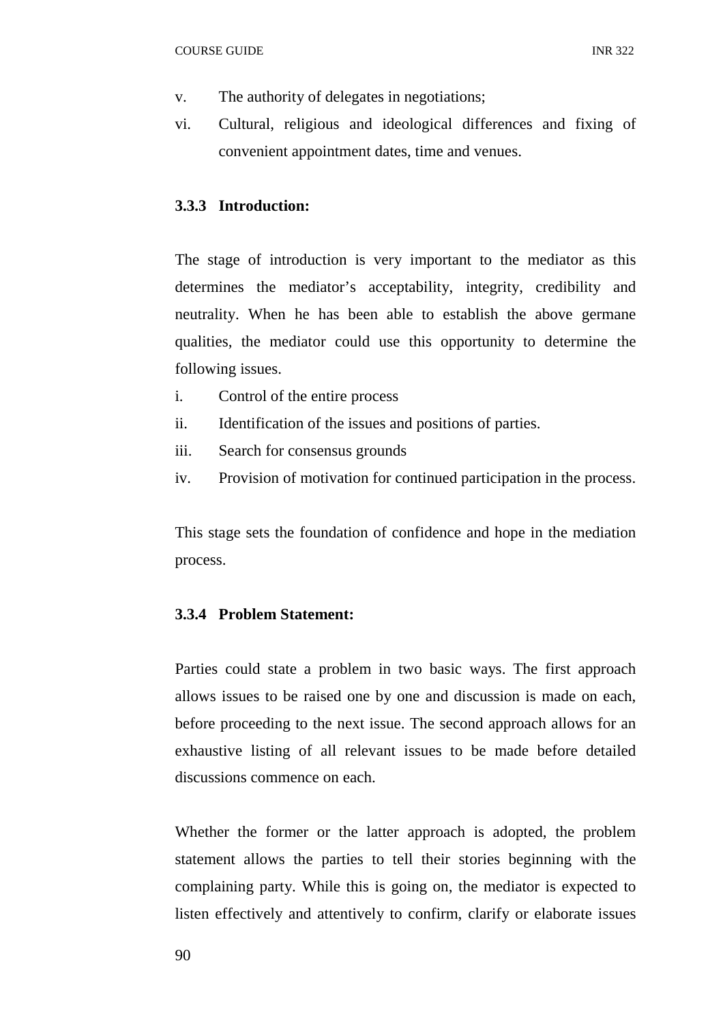- v. The authority of delegates in negotiations;
- vi. Cultural, religious and ideological differences and fixing of convenient appointment dates, time and venues.

# **3.3.3 Introduction:**

The stage of introduction is very important to the mediator as this determines the mediator's acceptability, integrity, credibility and neutrality. When he has been able to establish the above germane qualities, the mediator could use this opportunity to determine the following issues.

- i. Control of the entire process
- ii. Identification of the issues and positions of parties.
- iii. Search for consensus grounds
- iv. Provision of motivation for continued participation in the process.

This stage sets the foundation of confidence and hope in the mediation process.

### **3.3.4 Problem Statement:**

Parties could state a problem in two basic ways. The first approach allows issues to be raised one by one and discussion is made on each, before proceeding to the next issue. The second approach allows for an exhaustive listing of all relevant issues to be made before detailed discussions commence on each.

Whether the former or the latter approach is adopted, the problem statement allows the parties to tell their stories beginning with the complaining party. While this is going on, the mediator is expected to listen effectively and attentively to confirm, clarify or elaborate issues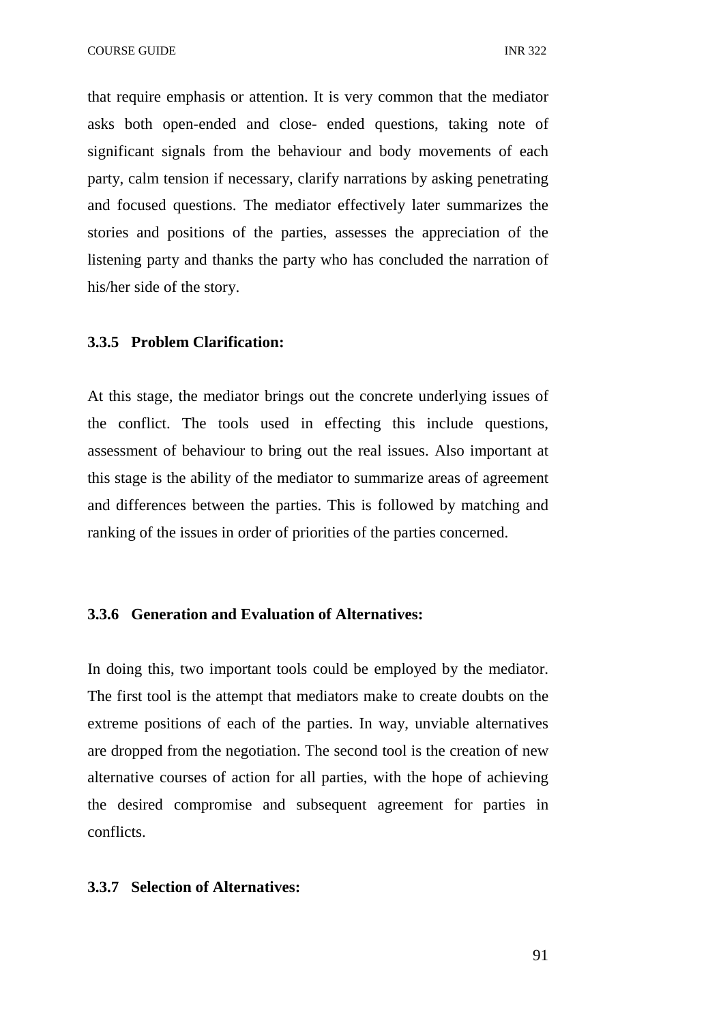that require emphasis or attention. It is very common that the mediator asks both open-ended and close- ended questions, taking note of significant signals from the behaviour and body movements of each party, calm tension if necessary, clarify narrations by asking penetrating and focused questions. The mediator effectively later summarizes the stories and positions of the parties, assesses the appreciation of the listening party and thanks the party who has concluded the narration of his/her side of the story.

# **3.3.5 Problem Clarification:**

At this stage, the mediator brings out the concrete underlying issues of the conflict. The tools used in effecting this include questions, assessment of behaviour to bring out the real issues. Also important at this stage is the ability of the mediator to summarize areas of agreement and differences between the parties. This is followed by matching and ranking of the issues in order of priorities of the parties concerned.

#### **3.3.6 Generation and Evaluation of Alternatives:**

In doing this, two important tools could be employed by the mediator. The first tool is the attempt that mediators make to create doubts on the extreme positions of each of the parties. In way, unviable alternatives are dropped from the negotiation. The second tool is the creation of new alternative courses of action for all parties, with the hope of achieving the desired compromise and subsequent agreement for parties in conflicts.

### **3.3.7 Selection of Alternatives:**

91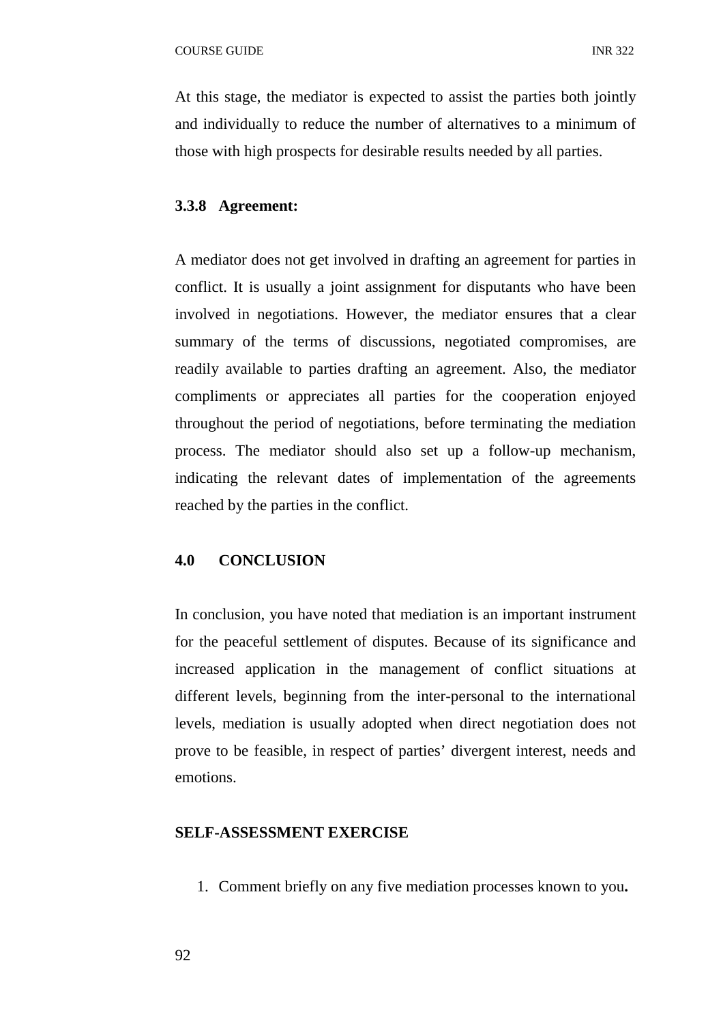At this stage, the mediator is expected to assist the parties both jointly and individually to reduce the number of alternatives to a minimum of those with high prospects for desirable results needed by all parties.

# **3.3.8 Agreement:**

A mediator does not get involved in drafting an agreement for parties in conflict. It is usually a joint assignment for disputants who have been involved in negotiations. However, the mediator ensures that a clear summary of the terms of discussions, negotiated compromises, are readily available to parties drafting an agreement. Also, the mediator compliments or appreciates all parties for the cooperation enjoyed throughout the period of negotiations, before terminating the mediation process. The mediator should also set up a follow-up mechanism, indicating the relevant dates of implementation of the agreements reached by the parties in the conflict.

# **4.0 CONCLUSION**

In conclusion, you have noted that mediation is an important instrument for the peaceful settlement of disputes. Because of its significance and increased application in the management of conflict situations at different levels, beginning from the inter-personal to the international levels, mediation is usually adopted when direct negotiation does not prove to be feasible, in respect of parties' divergent interest, needs and emotions.

#### **SELF-ASSESSMENT EXERCISE**

1. Comment briefly on any five mediation processes known to you**.**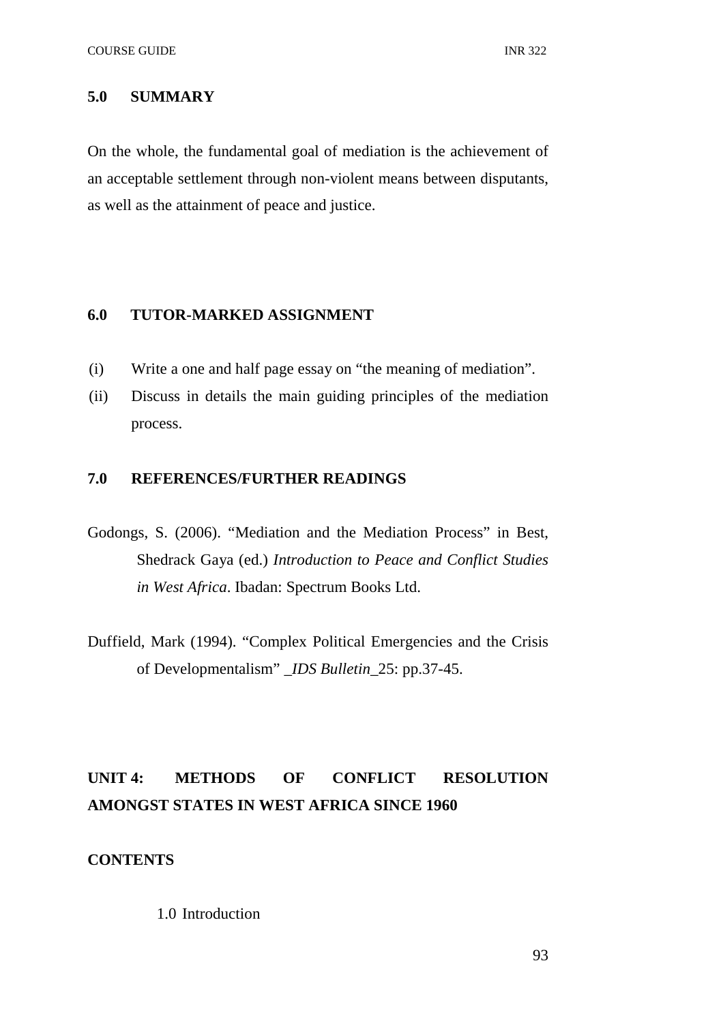# **5.0 SUMMARY**

On the whole, the fundamental goal of mediation is the achievement of an acceptable settlement through non-violent means between disputants, as well as the attainment of peace and justice.

# **6.0 TUTOR-MARKED ASSIGNMENT**

- (i) Write a one and half page essay on "the meaning of mediation".
- (ii) Discuss in details the main guiding principles of the mediation process.

# **7.0 REFERENCES/FURTHER READINGS**

- Godongs, S. (2006). "Mediation and the Mediation Process" in Best, Shedrack Gaya (ed.) *Introduction to Peace and Conflict Studies in West Africa*. Ibadan: Spectrum Books Ltd.
- Duffield, Mark (1994). "Complex Political Emergencies and the Crisis of Developmentalism" \_*IDS Bulletin*\_25: pp.37-45.

# **UNIT 4: METHODS OF CONFLICT RESOLUTION AMONGST STATES IN WEST AFRICA SINCE 1960**

# **CONTENTS**

# 1.0 Introduction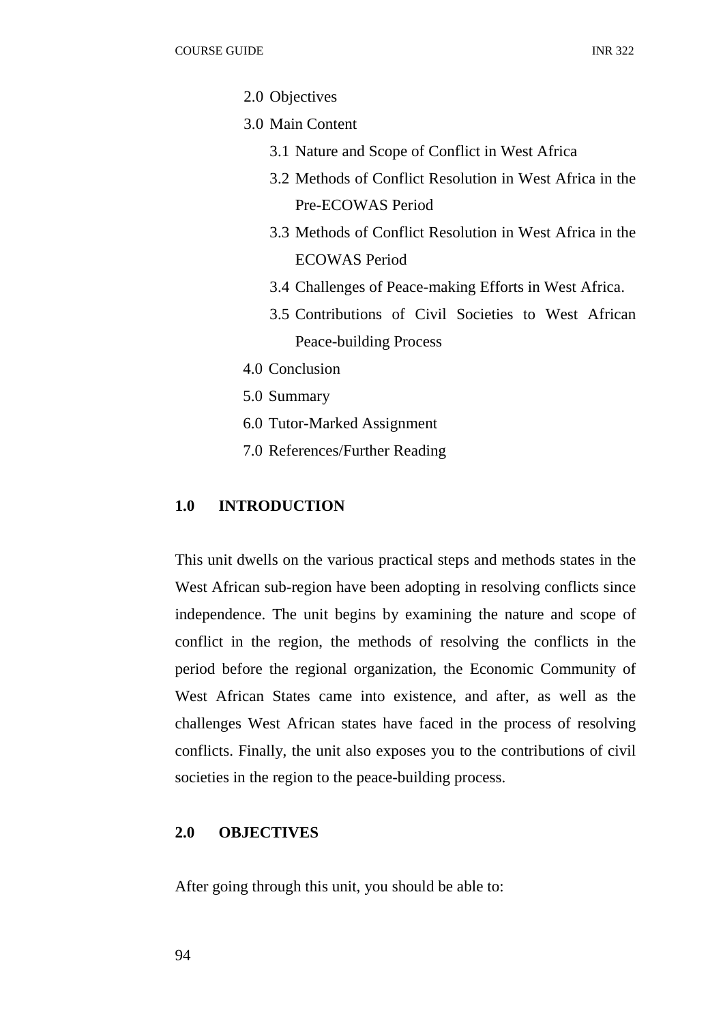- 2.0 Objectives
- 3.0 Main Content
	- 3.1 Nature and Scope of Conflict in West Africa
	- 3.2 Methods of Conflict Resolution in West Africa in the Pre-ECOWAS Period
	- 3.3 Methods of Conflict Resolution in West Africa in the ECOWAS Period
	- 3.4 Challenges of Peace-making Efforts in West Africa.
	- 3.5 Contributions of Civil Societies to West African Peace-building Process
- 4.0 Conclusion
- 5.0 Summary
- 6.0 Tutor-Marked Assignment
- 7.0 References/Further Reading

# **1.0 INTRODUCTION**

This unit dwells on the various practical steps and methods states in the West African sub-region have been adopting in resolving conflicts since independence. The unit begins by examining the nature and scope of conflict in the region, the methods of resolving the conflicts in the period before the regional organization, the Economic Community of West African States came into existence, and after, as well as the challenges West African states have faced in the process of resolving conflicts. Finally, the unit also exposes you to the contributions of civil societies in the region to the peace-building process.

# **2.0 OBJECTIVES**

After going through this unit, you should be able to: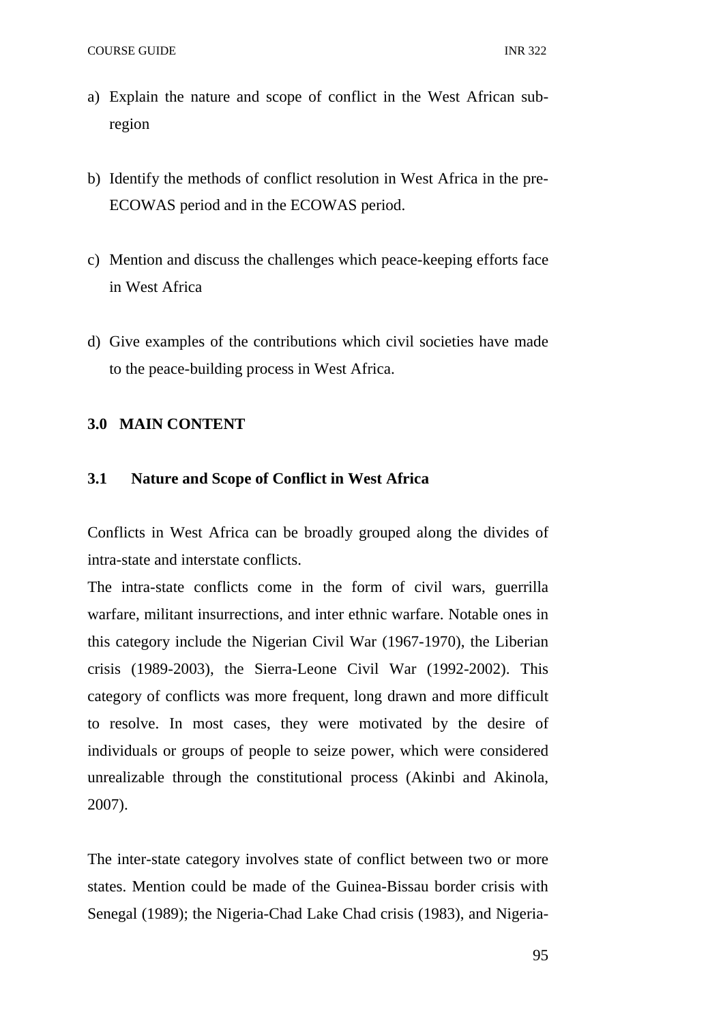- a) Explain the nature and scope of conflict in the West African subregion
- b) Identify the methods of conflict resolution in West Africa in the pre-ECOWAS period and in the ECOWAS period.
- c) Mention and discuss the challenges which peace-keeping efforts face in West Africa
- d) Give examples of the contributions which civil societies have made to the peace-building process in West Africa.

### **3.0 MAIN CONTENT**

### **3.1 Nature and Scope of Conflict in West Africa**

Conflicts in West Africa can be broadly grouped along the divides of intra-state and interstate conflicts.

The intra-state conflicts come in the form of civil wars, guerrilla warfare, militant insurrections, and inter ethnic warfare. Notable ones in this category include the Nigerian Civil War (1967-1970), the Liberian crisis (1989-2003), the Sierra-Leone Civil War (1992-2002). This category of conflicts was more frequent, long drawn and more difficult to resolve. In most cases, they were motivated by the desire of individuals or groups of people to seize power, which were considered unrealizable through the constitutional process (Akinbi and Akinola, 2007).

The inter-state category involves state of conflict between two or more states. Mention could be made of the Guinea-Bissau border crisis with Senegal (1989); the Nigeria-Chad Lake Chad crisis (1983), and Nigeria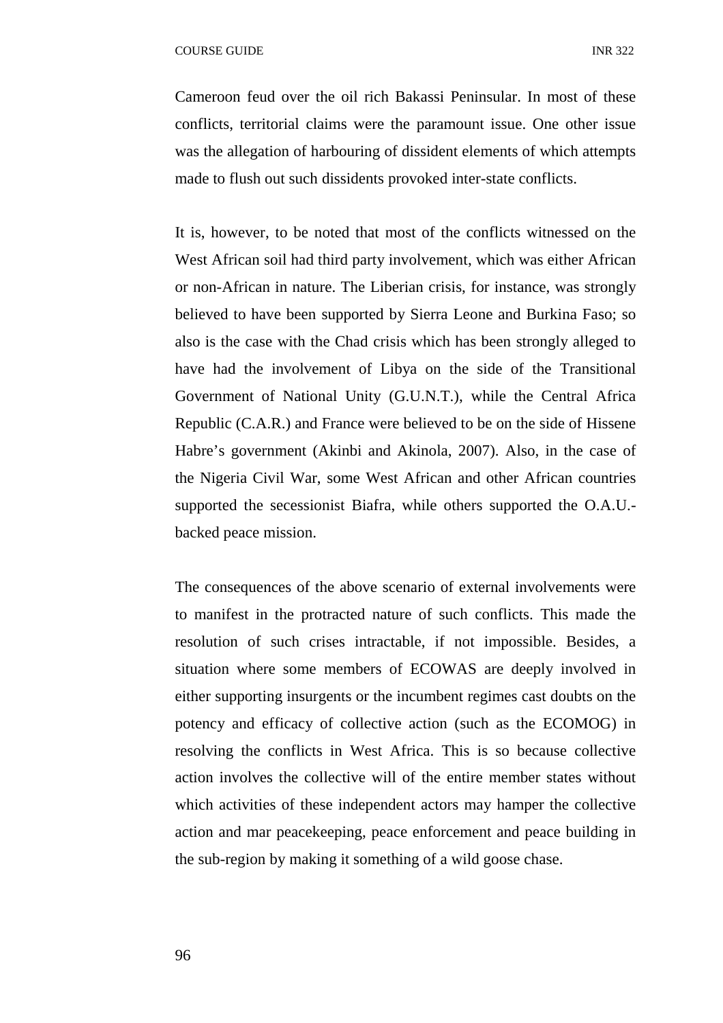Cameroon feud over the oil rich Bakassi Peninsular. In most of these conflicts, territorial claims were the paramount issue. One other issue was the allegation of harbouring of dissident elements of which attempts made to flush out such dissidents provoked inter-state conflicts.

It is, however, to be noted that most of the conflicts witnessed on the West African soil had third party involvement, which was either African or non-African in nature. The Liberian crisis, for instance, was strongly believed to have been supported by Sierra Leone and Burkina Faso; so also is the case with the Chad crisis which has been strongly alleged to have had the involvement of Libya on the side of the Transitional Government of National Unity (G.U.N.T.), while the Central Africa Republic (C.A.R.) and France were believed to be on the side of Hissene Habre's government (Akinbi and Akinola, 2007). Also, in the case of the Nigeria Civil War, some West African and other African countries supported the secessionist Biafra, while others supported the O.A.U. backed peace mission.

The consequences of the above scenario of external involvements were to manifest in the protracted nature of such conflicts. This made the resolution of such crises intractable, if not impossible. Besides, a situation where some members of ECOWAS are deeply involved in either supporting insurgents or the incumbent regimes cast doubts on the potency and efficacy of collective action (such as the ECOMOG) in resolving the conflicts in West Africa. This is so because collective action involves the collective will of the entire member states without which activities of these independent actors may hamper the collective action and mar peacekeeping, peace enforcement and peace building in the sub-region by making it something of a wild goose chase.

96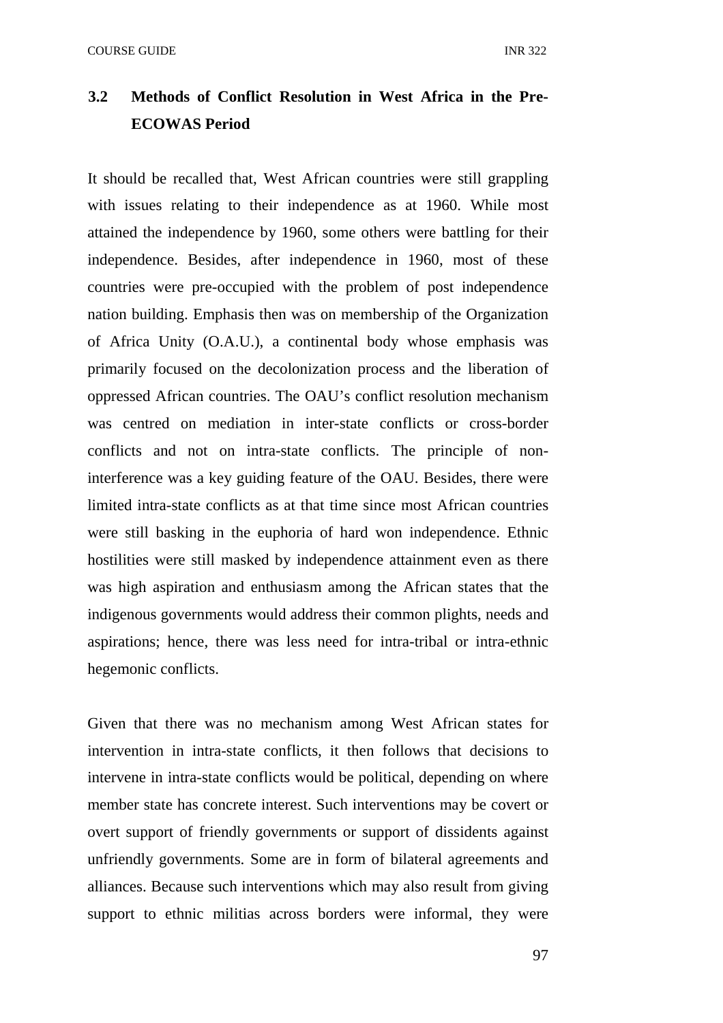# **3.2 Methods of Conflict Resolution in West Africa in the Pre-ECOWAS Period**

It should be recalled that, West African countries were still grappling with issues relating to their independence as at 1960. While most attained the independence by 1960, some others were battling for their independence. Besides, after independence in 1960, most of these countries were pre-occupied with the problem of post independence nation building. Emphasis then was on membership of the Organization of Africa Unity (O.A.U.), a continental body whose emphasis was primarily focused on the decolonization process and the liberation of oppressed African countries. The OAU's conflict resolution mechanism was centred on mediation in inter-state conflicts or cross-border conflicts and not on intra-state conflicts. The principle of noninterference was a key guiding feature of the OAU. Besides, there were limited intra-state conflicts as at that time since most African countries were still basking in the euphoria of hard won independence. Ethnic hostilities were still masked by independence attainment even as there was high aspiration and enthusiasm among the African states that the indigenous governments would address their common plights, needs and aspirations; hence, there was less need for intra-tribal or intra-ethnic hegemonic conflicts.

Given that there was no mechanism among West African states for intervention in intra-state conflicts, it then follows that decisions to intervene in intra-state conflicts would be political, depending on where member state has concrete interest. Such interventions may be covert or overt support of friendly governments or support of dissidents against unfriendly governments. Some are in form of bilateral agreements and alliances. Because such interventions which may also result from giving support to ethnic militias across borders were informal, they were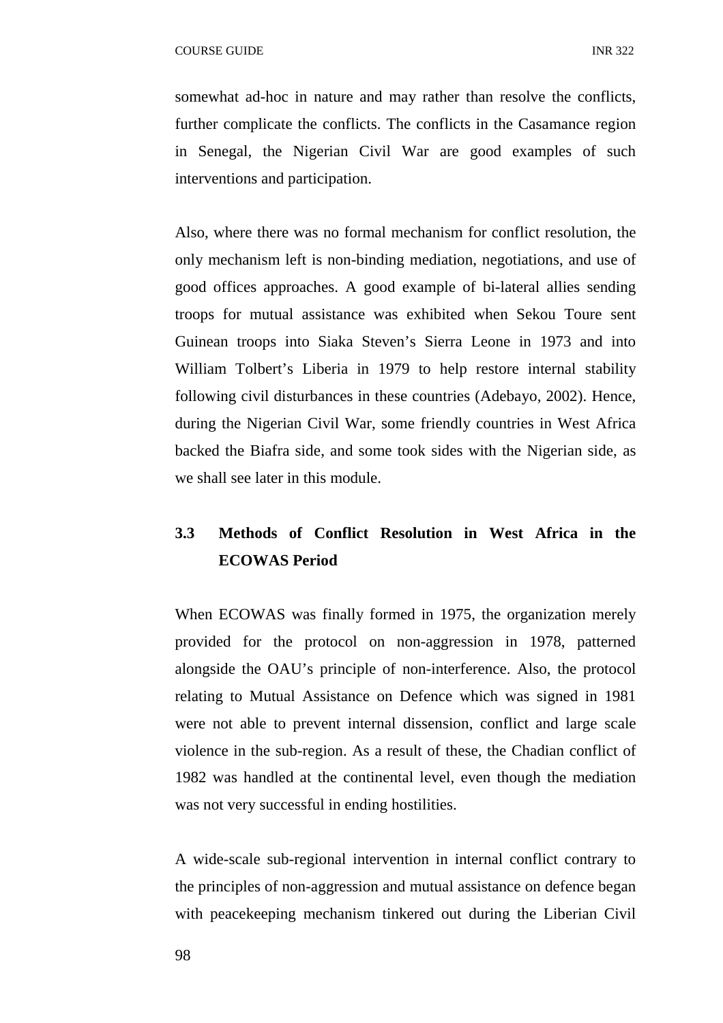somewhat ad-hoc in nature and may rather than resolve the conflicts, further complicate the conflicts. The conflicts in the Casamance region in Senegal, the Nigerian Civil War are good examples of such interventions and participation.

Also, where there was no formal mechanism for conflict resolution, the only mechanism left is non-binding mediation, negotiations, and use of good offices approaches. A good example of bi-lateral allies sending troops for mutual assistance was exhibited when Sekou Toure sent Guinean troops into Siaka Steven's Sierra Leone in 1973 and into William Tolbert's Liberia in 1979 to help restore internal stability following civil disturbances in these countries (Adebayo, 2002). Hence, during the Nigerian Civil War, some friendly countries in West Africa backed the Biafra side, and some took sides with the Nigerian side, as we shall see later in this module.

# **3.3 Methods of Conflict Resolution in West Africa in the ECOWAS Period**

When ECOWAS was finally formed in 1975, the organization merely provided for the protocol on non-aggression in 1978, patterned alongside the OAU's principle of non-interference. Also, the protocol relating to Mutual Assistance on Defence which was signed in 1981 were not able to prevent internal dissension, conflict and large scale violence in the sub-region. As a result of these, the Chadian conflict of 1982 was handled at the continental level, even though the mediation was not very successful in ending hostilities.

A wide-scale sub-regional intervention in internal conflict contrary to the principles of non-aggression and mutual assistance on defence began with peacekeeping mechanism tinkered out during the Liberian Civil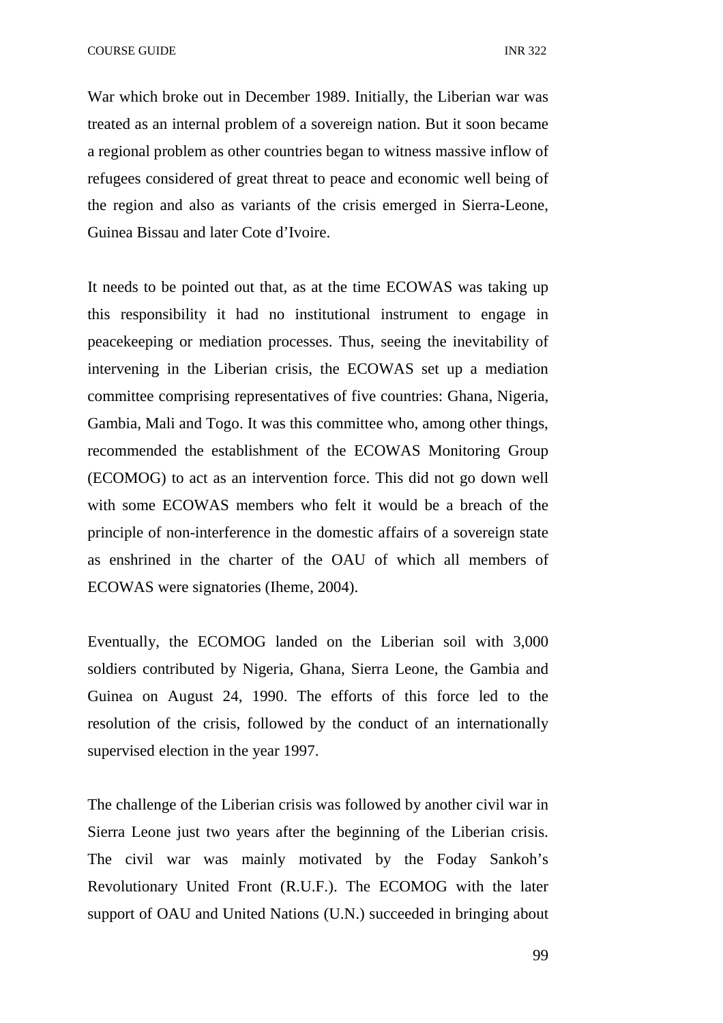War which broke out in December 1989. Initially, the Liberian war was treated as an internal problem of a sovereign nation. But it soon became a regional problem as other countries began to witness massive inflow of refugees considered of great threat to peace and economic well being of the region and also as variants of the crisis emerged in Sierra-Leone, Guinea Bissau and later Cote d'Ivoire.

It needs to be pointed out that, as at the time ECOWAS was taking up this responsibility it had no institutional instrument to engage in peacekeeping or mediation processes. Thus, seeing the inevitability of intervening in the Liberian crisis, the ECOWAS set up a mediation committee comprising representatives of five countries: Ghana, Nigeria, Gambia, Mali and Togo. It was this committee who, among other things, recommended the establishment of the ECOWAS Monitoring Group (ECOMOG) to act as an intervention force. This did not go down well with some ECOWAS members who felt it would be a breach of the principle of non-interference in the domestic affairs of a sovereign state as enshrined in the charter of the OAU of which all members of ECOWAS were signatories (Iheme, 2004).

Eventually, the ECOMOG landed on the Liberian soil with 3,000 soldiers contributed by Nigeria, Ghana, Sierra Leone, the Gambia and Guinea on August 24, 1990. The efforts of this force led to the resolution of the crisis, followed by the conduct of an internationally supervised election in the year 1997.

The challenge of the Liberian crisis was followed by another civil war in Sierra Leone just two years after the beginning of the Liberian crisis. The civil war was mainly motivated by the Foday Sankoh's Revolutionary United Front (R.U.F.). The ECOMOG with the later support of OAU and United Nations (U.N.) succeeded in bringing about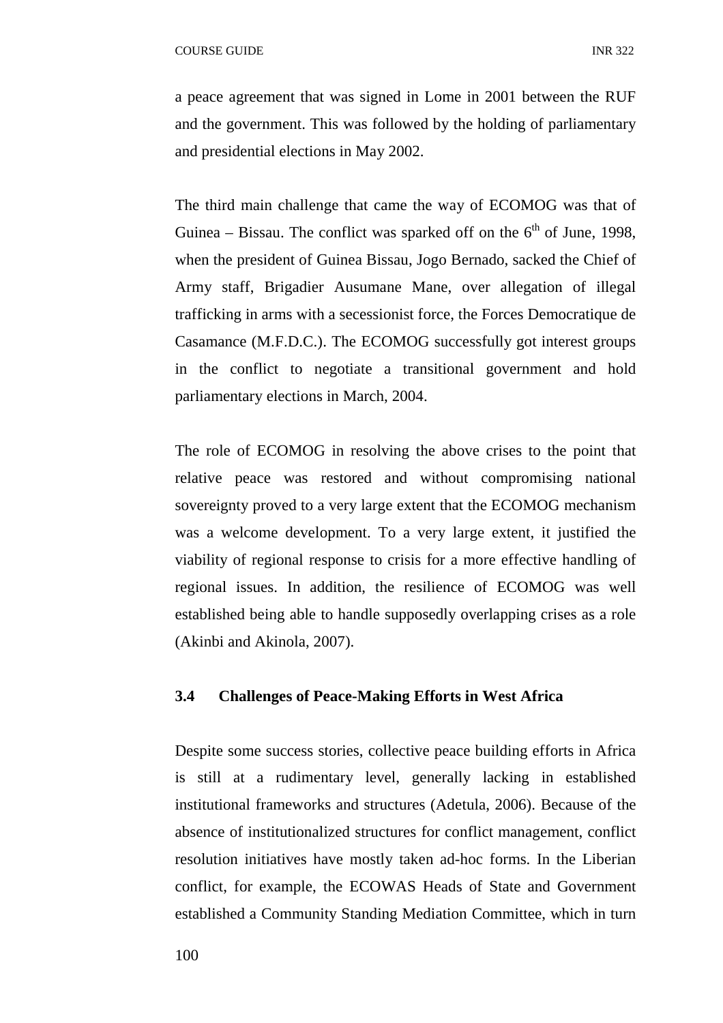a peace agreement that was signed in Lome in 2001 between the RUF and the government. This was followed by the holding of parliamentary and presidential elections in May 2002.

The third main challenge that came the way of ECOMOG was that of Guinea – Bissau. The conflict was sparked off on the  $6<sup>th</sup>$  of June, 1998, when the president of Guinea Bissau, Jogo Bernado, sacked the Chief of Army staff, Brigadier Ausumane Mane, over allegation of illegal trafficking in arms with a secessionist force, the Forces Democratique de Casamance (M.F.D.C.). The ECOMOG successfully got interest groups in the conflict to negotiate a transitional government and hold parliamentary elections in March, 2004.

The role of ECOMOG in resolving the above crises to the point that relative peace was restored and without compromising national sovereignty proved to a very large extent that the ECOMOG mechanism was a welcome development. To a very large extent, it justified the viability of regional response to crisis for a more effective handling of regional issues. In addition, the resilience of ECOMOG was well established being able to handle supposedly overlapping crises as a role (Akinbi and Akinola, 2007).

# **3.4 Challenges of Peace-Making Efforts in West Africa**

Despite some success stories, collective peace building efforts in Africa is still at a rudimentary level, generally lacking in established institutional frameworks and structures (Adetula, 2006). Because of the absence of institutionalized structures for conflict management, conflict resolution initiatives have mostly taken ad-hoc forms. In the Liberian conflict, for example, the ECOWAS Heads of State and Government established a Community Standing Mediation Committee, which in turn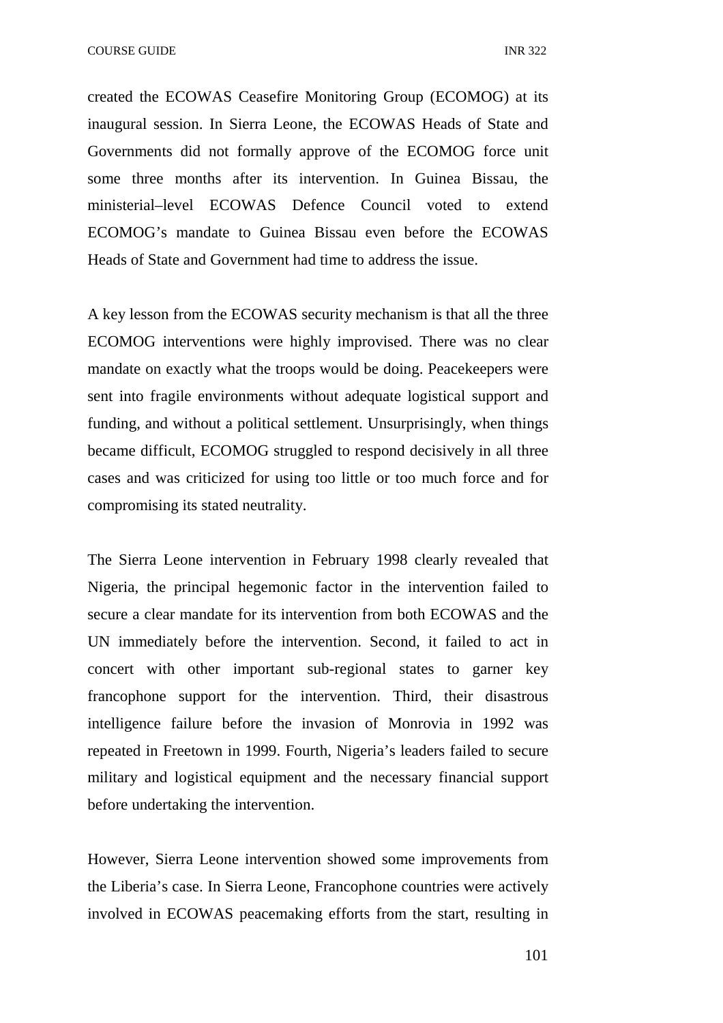COURSE GUIDE **INR** 322

created the ECOWAS Ceasefire Monitoring Group (ECOMOG) at its inaugural session. In Sierra Leone, the ECOWAS Heads of State and Governments did not formally approve of the ECOMOG force unit some three months after its intervention. In Guinea Bissau, the ministerial–level ECOWAS Defence Council voted to extend ECOMOG's mandate to Guinea Bissau even before the ECOWAS Heads of State and Government had time to address the issue.

A key lesson from the ECOWAS security mechanism is that all the three ECOMOG interventions were highly improvised. There was no clear mandate on exactly what the troops would be doing. Peacekeepers were sent into fragile environments without adequate logistical support and funding, and without a political settlement. Unsurprisingly, when things became difficult, ECOMOG struggled to respond decisively in all three cases and was criticized for using too little or too much force and for compromising its stated neutrality.

The Sierra Leone intervention in February 1998 clearly revealed that Nigeria, the principal hegemonic factor in the intervention failed to secure a clear mandate for its intervention from both ECOWAS and the UN immediately before the intervention. Second, it failed to act in concert with other important sub-regional states to garner key francophone support for the intervention. Third, their disastrous intelligence failure before the invasion of Monrovia in 1992 was repeated in Freetown in 1999. Fourth, Nigeria's leaders failed to secure military and logistical equipment and the necessary financial support before undertaking the intervention.

However, Sierra Leone intervention showed some improvements from the Liberia's case. In Sierra Leone, Francophone countries were actively involved in ECOWAS peacemaking efforts from the start, resulting in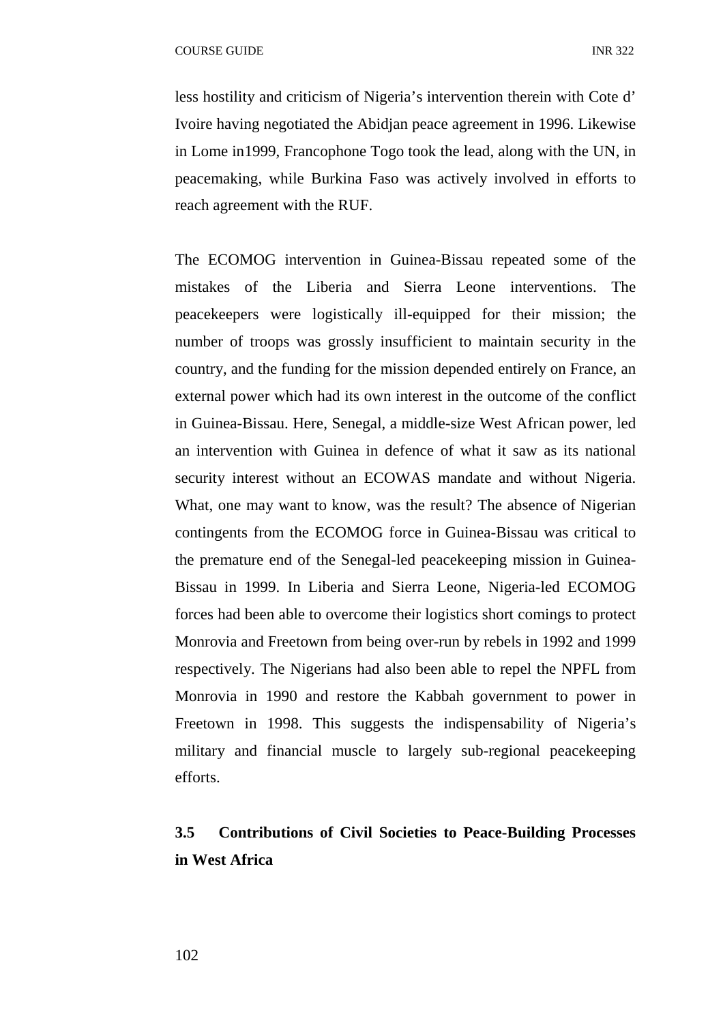less hostility and criticism of Nigeria's intervention therein with Cote d' Ivoire having negotiated the Abidjan peace agreement in 1996. Likewise in Lome in1999, Francophone Togo took the lead, along with the UN, in peacemaking, while Burkina Faso was actively involved in efforts to reach agreement with the RUF.

The ECOMOG intervention in Guinea-Bissau repeated some of the mistakes of the Liberia and Sierra Leone interventions. The peacekeepers were logistically ill-equipped for their mission; the number of troops was grossly insufficient to maintain security in the country, and the funding for the mission depended entirely on France, an external power which had its own interest in the outcome of the conflict in Guinea-Bissau. Here, Senegal, a middle-size West African power, led an intervention with Guinea in defence of what it saw as its national security interest without an ECOWAS mandate and without Nigeria. What, one may want to know, was the result? The absence of Nigerian contingents from the ECOMOG force in Guinea-Bissau was critical to the premature end of the Senegal-led peacekeeping mission in Guinea-Bissau in 1999. In Liberia and Sierra Leone, Nigeria-led ECOMOG forces had been able to overcome their logistics short comings to protect Monrovia and Freetown from being over-run by rebels in 1992 and 1999 respectively. The Nigerians had also been able to repel the NPFL from Monrovia in 1990 and restore the Kabbah government to power in Freetown in 1998. This suggests the indispensability of Nigeria's military and financial muscle to largely sub-regional peacekeeping efforts.

# **3.5 Contributions of Civil Societies to Peace-Building Processes in West Africa**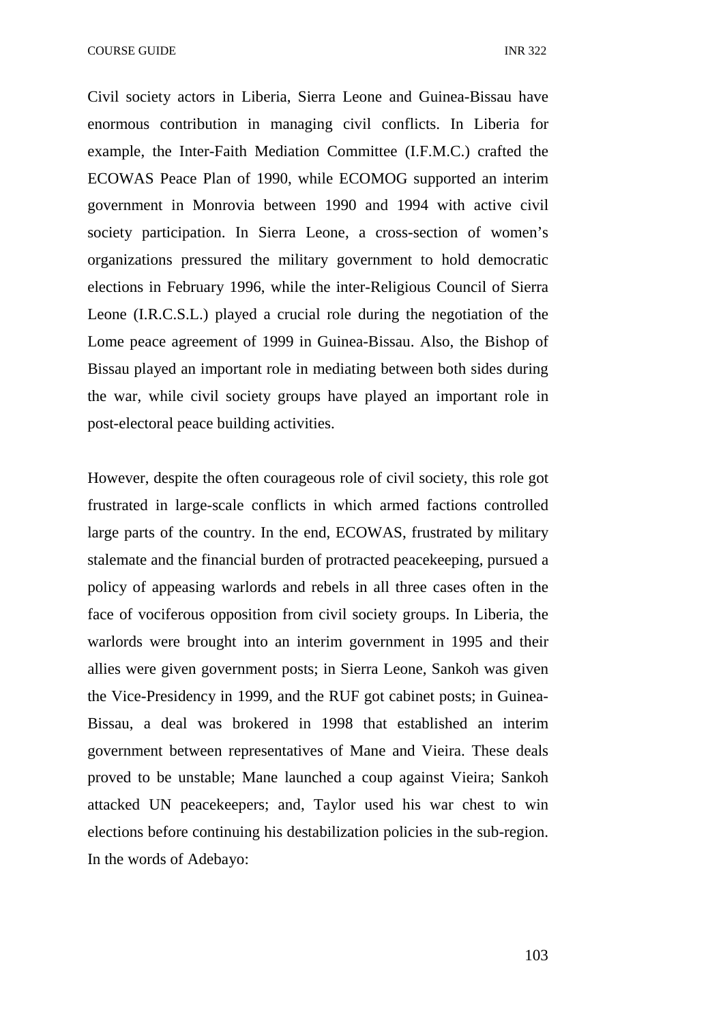Civil society actors in Liberia, Sierra Leone and Guinea-Bissau have enormous contribution in managing civil conflicts. In Liberia for example, the Inter-Faith Mediation Committee (I.F.M.C.) crafted the ECOWAS Peace Plan of 1990, while ECOMOG supported an interim government in Monrovia between 1990 and 1994 with active civil society participation. In Sierra Leone, a cross-section of women's organizations pressured the military government to hold democratic elections in February 1996, while the inter-Religious Council of Sierra Leone (I.R.C.S.L.) played a crucial role during the negotiation of the Lome peace agreement of 1999 in Guinea-Bissau. Also, the Bishop of Bissau played an important role in mediating between both sides during the war, while civil society groups have played an important role in post-electoral peace building activities.

However, despite the often courageous role of civil society, this role got frustrated in large-scale conflicts in which armed factions controlled large parts of the country. In the end, ECOWAS, frustrated by military stalemate and the financial burden of protracted peacekeeping, pursued a policy of appeasing warlords and rebels in all three cases often in the face of vociferous opposition from civil society groups. In Liberia, the warlords were brought into an interim government in 1995 and their allies were given government posts; in Sierra Leone, Sankoh was given the Vice-Presidency in 1999, and the RUF got cabinet posts; in Guinea-Bissau, a deal was brokered in 1998 that established an interim government between representatives of Mane and Vieira. These deals proved to be unstable; Mane launched a coup against Vieira; Sankoh attacked UN peacekeepers; and, Taylor used his war chest to win elections before continuing his destabilization policies in the sub-region. In the words of Adebayo: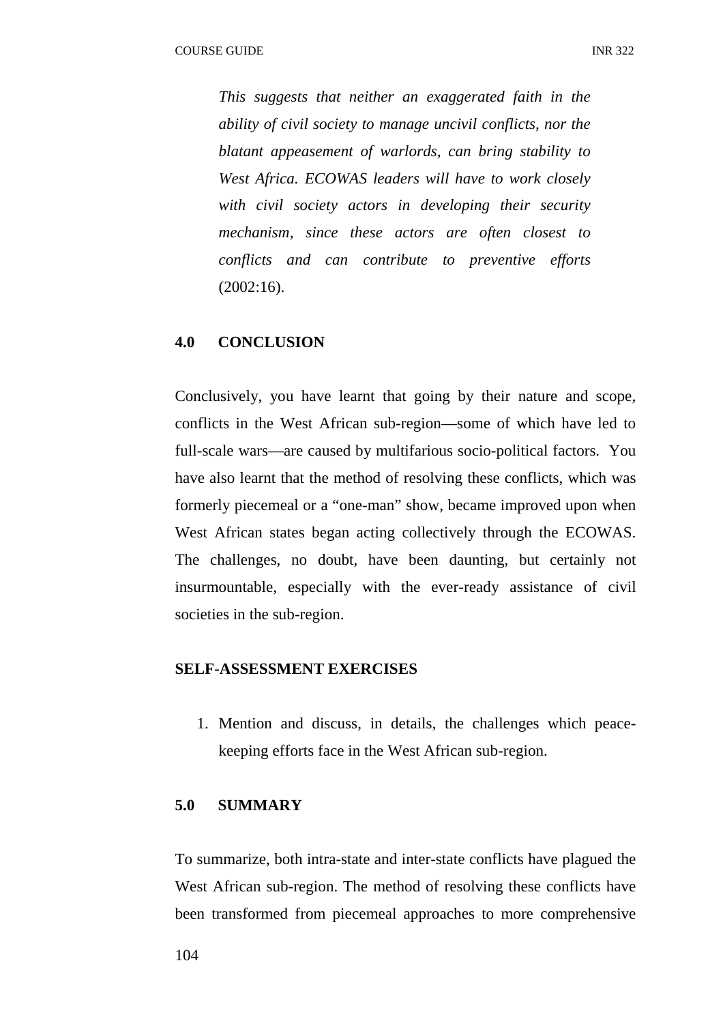*This suggests that neither an exaggerated faith in the ability of civil society to manage uncivil conflicts, nor the blatant appeasement of warlords, can bring stability to West Africa. ECOWAS leaders will have to work closely with civil society actors in developing their security mechanism, since these actors are often closest to conflicts and can contribute to preventive efforts*  (2002:16).

### **4.0 CONCLUSION**

Conclusively, you have learnt that going by their nature and scope, conflicts in the West African sub-region—some of which have led to full-scale wars—are caused by multifarious socio-political factors. You have also learnt that the method of resolving these conflicts, which was formerly piecemeal or a "one-man" show, became improved upon when West African states began acting collectively through the ECOWAS. The challenges, no doubt, have been daunting, but certainly not insurmountable, especially with the ever-ready assistance of civil societies in the sub-region.

#### **SELF-ASSESSMENT EXERCISES**

1. Mention and discuss, in details, the challenges which peacekeeping efforts face in the West African sub-region.

### **5.0 SUMMARY**

To summarize, both intra-state and inter-state conflicts have plagued the West African sub-region. The method of resolving these conflicts have been transformed from piecemeal approaches to more comprehensive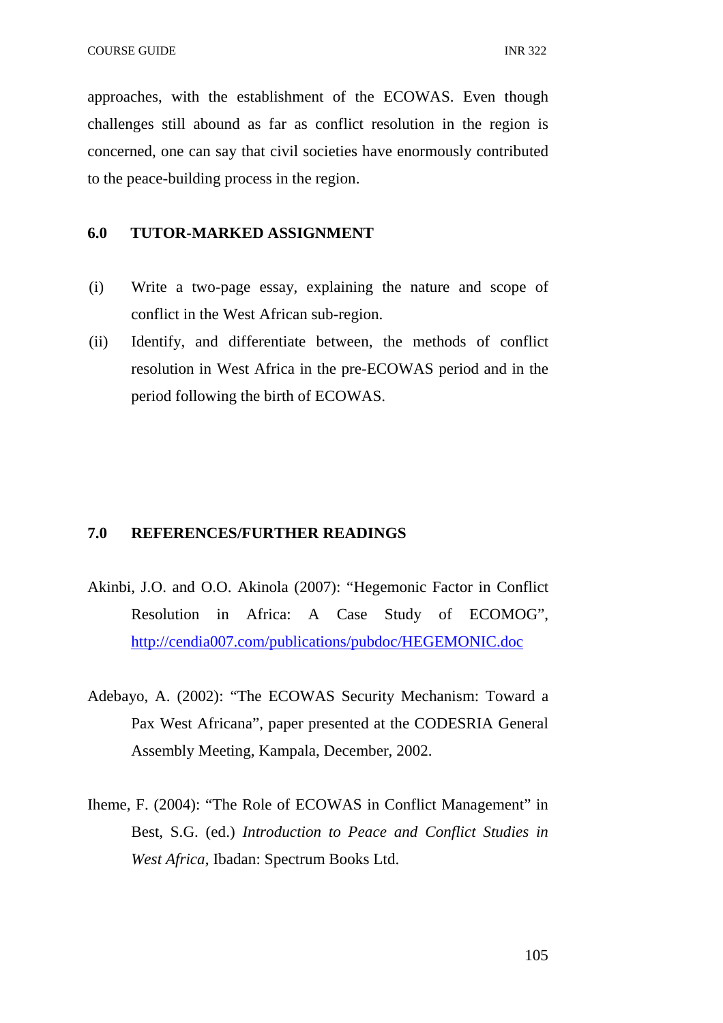approaches, with the establishment of the ECOWAS. Even though challenges still abound as far as conflict resolution in the region is concerned, one can say that civil societies have enormously contributed to the peace-building process in the region.

# **6.0 TUTOR-MARKED ASSIGNMENT**

- (i) Write a two-page essay, explaining the nature and scope of conflict in the West African sub-region.
- (ii) Identify, and differentiate between, the methods of conflict resolution in West Africa in the pre-ECOWAS period and in the period following the birth of ECOWAS.

#### **7.0 REFERENCES/FURTHER READINGS**

- Akinbi, J.O. and O.O. Akinola (2007): "Hegemonic Factor in Conflict Resolution in Africa: A Case Study of ECOMOG", http://cendia007.com/publications/pubdoc/HEGEMONIC.doc
- Adebayo, A. (2002): "The ECOWAS Security Mechanism: Toward a Pax West Africana", paper presented at the CODESRIA General Assembly Meeting, Kampala, December, 2002.
- Iheme, F. (2004): "The Role of ECOWAS in Conflict Management" in Best, S.G. (ed.) *Introduction to Peace and Conflict Studies in West Africa*, Ibadan: Spectrum Books Ltd.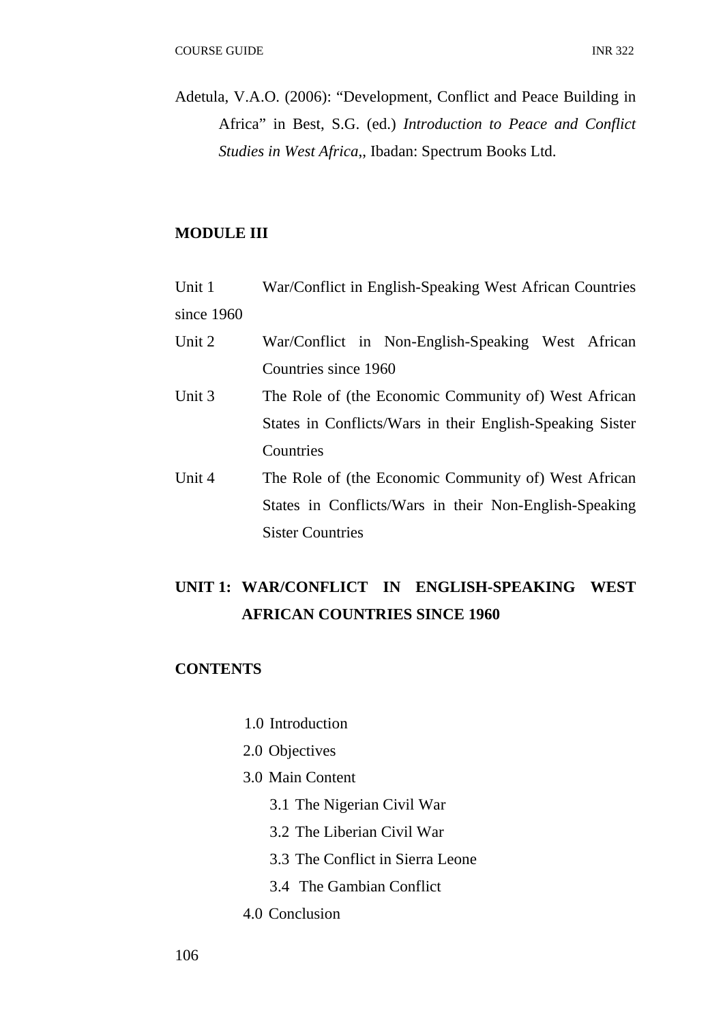Adetula, V.A.O. (2006): "Development, Conflict and Peace Building in Africa" in Best, S.G. (ed.) *Introduction to Peace and Conflict Studies in West Africa*,, Ibadan: Spectrum Books Ltd.

# **MODULE III**

| Unit 1       | War/Conflict in English-Speaking West African Countries |
|--------------|---------------------------------------------------------|
| since $1960$ |                                                         |

- Unit 2 War/Conflict in Non-English-Speaking West African Countries since 1960
- Unit 3 The Role of (the Economic Community of) West African States in Conflicts/Wars in their English-Speaking Sister **Countries**
- Unit 4 The Role of (the Economic Community of) West African States in Conflicts/Wars in their Non-English-Speaking Sister Countries

# **UNIT 1: WAR/CONFLICT IN ENGLISH-SPEAKING WEST AFRICAN COUNTRIES SINCE 1960**

# **CONTENTS**

- 1.0 Introduction
- 2.0 Objectives
- 3.0 Main Content
	- 3.1 The Nigerian Civil War
	- 3.2 The Liberian Civil War
	- 3.3 The Conflict in Sierra Leone
	- 3.4 The Gambian Conflict
- 4.0 Conclusion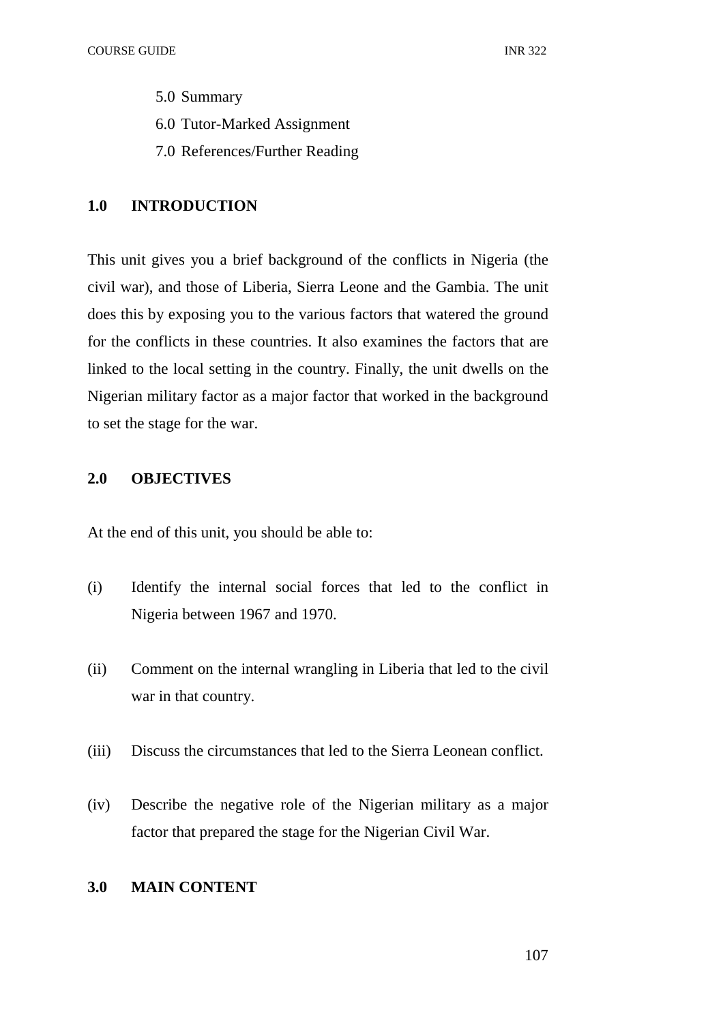- 5.0 Summary
- 6.0 Tutor-Marked Assignment
- 7.0 References/Further Reading

# **1.0 INTRODUCTION**

This unit gives you a brief background of the conflicts in Nigeria (the civil war), and those of Liberia, Sierra Leone and the Gambia. The unit does this by exposing you to the various factors that watered the ground for the conflicts in these countries. It also examines the factors that are linked to the local setting in the country. Finally, the unit dwells on the Nigerian military factor as a major factor that worked in the background to set the stage for the war.

# **2.0 OBJECTIVES**

At the end of this unit, you should be able to:

- (i) Identify the internal social forces that led to the conflict in Nigeria between 1967 and 1970.
- (ii) Comment on the internal wrangling in Liberia that led to the civil war in that country.
- (iii) Discuss the circumstances that led to the Sierra Leonean conflict.
- (iv) Describe the negative role of the Nigerian military as a major factor that prepared the stage for the Nigerian Civil War.

# **3.0 MAIN CONTENT**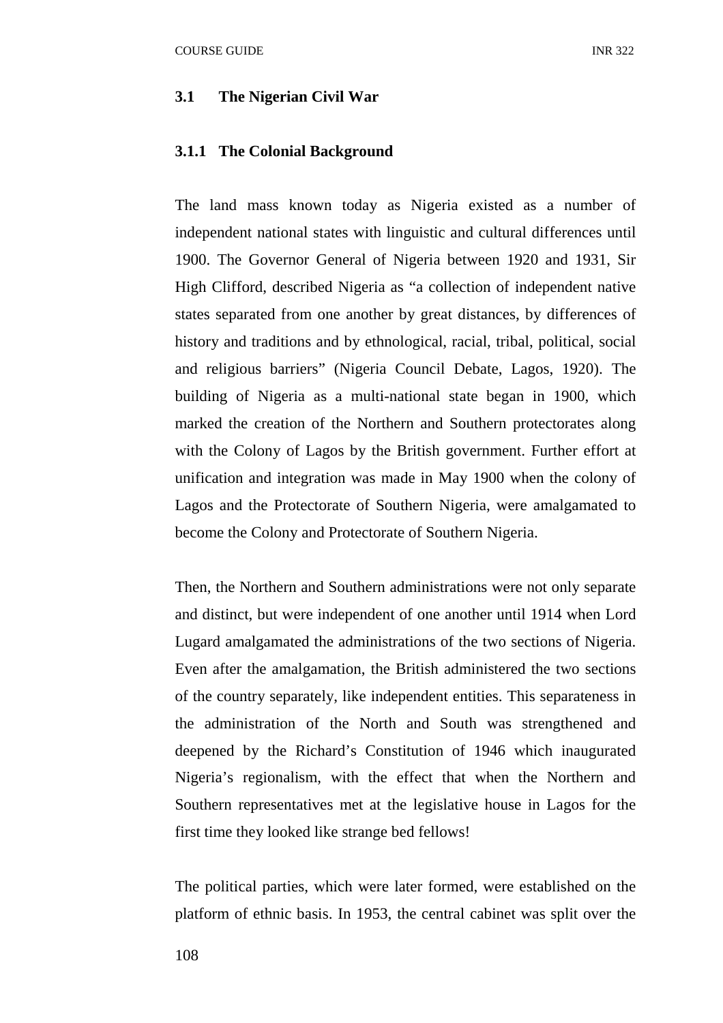#### **3.1 The Nigerian Civil War**

#### **3.1.1 The Colonial Background**

The land mass known today as Nigeria existed as a number of independent national states with linguistic and cultural differences until 1900. The Governor General of Nigeria between 1920 and 1931, Sir High Clifford, described Nigeria as "a collection of independent native states separated from one another by great distances, by differences of history and traditions and by ethnological, racial, tribal, political, social and religious barriers" (Nigeria Council Debate, Lagos, 1920). The building of Nigeria as a multi-national state began in 1900, which marked the creation of the Northern and Southern protectorates along with the Colony of Lagos by the British government. Further effort at unification and integration was made in May 1900 when the colony of Lagos and the Protectorate of Southern Nigeria, were amalgamated to become the Colony and Protectorate of Southern Nigeria.

Then, the Northern and Southern administrations were not only separate and distinct, but were independent of one another until 1914 when Lord Lugard amalgamated the administrations of the two sections of Nigeria. Even after the amalgamation, the British administered the two sections of the country separately, like independent entities. This separateness in the administration of the North and South was strengthened and deepened by the Richard's Constitution of 1946 which inaugurated Nigeria's regionalism, with the effect that when the Northern and Southern representatives met at the legislative house in Lagos for the first time they looked like strange bed fellows!

The political parties, which were later formed, were established on the platform of ethnic basis. In 1953, the central cabinet was split over the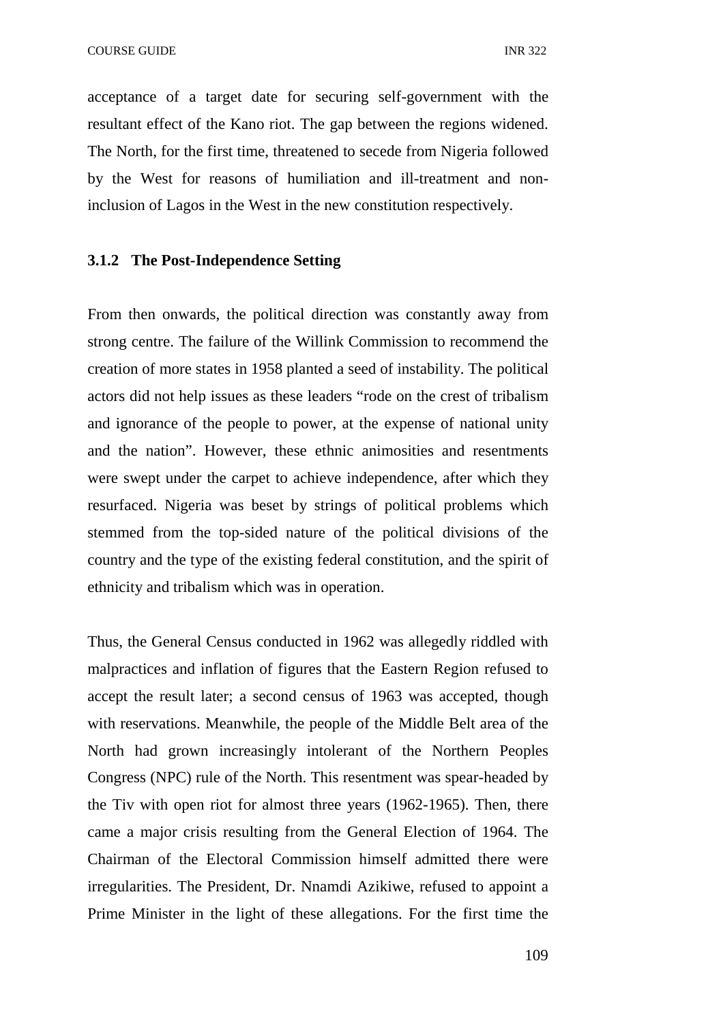acceptance of a target date for securing self-government with the resultant effect of the Kano riot. The gap between the regions widened. The North, for the first time, threatened to secede from Nigeria followed by the West for reasons of humiliation and ill-treatment and noninclusion of Lagos in the West in the new constitution respectively.

# **3.1.2 The Post-Independence Setting**

From then onwards, the political direction was constantly away from strong centre. The failure of the Willink Commission to recommend the creation of more states in 1958 planted a seed of instability. The political actors did not help issues as these leaders "rode on the crest of tribalism and ignorance of the people to power, at the expense of national unity and the nation". However, these ethnic animosities and resentments were swept under the carpet to achieve independence, after which they resurfaced. Nigeria was beset by strings of political problems which stemmed from the top-sided nature of the political divisions of the country and the type of the existing federal constitution, and the spirit of ethnicity and tribalism which was in operation.

Thus, the General Census conducted in 1962 was allegedly riddled with malpractices and inflation of figures that the Eastern Region refused to accept the result later; a second census of 1963 was accepted, though with reservations. Meanwhile, the people of the Middle Belt area of the North had grown increasingly intolerant of the Northern Peoples Congress (NPC) rule of the North. This resentment was spear-headed by the Tiv with open riot for almost three years (1962-1965). Then, there came a major crisis resulting from the General Election of 1964. The Chairman of the Electoral Commission himself admitted there were irregularities. The President, Dr. Nnamdi Azikiwe, refused to appoint a Prime Minister in the light of these allegations. For the first time the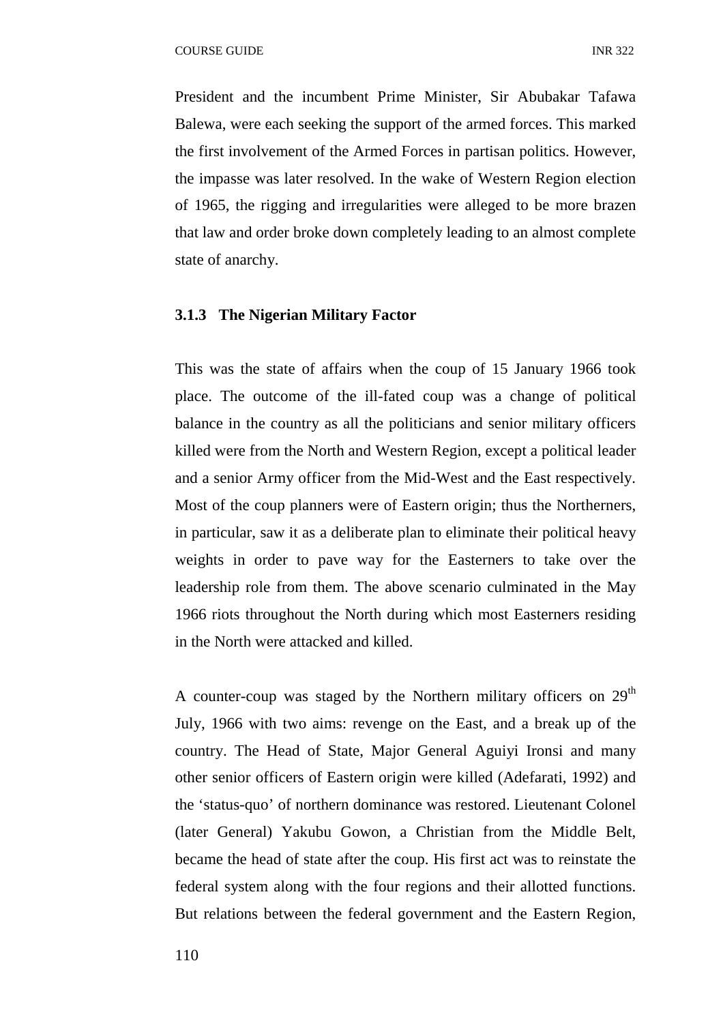President and the incumbent Prime Minister, Sir Abubakar Tafawa Balewa, were each seeking the support of the armed forces. This marked the first involvement of the Armed Forces in partisan politics. However, the impasse was later resolved. In the wake of Western Region election of 1965, the rigging and irregularities were alleged to be more brazen that law and order broke down completely leading to an almost complete state of anarchy.

#### **3.1.3 The Nigerian Military Factor**

This was the state of affairs when the coup of 15 January 1966 took place. The outcome of the ill-fated coup was a change of political balance in the country as all the politicians and senior military officers killed were from the North and Western Region, except a political leader and a senior Army officer from the Mid-West and the East respectively. Most of the coup planners were of Eastern origin; thus the Northerners, in particular, saw it as a deliberate plan to eliminate their political heavy weights in order to pave way for the Easterners to take over the leadership role from them. The above scenario culminated in the May 1966 riots throughout the North during which most Easterners residing in the North were attacked and killed.

A counter-coup was staged by the Northern military officers on 29<sup>th</sup> July, 1966 with two aims: revenge on the East, and a break up of the country. The Head of State, Major General Aguiyi Ironsi and many other senior officers of Eastern origin were killed (Adefarati, 1992) and the 'status-quo' of northern dominance was restored. Lieutenant Colonel (later General) Yakubu Gowon, a Christian from the Middle Belt, became the head of state after the coup. His first act was to reinstate the federal system along with the four regions and their allotted functions. But relations between the federal government and the Eastern Region,

110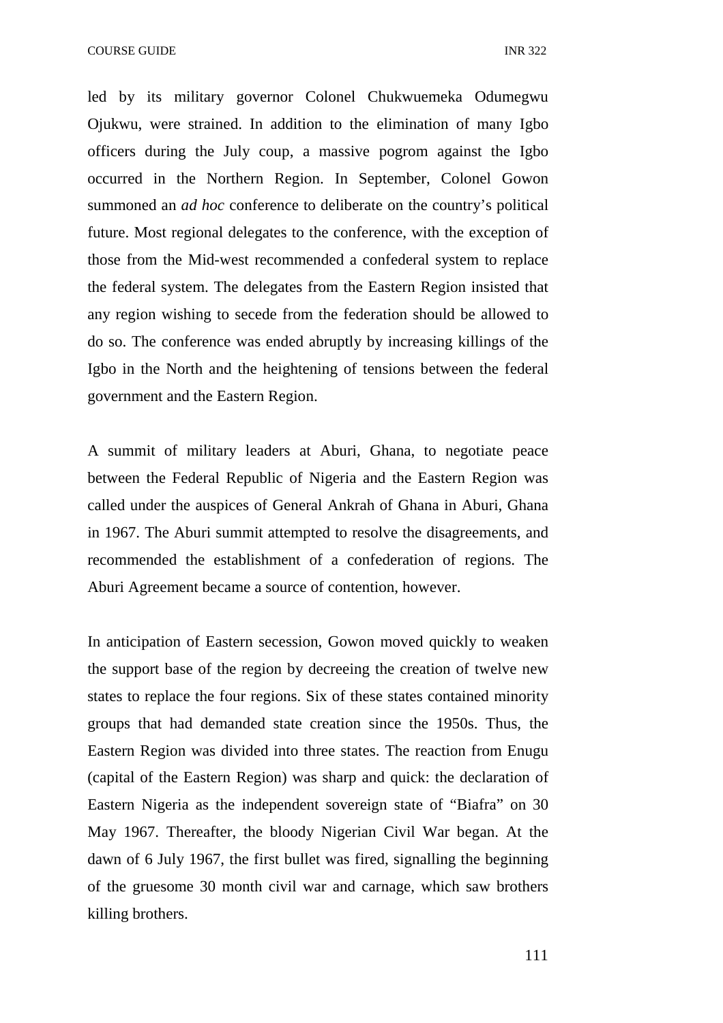led by its military governor Colonel Chukwuemeka Odumegwu Ojukwu, were strained. In addition to the elimination of many Igbo officers during the July coup, a massive pogrom against the Igbo occurred in the Northern Region. In September, Colonel Gowon summoned an *ad hoc* conference to deliberate on the country's political future. Most regional delegates to the conference, with the exception of those from the Mid-west recommended a confederal system to replace the federal system. The delegates from the Eastern Region insisted that any region wishing to secede from the federation should be allowed to do so. The conference was ended abruptly by increasing killings of the Igbo in the North and the heightening of tensions between the federal government and the Eastern Region.

A summit of military leaders at Aburi, Ghana, to negotiate peace between the Federal Republic of Nigeria and the Eastern Region was called under the auspices of General Ankrah of Ghana in Aburi, Ghana in 1967. The Aburi summit attempted to resolve the disagreements, and recommended the establishment of a confederation of regions. The Aburi Agreement became a source of contention, however.

In anticipation of Eastern secession, Gowon moved quickly to weaken the support base of the region by decreeing the creation of twelve new states to replace the four regions. Six of these states contained minority groups that had demanded state creation since the 1950s. Thus, the Eastern Region was divided into three states. The reaction from Enugu (capital of the Eastern Region) was sharp and quick: the declaration of Eastern Nigeria as the independent sovereign state of "Biafra" on 30 May 1967. Thereafter, the bloody Nigerian Civil War began. At the dawn of 6 July 1967, the first bullet was fired, signalling the beginning of the gruesome 30 month civil war and carnage, which saw brothers killing brothers.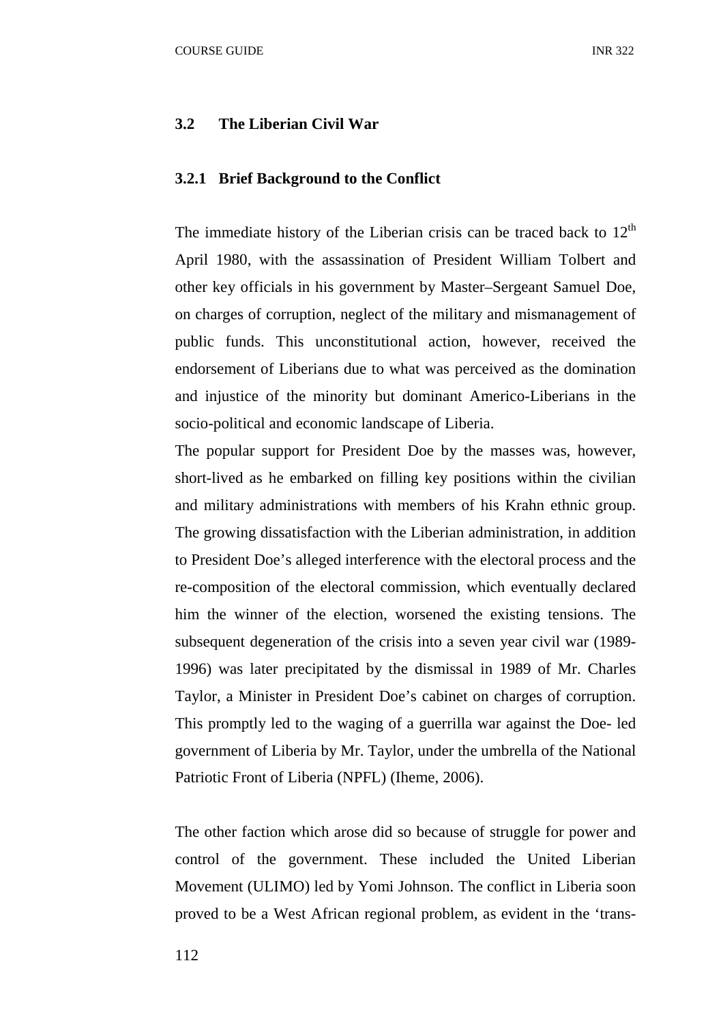#### **3.2 The Liberian Civil War**

#### **3.2.1 Brief Background to the Conflict**

The immediate history of the Liberian crisis can be traced back to  $12<sup>th</sup>$ April 1980, with the assassination of President William Tolbert and other key officials in his government by Master–Sergeant Samuel Doe, on charges of corruption, neglect of the military and mismanagement of public funds. This unconstitutional action, however, received the endorsement of Liberians due to what was perceived as the domination and injustice of the minority but dominant Americo-Liberians in the socio-political and economic landscape of Liberia.

The popular support for President Doe by the masses was, however, short-lived as he embarked on filling key positions within the civilian and military administrations with members of his Krahn ethnic group. The growing dissatisfaction with the Liberian administration, in addition to President Doe's alleged interference with the electoral process and the re-composition of the electoral commission, which eventually declared him the winner of the election, worsened the existing tensions. The subsequent degeneration of the crisis into a seven year civil war (1989- 1996) was later precipitated by the dismissal in 1989 of Mr. Charles Taylor, a Minister in President Doe's cabinet on charges of corruption. This promptly led to the waging of a guerrilla war against the Doe- led government of Liberia by Mr. Taylor, under the umbrella of the National Patriotic Front of Liberia (NPFL) (Iheme, 2006).

The other faction which arose did so because of struggle for power and control of the government. These included the United Liberian Movement (ULIMO) led by Yomi Johnson. The conflict in Liberia soon proved to be a West African regional problem, as evident in the 'trans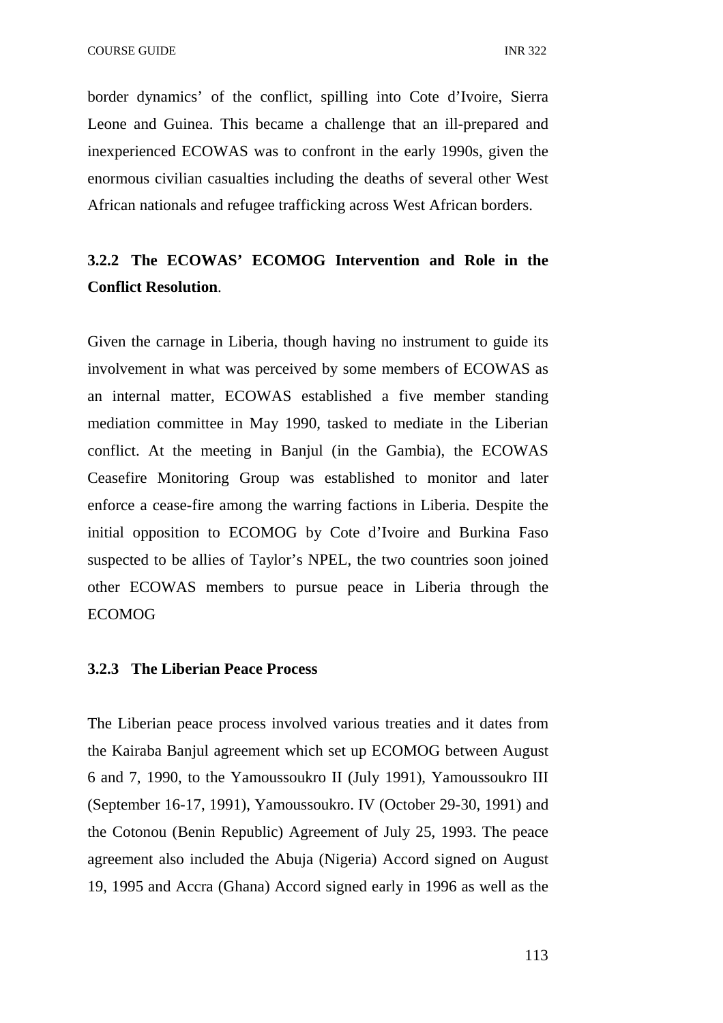border dynamics' of the conflict, spilling into Cote d'Ivoire, Sierra Leone and Guinea. This became a challenge that an ill-prepared and inexperienced ECOWAS was to confront in the early 1990s, given the enormous civilian casualties including the deaths of several other West African nationals and refugee trafficking across West African borders.

# **3.2.2 The ECOWAS' ECOMOG Intervention and Role in the Conflict Resolution**.

Given the carnage in Liberia, though having no instrument to guide its involvement in what was perceived by some members of ECOWAS as an internal matter, ECOWAS established a five member standing mediation committee in May 1990, tasked to mediate in the Liberian conflict. At the meeting in Banjul (in the Gambia), the ECOWAS Ceasefire Monitoring Group was established to monitor and later enforce a cease-fire among the warring factions in Liberia. Despite the initial opposition to ECOMOG by Cote d'Ivoire and Burkina Faso suspected to be allies of Taylor's NPEL, the two countries soon joined other ECOWAS members to pursue peace in Liberia through the ECOMOG

#### **3.2.3 The Liberian Peace Process**

The Liberian peace process involved various treaties and it dates from the Kairaba Banjul agreement which set up ECOMOG between August 6 and 7, 1990, to the Yamoussoukro II (July 1991), Yamoussoukro III (September 16-17, 1991), Yamoussoukro. IV (October 29-30, 1991) and the Cotonou (Benin Republic) Agreement of July 25, 1993. The peace agreement also included the Abuja (Nigeria) Accord signed on August 19, 1995 and Accra (Ghana) Accord signed early in 1996 as well as the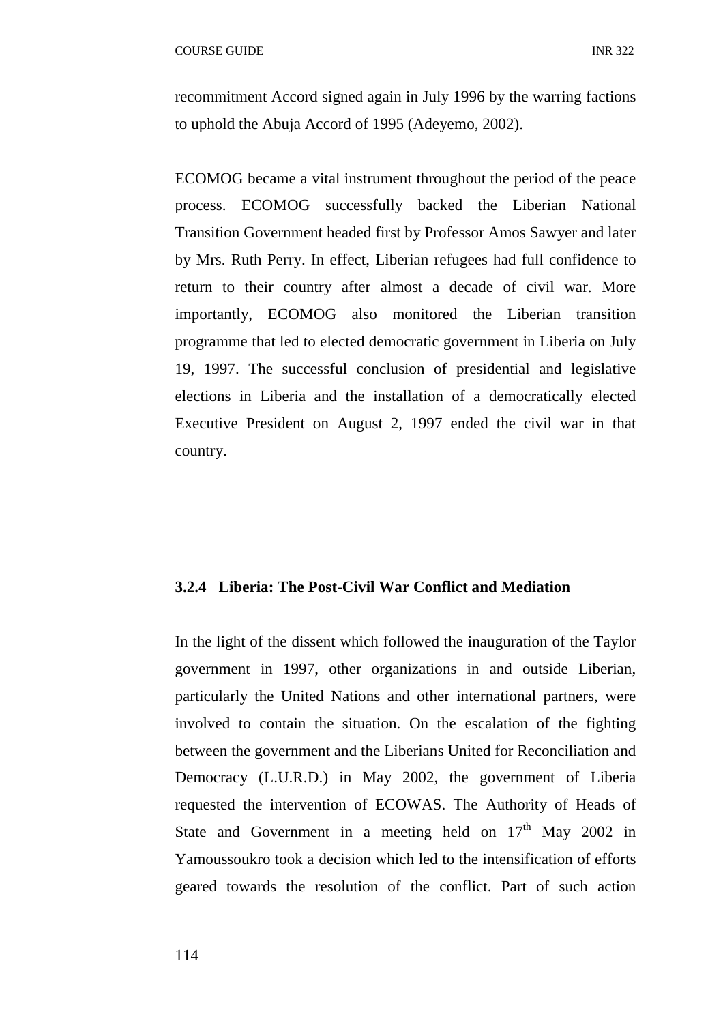recommitment Accord signed again in July 1996 by the warring factions to uphold the Abuja Accord of 1995 (Adeyemo, 2002).

ECOMOG became a vital instrument throughout the period of the peace process. ECOMOG successfully backed the Liberian National Transition Government headed first by Professor Amos Sawyer and later by Mrs. Ruth Perry. In effect, Liberian refugees had full confidence to return to their country after almost a decade of civil war. More importantly, ECOMOG also monitored the Liberian transition programme that led to elected democratic government in Liberia on July 19, 1997. The successful conclusion of presidential and legislative elections in Liberia and the installation of a democratically elected Executive President on August 2, 1997 ended the civil war in that country.

#### **3.2.4 Liberia: The Post-Civil War Conflict and Mediation**

In the light of the dissent which followed the inauguration of the Taylor government in 1997, other organizations in and outside Liberian, particularly the United Nations and other international partners, were involved to contain the situation. On the escalation of the fighting between the government and the Liberians United for Reconciliation and Democracy (L.U.R.D.) in May 2002, the government of Liberia requested the intervention of ECOWAS. The Authority of Heads of State and Government in a meeting held on  $17<sup>th</sup>$  May 2002 in Yamoussoukro took a decision which led to the intensification of efforts geared towards the resolution of the conflict. Part of such action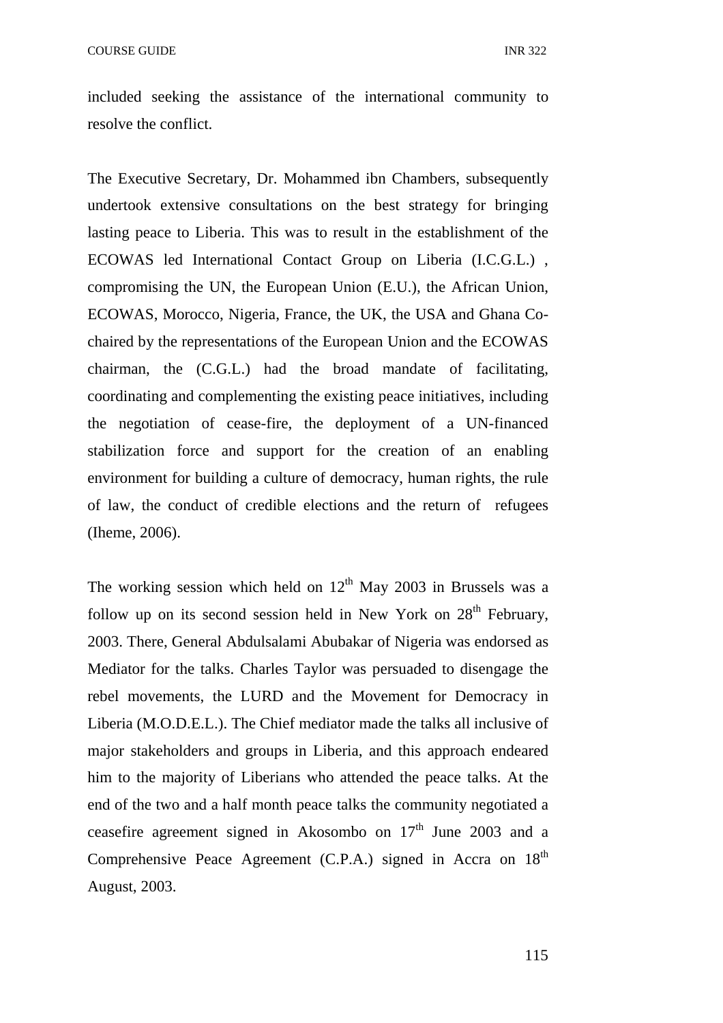included seeking the assistance of the international community to resolve the conflict.

The Executive Secretary, Dr. Mohammed ibn Chambers, subsequently undertook extensive consultations on the best strategy for bringing lasting peace to Liberia. This was to result in the establishment of the ECOWAS led International Contact Group on Liberia (I.C.G.L.) , compromising the UN, the European Union (E.U.), the African Union, ECOWAS, Morocco, Nigeria, France, the UK, the USA and Ghana Cochaired by the representations of the European Union and the ECOWAS chairman, the (C.G.L.) had the broad mandate of facilitating, coordinating and complementing the existing peace initiatives, including the negotiation of cease-fire, the deployment of a UN-financed stabilization force and support for the creation of an enabling environment for building a culture of democracy, human rights, the rule of law, the conduct of credible elections and the return of refugees (Iheme, 2006).

The working session which held on  $12<sup>th</sup>$  May 2003 in Brussels was a follow up on its second session held in New York on  $28<sup>th</sup>$  February, 2003. There, General Abdulsalami Abubakar of Nigeria was endorsed as Mediator for the talks. Charles Taylor was persuaded to disengage the rebel movements, the LURD and the Movement for Democracy in Liberia (M.O.D.E.L.). The Chief mediator made the talks all inclusive of major stakeholders and groups in Liberia, and this approach endeared him to the majority of Liberians who attended the peace talks. At the end of the two and a half month peace talks the community negotiated a ceasefire agreement signed in Akosombo on  $17<sup>th</sup>$  June 2003 and a Comprehensive Peace Agreement  $(C.P.A.)$  signed in Accra on  $18<sup>th</sup>$ August, 2003.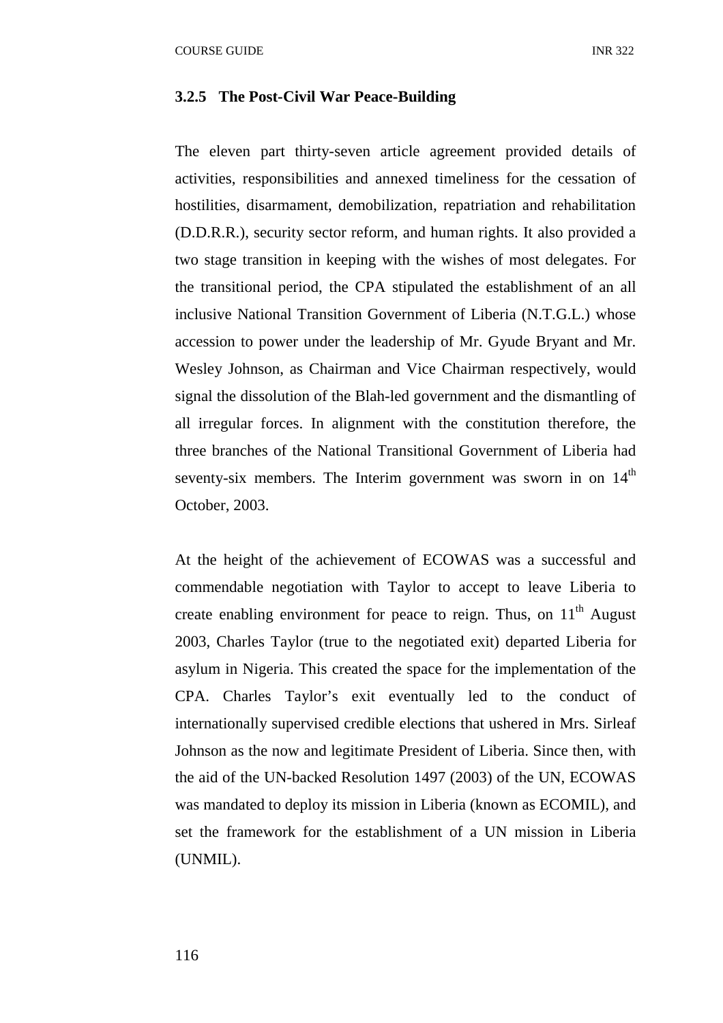#### **3.2.5 The Post-Civil War Peace-Building**

The eleven part thirty-seven article agreement provided details of activities, responsibilities and annexed timeliness for the cessation of hostilities, disarmament, demobilization, repatriation and rehabilitation (D.D.R.R.), security sector reform, and human rights. It also provided a two stage transition in keeping with the wishes of most delegates. For the transitional period, the CPA stipulated the establishment of an all inclusive National Transition Government of Liberia (N.T.G.L.) whose accession to power under the leadership of Mr. Gyude Bryant and Mr. Wesley Johnson, as Chairman and Vice Chairman respectively, would signal the dissolution of the Blah-led government and the dismantling of all irregular forces. In alignment with the constitution therefore, the three branches of the National Transitional Government of Liberia had seventy-six members. The Interim government was sworn in on  $14<sup>th</sup>$ October, 2003.

At the height of the achievement of ECOWAS was a successful and commendable negotiation with Taylor to accept to leave Liberia to create enabling environment for peace to reign. Thus, on 11<sup>th</sup> August 2003, Charles Taylor (true to the negotiated exit) departed Liberia for asylum in Nigeria. This created the space for the implementation of the CPA. Charles Taylor's exit eventually led to the conduct of internationally supervised credible elections that ushered in Mrs. Sirleaf Johnson as the now and legitimate President of Liberia. Since then, with the aid of the UN-backed Resolution 1497 (2003) of the UN, ECOWAS was mandated to deploy its mission in Liberia (known as ECOMIL), and set the framework for the establishment of a UN mission in Liberia (UNMIL).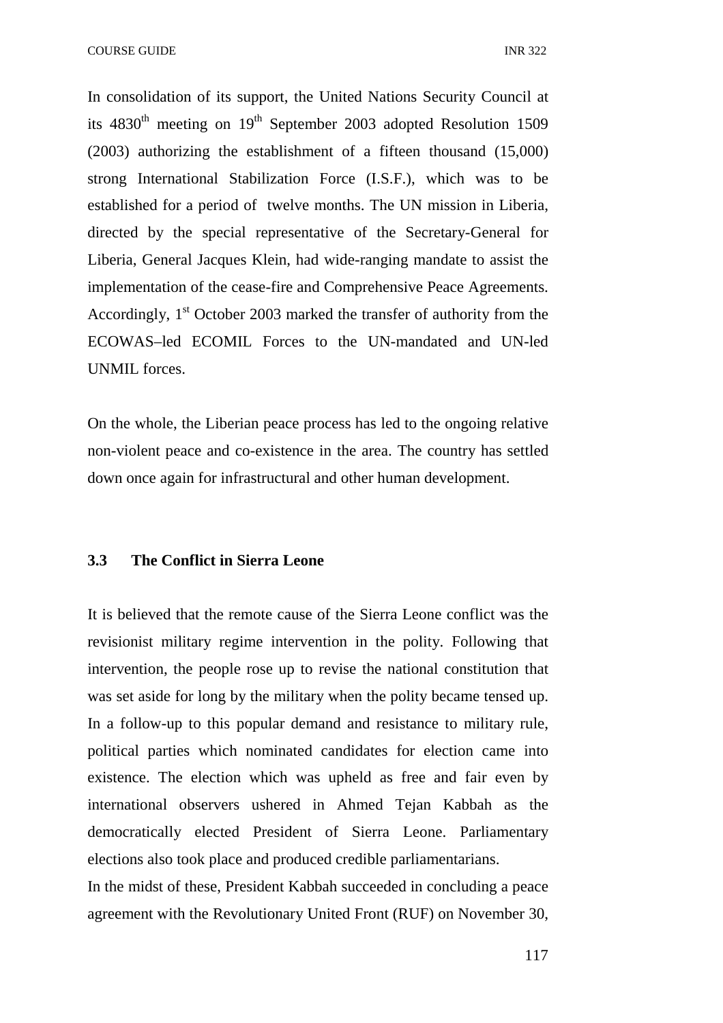COURSE GUIDE **INR** 322

In consolidation of its support, the United Nations Security Council at its  $4830<sup>th</sup>$  meeting on  $19<sup>th</sup>$  September 2003 adopted Resolution 1509 (2003) authorizing the establishment of a fifteen thousand (15,000) strong International Stabilization Force (I.S.F.), which was to be established for a period of twelve months. The UN mission in Liberia, directed by the special representative of the Secretary-General for Liberia, General Jacques Klein, had wide-ranging mandate to assist the implementation of the cease-fire and Comprehensive Peace Agreements. Accordingly,  $1<sup>st</sup>$  October 2003 marked the transfer of authority from the ECOWAS–led ECOMIL Forces to the UN-mandated and UN-led UNMIL forces.

On the whole, the Liberian peace process has led to the ongoing relative non-violent peace and co-existence in the area. The country has settled down once again for infrastructural and other human development.

# **3.3 The Conflict in Sierra Leone**

It is believed that the remote cause of the Sierra Leone conflict was the revisionist military regime intervention in the polity. Following that intervention, the people rose up to revise the national constitution that was set aside for long by the military when the polity became tensed up. In a follow-up to this popular demand and resistance to military rule, political parties which nominated candidates for election came into existence. The election which was upheld as free and fair even by international observers ushered in Ahmed Tejan Kabbah as the democratically elected President of Sierra Leone. Parliamentary elections also took place and produced credible parliamentarians.

In the midst of these, President Kabbah succeeded in concluding a peace agreement with the Revolutionary United Front (RUF) on November 30,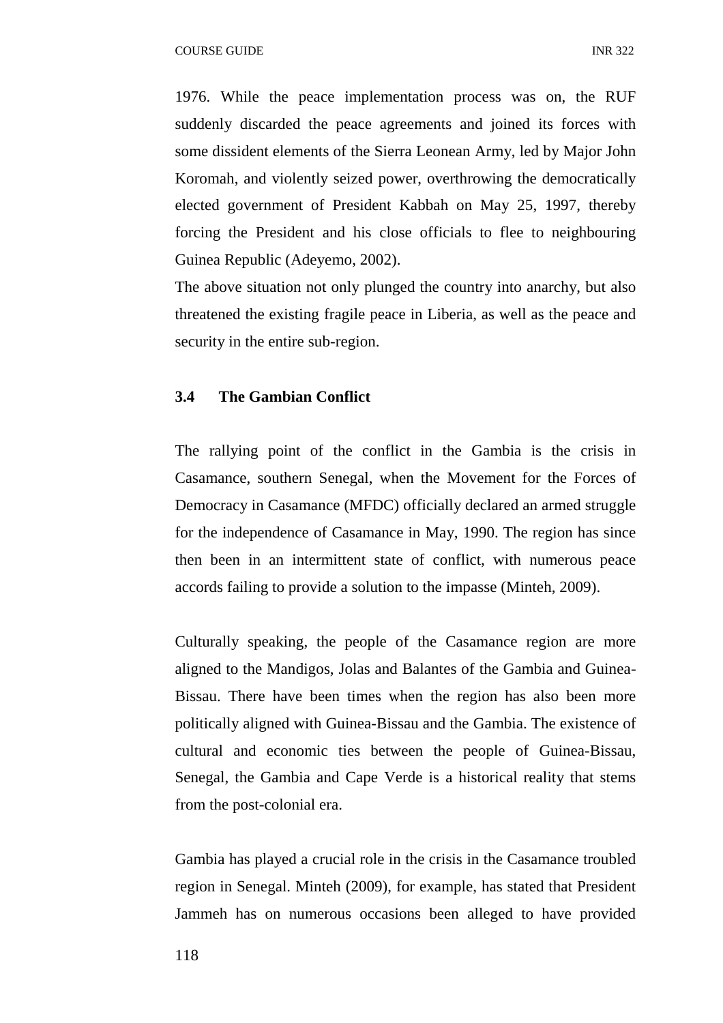1976. While the peace implementation process was on, the RUF suddenly discarded the peace agreements and joined its forces with some dissident elements of the Sierra Leonean Army, led by Major John Koromah, and violently seized power, overthrowing the democratically elected government of President Kabbah on May 25, 1997, thereby forcing the President and his close officials to flee to neighbouring Guinea Republic (Adeyemo, 2002).

The above situation not only plunged the country into anarchy, but also threatened the existing fragile peace in Liberia, as well as the peace and security in the entire sub-region.

# **3.4 The Gambian Conflict**

The rallying point of the conflict in the Gambia is the crisis in Casamance, southern Senegal, when the Movement for the Forces of Democracy in Casamance (MFDC) officially declared an armed struggle for the independence of Casamance in May, 1990. The region has since then been in an intermittent state of conflict, with numerous peace accords failing to provide a solution to the impasse (Minteh, 2009).

Culturally speaking, the people of the Casamance region are more aligned to the Mandigos, Jolas and Balantes of the Gambia and Guinea-Bissau. There have been times when the region has also been more politically aligned with Guinea-Bissau and the Gambia. The existence of cultural and economic ties between the people of Guinea-Bissau, Senegal, the Gambia and Cape Verde is a historical reality that stems from the post-colonial era.

Gambia has played a crucial role in the crisis in the Casamance troubled region in Senegal. Minteh (2009), for example, has stated that President Jammeh has on numerous occasions been alleged to have provided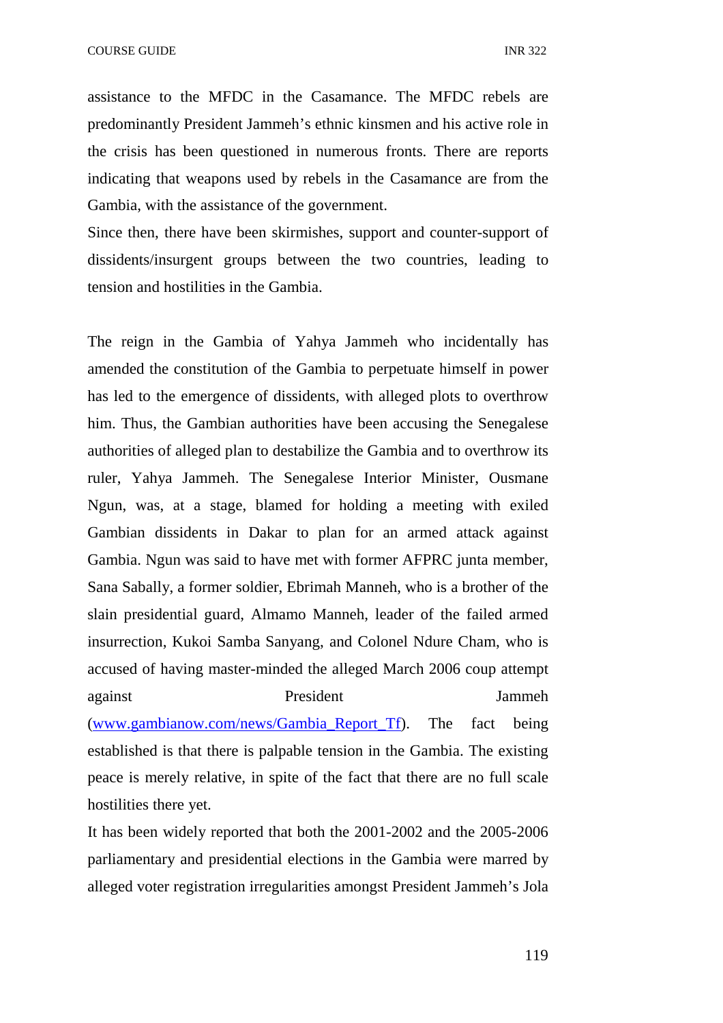assistance to the MFDC in the Casamance. The MFDC rebels are predominantly President Jammeh's ethnic kinsmen and his active role in the crisis has been questioned in numerous fronts. There are reports indicating that weapons used by rebels in the Casamance are from the Gambia, with the assistance of the government.

Since then, there have been skirmishes, support and counter-support of dissidents/insurgent groups between the two countries, leading to tension and hostilities in the Gambia.

The reign in the Gambia of Yahya Jammeh who incidentally has amended the constitution of the Gambia to perpetuate himself in power has led to the emergence of dissidents, with alleged plots to overthrow him. Thus, the Gambian authorities have been accusing the Senegalese authorities of alleged plan to destabilize the Gambia and to overthrow its ruler, Yahya Jammeh. The Senegalese Interior Minister, Ousmane Ngun, was, at a stage, blamed for holding a meeting with exiled Gambian dissidents in Dakar to plan for an armed attack against Gambia. Ngun was said to have met with former AFPRC junta member, Sana Sabally, a former soldier, Ebrimah Manneh, who is a brother of the slain presidential guard, Almamo Manneh, leader of the failed armed insurrection, Kukoi Samba Sanyang, and Colonel Ndure Cham, who is accused of having master-minded the alleged March 2006 coup attempt against President Jammeh (www.gambianow.com/news/Gambia\_Report\_Tf). The fact being established is that there is palpable tension in the Gambia. The existing peace is merely relative, in spite of the fact that there are no full scale hostilities there yet.

It has been widely reported that both the 2001-2002 and the 2005-2006 parliamentary and presidential elections in the Gambia were marred by alleged voter registration irregularities amongst President Jammeh's Jola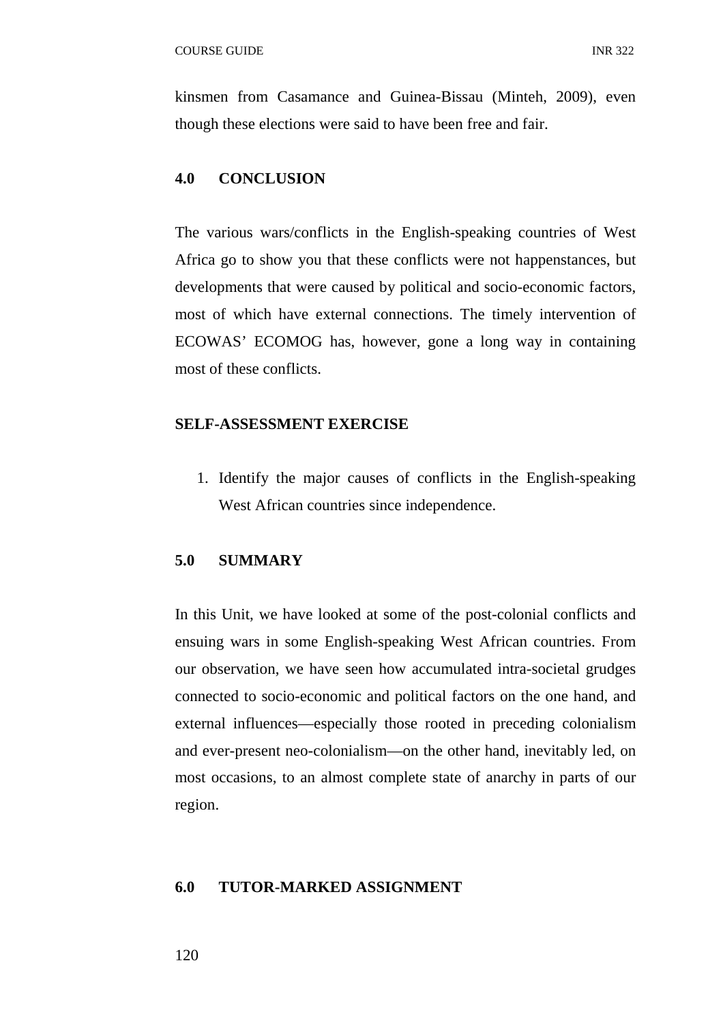kinsmen from Casamance and Guinea-Bissau (Minteh, 2009), even though these elections were said to have been free and fair.

#### **4.0 CONCLUSION**

The various wars/conflicts in the English-speaking countries of West Africa go to show you that these conflicts were not happenstances, but developments that were caused by political and socio-economic factors, most of which have external connections. The timely intervention of ECOWAS' ECOMOG has, however, gone a long way in containing most of these conflicts.

#### **SELF-ASSESSMENT EXERCISE**

1. Identify the major causes of conflicts in the English-speaking West African countries since independence.

# **5.0 SUMMARY**

In this Unit, we have looked at some of the post-colonial conflicts and ensuing wars in some English-speaking West African countries. From our observation, we have seen how accumulated intra-societal grudges connected to socio-economic and political factors on the one hand, and external influences—especially those rooted in preceding colonialism and ever-present neo-colonialism—on the other hand, inevitably led, on most occasions, to an almost complete state of anarchy in parts of our region.

## **6.0 TUTOR-MARKED ASSIGNMENT**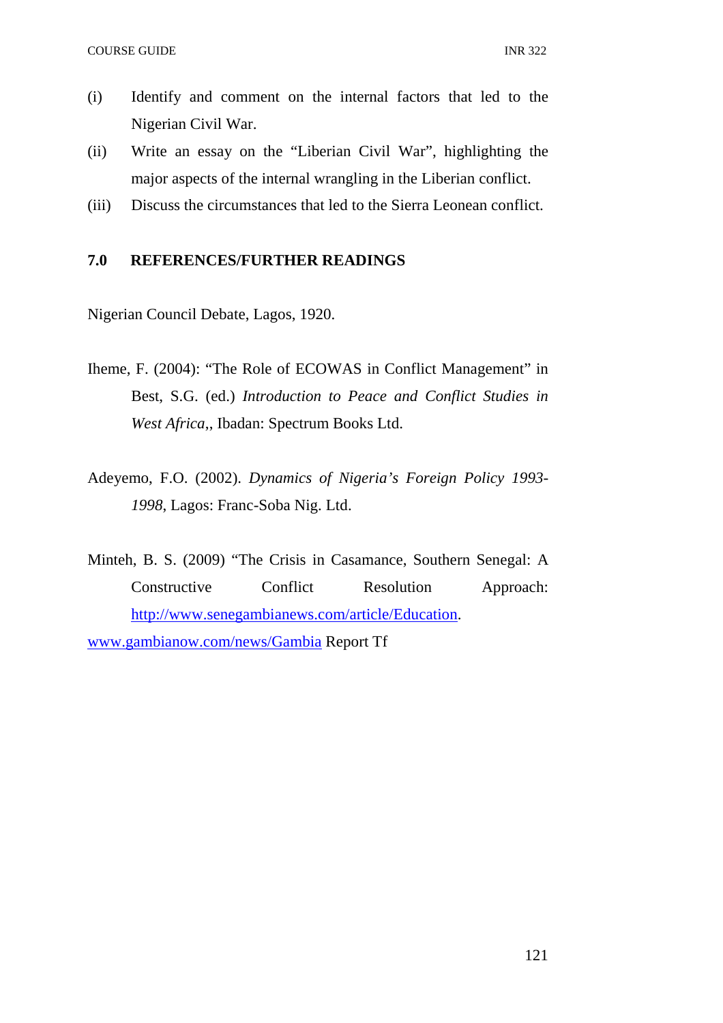- (i) Identify and comment on the internal factors that led to the Nigerian Civil War.
- (ii) Write an essay on the "Liberian Civil War", highlighting the major aspects of the internal wrangling in the Liberian conflict.
- (iii) Discuss the circumstances that led to the Sierra Leonean conflict.

# **7.0 REFERENCES/FURTHER READINGS**

Nigerian Council Debate, Lagos, 1920.

- Iheme, F. (2004): "The Role of ECOWAS in Conflict Management" in Best, S.G. (ed.) *Introduction to Peace and Conflict Studies in West Africa*,, Ibadan: Spectrum Books Ltd.
- Adeyemo, F.O. (2002). *Dynamics of Nigeria's Foreign Policy 1993- 1998*, Lagos: Franc-Soba Nig. Ltd.

Minteh, B. S. (2009) "The Crisis in Casamance, Southern Senegal: A Constructive Conflict Resolution Approach: http://www.senegambianews.com/article/Education. www.gambianow.com/news/Gambia Report Tf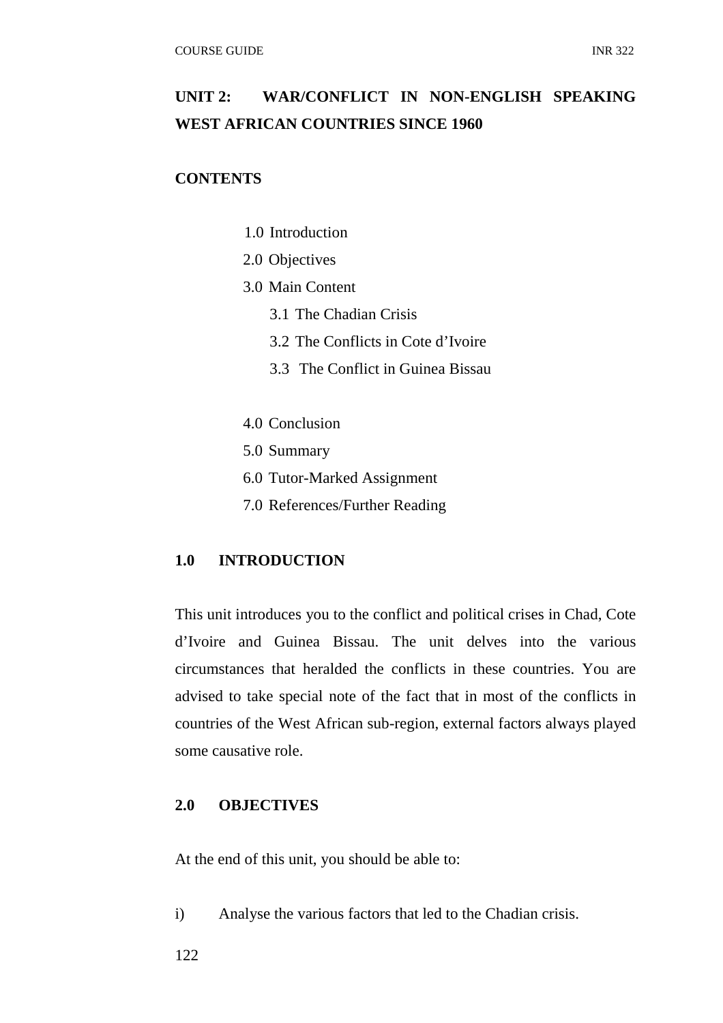# **UNIT 2: WAR/CONFLICT IN NON-ENGLISH SPEAKING WEST AFRICAN COUNTRIES SINCE 1960**

# **CONTENTS**

- 1.0 Introduction
- 2.0 Objectives
- 3.0 Main Content
	- 3.1 The Chadian Crisis
	- 3.2 The Conflicts in Cote d'Ivoire
	- 3.3 The Conflict in Guinea Bissau
- 4.0 Conclusion
- 5.0 Summary
- 6.0 Tutor-Marked Assignment
- 7.0 References/Further Reading

# **1.0 INTRODUCTION**

This unit introduces you to the conflict and political crises in Chad, Cote d'Ivoire and Guinea Bissau. The unit delves into the various circumstances that heralded the conflicts in these countries. You are advised to take special note of the fact that in most of the conflicts in countries of the West African sub-region, external factors always played some causative role.

# **2.0 OBJECTIVES**

At the end of this unit, you should be able to:

i) Analyse the various factors that led to the Chadian crisis.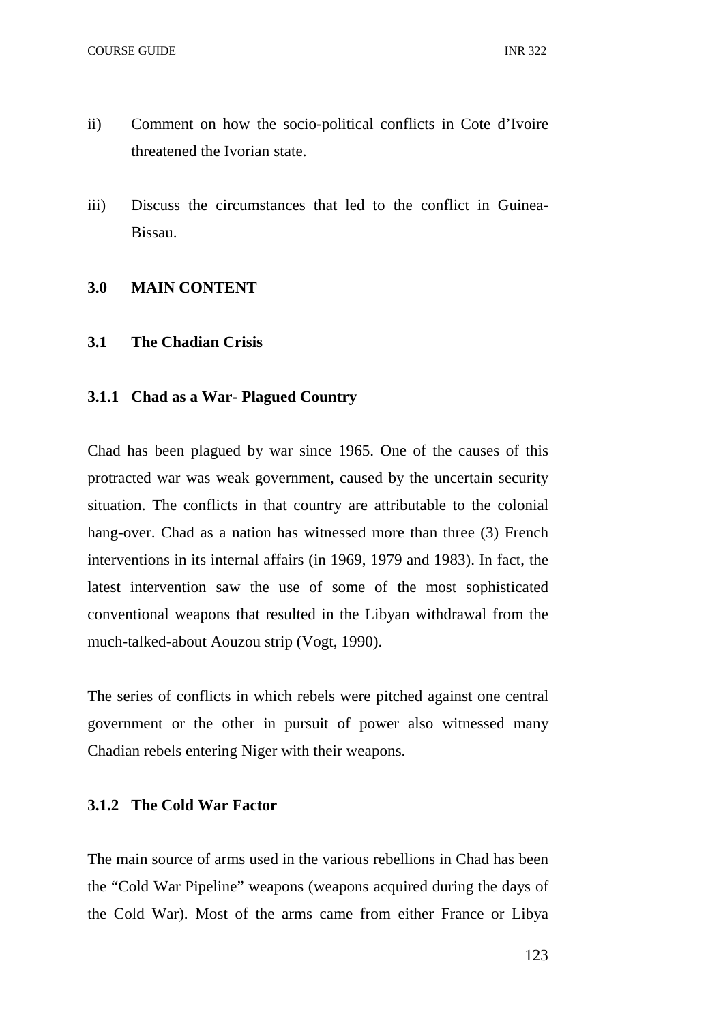- ii) Comment on how the socio-political conflicts in Cote d'Ivoire threatened the Ivorian state.
- iii) Discuss the circumstances that led to the conflict in Guinea-Bissau.

# **3.0 MAIN CONTENT**

# **3.1 The Chadian Crisis**

# **3.1.1 Chad as a War- Plagued Country**

Chad has been plagued by war since 1965. One of the causes of this protracted war was weak government, caused by the uncertain security situation. The conflicts in that country are attributable to the colonial hang-over. Chad as a nation has witnessed more than three (3) French interventions in its internal affairs (in 1969, 1979 and 1983). In fact, the latest intervention saw the use of some of the most sophisticated conventional weapons that resulted in the Libyan withdrawal from the much-talked-about Aouzou strip (Vogt, 1990).

The series of conflicts in which rebels were pitched against one central government or the other in pursuit of power also witnessed many Chadian rebels entering Niger with their weapons.

# **3.1.2 The Cold War Factor**

The main source of arms used in the various rebellions in Chad has been the "Cold War Pipeline" weapons (weapons acquired during the days of the Cold War). Most of the arms came from either France or Libya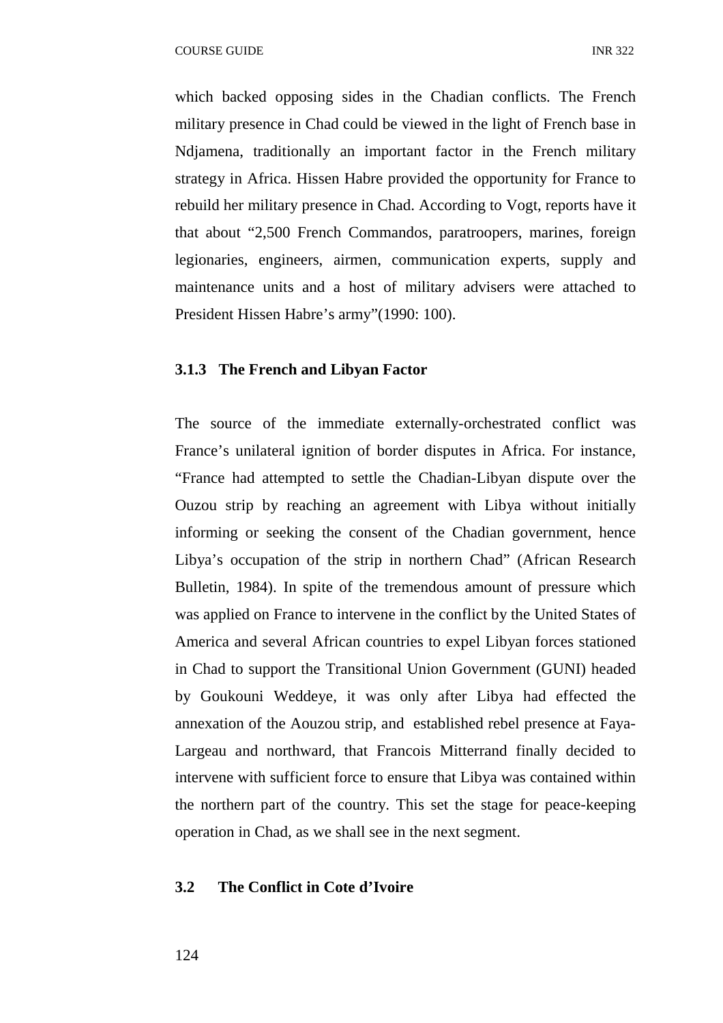which backed opposing sides in the Chadian conflicts. The French military presence in Chad could be viewed in the light of French base in Ndjamena, traditionally an important factor in the French military strategy in Africa. Hissen Habre provided the opportunity for France to rebuild her military presence in Chad. According to Vogt, reports have it that about "2,500 French Commandos, paratroopers, marines, foreign legionaries, engineers, airmen, communication experts, supply and maintenance units and a host of military advisers were attached to President Hissen Habre's army"(1990: 100).

#### **3.1.3 The French and Libyan Factor**

The source of the immediate externally-orchestrated conflict was France's unilateral ignition of border disputes in Africa. For instance, "France had attempted to settle the Chadian-Libyan dispute over the Ouzou strip by reaching an agreement with Libya without initially informing or seeking the consent of the Chadian government, hence Libya's occupation of the strip in northern Chad" (African Research Bulletin, 1984). In spite of the tremendous amount of pressure which was applied on France to intervene in the conflict by the United States of America and several African countries to expel Libyan forces stationed in Chad to support the Transitional Union Government (GUNI) headed by Goukouni Weddeye, it was only after Libya had effected the annexation of the Aouzou strip, and established rebel presence at Faya-Largeau and northward, that Francois Mitterrand finally decided to intervene with sufficient force to ensure that Libya was contained within the northern part of the country. This set the stage for peace-keeping operation in Chad, as we shall see in the next segment.

# **3.2 The Conflict in Cote d'Ivoire**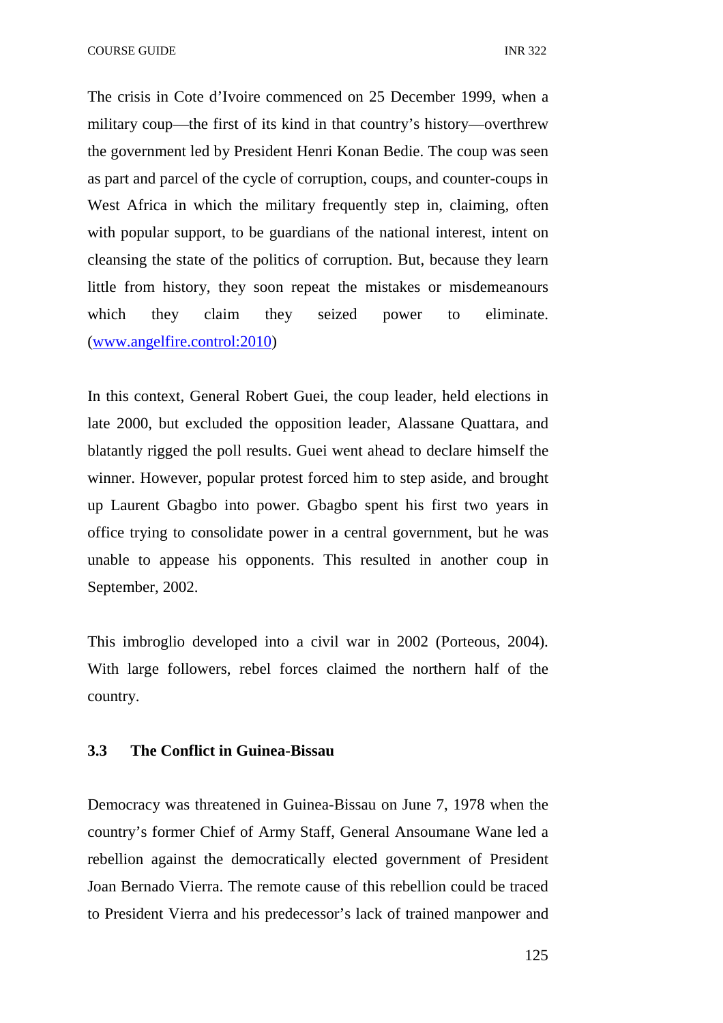COURSE GUIDE **INR** 322

The crisis in Cote d'Ivoire commenced on 25 December 1999, when a military coup—the first of its kind in that country's history—overthrew the government led by President Henri Konan Bedie. The coup was seen as part and parcel of the cycle of corruption, coups, and counter-coups in West Africa in which the military frequently step in, claiming, often with popular support, to be guardians of the national interest, intent on cleansing the state of the politics of corruption. But, because they learn little from history, they soon repeat the mistakes or misdemeanours which they claim they seized power to eliminate. (www.angelfire.control:2010)

In this context, General Robert Guei, the coup leader, held elections in late 2000, but excluded the opposition leader, Alassane Quattara, and blatantly rigged the poll results. Guei went ahead to declare himself the winner. However, popular protest forced him to step aside, and brought up Laurent Gbagbo into power. Gbagbo spent his first two years in office trying to consolidate power in a central government, but he was unable to appease his opponents. This resulted in another coup in September, 2002.

This imbroglio developed into a civil war in 2002 (Porteous, 2004). With large followers, rebel forces claimed the northern half of the country.

# **3.3 The Conflict in Guinea-Bissau**

Democracy was threatened in Guinea-Bissau on June 7, 1978 when the country's former Chief of Army Staff, General Ansoumane Wane led a rebellion against the democratically elected government of President Joan Bernado Vierra. The remote cause of this rebellion could be traced to President Vierra and his predecessor's lack of trained manpower and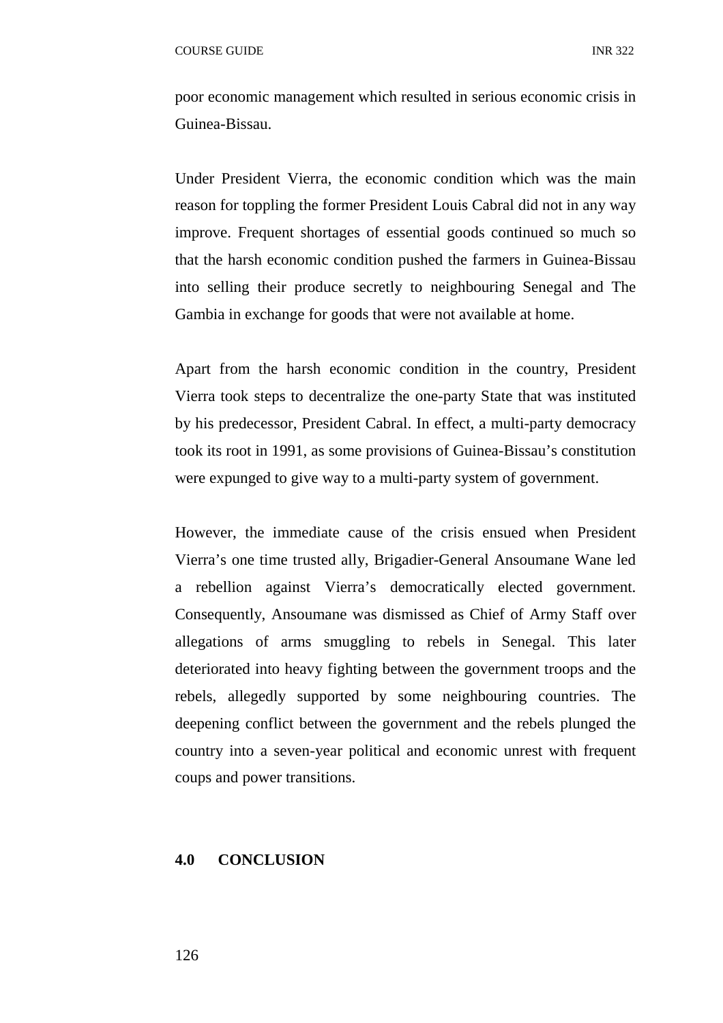poor economic management which resulted in serious economic crisis in Guinea-Bissau.

Under President Vierra, the economic condition which was the main reason for toppling the former President Louis Cabral did not in any way improve. Frequent shortages of essential goods continued so much so that the harsh economic condition pushed the farmers in Guinea-Bissau into selling their produce secretly to neighbouring Senegal and The Gambia in exchange for goods that were not available at home.

Apart from the harsh economic condition in the country, President Vierra took steps to decentralize the one-party State that was instituted by his predecessor, President Cabral. In effect, a multi-party democracy took its root in 1991, as some provisions of Guinea-Bissau's constitution were expunged to give way to a multi-party system of government.

However, the immediate cause of the crisis ensued when President Vierra's one time trusted ally, Brigadier-General Ansoumane Wane led a rebellion against Vierra's democratically elected government. Consequently, Ansoumane was dismissed as Chief of Army Staff over allegations of arms smuggling to rebels in Senegal. This later deteriorated into heavy fighting between the government troops and the rebels, allegedly supported by some neighbouring countries. The deepening conflict between the government and the rebels plunged the country into a seven-year political and economic unrest with frequent coups and power transitions.

#### **4.0 CONCLUSION**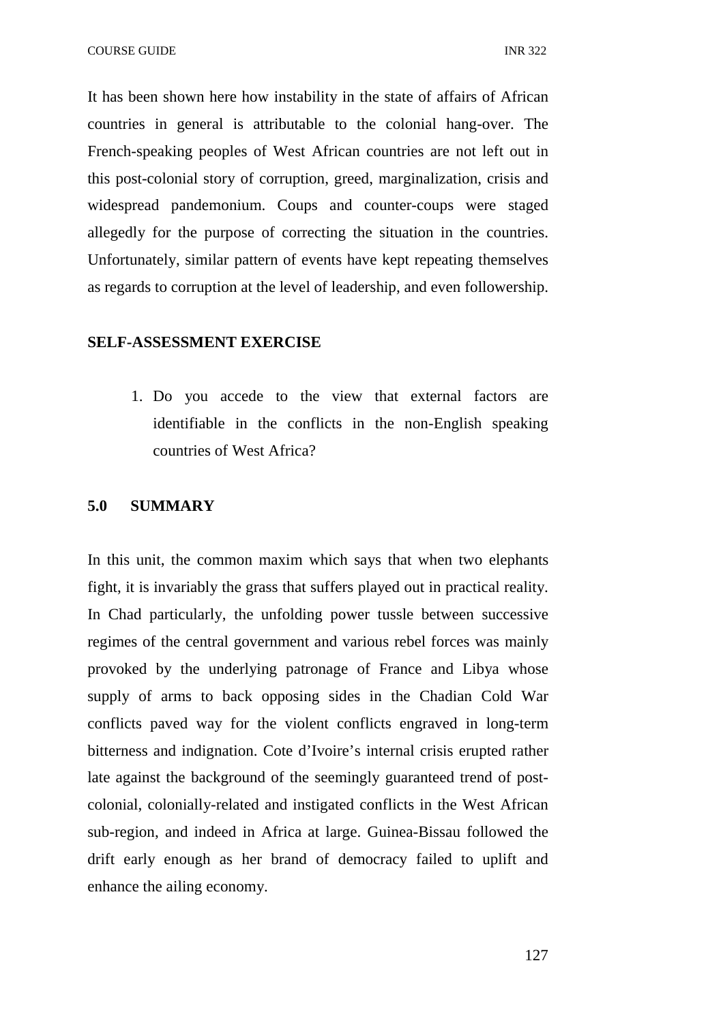It has been shown here how instability in the state of affairs of African countries in general is attributable to the colonial hang-over. The French-speaking peoples of West African countries are not left out in this post-colonial story of corruption, greed, marginalization, crisis and widespread pandemonium. Coups and counter-coups were staged allegedly for the purpose of correcting the situation in the countries. Unfortunately, similar pattern of events have kept repeating themselves as regards to corruption at the level of leadership, and even followership.

#### **SELF-ASSESSMENT EXERCISE**

1. Do you accede to the view that external factors are identifiable in the conflicts in the non-English speaking countries of West Africa?

#### **5.0 SUMMARY**

In this unit, the common maxim which says that when two elephants fight, it is invariably the grass that suffers played out in practical reality. In Chad particularly, the unfolding power tussle between successive regimes of the central government and various rebel forces was mainly provoked by the underlying patronage of France and Libya whose supply of arms to back opposing sides in the Chadian Cold War conflicts paved way for the violent conflicts engraved in long-term bitterness and indignation. Cote d'Ivoire's internal crisis erupted rather late against the background of the seemingly guaranteed trend of postcolonial, colonially-related and instigated conflicts in the West African sub-region, and indeed in Africa at large. Guinea-Bissau followed the drift early enough as her brand of democracy failed to uplift and enhance the ailing economy.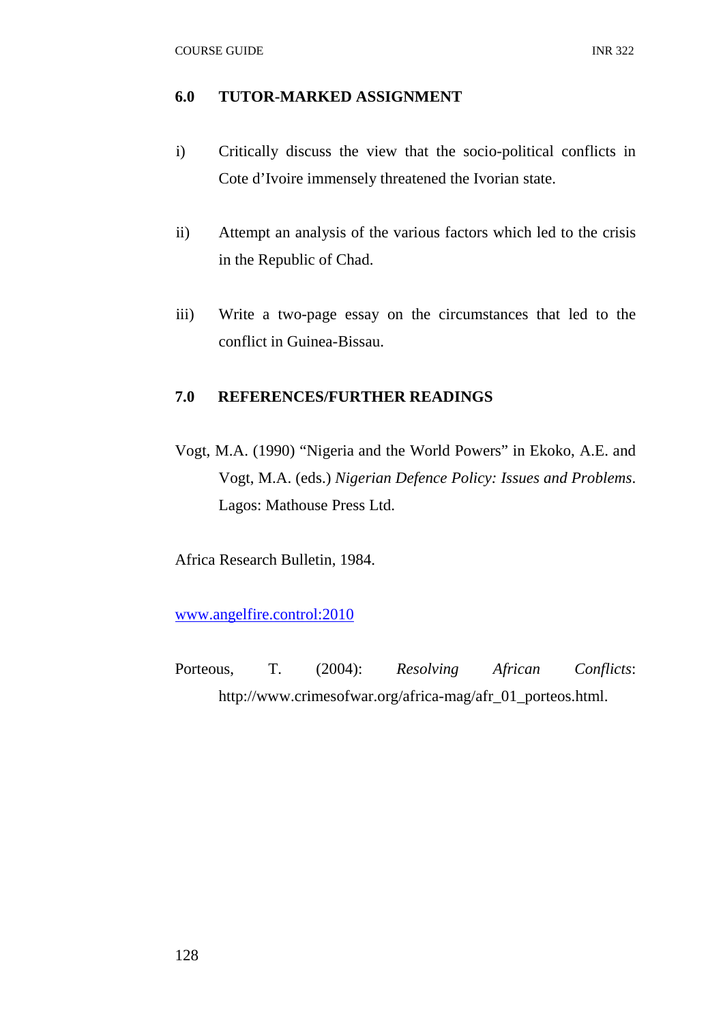# **6.0 TUTOR-MARKED ASSIGNMENT**

- i) Critically discuss the view that the socio-political conflicts in Cote d'Ivoire immensely threatened the Ivorian state.
- ii) Attempt an analysis of the various factors which led to the crisis in the Republic of Chad.
- iii) Write a two-page essay on the circumstances that led to the conflict in Guinea-Bissau.

# **7.0 REFERENCES/FURTHER READINGS**

Vogt, M.A. (1990) "Nigeria and the World Powers" in Ekoko, A.E. and Vogt, M.A. (eds.) *Nigerian Defence Policy: Issues and Problems*. Lagos: Mathouse Press Ltd.

Africa Research Bulletin, 1984.

www.angelfire.control:2010

Porteous, T. (2004): *Resolving African Conflicts*: http://www.crimesofwar.org/africa-mag/afr\_01\_porteos.html.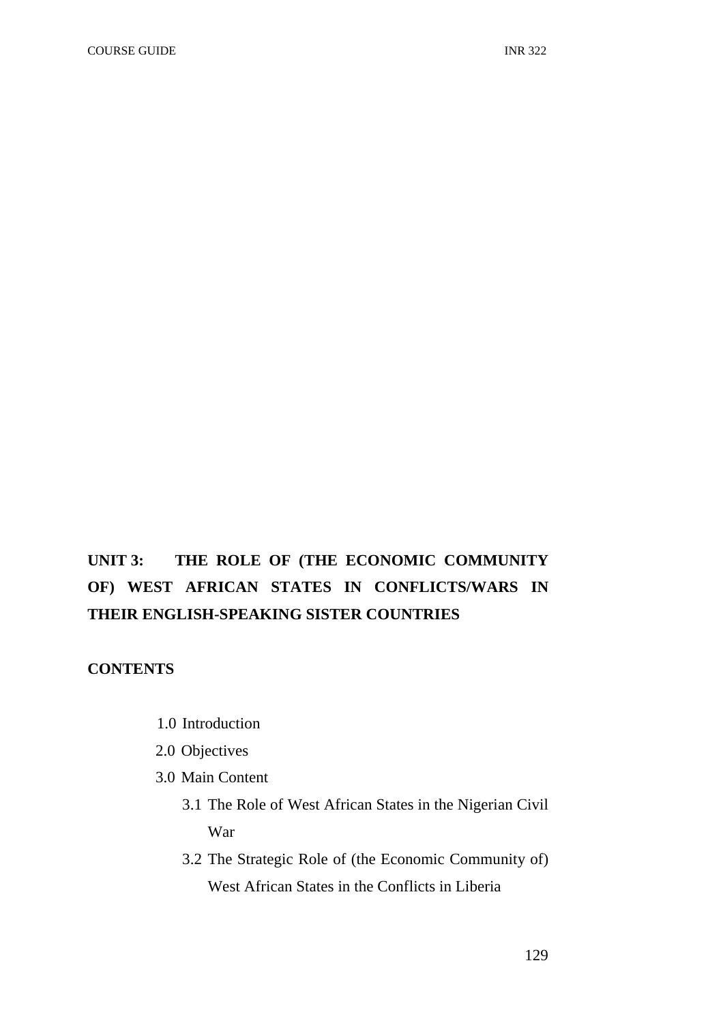# **UNIT 3: THE ROLE OF (THE ECONOMIC COMMUNITY OF) WEST AFRICAN STATES IN CONFLICTS/WARS IN THEIR ENGLISH-SPEAKING SISTER COUNTRIES**

# **CONTENTS**

- 1.0 Introduction
- 2.0 Objectives
- 3.0 Main Content
	- 3.1 The Role of West African States in the Nigerian Civil War
	- 3.2 The Strategic Role of (the Economic Community of) West African States in the Conflicts in Liberia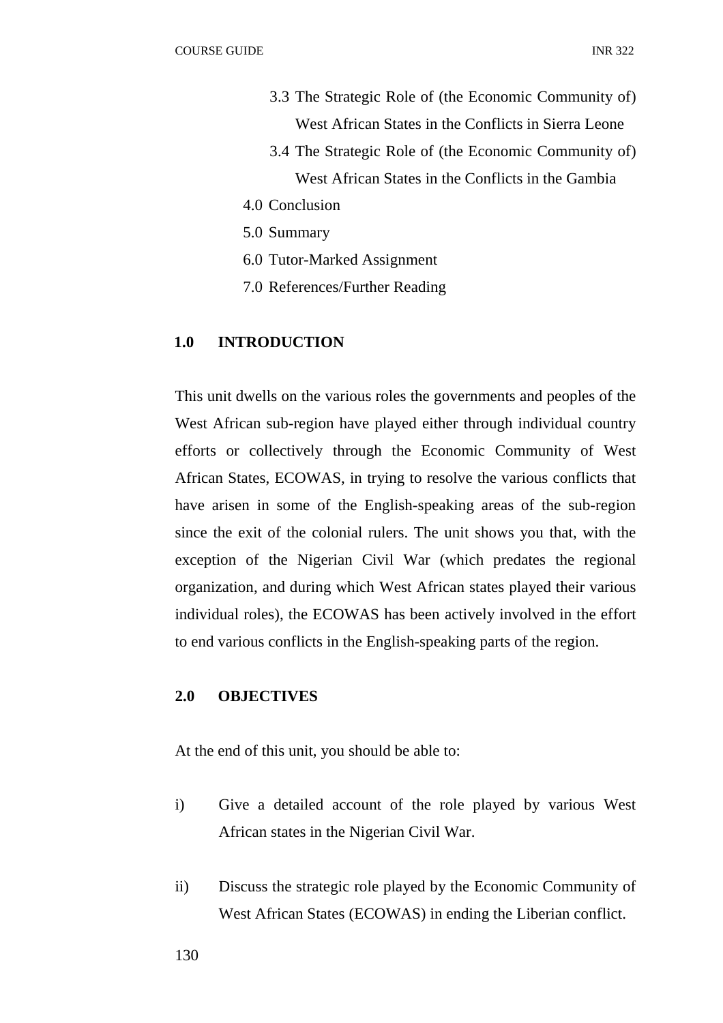- 3.3 The Strategic Role of (the Economic Community of) West African States in the Conflicts in Sierra Leone
- 3.4 The Strategic Role of (the Economic Community of) West African States in the Conflicts in the Gambia
- 4.0 Conclusion
- 5.0 Summary
- 6.0 Tutor-Marked Assignment
- 7.0 References/Further Reading

#### **1.0 INTRODUCTION**

This unit dwells on the various roles the governments and peoples of the West African sub-region have played either through individual country efforts or collectively through the Economic Community of West African States, ECOWAS, in trying to resolve the various conflicts that have arisen in some of the English-speaking areas of the sub-region since the exit of the colonial rulers. The unit shows you that, with the exception of the Nigerian Civil War (which predates the regional organization, and during which West African states played their various individual roles), the ECOWAS has been actively involved in the effort to end various conflicts in the English-speaking parts of the region.

# **2.0 OBJECTIVES**

At the end of this unit, you should be able to:

- i) Give a detailed account of the role played by various West African states in the Nigerian Civil War.
- ii) Discuss the strategic role played by the Economic Community of West African States (ECOWAS) in ending the Liberian conflict.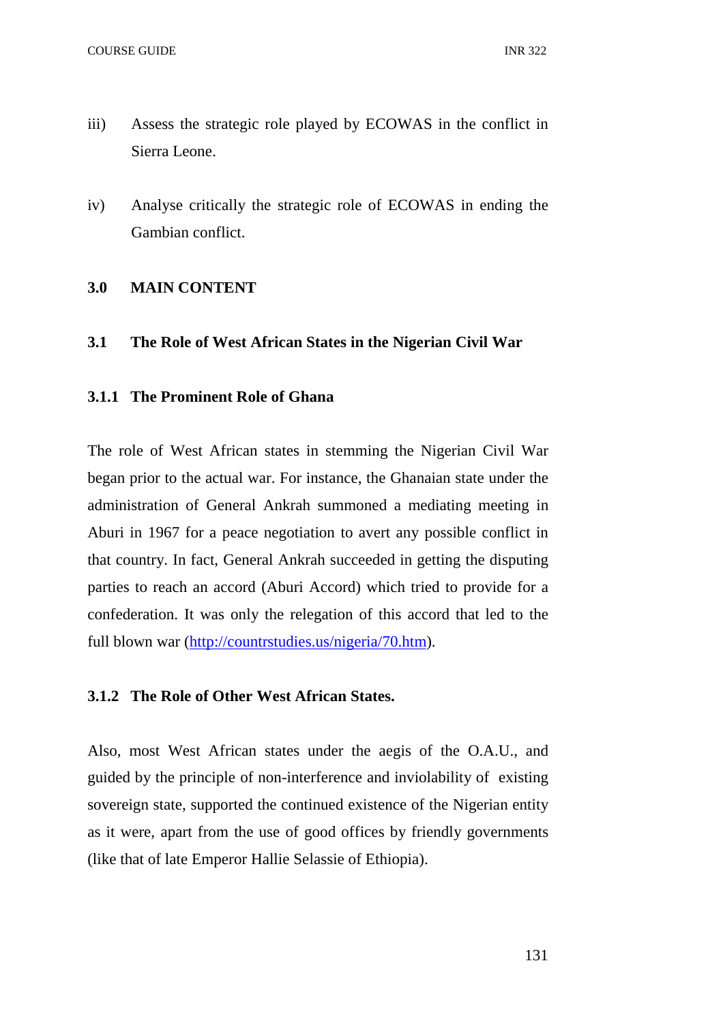- iii) Assess the strategic role played by ECOWAS in the conflict in Sierra Leone.
- iv) Analyse critically the strategic role of ECOWAS in ending the Gambian conflict.

# **3.0 MAIN CONTENT**

## **3.1 The Role of West African States in the Nigerian Civil War**

# **3.1.1 The Prominent Role of Ghana**

The role of West African states in stemming the Nigerian Civil War began prior to the actual war. For instance, the Ghanaian state under the administration of General Ankrah summoned a mediating meeting in Aburi in 1967 for a peace negotiation to avert any possible conflict in that country. In fact, General Ankrah succeeded in getting the disputing parties to reach an accord (Aburi Accord) which tried to provide for a confederation. It was only the relegation of this accord that led to the full blown war (http://countrstudies.us/nigeria/70.htm).

#### **3.1.2 The Role of Other West African States.**

Also, most West African states under the aegis of the O.A.U., and guided by the principle of non-interference and inviolability of existing sovereign state, supported the continued existence of the Nigerian entity as it were, apart from the use of good offices by friendly governments (like that of late Emperor Hallie Selassie of Ethiopia).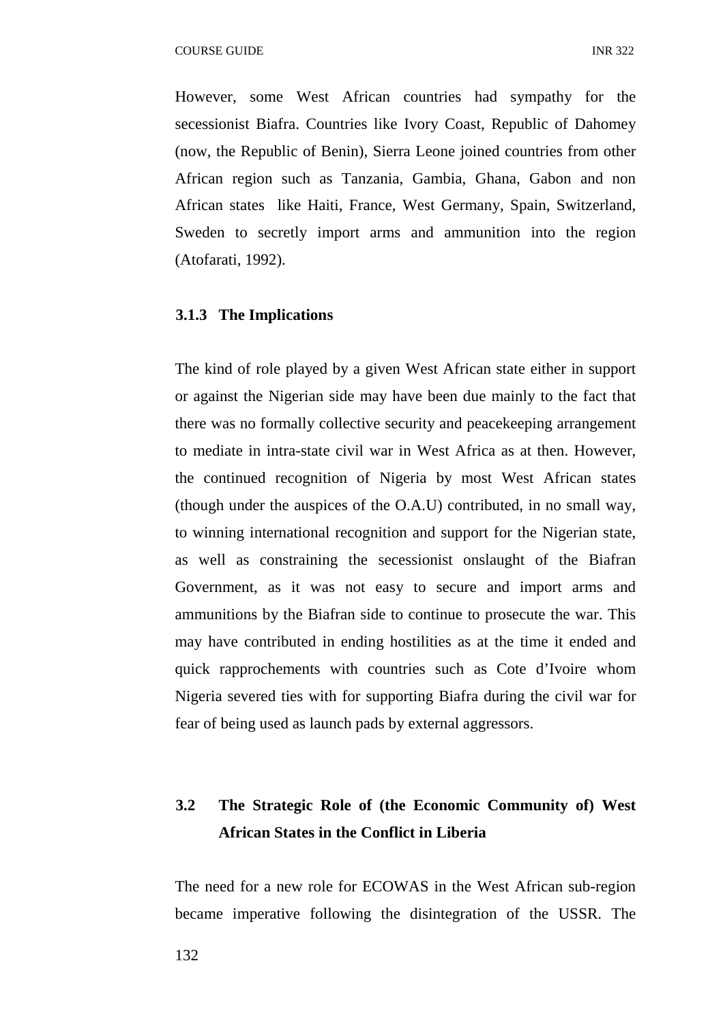However, some West African countries had sympathy for the secessionist Biafra. Countries like Ivory Coast, Republic of Dahomey (now, the Republic of Benin), Sierra Leone joined countries from other African region such as Tanzania, Gambia, Ghana, Gabon and non African states like Haiti, France, West Germany, Spain, Switzerland, Sweden to secretly import arms and ammunition into the region (Atofarati, 1992).

# **3.1.3 The Implications**

The kind of role played by a given West African state either in support or against the Nigerian side may have been due mainly to the fact that there was no formally collective security and peacekeeping arrangement to mediate in intra-state civil war in West Africa as at then. However, the continued recognition of Nigeria by most West African states (though under the auspices of the O.A.U) contributed, in no small way, to winning international recognition and support for the Nigerian state, as well as constraining the secessionist onslaught of the Biafran Government, as it was not easy to secure and import arms and ammunitions by the Biafran side to continue to prosecute the war. This may have contributed in ending hostilities as at the time it ended and quick rapprochements with countries such as Cote d'Ivoire whom Nigeria severed ties with for supporting Biafra during the civil war for fear of being used as launch pads by external aggressors.

# **3.2 The Strategic Role of (the Economic Community of) West African States in the Conflict in Liberia**

The need for a new role for ECOWAS in the West African sub-region became imperative following the disintegration of the USSR. The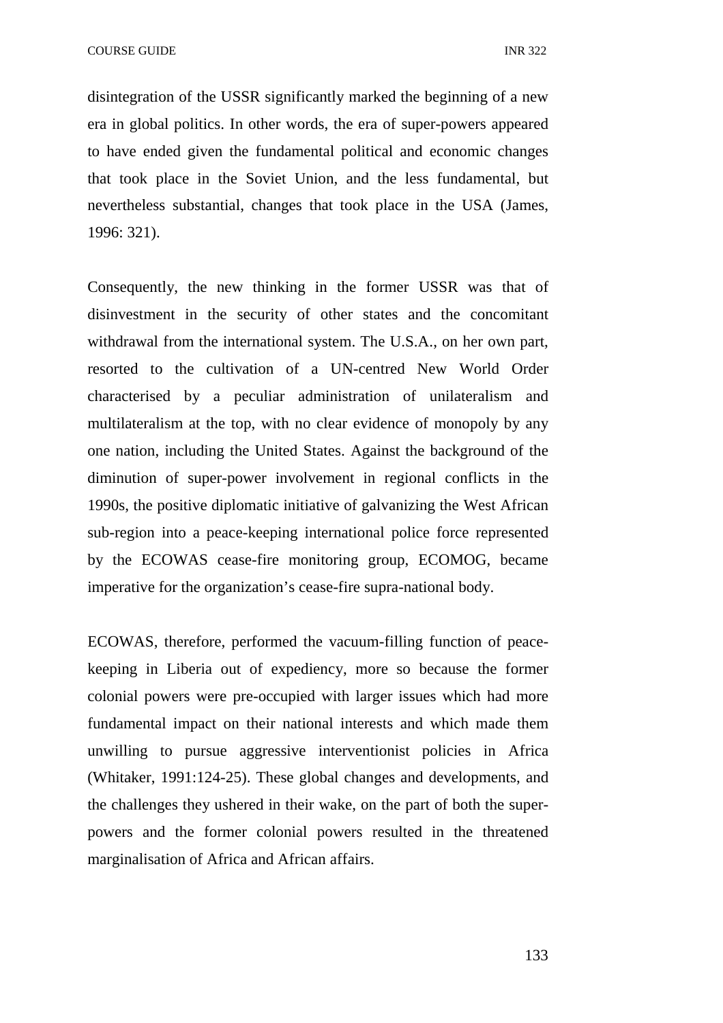COURSE GUIDE **INR** 322

disintegration of the USSR significantly marked the beginning of a new era in global politics. In other words, the era of super-powers appeared to have ended given the fundamental political and economic changes that took place in the Soviet Union, and the less fundamental, but nevertheless substantial, changes that took place in the USA (James, 1996: 321).

Consequently, the new thinking in the former USSR was that of disinvestment in the security of other states and the concomitant withdrawal from the international system. The U.S.A., on her own part, resorted to the cultivation of a UN-centred New World Order characterised by a peculiar administration of unilateralism and multilateralism at the top, with no clear evidence of monopoly by any one nation, including the United States. Against the background of the diminution of super-power involvement in regional conflicts in the 1990s, the positive diplomatic initiative of galvanizing the West African sub-region into a peace-keeping international police force represented by the ECOWAS cease-fire monitoring group, ECOMOG, became imperative for the organization's cease-fire supra-national body.

ECOWAS, therefore, performed the vacuum-filling function of peacekeeping in Liberia out of expediency, more so because the former colonial powers were pre-occupied with larger issues which had more fundamental impact on their national interests and which made them unwilling to pursue aggressive interventionist policies in Africa (Whitaker, 1991:124-25). These global changes and developments, and the challenges they ushered in their wake, on the part of both the superpowers and the former colonial powers resulted in the threatened marginalisation of Africa and African affairs.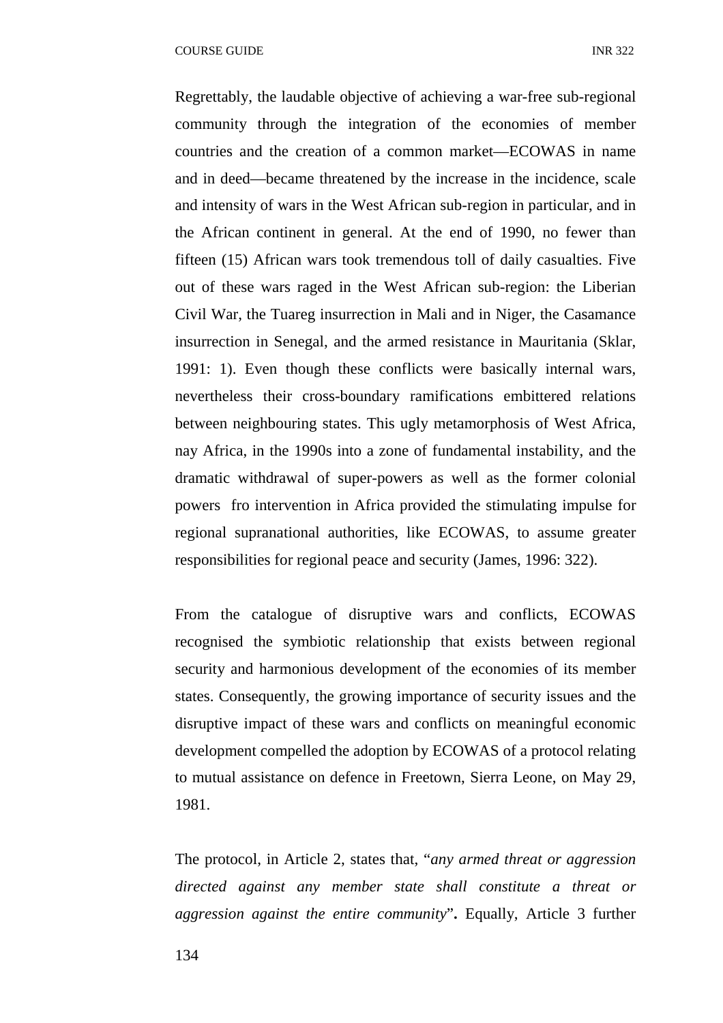Regrettably, the laudable objective of achieving a war-free sub-regional community through the integration of the economies of member countries and the creation of a common market—ECOWAS in name and in deed—became threatened by the increase in the incidence, scale and intensity of wars in the West African sub-region in particular, and in the African continent in general. At the end of 1990, no fewer than fifteen (15) African wars took tremendous toll of daily casualties. Five out of these wars raged in the West African sub-region: the Liberian Civil War, the Tuareg insurrection in Mali and in Niger, the Casamance insurrection in Senegal, and the armed resistance in Mauritania (Sklar, 1991: 1). Even though these conflicts were basically internal wars, nevertheless their cross-boundary ramifications embittered relations between neighbouring states. This ugly metamorphosis of West Africa, nay Africa, in the 1990s into a zone of fundamental instability, and the dramatic withdrawal of super-powers as well as the former colonial powers fro intervention in Africa provided the stimulating impulse for regional supranational authorities, like ECOWAS, to assume greater responsibilities for regional peace and security (James, 1996: 322).

From the catalogue of disruptive wars and conflicts, ECOWAS recognised the symbiotic relationship that exists between regional security and harmonious development of the economies of its member states. Consequently, the growing importance of security issues and the disruptive impact of these wars and conflicts on meaningful economic development compelled the adoption by ECOWAS of a protocol relating to mutual assistance on defence in Freetown, Sierra Leone, on May 29, 1981.

The protocol, in Article 2, states that, "*any armed threat or aggression directed against any member state shall constitute a threat or aggression against the entire community*"**.** Equally, Article 3 further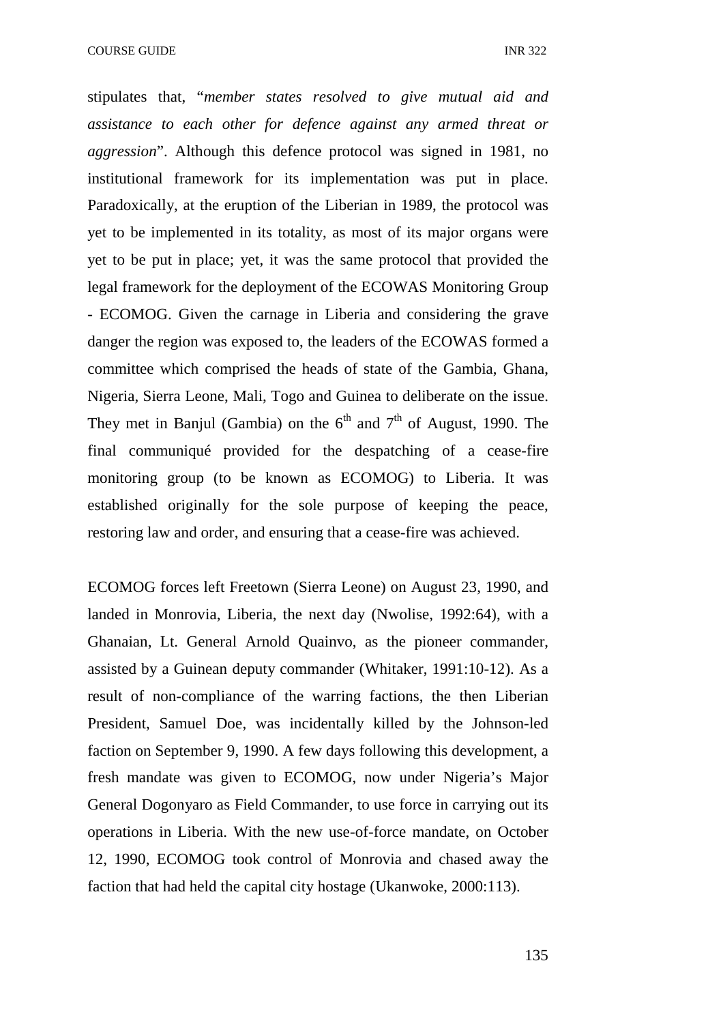stipulates that, "*member states resolved to give mutual aid and assistance to each other for defence against any armed threat or aggression*". Although this defence protocol was signed in 1981, no institutional framework for its implementation was put in place. Paradoxically, at the eruption of the Liberian in 1989, the protocol was yet to be implemented in its totality, as most of its major organs were yet to be put in place; yet, it was the same protocol that provided the legal framework for the deployment of the ECOWAS Monitoring Group - ECOMOG. Given the carnage in Liberia and considering the grave danger the region was exposed to, the leaders of the ECOWAS formed a committee which comprised the heads of state of the Gambia, Ghana, Nigeria, Sierra Leone, Mali, Togo and Guinea to deliberate on the issue. They met in Banjul (Gambia) on the  $6<sup>th</sup>$  and  $7<sup>th</sup>$  of August, 1990. The final communiqué provided for the despatching of a cease-fire monitoring group (to be known as ECOMOG) to Liberia. It was established originally for the sole purpose of keeping the peace, restoring law and order, and ensuring that a cease-fire was achieved.

ECOMOG forces left Freetown (Sierra Leone) on August 23, 1990, and landed in Monrovia, Liberia, the next day (Nwolise, 1992:64), with a Ghanaian, Lt. General Arnold Quainvo, as the pioneer commander, assisted by a Guinean deputy commander (Whitaker, 1991:10-12). As a result of non-compliance of the warring factions, the then Liberian President, Samuel Doe, was incidentally killed by the Johnson-led faction on September 9, 1990. A few days following this development, a fresh mandate was given to ECOMOG, now under Nigeria's Major General Dogonyaro as Field Commander, to use force in carrying out its operations in Liberia. With the new use-of-force mandate, on October 12, 1990, ECOMOG took control of Monrovia and chased away the faction that had held the capital city hostage (Ukanwoke, 2000:113).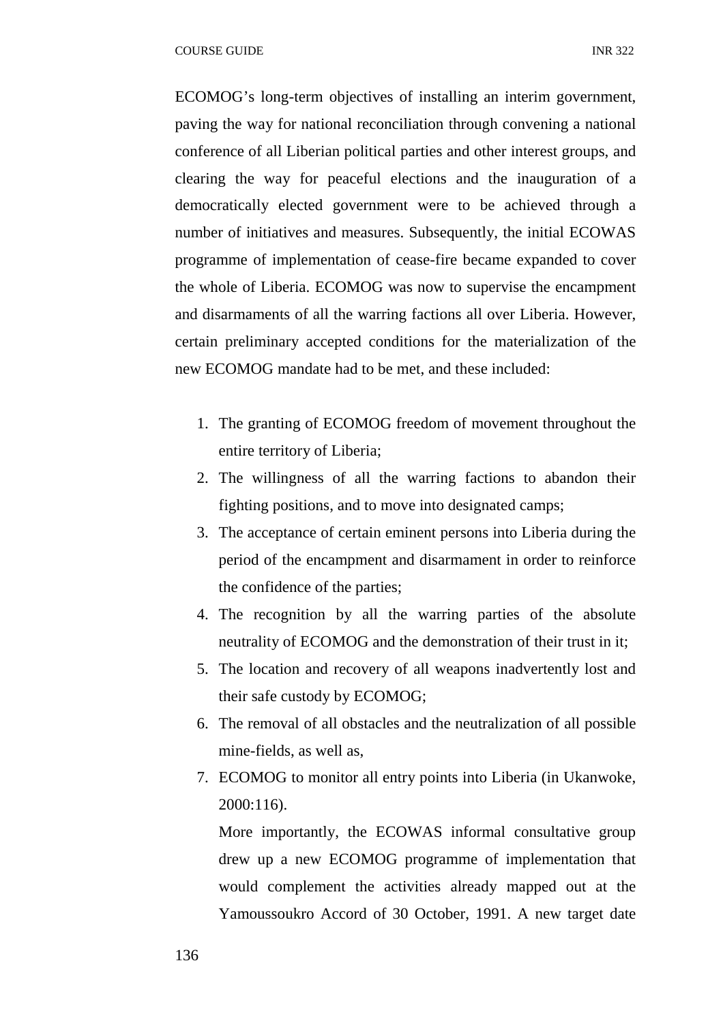ECOMOG's long-term objectives of installing an interim government, paving the way for national reconciliation through convening a national conference of all Liberian political parties and other interest groups, and clearing the way for peaceful elections and the inauguration of a democratically elected government were to be achieved through a number of initiatives and measures. Subsequently, the initial ECOWAS programme of implementation of cease-fire became expanded to cover the whole of Liberia. ECOMOG was now to supervise the encampment and disarmaments of all the warring factions all over Liberia. However, certain preliminary accepted conditions for the materialization of the new ECOMOG mandate had to be met, and these included:

- 1. The granting of ECOMOG freedom of movement throughout the entire territory of Liberia;
- 2. The willingness of all the warring factions to abandon their fighting positions, and to move into designated camps;
- 3. The acceptance of certain eminent persons into Liberia during the period of the encampment and disarmament in order to reinforce the confidence of the parties;
- 4. The recognition by all the warring parties of the absolute neutrality of ECOMOG and the demonstration of their trust in it;
- 5. The location and recovery of all weapons inadvertently lost and their safe custody by ECOMOG;
- 6. The removal of all obstacles and the neutralization of all possible mine-fields, as well as,
- 7. ECOMOG to monitor all entry points into Liberia (in Ukanwoke, 2000:116).

More importantly, the ECOWAS informal consultative group drew up a new ECOMOG programme of implementation that would complement the activities already mapped out at the Yamoussoukro Accord of 30 October, 1991. A new target date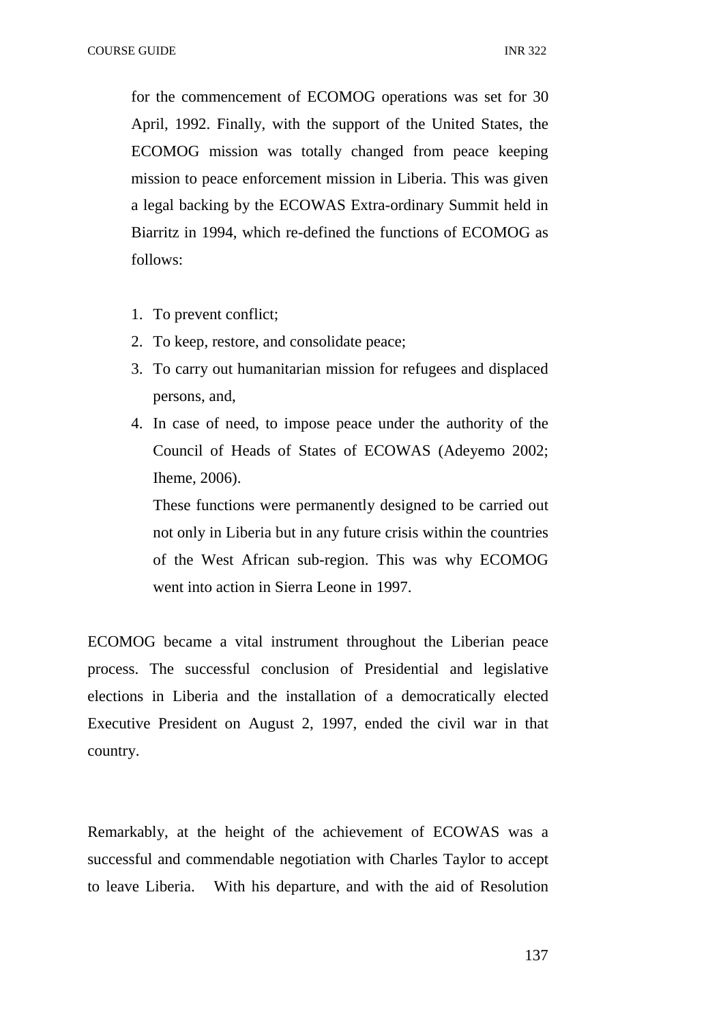for the commencement of ECOMOG operations was set for 30 April, 1992. Finally, with the support of the United States, the ECOMOG mission was totally changed from peace keeping mission to peace enforcement mission in Liberia. This was given a legal backing by the ECOWAS Extra-ordinary Summit held in Biarritz in 1994, which re-defined the functions of ECOMOG as follows:

- 1. To prevent conflict;
- 2. To keep, restore, and consolidate peace;
- 3. To carry out humanitarian mission for refugees and displaced persons, and,
- 4. In case of need, to impose peace under the authority of the Council of Heads of States of ECOWAS (Adeyemo 2002; Iheme, 2006).

These functions were permanently designed to be carried out not only in Liberia but in any future crisis within the countries of the West African sub-region. This was why ECOMOG went into action in Sierra Leone in 1997.

ECOMOG became a vital instrument throughout the Liberian peace process. The successful conclusion of Presidential and legislative elections in Liberia and the installation of a democratically elected Executive President on August 2, 1997, ended the civil war in that country.

Remarkably, at the height of the achievement of ECOWAS was a successful and commendable negotiation with Charles Taylor to accept to leave Liberia. With his departure, and with the aid of Resolution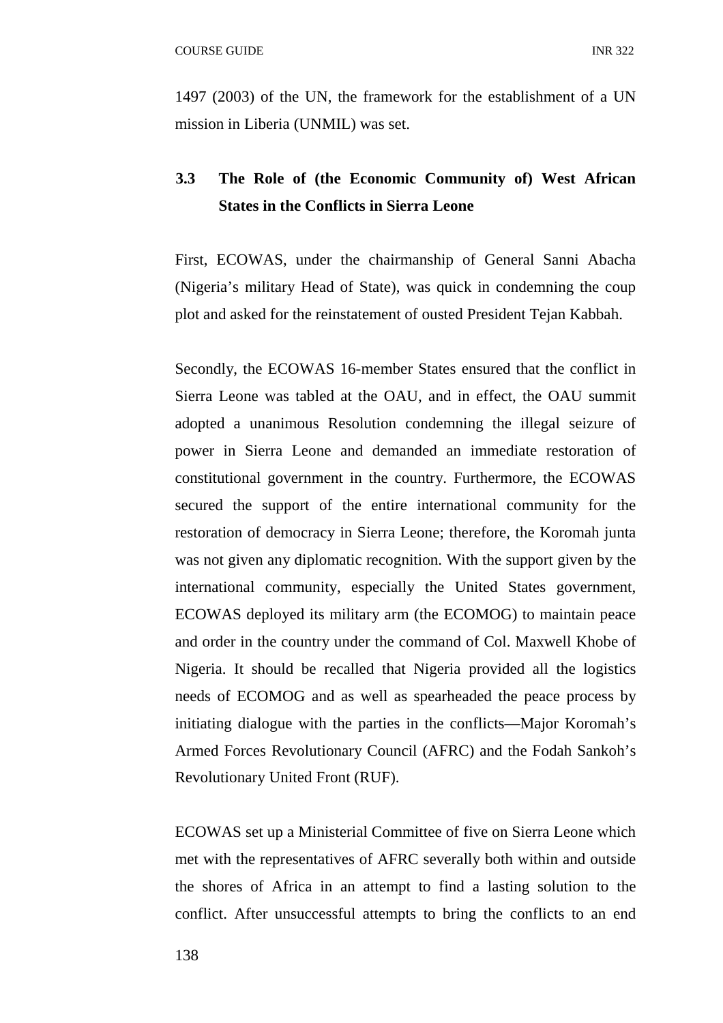1497 (2003) of the UN, the framework for the establishment of a UN mission in Liberia (UNMIL) was set.

# **3.3 The Role of (the Economic Community of) West African States in the Conflicts in Sierra Leone**

First, ECOWAS, under the chairmanship of General Sanni Abacha (Nigeria's military Head of State), was quick in condemning the coup plot and asked for the reinstatement of ousted President Tejan Kabbah.

Secondly, the ECOWAS 16-member States ensured that the conflict in Sierra Leone was tabled at the OAU, and in effect, the OAU summit adopted a unanimous Resolution condemning the illegal seizure of power in Sierra Leone and demanded an immediate restoration of constitutional government in the country. Furthermore, the ECOWAS secured the support of the entire international community for the restoration of democracy in Sierra Leone; therefore, the Koromah junta was not given any diplomatic recognition. With the support given by the international community, especially the United States government, ECOWAS deployed its military arm (the ECOMOG) to maintain peace and order in the country under the command of Col. Maxwell Khobe of Nigeria. It should be recalled that Nigeria provided all the logistics needs of ECOMOG and as well as spearheaded the peace process by initiating dialogue with the parties in the conflicts—Major Koromah's Armed Forces Revolutionary Council (AFRC) and the Fodah Sankoh's Revolutionary United Front (RUF).

ECOWAS set up a Ministerial Committee of five on Sierra Leone which met with the representatives of AFRC severally both within and outside the shores of Africa in an attempt to find a lasting solution to the conflict. After unsuccessful attempts to bring the conflicts to an end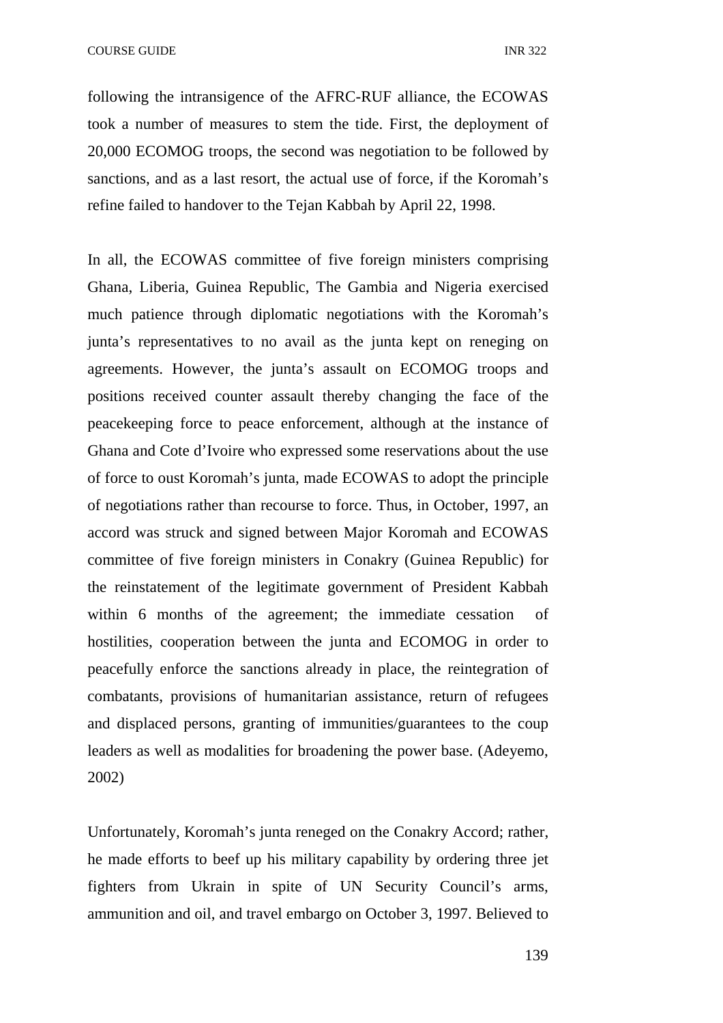following the intransigence of the AFRC-RUF alliance, the ECOWAS took a number of measures to stem the tide. First, the deployment of 20,000 ECOMOG troops, the second was negotiation to be followed by sanctions, and as a last resort, the actual use of force, if the Koromah's refine failed to handover to the Tejan Kabbah by April 22, 1998.

In all, the ECOWAS committee of five foreign ministers comprising Ghana, Liberia, Guinea Republic, The Gambia and Nigeria exercised much patience through diplomatic negotiations with the Koromah's junta's representatives to no avail as the junta kept on reneging on agreements. However, the junta's assault on ECOMOG troops and positions received counter assault thereby changing the face of the peacekeeping force to peace enforcement, although at the instance of Ghana and Cote d'Ivoire who expressed some reservations about the use of force to oust Koromah's junta, made ECOWAS to adopt the principle of negotiations rather than recourse to force. Thus, in October, 1997, an accord was struck and signed between Major Koromah and ECOWAS committee of five foreign ministers in Conakry (Guinea Republic) for the reinstatement of the legitimate government of President Kabbah within 6 months of the agreement; the immediate cessation of hostilities, cooperation between the junta and ECOMOG in order to peacefully enforce the sanctions already in place, the reintegration of combatants, provisions of humanitarian assistance, return of refugees and displaced persons, granting of immunities/guarantees to the coup leaders as well as modalities for broadening the power base. (Adeyemo, 2002)

Unfortunately, Koromah's junta reneged on the Conakry Accord; rather, he made efforts to beef up his military capability by ordering three jet fighters from Ukrain in spite of UN Security Council's arms, ammunition and oil, and travel embargo on October 3, 1997. Believed to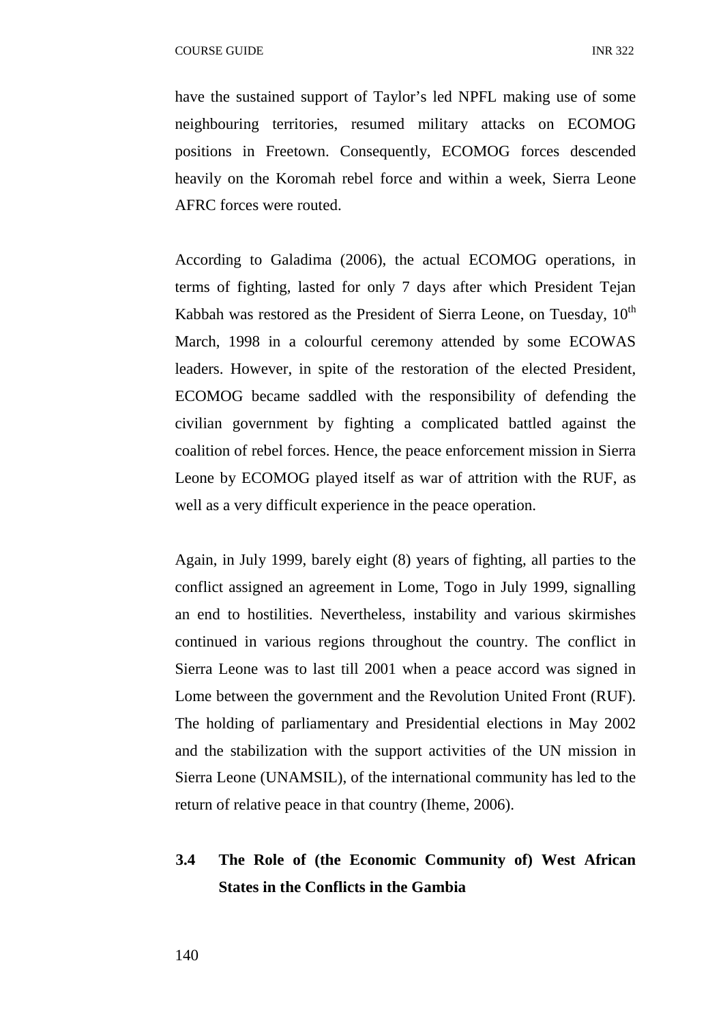have the sustained support of Taylor's led NPFL making use of some neighbouring territories, resumed military attacks on ECOMOG positions in Freetown. Consequently, ECOMOG forces descended heavily on the Koromah rebel force and within a week, Sierra Leone AFRC forces were routed.

According to Galadima (2006), the actual ECOMOG operations, in terms of fighting, lasted for only 7 days after which President Tejan Kabbah was restored as the President of Sierra Leone, on Tuesday,  $10<sup>th</sup>$ March, 1998 in a colourful ceremony attended by some ECOWAS leaders. However, in spite of the restoration of the elected President, ECOMOG became saddled with the responsibility of defending the civilian government by fighting a complicated battled against the coalition of rebel forces. Hence, the peace enforcement mission in Sierra Leone by ECOMOG played itself as war of attrition with the RUF, as well as a very difficult experience in the peace operation.

Again, in July 1999, barely eight (8) years of fighting, all parties to the conflict assigned an agreement in Lome, Togo in July 1999, signalling an end to hostilities. Nevertheless, instability and various skirmishes continued in various regions throughout the country. The conflict in Sierra Leone was to last till 2001 when a peace accord was signed in Lome between the government and the Revolution United Front (RUF). The holding of parliamentary and Presidential elections in May 2002 and the stabilization with the support activities of the UN mission in Sierra Leone (UNAMSIL), of the international community has led to the return of relative peace in that country (Iheme, 2006).

# **3.4 The Role of (the Economic Community of) West African States in the Conflicts in the Gambia**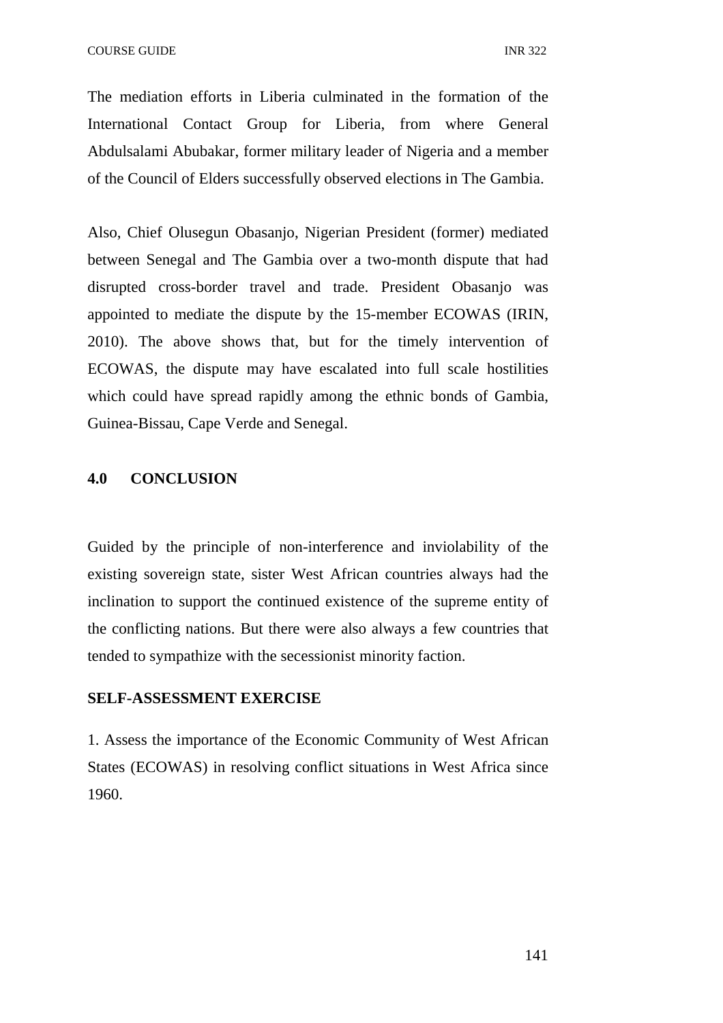The mediation efforts in Liberia culminated in the formation of the International Contact Group for Liberia, from where General Abdulsalami Abubakar, former military leader of Nigeria and a member of the Council of Elders successfully observed elections in The Gambia.

Also, Chief Olusegun Obasanjo, Nigerian President (former) mediated between Senegal and The Gambia over a two-month dispute that had disrupted cross-border travel and trade. President Obasanjo was appointed to mediate the dispute by the 15-member ECOWAS (IRIN, 2010). The above shows that, but for the timely intervention of ECOWAS, the dispute may have escalated into full scale hostilities which could have spread rapidly among the ethnic bonds of Gambia, Guinea-Bissau, Cape Verde and Senegal.

#### **4.0 CONCLUSION**

Guided by the principle of non-interference and inviolability of the existing sovereign state, sister West African countries always had the inclination to support the continued existence of the supreme entity of the conflicting nations. But there were also always a few countries that tended to sympathize with the secessionist minority faction.

### **SELF-ASSESSMENT EXERCISE**

1. Assess the importance of the Economic Community of West African States (ECOWAS) in resolving conflict situations in West Africa since 1960.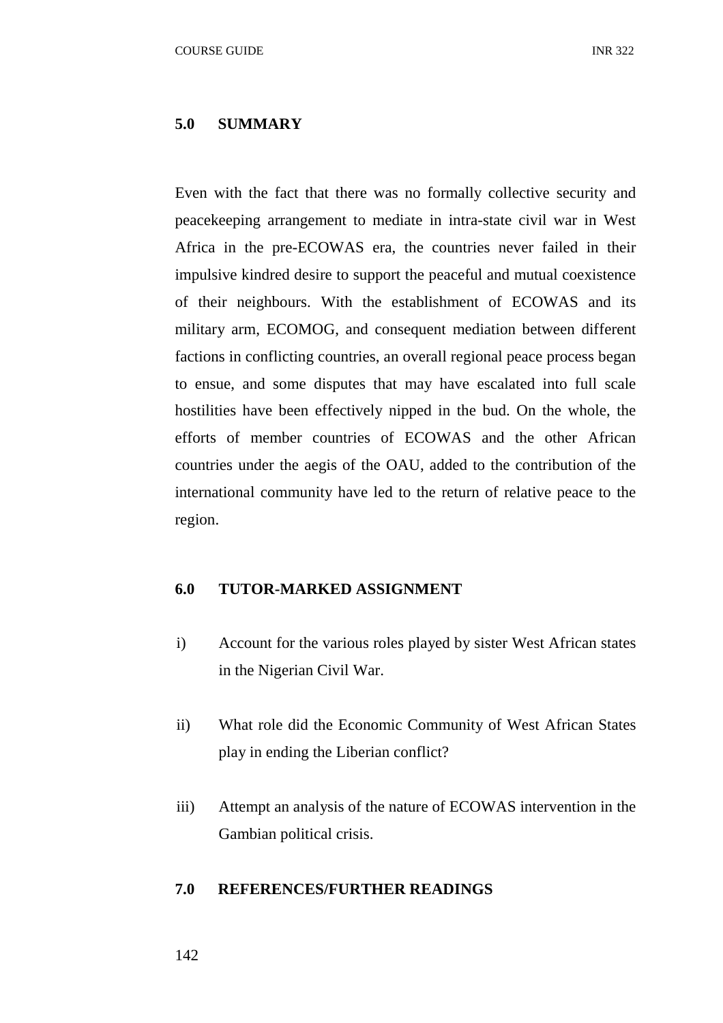#### **5.0 SUMMARY**

Even with the fact that there was no formally collective security and peacekeeping arrangement to mediate in intra-state civil war in West Africa in the pre-ECOWAS era, the countries never failed in their impulsive kindred desire to support the peaceful and mutual coexistence of their neighbours. With the establishment of ECOWAS and its military arm, ECOMOG, and consequent mediation between different factions in conflicting countries, an overall regional peace process began to ensue, and some disputes that may have escalated into full scale hostilities have been effectively nipped in the bud. On the whole, the efforts of member countries of ECOWAS and the other African countries under the aegis of the OAU, added to the contribution of the international community have led to the return of relative peace to the region.

#### **6.0 TUTOR-MARKED ASSIGNMENT**

- i) Account for the various roles played by sister West African states in the Nigerian Civil War.
- ii) What role did the Economic Community of West African States play in ending the Liberian conflict?
- iii) Attempt an analysis of the nature of ECOWAS intervention in the Gambian political crisis.

## **7.0 REFERENCES/FURTHER READINGS**

#### 142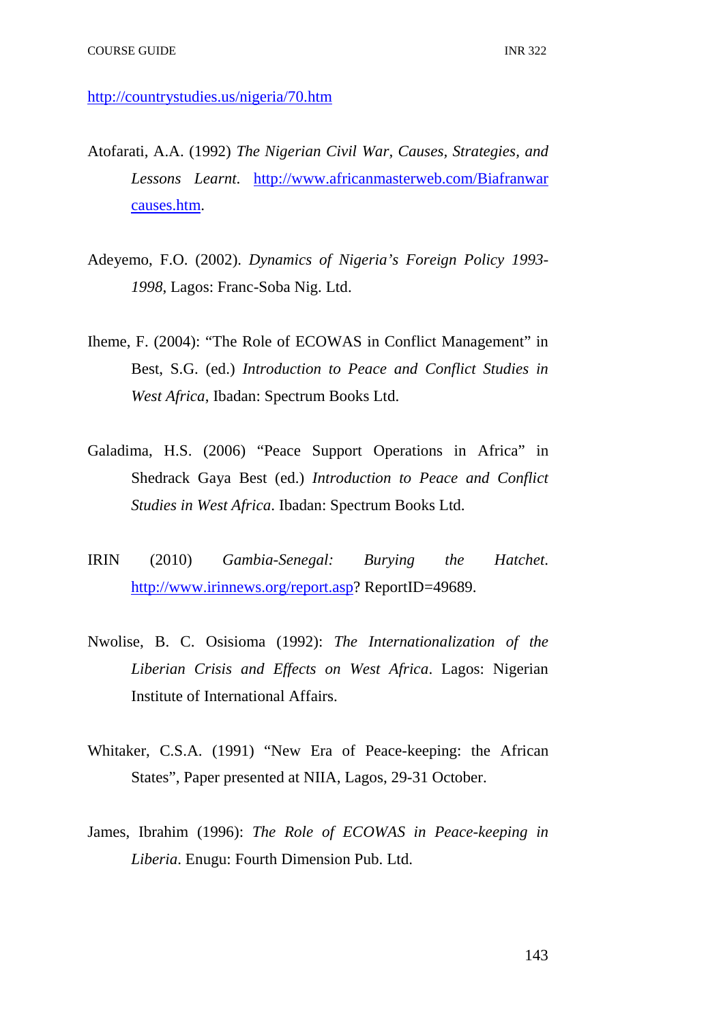http://countrystudies.us/nigeria/70.htm

- Atofarati, A.A. (1992) *The Nigerian Civil War, Causes, Strategies, and Lessons Learnt*. http://www.africanmasterweb.com/Biafranwar causes.htm.
- Adeyemo, F.O. (2002). *Dynamics of Nigeria's Foreign Policy 1993- 1998*, Lagos: Franc-Soba Nig. Ltd.
- Iheme, F. (2004): "The Role of ECOWAS in Conflict Management" in Best, S.G. (ed.) *Introduction to Peace and Conflict Studies in West Africa*, Ibadan: Spectrum Books Ltd.
- Galadima, H.S. (2006) "Peace Support Operations in Africa" in Shedrack Gaya Best (ed.) *Introduction to Peace and Conflict Studies in West Africa*. Ibadan: Spectrum Books Ltd.
- IRIN (2010) *Gambia-Senegal: Burying the Hatchet*. http://www.irinnews.org/report.asp? ReportID=49689.
- Nwolise, B. C. Osisioma (1992): *The Internationalization of the Liberian Crisis and Effects on West Africa*. Lagos: Nigerian Institute of International Affairs.
- Whitaker, C.S.A. (1991) "New Era of Peace-keeping: the African States", Paper presented at NIIA, Lagos, 29-31 October.
- James, Ibrahim (1996): *The Role of ECOWAS in Peace-keeping in Liberia*. Enugu: Fourth Dimension Pub. Ltd.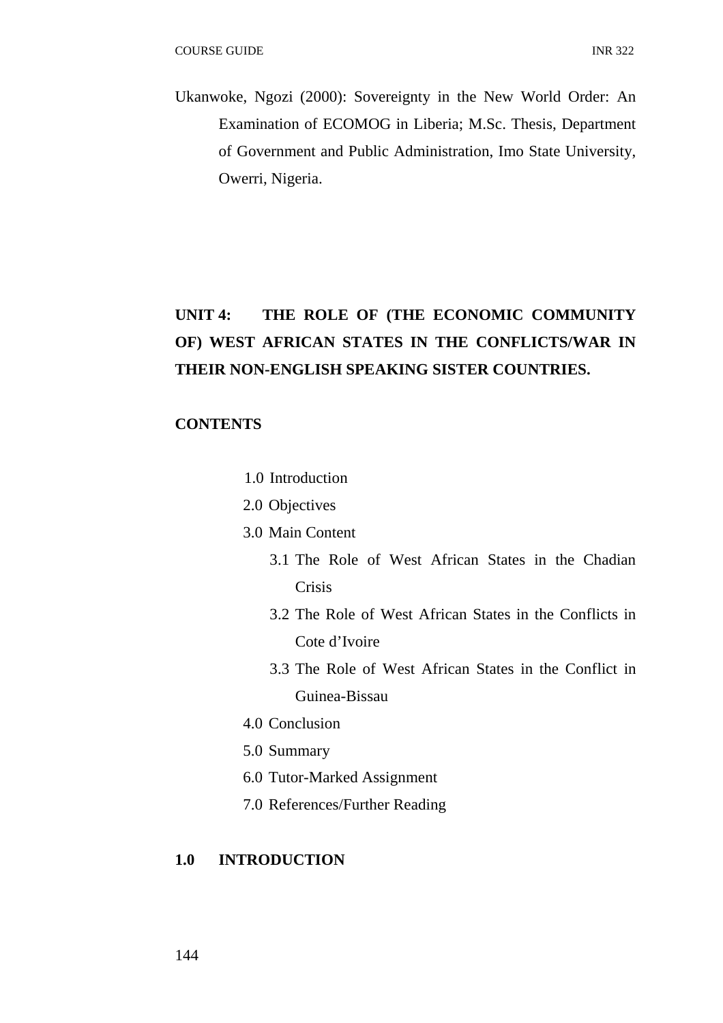Ukanwoke, Ngozi (2000): Sovereignty in the New World Order: An Examination of ECOMOG in Liberia; M.Sc. Thesis, Department of Government and Public Administration, Imo State University, Owerri, Nigeria.

# **UNIT 4: THE ROLE OF (THE ECONOMIC COMMUNITY OF) WEST AFRICAN STATES IN THE CONFLICTS/WAR IN THEIR NON-ENGLISH SPEAKING SISTER COUNTRIES.**

## **CONTENTS**

- 1.0 Introduction
- 2.0 Objectives
- 3.0 Main Content
	- 3.1 The Role of West African States in the Chadian Crisis
	- 3.2 The Role of West African States in the Conflicts in Cote d'Ivoire
	- 3.3 The Role of West African States in the Conflict in Guinea-Bissau
- 4.0 Conclusion
- 5.0 Summary
- 6.0 Tutor-Marked Assignment
- 7.0 References/Further Reading

## **1.0 INTRODUCTION**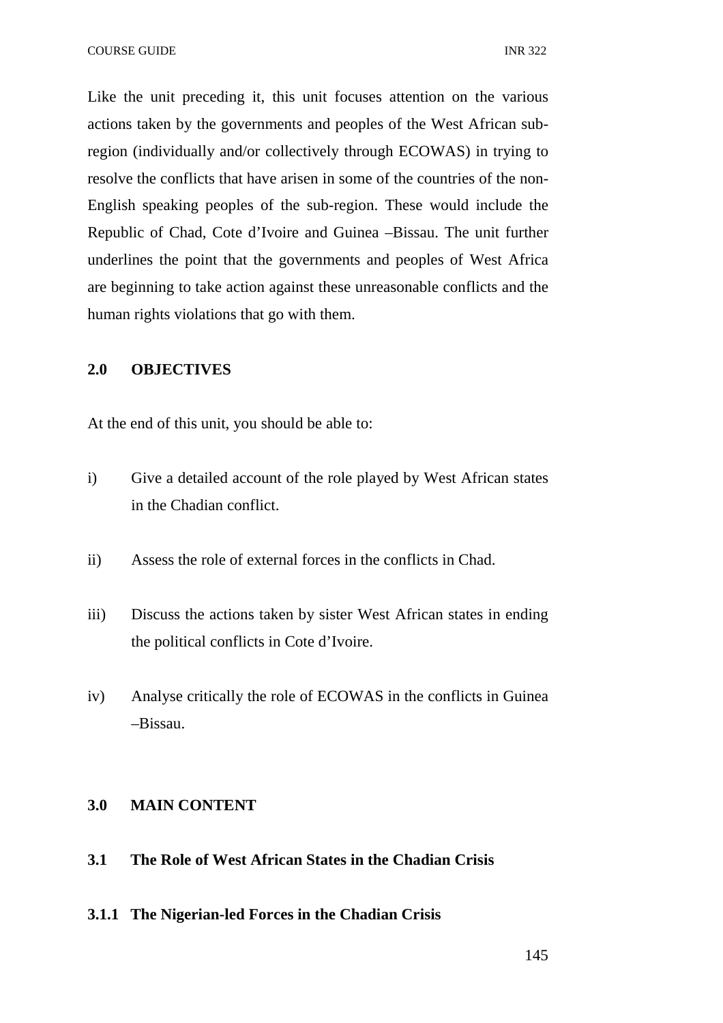Like the unit preceding it, this unit focuses attention on the various actions taken by the governments and peoples of the West African subregion (individually and/or collectively through ECOWAS) in trying to resolve the conflicts that have arisen in some of the countries of the non-English speaking peoples of the sub-region. These would include the Republic of Chad, Cote d'Ivoire and Guinea –Bissau. The unit further underlines the point that the governments and peoples of West Africa are beginning to take action against these unreasonable conflicts and the human rights violations that go with them.

## **2.0 OBJECTIVES**

At the end of this unit, you should be able to:

- i) Give a detailed account of the role played by West African states in the Chadian conflict.
- ii) Assess the role of external forces in the conflicts in Chad.
- iii) Discuss the actions taken by sister West African states in ending the political conflicts in Cote d'Ivoire.
- iv) Analyse critically the role of ECOWAS in the conflicts in Guinea –Bissau.

## **3.0 MAIN CONTENT**

- **3.1 The Role of West African States in the Chadian Crisis**
- **3.1.1 The Nigerian-led Forces in the Chadian Crisis**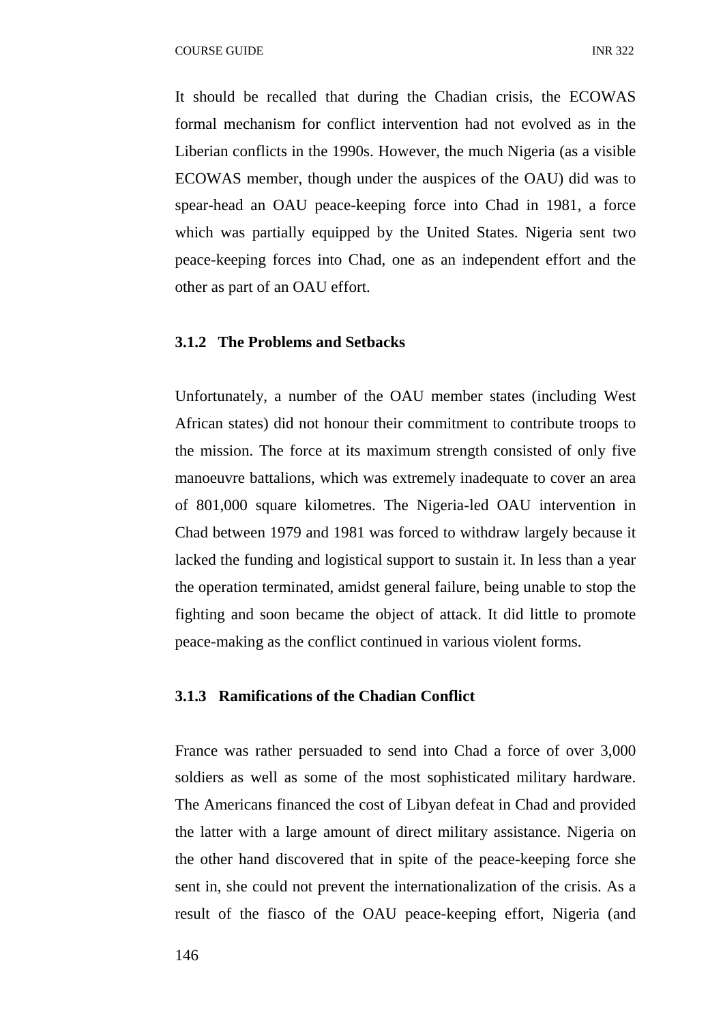It should be recalled that during the Chadian crisis, the ECOWAS formal mechanism for conflict intervention had not evolved as in the Liberian conflicts in the 1990s. However, the much Nigeria (as a visible ECOWAS member, though under the auspices of the OAU) did was to spear-head an OAU peace-keeping force into Chad in 1981, a force which was partially equipped by the United States. Nigeria sent two peace-keeping forces into Chad, one as an independent effort and the other as part of an OAU effort.

## **3.1.2 The Problems and Setbacks**

Unfortunately, a number of the OAU member states (including West African states) did not honour their commitment to contribute troops to the mission. The force at its maximum strength consisted of only five manoeuvre battalions, which was extremely inadequate to cover an area of 801,000 square kilometres. The Nigeria-led OAU intervention in Chad between 1979 and 1981 was forced to withdraw largely because it lacked the funding and logistical support to sustain it. In less than a year the operation terminated, amidst general failure, being unable to stop the fighting and soon became the object of attack. It did little to promote peace-making as the conflict continued in various violent forms.

### **3.1.3 Ramifications of the Chadian Conflict**

France was rather persuaded to send into Chad a force of over 3,000 soldiers as well as some of the most sophisticated military hardware. The Americans financed the cost of Libyan defeat in Chad and provided the latter with a large amount of direct military assistance. Nigeria on the other hand discovered that in spite of the peace-keeping force she sent in, she could not prevent the internationalization of the crisis. As a result of the fiasco of the OAU peace-keeping effort, Nigeria (and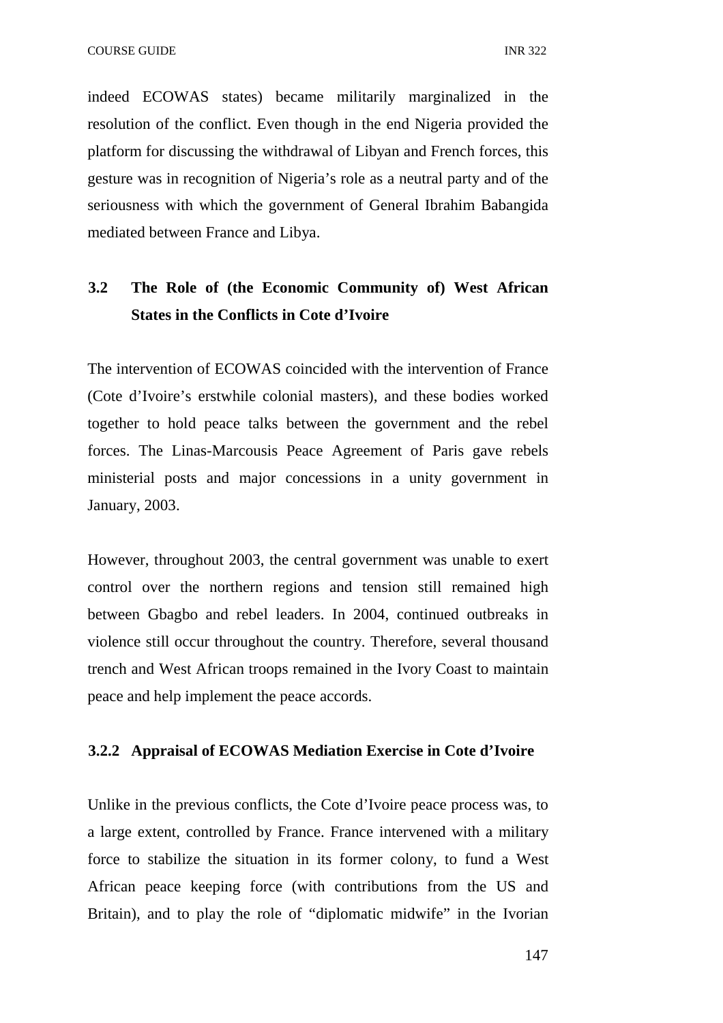indeed ECOWAS states) became militarily marginalized in the resolution of the conflict. Even though in the end Nigeria provided the platform for discussing the withdrawal of Libyan and French forces, this gesture was in recognition of Nigeria's role as a neutral party and of the seriousness with which the government of General Ibrahim Babangida mediated between France and Libya.

## **3.2 The Role of (the Economic Community of) West African States in the Conflicts in Cote d'Ivoire**

The intervention of ECOWAS coincided with the intervention of France (Cote d'Ivoire's erstwhile colonial masters), and these bodies worked together to hold peace talks between the government and the rebel forces. The Linas-Marcousis Peace Agreement of Paris gave rebels ministerial posts and major concessions in a unity government in January, 2003.

However, throughout 2003, the central government was unable to exert control over the northern regions and tension still remained high between Gbagbo and rebel leaders. In 2004, continued outbreaks in violence still occur throughout the country. Therefore, several thousand trench and West African troops remained in the Ivory Coast to maintain peace and help implement the peace accords.

## **3.2.2 Appraisal of ECOWAS Mediation Exercise in Cote d'Ivoire**

Unlike in the previous conflicts, the Cote d'Ivoire peace process was, to a large extent, controlled by France. France intervened with a military force to stabilize the situation in its former colony, to fund a West African peace keeping force (with contributions from the US and Britain), and to play the role of "diplomatic midwife" in the Ivorian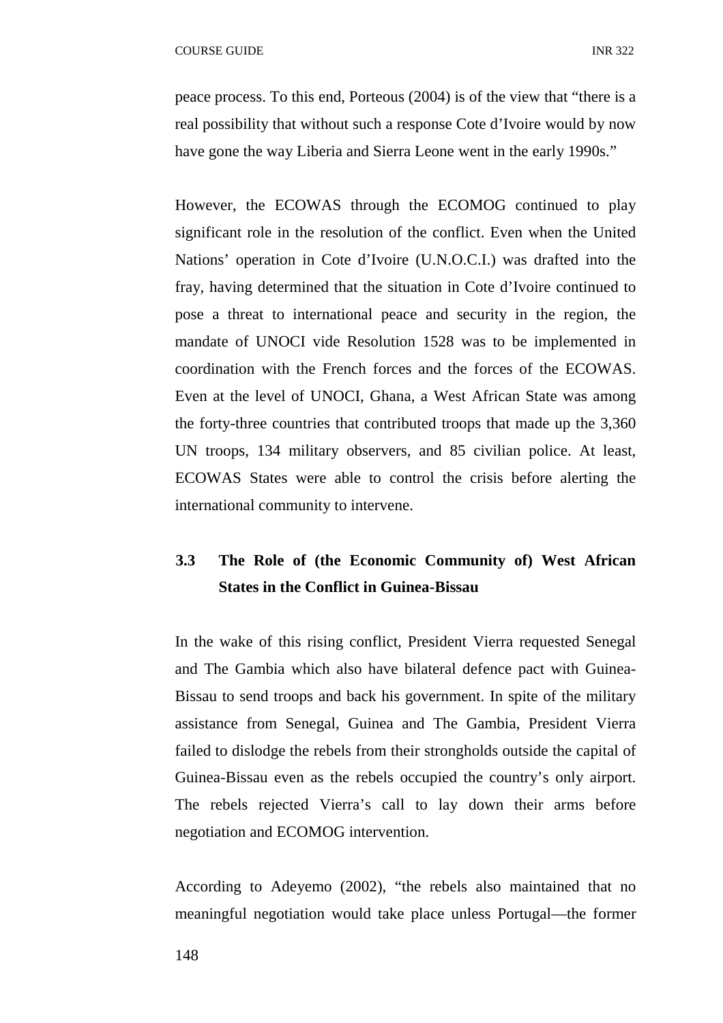peace process. To this end, Porteous (2004) is of the view that "there is a real possibility that without such a response Cote d'Ivoire would by now have gone the way Liberia and Sierra Leone went in the early 1990s."

However, the ECOWAS through the ECOMOG continued to play significant role in the resolution of the conflict. Even when the United Nations' operation in Cote d'Ivoire (U.N.O.C.I.) was drafted into the fray, having determined that the situation in Cote d'Ivoire continued to pose a threat to international peace and security in the region, the mandate of UNOCI vide Resolution 1528 was to be implemented in coordination with the French forces and the forces of the ECOWAS. Even at the level of UNOCI, Ghana, a West African State was among the forty-three countries that contributed troops that made up the 3,360 UN troops, 134 military observers, and 85 civilian police. At least, ECOWAS States were able to control the crisis before alerting the international community to intervene.

## **3.3 The Role of (the Economic Community of) West African States in the Conflict in Guinea-Bissau**

In the wake of this rising conflict, President Vierra requested Senegal and The Gambia which also have bilateral defence pact with Guinea-Bissau to send troops and back his government. In spite of the military assistance from Senegal, Guinea and The Gambia, President Vierra failed to dislodge the rebels from their strongholds outside the capital of Guinea-Bissau even as the rebels occupied the country's only airport. The rebels rejected Vierra's call to lay down their arms before negotiation and ECOMOG intervention.

According to Adeyemo (2002), "the rebels also maintained that no meaningful negotiation would take place unless Portugal—the former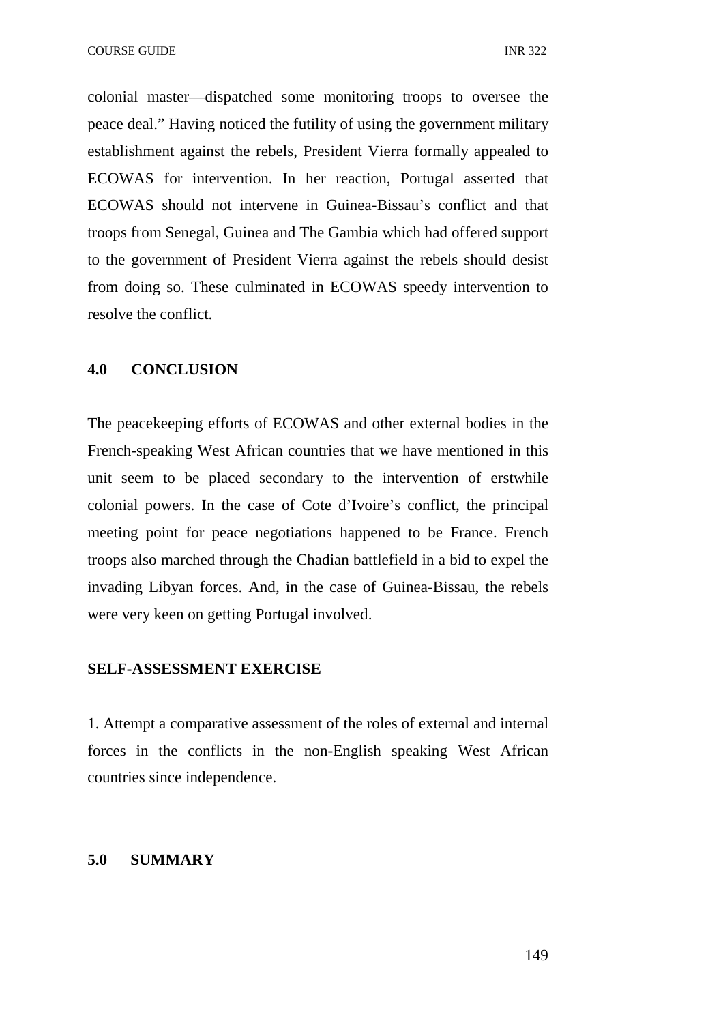colonial master—dispatched some monitoring troops to oversee the peace deal." Having noticed the futility of using the government military establishment against the rebels, President Vierra formally appealed to ECOWAS for intervention. In her reaction, Portugal asserted that ECOWAS should not intervene in Guinea-Bissau's conflict and that troops from Senegal, Guinea and The Gambia which had offered support to the government of President Vierra against the rebels should desist from doing so. These culminated in ECOWAS speedy intervention to resolve the conflict.

### **4.0 CONCLUSION**

The peacekeeping efforts of ECOWAS and other external bodies in the French-speaking West African countries that we have mentioned in this unit seem to be placed secondary to the intervention of erstwhile colonial powers. In the case of Cote d'Ivoire's conflict, the principal meeting point for peace negotiations happened to be France. French troops also marched through the Chadian battlefield in a bid to expel the invading Libyan forces. And, in the case of Guinea-Bissau, the rebels were very keen on getting Portugal involved.

#### **SELF-ASSESSMENT EXERCISE**

1. Attempt a comparative assessment of the roles of external and internal forces in the conflicts in the non-English speaking West African countries since independence.

### **5.0 SUMMARY**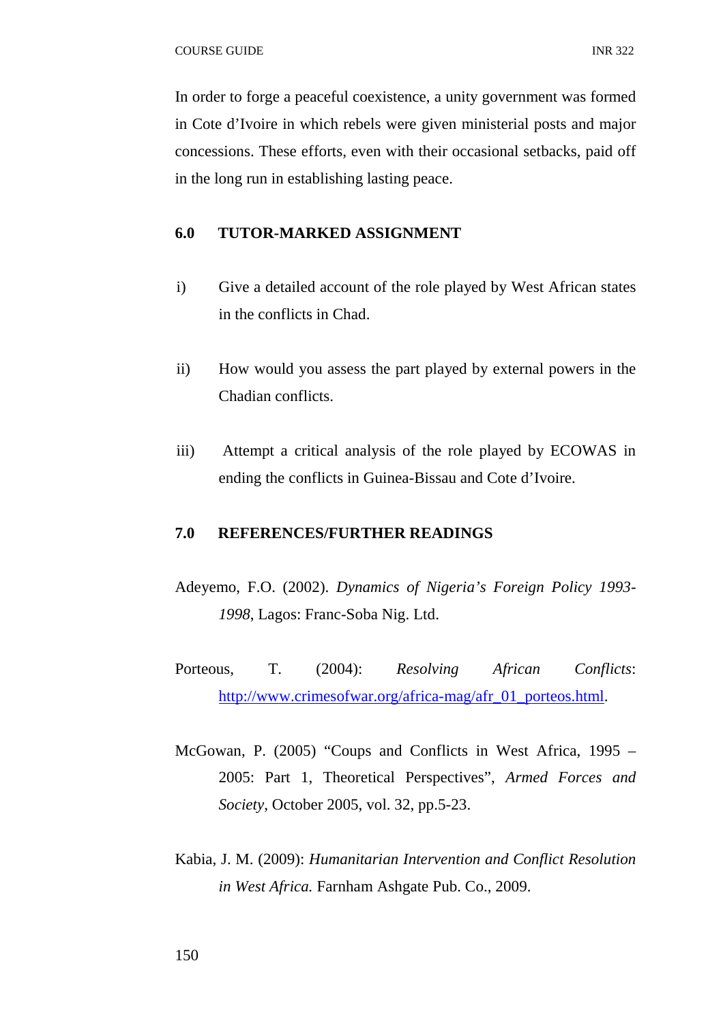In order to forge a peaceful coexistence, a unity government was formed in Cote d'Ivoire in which rebels were given ministerial posts and major concessions. These efforts, even with their occasional setbacks, paid off in the long run in establishing lasting peace.

## **6.0 TUTOR-MARKED ASSIGNMENT**

- i) Give a detailed account of the role played by West African states in the conflicts in Chad.
- ii) How would you assess the part played by external powers in the Chadian conflicts.
- iii) Attempt a critical analysis of the role played by ECOWAS in ending the conflicts in Guinea-Bissau and Cote d'Ivoire.

#### **7.0 REFERENCES/FURTHER READINGS**

- Adeyemo, F.O. (2002). *Dynamics of Nigeria's Foreign Policy 1993- 1998*, Lagos: Franc-Soba Nig. Ltd.
- Porteous, T. (2004): *Resolving African Conflicts*: http://www.crimesofwar.org/africa-mag/afr\_01\_porteos.html.
- McGowan, P. (2005) "Coups and Conflicts in West Africa, 1995 2005: Part 1, Theoretical Perspectives", *Armed Forces and Society*, October 2005, vol. 32, pp.5-23.
- Kabia, J. M. (2009): *Humanitarian Intervention and Conflict Resolution in West Africa.* Farnham Ashgate Pub. Co., 2009.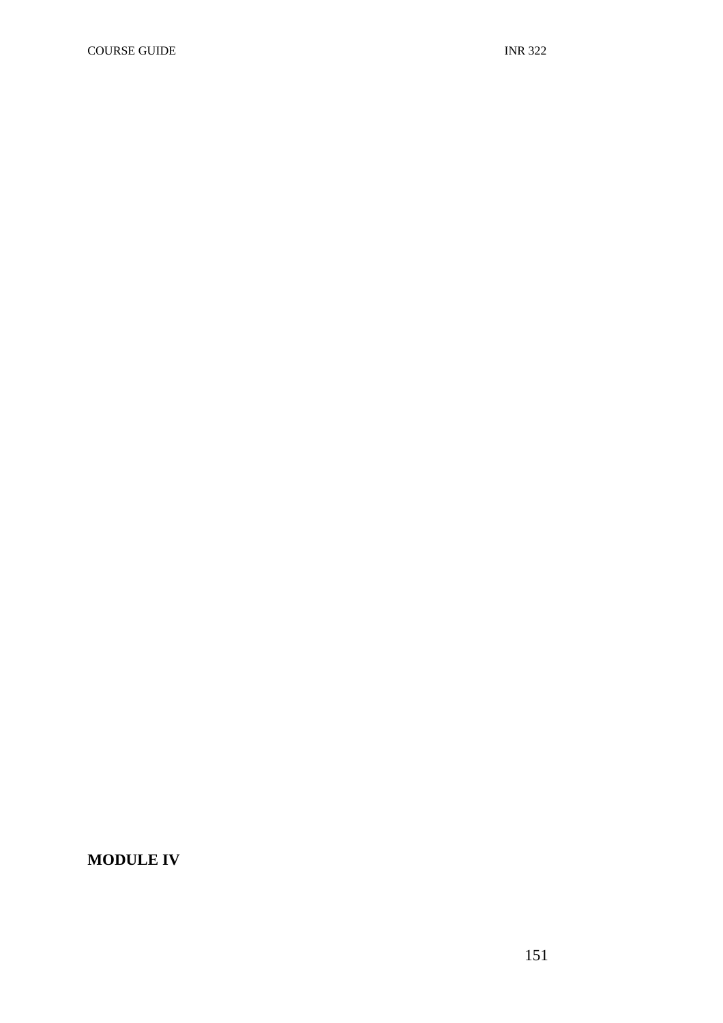**MODULE IV**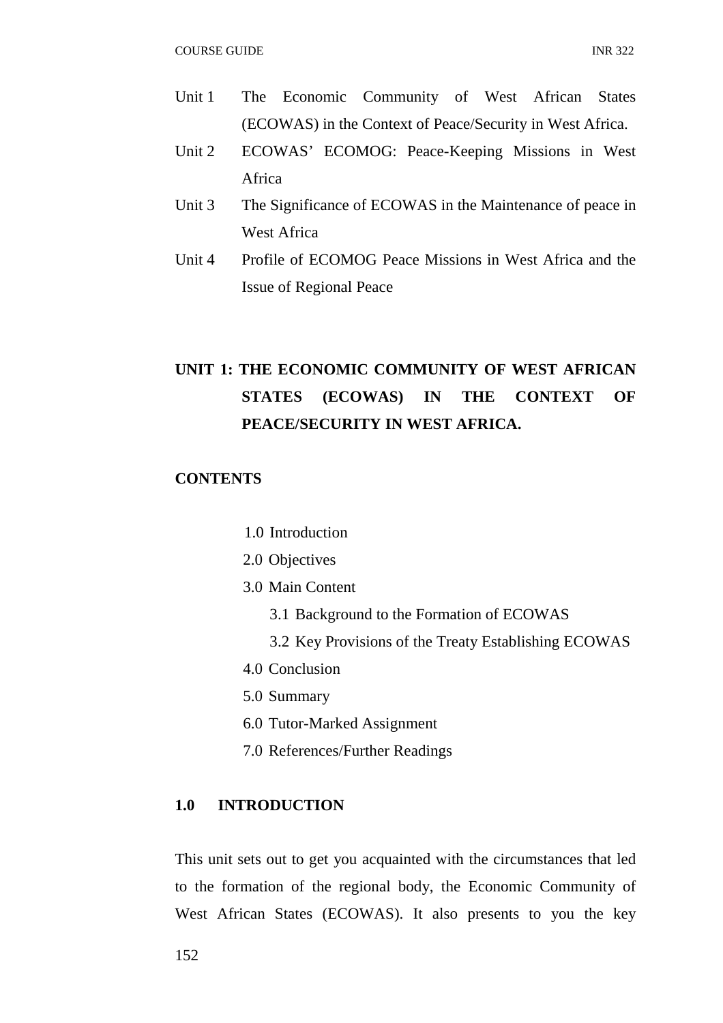- Unit 1 The Economic Community of West African States (ECOWAS) in the Context of Peace/Security in West Africa.
- Unit 2 ECOWAS' ECOMOG: Peace-Keeping Missions in West Africa
- Unit 3 The Significance of ECOWAS in the Maintenance of peace in West Africa
- Unit 4 Profile of ECOMOG Peace Missions in West Africa and the Issue of Regional Peace

# **UNIT 1: THE ECONOMIC COMMUNITY OF WEST AFRICAN STATES (ECOWAS) IN THE CONTEXT OF PEACE/SECURITY IN WEST AFRICA.**

## **CONTENTS**

- 1.0 Introduction
- 2.0 Objectives
- 3.0 Main Content
	- 3.1 Background to the Formation of ECOWAS
	- 3.2 Key Provisions of the Treaty Establishing ECOWAS
- 4.0 Conclusion
- 5.0 Summary
- 6.0 Tutor-Marked Assignment
- 7.0 References/Further Readings

## **1.0 INTRODUCTION**

This unit sets out to get you acquainted with the circumstances that led to the formation of the regional body, the Economic Community of West African States (ECOWAS). It also presents to you the key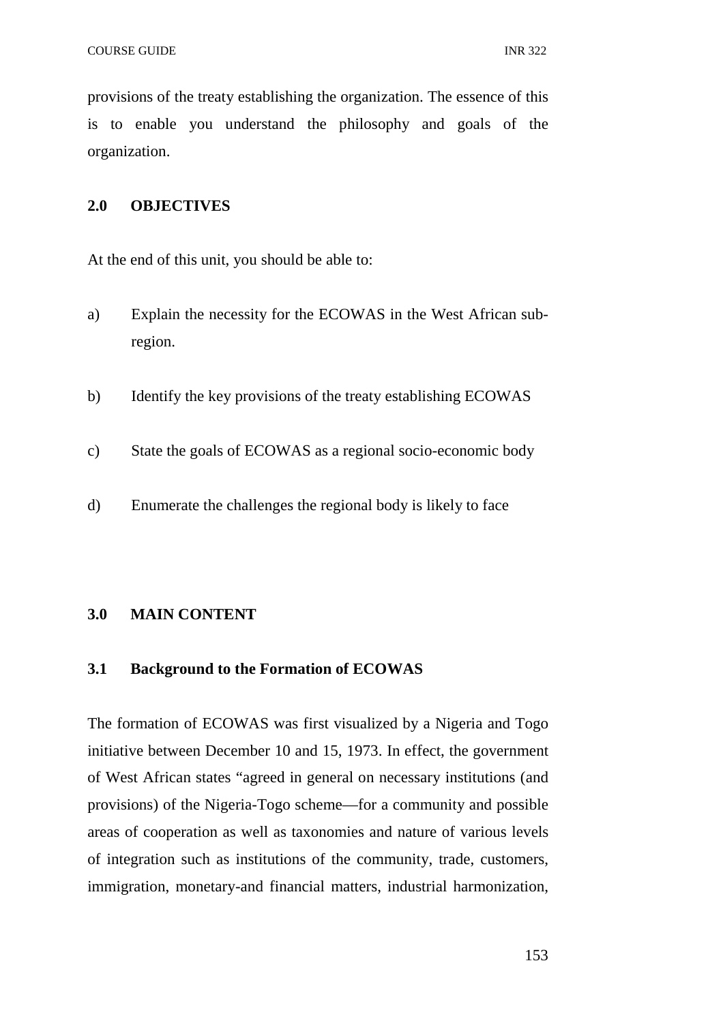provisions of the treaty establishing the organization. The essence of this is to enable you understand the philosophy and goals of the organization.

## **2.0 OBJECTIVES**

At the end of this unit, you should be able to:

- a) Explain the necessity for the ECOWAS in the West African subregion.
- b) Identify the key provisions of the treaty establishing ECOWAS
- c) State the goals of ECOWAS as a regional socio-economic body
- d) Enumerate the challenges the regional body is likely to face

#### **3.0 MAIN CONTENT**

#### **3.1 Background to the Formation of ECOWAS**

The formation of ECOWAS was first visualized by a Nigeria and Togo initiative between December 10 and 15, 1973. In effect, the government of West African states "agreed in general on necessary institutions (and provisions) of the Nigeria-Togo scheme—for a community and possible areas of cooperation as well as taxonomies and nature of various levels of integration such as institutions of the community, trade, customers, immigration, monetary-and financial matters, industrial harmonization,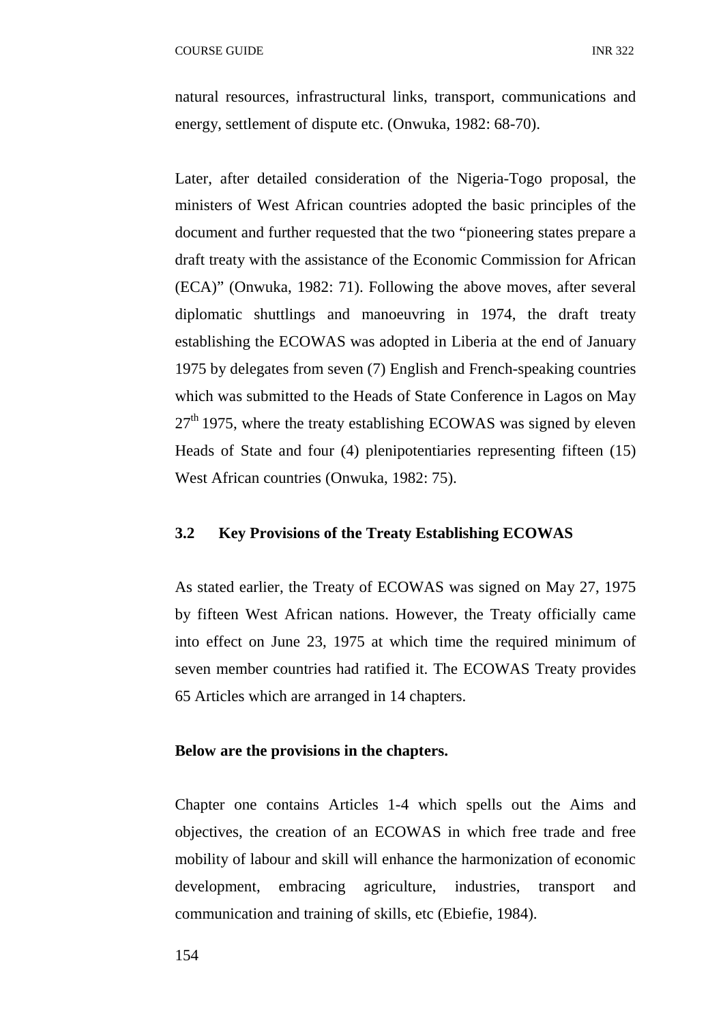natural resources, infrastructural links, transport, communications and energy, settlement of dispute etc. (Onwuka, 1982: 68-70).

Later, after detailed consideration of the Nigeria-Togo proposal, the ministers of West African countries adopted the basic principles of the document and further requested that the two "pioneering states prepare a draft treaty with the assistance of the Economic Commission for African (ECA)" (Onwuka, 1982: 71). Following the above moves, after several diplomatic shuttlings and manoeuvring in 1974, the draft treaty establishing the ECOWAS was adopted in Liberia at the end of January 1975 by delegates from seven (7) English and French-speaking countries which was submitted to the Heads of State Conference in Lagos on May  $27<sup>th</sup>$  1975, where the treaty establishing ECOWAS was signed by eleven Heads of State and four (4) plenipotentiaries representing fifteen (15) West African countries (Onwuka, 1982: 75).

#### **3.2 Key Provisions of the Treaty Establishing ECOWAS**

As stated earlier, the Treaty of ECOWAS was signed on May 27, 1975 by fifteen West African nations. However, the Treaty officially came into effect on June 23, 1975 at which time the required minimum of seven member countries had ratified it. The ECOWAS Treaty provides 65 Articles which are arranged in 14 chapters.

#### **Below are the provisions in the chapters.**

Chapter one contains Articles 1-4 which spells out the Aims and objectives, the creation of an ECOWAS in which free trade and free mobility of labour and skill will enhance the harmonization of economic development, embracing agriculture, industries, transport and communication and training of skills, etc (Ebiefie, 1984).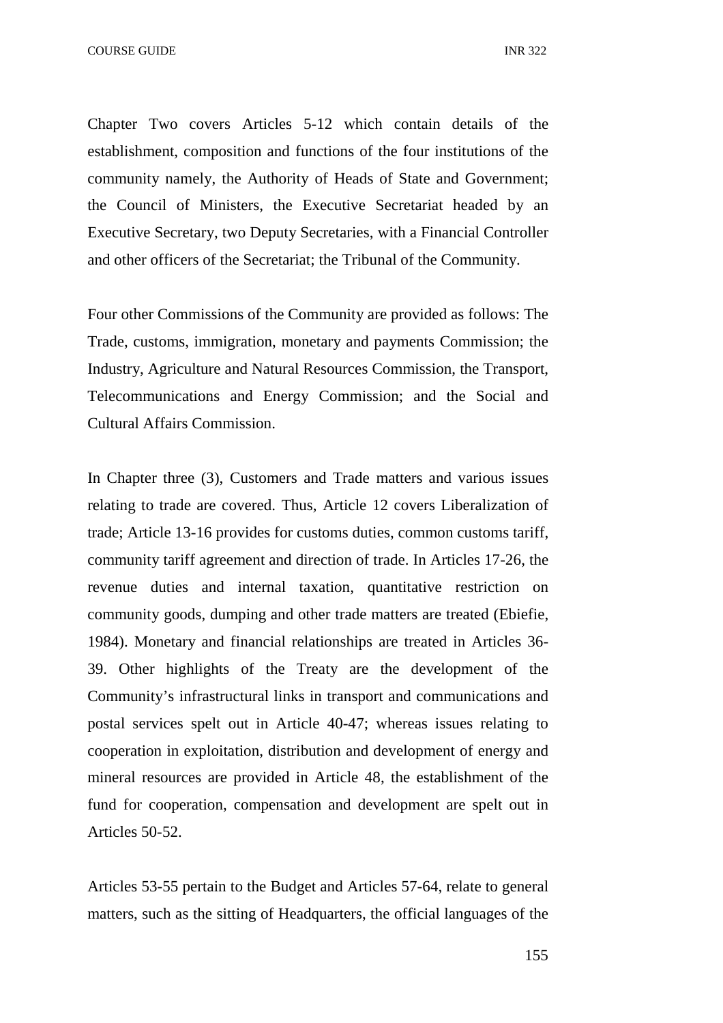Chapter Two covers Articles 5-12 which contain details of the establishment, composition and functions of the four institutions of the community namely, the Authority of Heads of State and Government; the Council of Ministers, the Executive Secretariat headed by an Executive Secretary, two Deputy Secretaries, with a Financial Controller and other officers of the Secretariat; the Tribunal of the Community.

Four other Commissions of the Community are provided as follows: The Trade, customs, immigration, monetary and payments Commission; the Industry, Agriculture and Natural Resources Commission, the Transport, Telecommunications and Energy Commission; and the Social and Cultural Affairs Commission.

In Chapter three (3), Customers and Trade matters and various issues relating to trade are covered. Thus, Article 12 covers Liberalization of trade; Article 13-16 provides for customs duties, common customs tariff, community tariff agreement and direction of trade. In Articles 17-26, the revenue duties and internal taxation, quantitative restriction on community goods, dumping and other trade matters are treated (Ebiefie, 1984). Monetary and financial relationships are treated in Articles 36- 39. Other highlights of the Treaty are the development of the Community's infrastructural links in transport and communications and postal services spelt out in Article 40-47; whereas issues relating to cooperation in exploitation, distribution and development of energy and mineral resources are provided in Article 48, the establishment of the fund for cooperation, compensation and development are spelt out in Articles 50-52.

Articles 53-55 pertain to the Budget and Articles 57-64, relate to general matters, such as the sitting of Headquarters, the official languages of the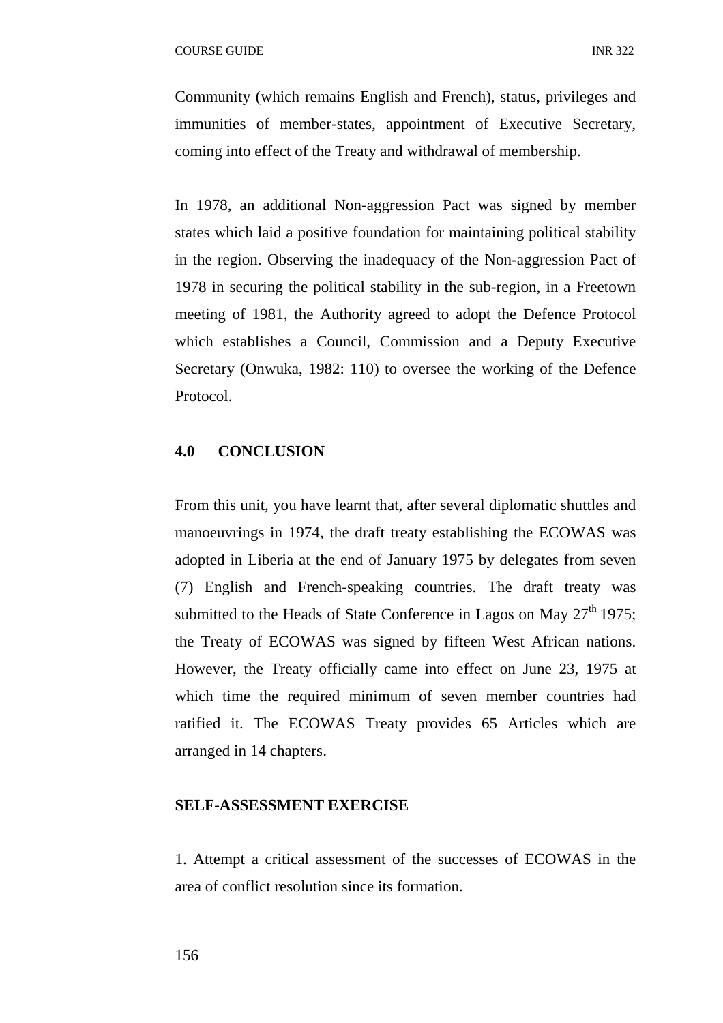Community (which remains English and French), status, privileges and immunities of member-states, appointment of Executive Secretary, coming into effect of the Treaty and withdrawal of membership.

In 1978, an additional Non-aggression Pact was signed by member states which laid a positive foundation for maintaining political stability in the region. Observing the inadequacy of the Non-aggression Pact of 1978 in securing the political stability in the sub-region, in a Freetown meeting of 1981, the Authority agreed to adopt the Defence Protocol which establishes a Council, Commission and a Deputy Executive Secretary (Onwuka, 1982: 110) to oversee the working of the Defence Protocol.

#### **4.0 CONCLUSION**

From this unit, you have learnt that, after several diplomatic shuttles and manoeuvrings in 1974, the draft treaty establishing the ECOWAS was adopted in Liberia at the end of January 1975 by delegates from seven (7) English and French-speaking countries. The draft treaty was submitted to the Heads of State Conference in Lagos on May  $27<sup>th</sup> 1975$ ; the Treaty of ECOWAS was signed by fifteen West African nations. However, the Treaty officially came into effect on June 23, 1975 at which time the required minimum of seven member countries had ratified it. The ECOWAS Treaty provides 65 Articles which are arranged in 14 chapters.

#### **SELF-ASSESSMENT EXERCISE**

1. Attempt a critical assessment of the successes of ECOWAS in the area of conflict resolution since its formation.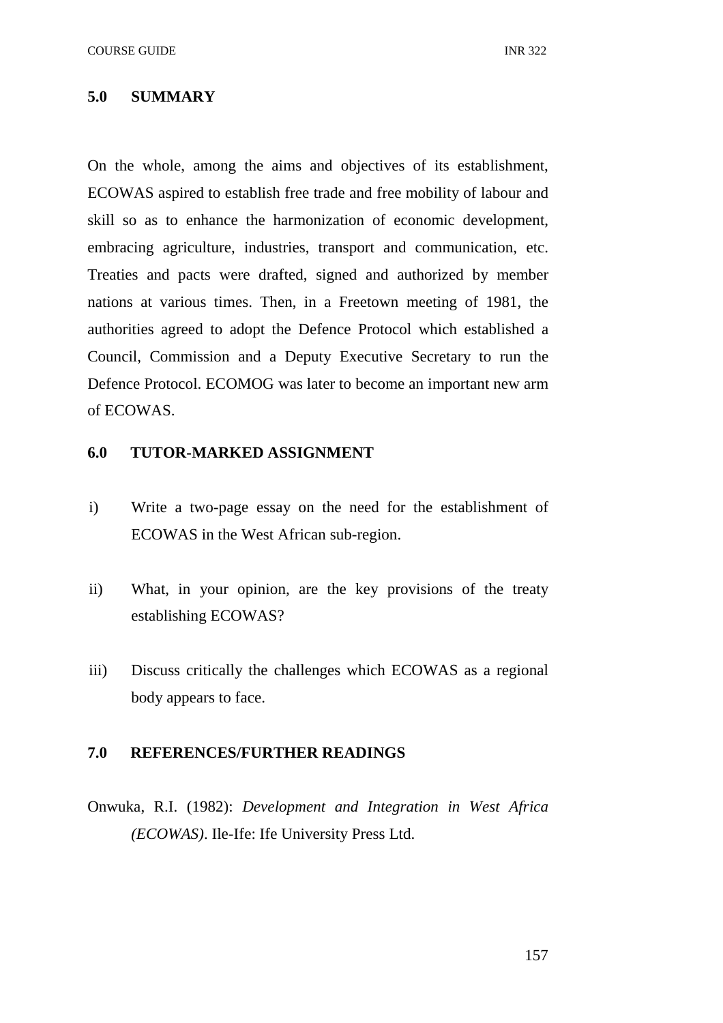#### **5.0 SUMMARY**

On the whole, among the aims and objectives of its establishment, ECOWAS aspired to establish free trade and free mobility of labour and skill so as to enhance the harmonization of economic development, embracing agriculture, industries, transport and communication, etc. Treaties and pacts were drafted, signed and authorized by member nations at various times. Then, in a Freetown meeting of 1981, the authorities agreed to adopt the Defence Protocol which established a Council, Commission and a Deputy Executive Secretary to run the Defence Protocol. ECOMOG was later to become an important new arm of ECOWAS.

### **6.0 TUTOR-MARKED ASSIGNMENT**

- i) Write a two-page essay on the need for the establishment of ECOWAS in the West African sub-region.
- ii) What, in your opinion, are the key provisions of the treaty establishing ECOWAS?
- iii) Discuss critically the challenges which ECOWAS as a regional body appears to face.

## **7.0 REFERENCES/FURTHER READINGS**

Onwuka, R.I. (1982): *Development and Integration in West Africa (ECOWAS)*. Ile-Ife: Ife University Press Ltd.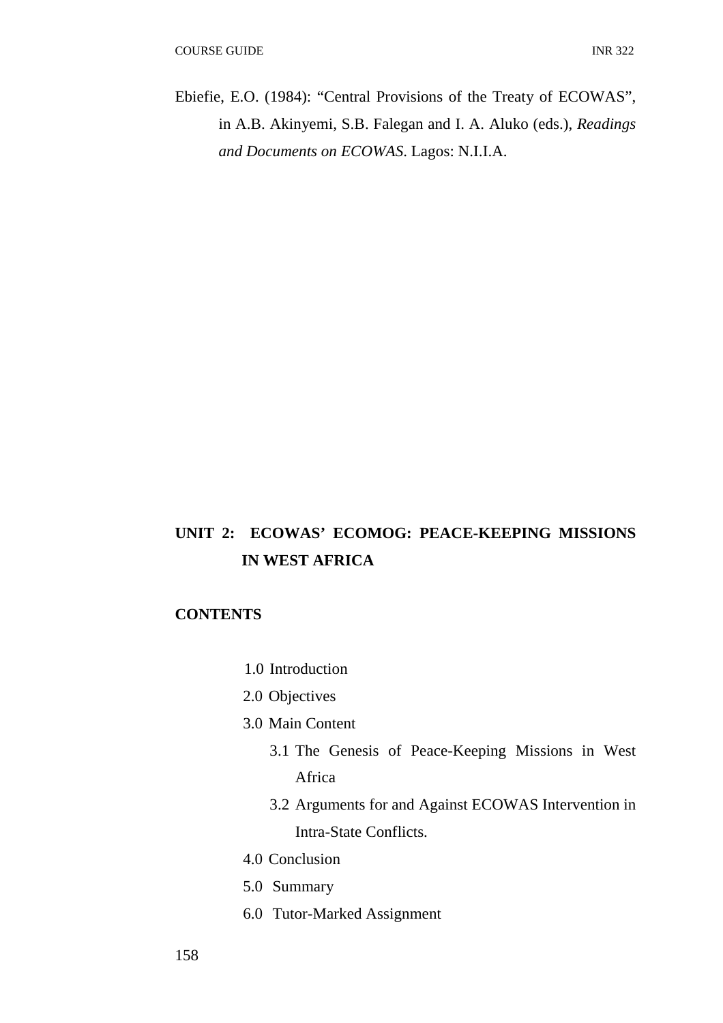Ebiefie, E.O. (1984): "Central Provisions of the Treaty of ECOWAS", in A.B. Akinyemi, S.B. Falegan and I. A. Aluko (eds.), *Readings and Documents on ECOWAS*. Lagos: N.I.I.A.

## **UNIT 2: ECOWAS' ECOMOG: PEACE-KEEPING MISSIONS IN WEST AFRICA**

## **CONTENTS**

- 1.0 Introduction
- 2.0 Objectives
- 3.0 Main Content
	- 3.1 The Genesis of Peace-Keeping Missions in West Africa
	- 3.2 Arguments for and Against ECOWAS Intervention in Intra-State Conflicts.
- 4.0 Conclusion
- 5.0 Summary
- 6.0 Tutor-Marked Assignment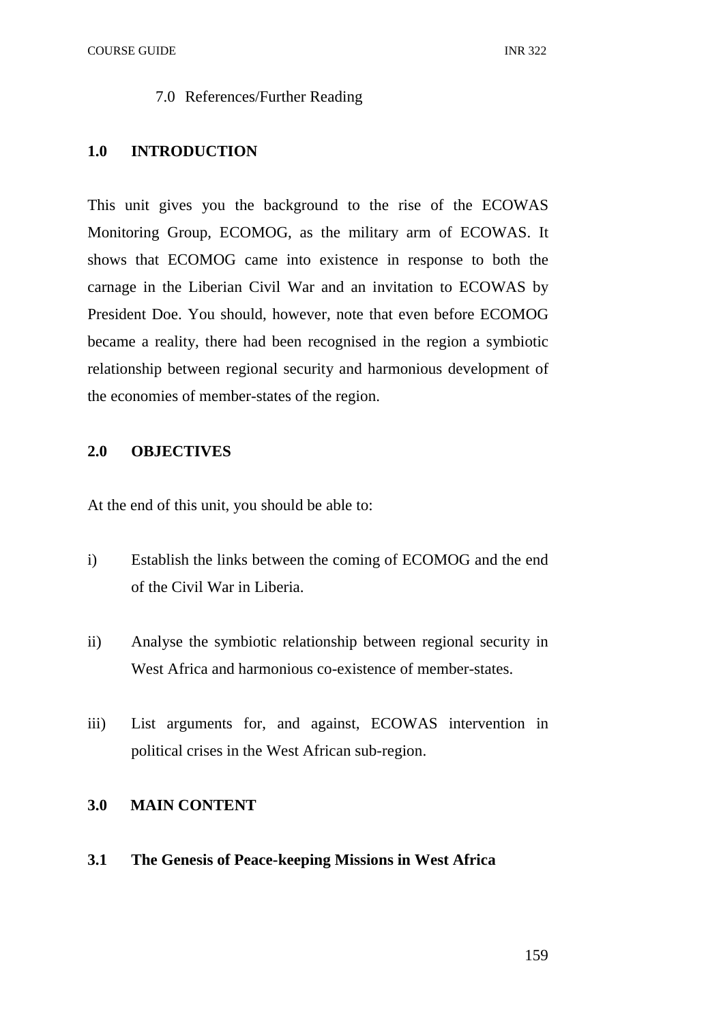COURSE GUIDE **INR** 322

#### 7.0 References/Further Reading

#### **1.0 INTRODUCTION**

This unit gives you the background to the rise of the ECOWAS Monitoring Group, ECOMOG, as the military arm of ECOWAS. It shows that ECOMOG came into existence in response to both the carnage in the Liberian Civil War and an invitation to ECOWAS by President Doe. You should, however, note that even before ECOMOG became a reality, there had been recognised in the region a symbiotic relationship between regional security and harmonious development of the economies of member-states of the region.

## **2.0 OBJECTIVES**

At the end of this unit, you should be able to:

- i) Establish the links between the coming of ECOMOG and the end of the Civil War in Liberia.
- ii) Analyse the symbiotic relationship between regional security in West Africa and harmonious co-existence of member-states.
- iii) List arguments for, and against, ECOWAS intervention in political crises in the West African sub-region.

## **3.0 MAIN CONTENT**

**3.1 The Genesis of Peace-keeping Missions in West Africa**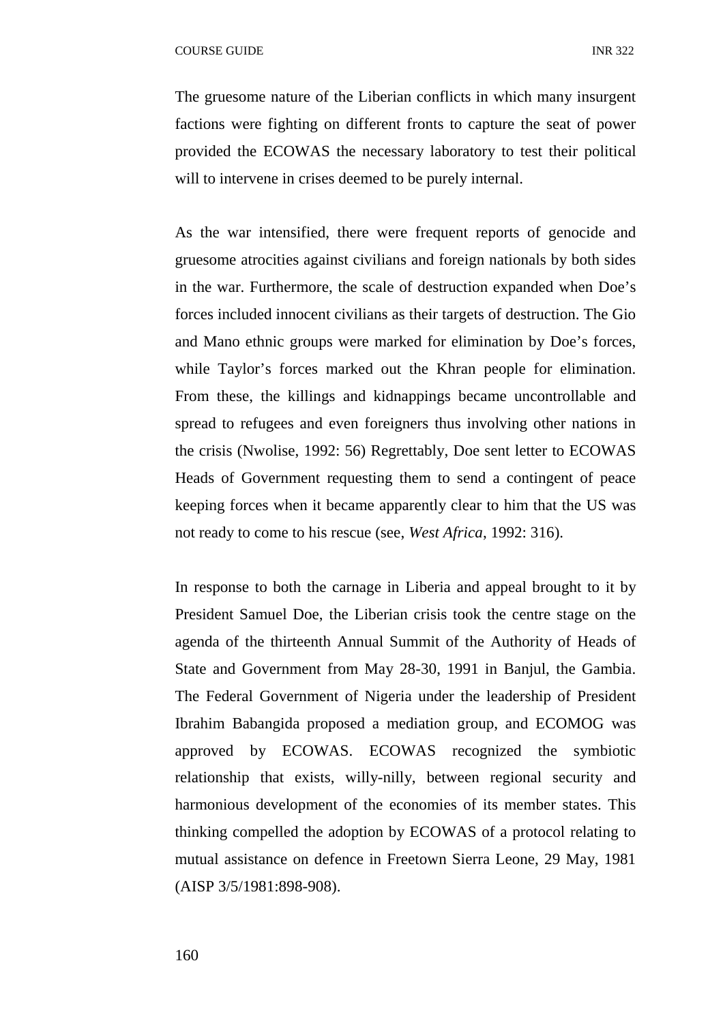The gruesome nature of the Liberian conflicts in which many insurgent factions were fighting on different fronts to capture the seat of power provided the ECOWAS the necessary laboratory to test their political will to intervene in crises deemed to be purely internal.

As the war intensified, there were frequent reports of genocide and gruesome atrocities against civilians and foreign nationals by both sides in the war. Furthermore, the scale of destruction expanded when Doe's forces included innocent civilians as their targets of destruction. The Gio and Mano ethnic groups were marked for elimination by Doe's forces, while Taylor's forces marked out the Khran people for elimination. From these, the killings and kidnappings became uncontrollable and spread to refugees and even foreigners thus involving other nations in the crisis (Nwolise, 1992: 56) Regrettably, Doe sent letter to ECOWAS Heads of Government requesting them to send a contingent of peace keeping forces when it became apparently clear to him that the US was not ready to come to his rescue (see, *West Africa*, 1992: 316).

In response to both the carnage in Liberia and appeal brought to it by President Samuel Doe, the Liberian crisis took the centre stage on the agenda of the thirteenth Annual Summit of the Authority of Heads of State and Government from May 28-30, 1991 in Banjul, the Gambia. The Federal Government of Nigeria under the leadership of President Ibrahim Babangida proposed a mediation group, and ECOMOG was approved by ECOWAS. ECOWAS recognized the symbiotic relationship that exists, willy-nilly, between regional security and harmonious development of the economies of its member states. This thinking compelled the adoption by ECOWAS of a protocol relating to mutual assistance on defence in Freetown Sierra Leone, 29 May, 1981 (AISP 3/5/1981:898-908).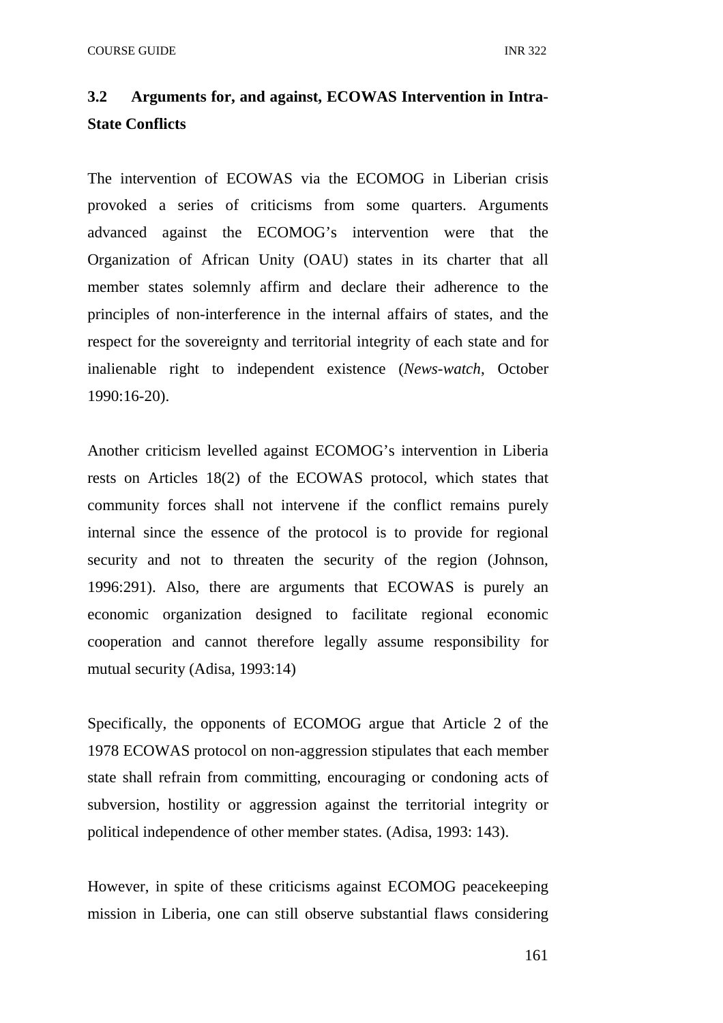## **3.2 Arguments for, and against, ECOWAS Intervention in Intra-State Conflicts**

The intervention of ECOWAS via the ECOMOG in Liberian crisis provoked a series of criticisms from some quarters. Arguments advanced against the ECOMOG's intervention were that the Organization of African Unity (OAU) states in its charter that all member states solemnly affirm and declare their adherence to the principles of non-interference in the internal affairs of states, and the respect for the sovereignty and territorial integrity of each state and for inalienable right to independent existence (*News-watch*, October 1990:16-20).

Another criticism levelled against ECOMOG's intervention in Liberia rests on Articles 18(2) of the ECOWAS protocol, which states that community forces shall not intervene if the conflict remains purely internal since the essence of the protocol is to provide for regional security and not to threaten the security of the region (Johnson, 1996:291). Also, there are arguments that ECOWAS is purely an economic organization designed to facilitate regional economic cooperation and cannot therefore legally assume responsibility for mutual security (Adisa, 1993:14)

Specifically, the opponents of ECOMOG argue that Article 2 of the 1978 ECOWAS protocol on non-aggression stipulates that each member state shall refrain from committing, encouraging or condoning acts of subversion, hostility or aggression against the territorial integrity or political independence of other member states. (Adisa, 1993: 143).

However, in spite of these criticisms against ECOMOG peacekeeping mission in Liberia, one can still observe substantial flaws considering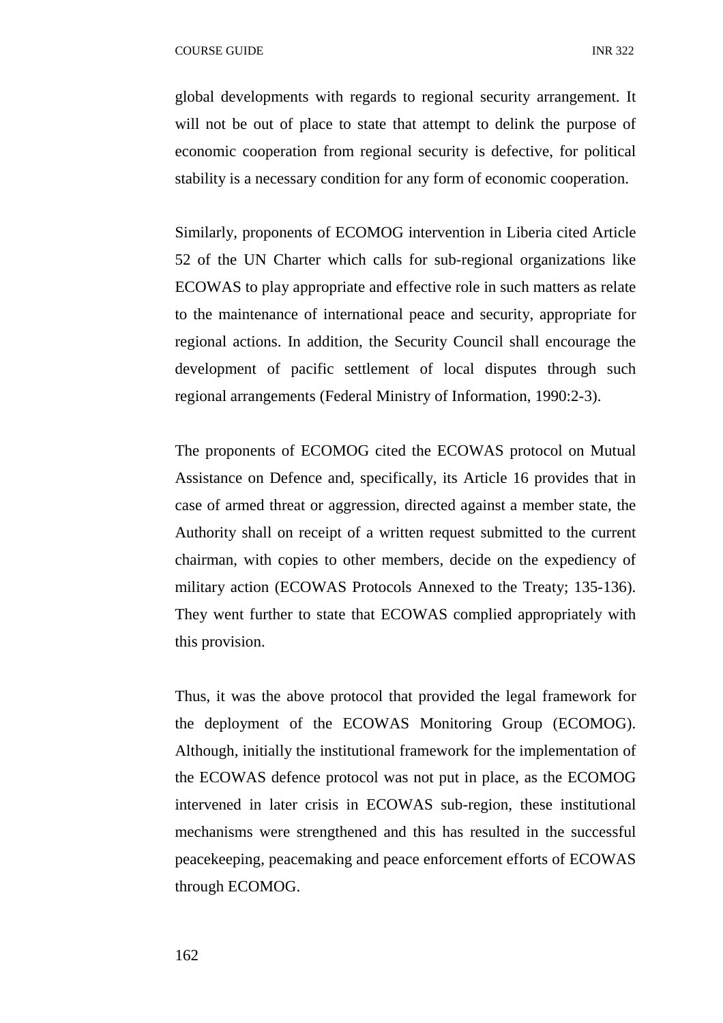global developments with regards to regional security arrangement. It will not be out of place to state that attempt to delink the purpose of economic cooperation from regional security is defective, for political stability is a necessary condition for any form of economic cooperation.

Similarly, proponents of ECOMOG intervention in Liberia cited Article 52 of the UN Charter which calls for sub-regional organizations like ECOWAS to play appropriate and effective role in such matters as relate to the maintenance of international peace and security, appropriate for regional actions. In addition, the Security Council shall encourage the development of pacific settlement of local disputes through such regional arrangements (Federal Ministry of Information, 1990:2-3).

The proponents of ECOMOG cited the ECOWAS protocol on Mutual Assistance on Defence and, specifically, its Article 16 provides that in case of armed threat or aggression, directed against a member state, the Authority shall on receipt of a written request submitted to the current chairman, with copies to other members, decide on the expediency of military action (ECOWAS Protocols Annexed to the Treaty; 135-136). They went further to state that ECOWAS complied appropriately with this provision.

Thus, it was the above protocol that provided the legal framework for the deployment of the ECOWAS Monitoring Group (ECOMOG). Although, initially the institutional framework for the implementation of the ECOWAS defence protocol was not put in place, as the ECOMOG intervened in later crisis in ECOWAS sub-region, these institutional mechanisms were strengthened and this has resulted in the successful peacekeeping, peacemaking and peace enforcement efforts of ECOWAS through ECOMOG.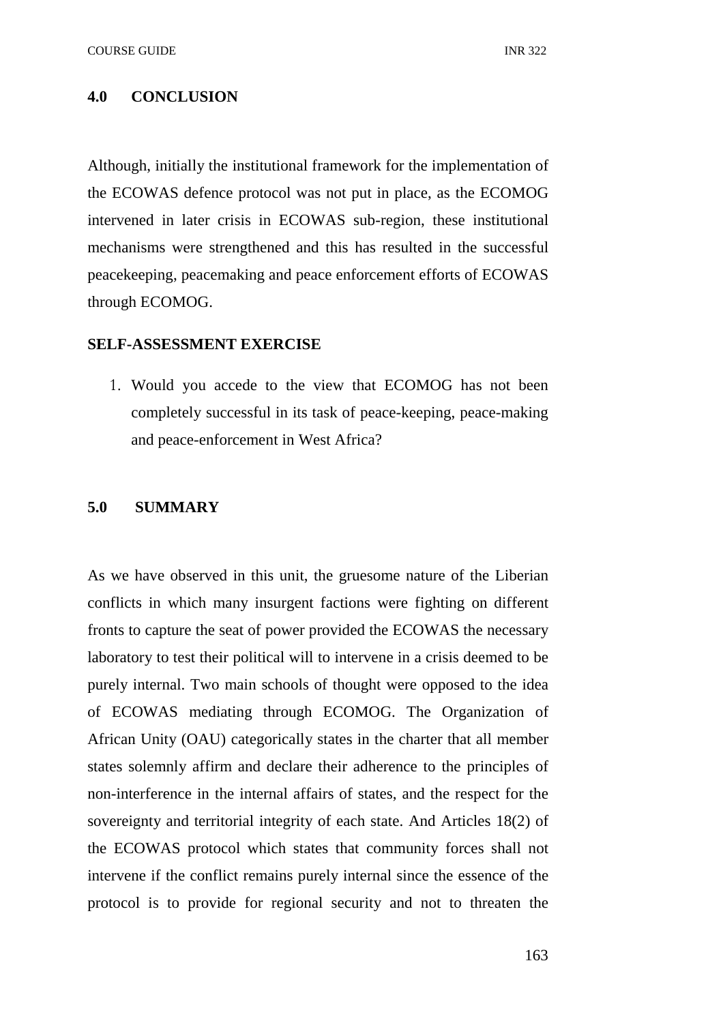#### **4.0 CONCLUSION**

Although, initially the institutional framework for the implementation of the ECOWAS defence protocol was not put in place, as the ECOMOG intervened in later crisis in ECOWAS sub-region, these institutional mechanisms were strengthened and this has resulted in the successful peacekeeping, peacemaking and peace enforcement efforts of ECOWAS through ECOMOG.

#### **SELF-ASSESSMENT EXERCISE**

1. Would you accede to the view that ECOMOG has not been completely successful in its task of peace-keeping, peace-making and peace-enforcement in West Africa?

#### **5.0 SUMMARY**

As we have observed in this unit, the gruesome nature of the Liberian conflicts in which many insurgent factions were fighting on different fronts to capture the seat of power provided the ECOWAS the necessary laboratory to test their political will to intervene in a crisis deemed to be purely internal. Two main schools of thought were opposed to the idea of ECOWAS mediating through ECOMOG. The Organization of African Unity (OAU) categorically states in the charter that all member states solemnly affirm and declare their adherence to the principles of non-interference in the internal affairs of states, and the respect for the sovereignty and territorial integrity of each state. And Articles 18(2) of the ECOWAS protocol which states that community forces shall not intervene if the conflict remains purely internal since the essence of the protocol is to provide for regional security and not to threaten the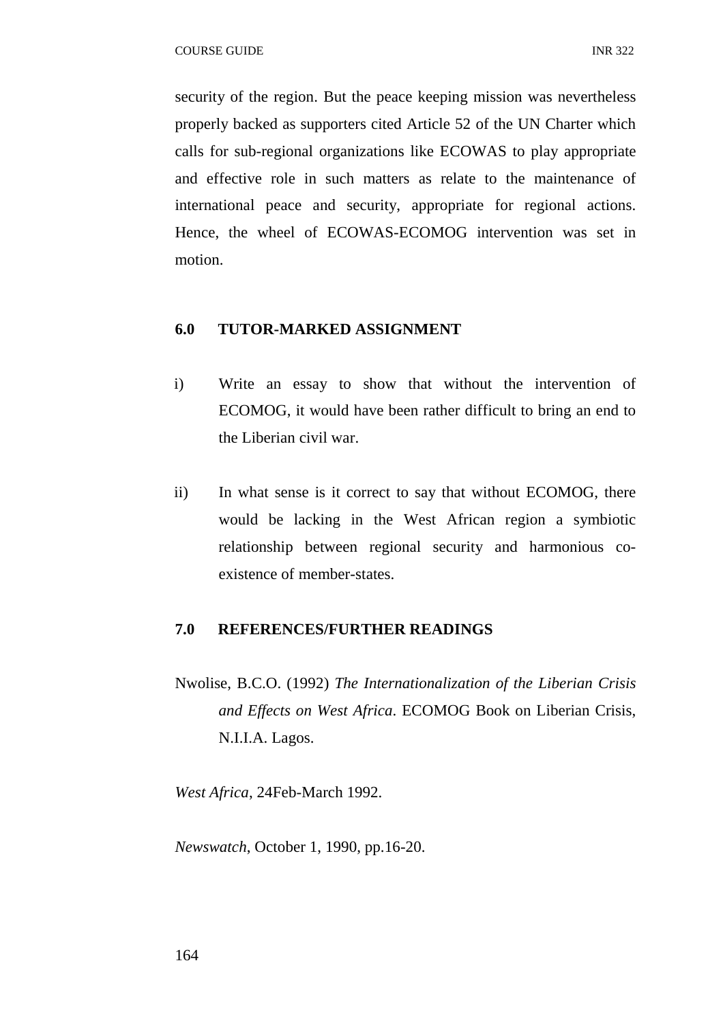security of the region. But the peace keeping mission was nevertheless properly backed as supporters cited Article 52 of the UN Charter which calls for sub-regional organizations like ECOWAS to play appropriate and effective role in such matters as relate to the maintenance of international peace and security, appropriate for regional actions. Hence, the wheel of ECOWAS-ECOMOG intervention was set in motion.

## **6.0 TUTOR-MARKED ASSIGNMENT**

- i) Write an essay to show that without the intervention of ECOMOG, it would have been rather difficult to bring an end to the Liberian civil war.
- ii) In what sense is it correct to say that without ECOMOG, there would be lacking in the West African region a symbiotic relationship between regional security and harmonious coexistence of member-states.

#### **7.0 REFERENCES/FURTHER READINGS**

Nwolise, B.C.O. (1992) *The Internationalization of the Liberian Crisis and Effects on West Africa*. ECOMOG Book on Liberian Crisis, N.I.I.A. Lagos.

*West Africa*, 24Feb-March 1992.

*Newswatch*, October 1, 1990, pp.16-20.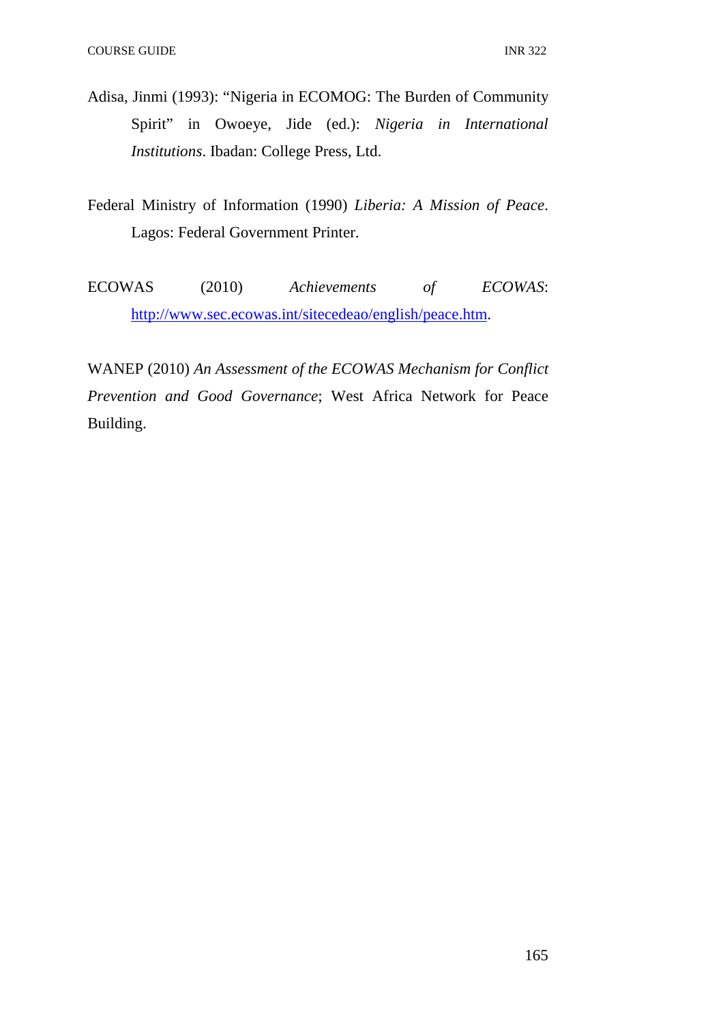- Adisa, Jinmi (1993): "Nigeria in ECOMOG: The Burden of Community Spirit" in Owoeye, Jide (ed.): *Nigeria in International Institutions*. Ibadan: College Press, Ltd.
- Federal Ministry of Information (1990) *Liberia: A Mission of Peace*. Lagos: Federal Government Printer.
- ECOWAS (2010) *Achievements of ECOWAS*: http://www.sec.ecowas.int/sitecedeao/english/peace.htm.

WANEP (2010) *An Assessment of the ECOWAS Mechanism for Conflict Prevention and Good Governance*; West Africa Network for Peace Building.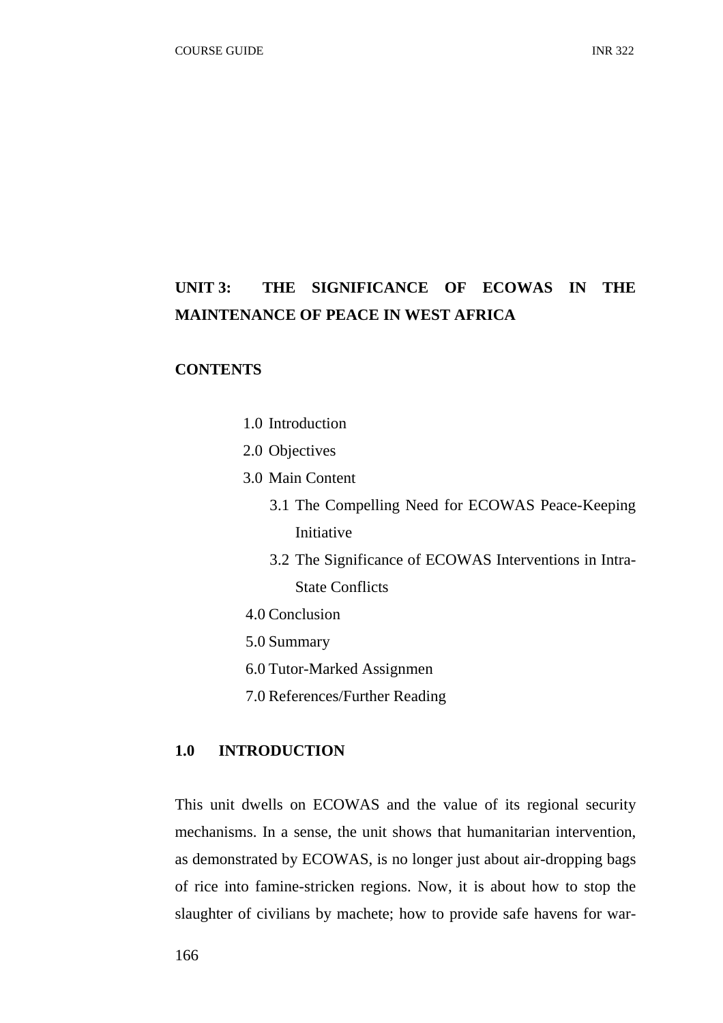## **UNIT 3: THE SIGNIFICANCE OF ECOWAS IN THE MAINTENANCE OF PEACE IN WEST AFRICA**

## **CONTENTS**

- 1.0 Introduction
- 2.0 Objectives
- 3.0 Main Content
	- 3.1 The Compelling Need for ECOWAS Peace-Keeping Initiative
	- 3.2 The Significance of ECOWAS Interventions in Intra-State Conflicts
- 4.0 Conclusion
- 5.0 Summary
- 6.0 Tutor-Marked Assignmen
- 7.0 References/Further Reading

## **1.0 INTRODUCTION**

This unit dwells on ECOWAS and the value of its regional security mechanisms. In a sense, the unit shows that humanitarian intervention, as demonstrated by ECOWAS, is no longer just about air-dropping bags of rice into famine-stricken regions. Now, it is about how to stop the slaughter of civilians by machete; how to provide safe havens for war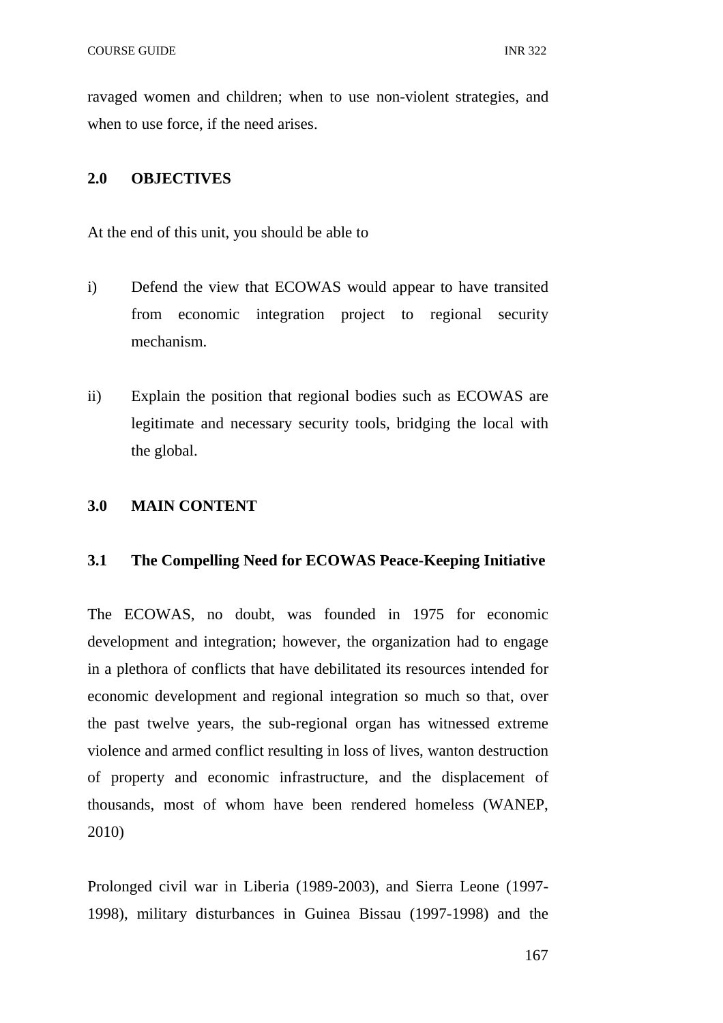ravaged women and children; when to use non-violent strategies, and when to use force, if the need arises.

#### **2.0 OBJECTIVES**

At the end of this unit, you should be able to

- i) Defend the view that ECOWAS would appear to have transited from economic integration project to regional security mechanism.
- ii) Explain the position that regional bodies such as ECOWAS are legitimate and necessary security tools, bridging the local with the global.

#### **3.0 MAIN CONTENT**

#### **3.1 The Compelling Need for ECOWAS Peace-Keeping Initiative**

The ECOWAS, no doubt, was founded in 1975 for economic development and integration; however, the organization had to engage in a plethora of conflicts that have debilitated its resources intended for economic development and regional integration so much so that, over the past twelve years, the sub-regional organ has witnessed extreme violence and armed conflict resulting in loss of lives, wanton destruction of property and economic infrastructure, and the displacement of thousands, most of whom have been rendered homeless (WANEP, 2010)

Prolonged civil war in Liberia (1989-2003), and Sierra Leone (1997- 1998), military disturbances in Guinea Bissau (1997-1998) and the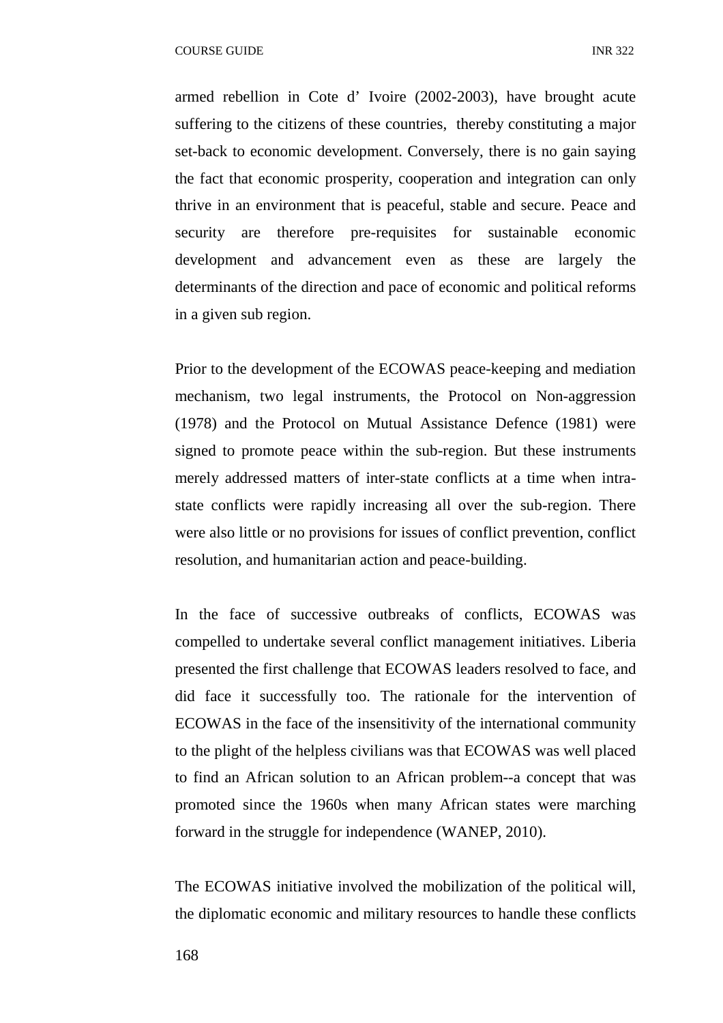armed rebellion in Cote d' Ivoire (2002-2003), have brought acute suffering to the citizens of these countries, thereby constituting a major set-back to economic development. Conversely, there is no gain saying the fact that economic prosperity, cooperation and integration can only thrive in an environment that is peaceful, stable and secure. Peace and security are therefore pre-requisites for sustainable economic development and advancement even as these are largely the determinants of the direction and pace of economic and political reforms in a given sub region.

Prior to the development of the ECOWAS peace-keeping and mediation mechanism, two legal instruments, the Protocol on Non-aggression (1978) and the Protocol on Mutual Assistance Defence (1981) were signed to promote peace within the sub-region. But these instruments merely addressed matters of inter-state conflicts at a time when intrastate conflicts were rapidly increasing all over the sub-region. There were also little or no provisions for issues of conflict prevention, conflict resolution, and humanitarian action and peace-building.

In the face of successive outbreaks of conflicts, ECOWAS was compelled to undertake several conflict management initiatives. Liberia presented the first challenge that ECOWAS leaders resolved to face, and did face it successfully too. The rationale for the intervention of ECOWAS in the face of the insensitivity of the international community to the plight of the helpless civilians was that ECOWAS was well placed to find an African solution to an African problem--a concept that was promoted since the 1960s when many African states were marching forward in the struggle for independence (WANEP, 2010).

The ECOWAS initiative involved the mobilization of the political will, the diplomatic economic and military resources to handle these conflicts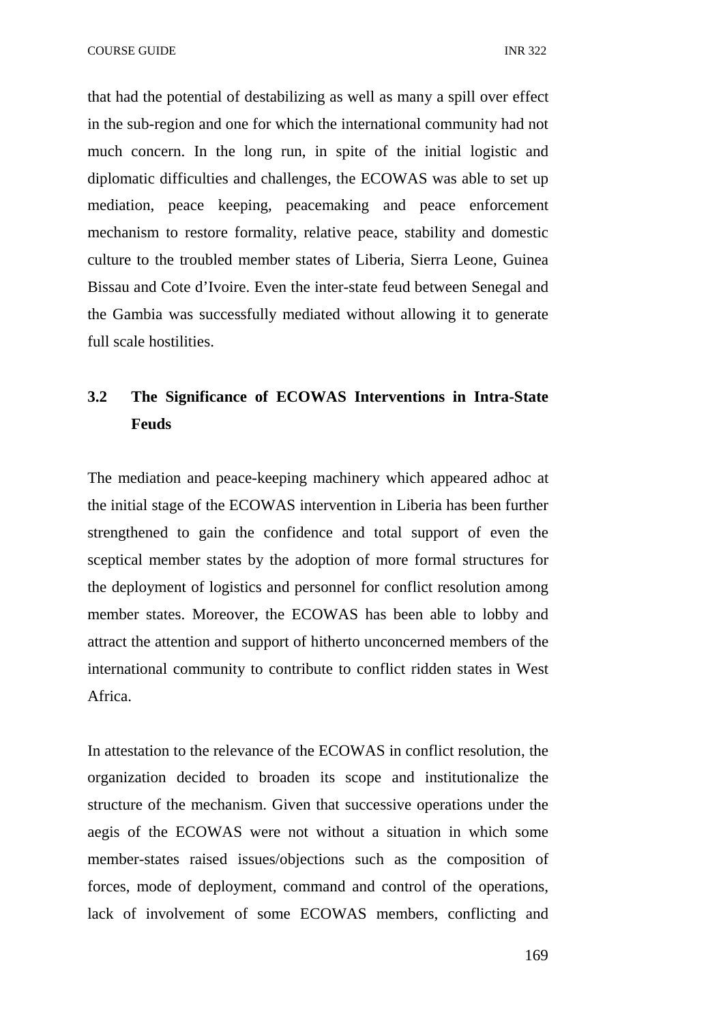COURSE GUIDE **INR** 322

that had the potential of destabilizing as well as many a spill over effect in the sub-region and one for which the international community had not much concern. In the long run, in spite of the initial logistic and diplomatic difficulties and challenges, the ECOWAS was able to set up mediation, peace keeping, peacemaking and peace enforcement mechanism to restore formality, relative peace, stability and domestic culture to the troubled member states of Liberia, Sierra Leone, Guinea Bissau and Cote d'Ivoire. Even the inter-state feud between Senegal and the Gambia was successfully mediated without allowing it to generate full scale hostilities.

## **3.2 The Significance of ECOWAS Interventions in Intra-State Feuds**

The mediation and peace-keeping machinery which appeared adhoc at the initial stage of the ECOWAS intervention in Liberia has been further strengthened to gain the confidence and total support of even the sceptical member states by the adoption of more formal structures for the deployment of logistics and personnel for conflict resolution among member states. Moreover, the ECOWAS has been able to lobby and attract the attention and support of hitherto unconcerned members of the international community to contribute to conflict ridden states in West Africa.

In attestation to the relevance of the ECOWAS in conflict resolution, the organization decided to broaden its scope and institutionalize the structure of the mechanism. Given that successive operations under the aegis of the ECOWAS were not without a situation in which some member-states raised issues/objections such as the composition of forces, mode of deployment, command and control of the operations, lack of involvement of some ECOWAS members, conflicting and

169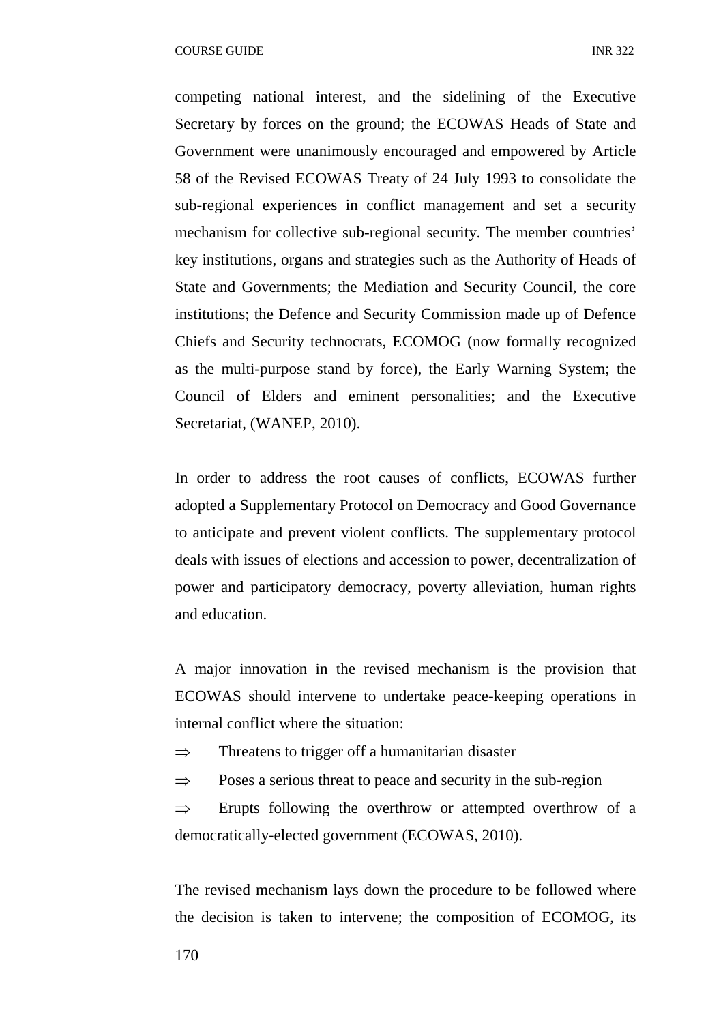competing national interest, and the sidelining of the Executive Secretary by forces on the ground; the ECOWAS Heads of State and Government were unanimously encouraged and empowered by Article 58 of the Revised ECOWAS Treaty of 24 July 1993 to consolidate the sub-regional experiences in conflict management and set a security mechanism for collective sub-regional security. The member countries' key institutions, organs and strategies such as the Authority of Heads of State and Governments; the Mediation and Security Council, the core institutions; the Defence and Security Commission made up of Defence Chiefs and Security technocrats, ECOMOG (now formally recognized as the multi-purpose stand by force), the Early Warning System; the Council of Elders and eminent personalities; and the Executive Secretariat, (WANEP, 2010).

In order to address the root causes of conflicts, ECOWAS further adopted a Supplementary Protocol on Democracy and Good Governance to anticipate and prevent violent conflicts. The supplementary protocol deals with issues of elections and accession to power, decentralization of power and participatory democracy, poverty alleviation, human rights and education.

A major innovation in the revised mechanism is the provision that ECOWAS should intervene to undertake peace-keeping operations in internal conflict where the situation:

- $\Rightarrow$  Threatens to trigger off a humanitarian disaster
- $\Rightarrow$  Poses a serious threat to peace and security in the sub-region

 $\Rightarrow$  Erupts following the overthrow or attempted overthrow of a democratically-elected government (ECOWAS, 2010).

The revised mechanism lays down the procedure to be followed where the decision is taken to intervene; the composition of ECOMOG, its

170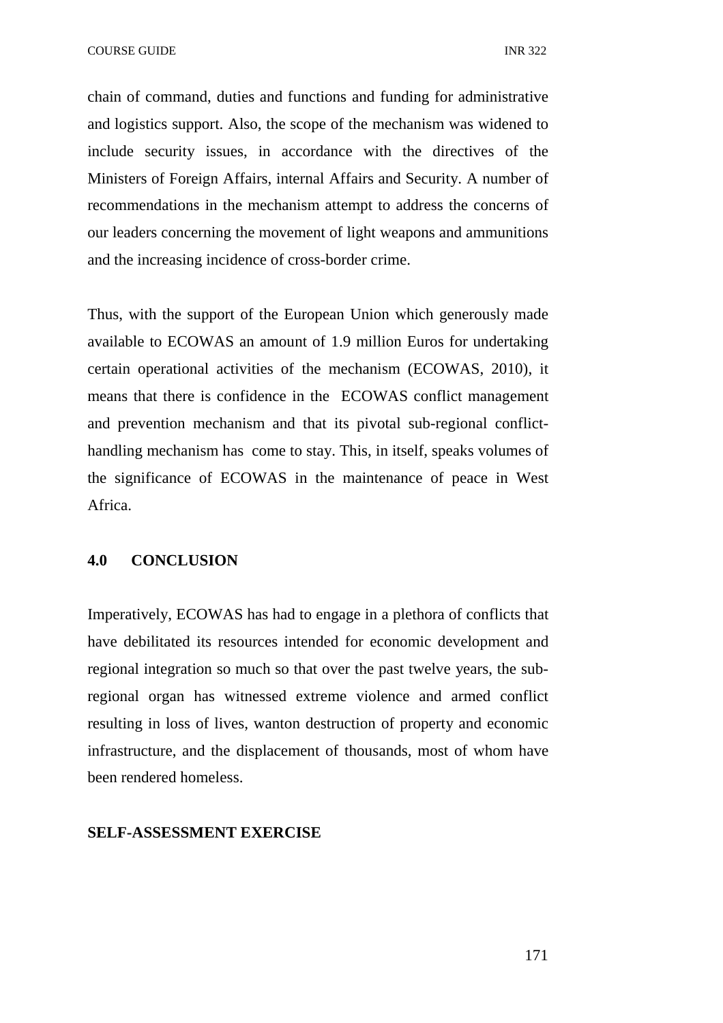COURSE GUIDE **INR** 322

chain of command, duties and functions and funding for administrative and logistics support. Also, the scope of the mechanism was widened to include security issues, in accordance with the directives of the Ministers of Foreign Affairs, internal Affairs and Security. A number of recommendations in the mechanism attempt to address the concerns of our leaders concerning the movement of light weapons and ammunitions and the increasing incidence of cross-border crime.

Thus, with the support of the European Union which generously made available to ECOWAS an amount of 1.9 million Euros for undertaking certain operational activities of the mechanism (ECOWAS, 2010), it means that there is confidence in the ECOWAS conflict management and prevention mechanism and that its pivotal sub-regional conflicthandling mechanism has come to stay. This, in itself, speaks volumes of the significance of ECOWAS in the maintenance of peace in West Africa.

### **4.0 CONCLUSION**

Imperatively, ECOWAS has had to engage in a plethora of conflicts that have debilitated its resources intended for economic development and regional integration so much so that over the past twelve years, the subregional organ has witnessed extreme violence and armed conflict resulting in loss of lives, wanton destruction of property and economic infrastructure, and the displacement of thousands, most of whom have been rendered homeless.

#### **SELF-ASSESSMENT EXERCISE**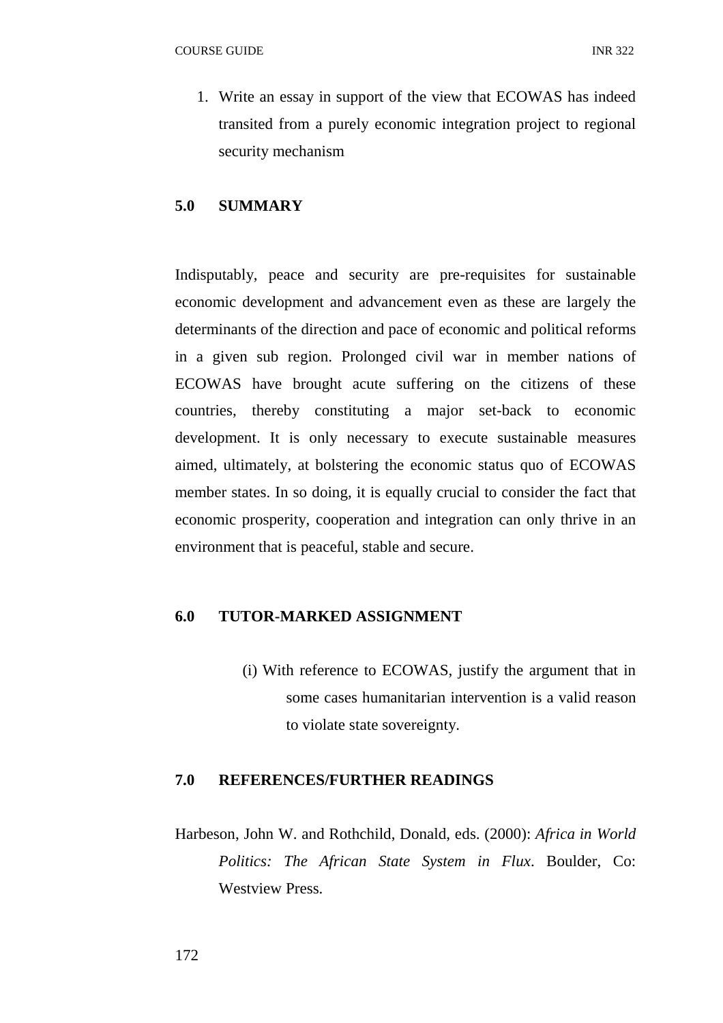1. Write an essay in support of the view that ECOWAS has indeed transited from a purely economic integration project to regional security mechanism

## **5.0 SUMMARY**

Indisputably, peace and security are pre-requisites for sustainable economic development and advancement even as these are largely the determinants of the direction and pace of economic and political reforms in a given sub region. Prolonged civil war in member nations of ECOWAS have brought acute suffering on the citizens of these countries, thereby constituting a major set-back to economic development. It is only necessary to execute sustainable measures aimed, ultimately, at bolstering the economic status quo of ECOWAS member states. In so doing, it is equally crucial to consider the fact that economic prosperity, cooperation and integration can only thrive in an environment that is peaceful, stable and secure.

#### **6.0 TUTOR-MARKED ASSIGNMENT**

(i) With reference to ECOWAS, justify the argument that in some cases humanitarian intervention is a valid reason to violate state sovereignty.

### **7.0 REFERENCES/FURTHER READINGS**

Harbeson, John W. and Rothchild, Donald, eds. (2000): *Africa in World Politics: The African State System in Flux*. Boulder, Co: Westview Press.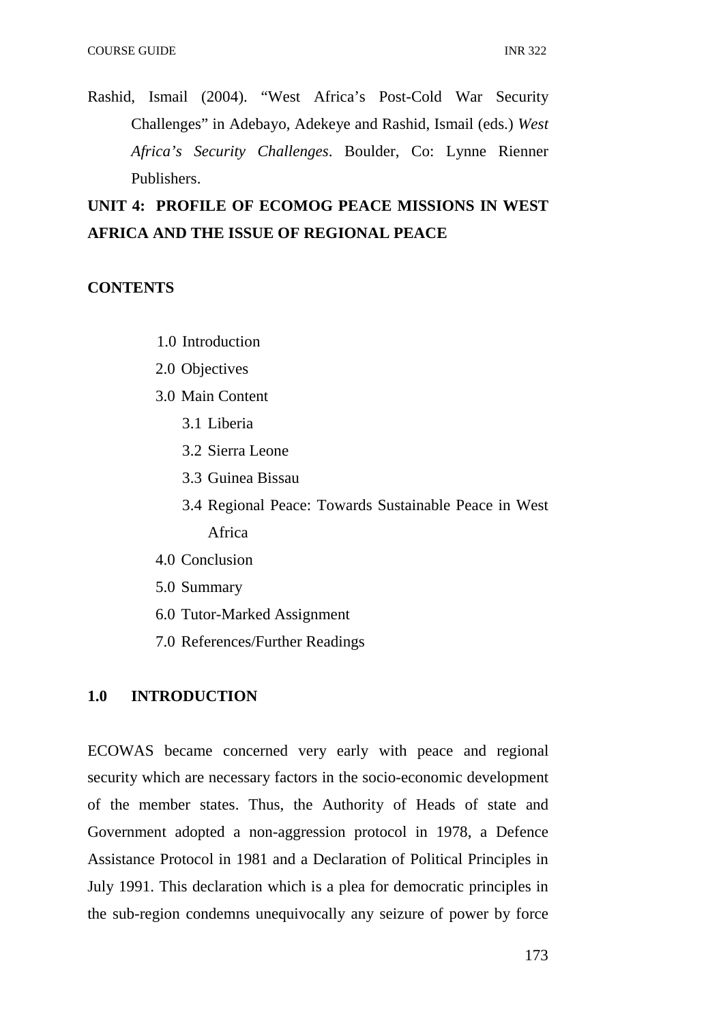Rashid, Ismail (2004). "West Africa's Post-Cold War Security Challenges" in Adebayo, Adekeye and Rashid, Ismail (eds.) *West Africa's Security Challenges*. Boulder, Co: Lynne Rienner Publishers.

## **UNIT 4: PROFILE OF ECOMOG PEACE MISSIONS IN WEST AFRICA AND THE ISSUE OF REGIONAL PEACE**

#### **CONTENTS**

- 1.0 Introduction
- 2.0 Objectives
- 3.0 Main Content
	- 3.1 Liberia
	- 3.2 Sierra Leone
	- 3.3 Guinea Bissau
	- 3.4 Regional Peace: Towards Sustainable Peace in West Africa
- 4.0 Conclusion
- 5.0 Summary
- 6.0 Tutor-Marked Assignment
- 7.0 References/Further Readings

#### **1.0 INTRODUCTION**

ECOWAS became concerned very early with peace and regional security which are necessary factors in the socio-economic development of the member states. Thus, the Authority of Heads of state and Government adopted a non-aggression protocol in 1978, a Defence Assistance Protocol in 1981 and a Declaration of Political Principles in July 1991. This declaration which is a plea for democratic principles in the sub-region condemns unequivocally any seizure of power by force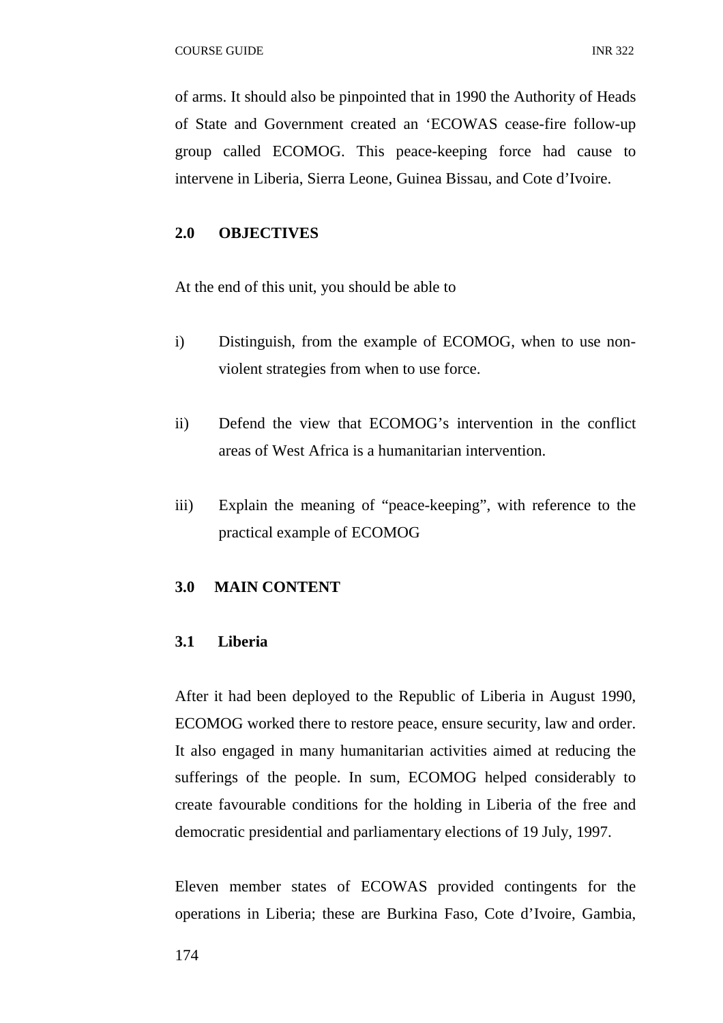of arms. It should also be pinpointed that in 1990 the Authority of Heads of State and Government created an 'ECOWAS cease-fire follow-up group called ECOMOG. This peace-keeping force had cause to intervene in Liberia, Sierra Leone, Guinea Bissau, and Cote d'Ivoire.

## **2.0 OBJECTIVES**

At the end of this unit, you should be able to

- i) Distinguish, from the example of ECOMOG, when to use nonviolent strategies from when to use force.
- ii) Defend the view that ECOMOG's intervention in the conflict areas of West Africa is a humanitarian intervention.
- iii) Explain the meaning of "peace-keeping", with reference to the practical example of ECOMOG

## **3.0 MAIN CONTENT**

## **3.1 Liberia**

After it had been deployed to the Republic of Liberia in August 1990, ECOMOG worked there to restore peace, ensure security, law and order. It also engaged in many humanitarian activities aimed at reducing the sufferings of the people. In sum, ECOMOG helped considerably to create favourable conditions for the holding in Liberia of the free and democratic presidential and parliamentary elections of 19 July, 1997.

Eleven member states of ECOWAS provided contingents for the operations in Liberia; these are Burkina Faso, Cote d'Ivoire, Gambia,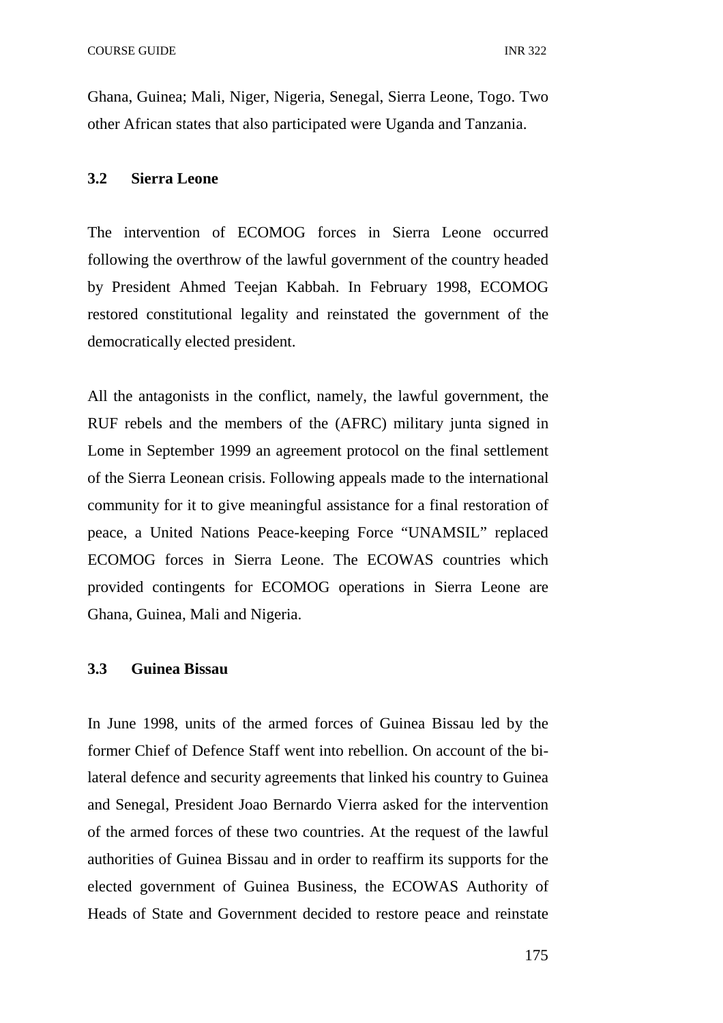Ghana, Guinea; Mali, Niger, Nigeria, Senegal, Sierra Leone, Togo. Two other African states that also participated were Uganda and Tanzania.

#### **3.2 Sierra Leone**

The intervention of ECOMOG forces in Sierra Leone occurred following the overthrow of the lawful government of the country headed by President Ahmed Teejan Kabbah. In February 1998, ECOMOG restored constitutional legality and reinstated the government of the democratically elected president.

All the antagonists in the conflict, namely, the lawful government, the RUF rebels and the members of the (AFRC) military junta signed in Lome in September 1999 an agreement protocol on the final settlement of the Sierra Leonean crisis. Following appeals made to the international community for it to give meaningful assistance for a final restoration of peace, a United Nations Peace-keeping Force "UNAMSIL" replaced ECOMOG forces in Sierra Leone. The ECOWAS countries which provided contingents for ECOMOG operations in Sierra Leone are Ghana, Guinea, Mali and Nigeria.

#### **3.3 Guinea Bissau**

In June 1998, units of the armed forces of Guinea Bissau led by the former Chief of Defence Staff went into rebellion. On account of the bilateral defence and security agreements that linked his country to Guinea and Senegal, President Joao Bernardo Vierra asked for the intervention of the armed forces of these two countries. At the request of the lawful authorities of Guinea Bissau and in order to reaffirm its supports for the elected government of Guinea Business, the ECOWAS Authority of Heads of State and Government decided to restore peace and reinstate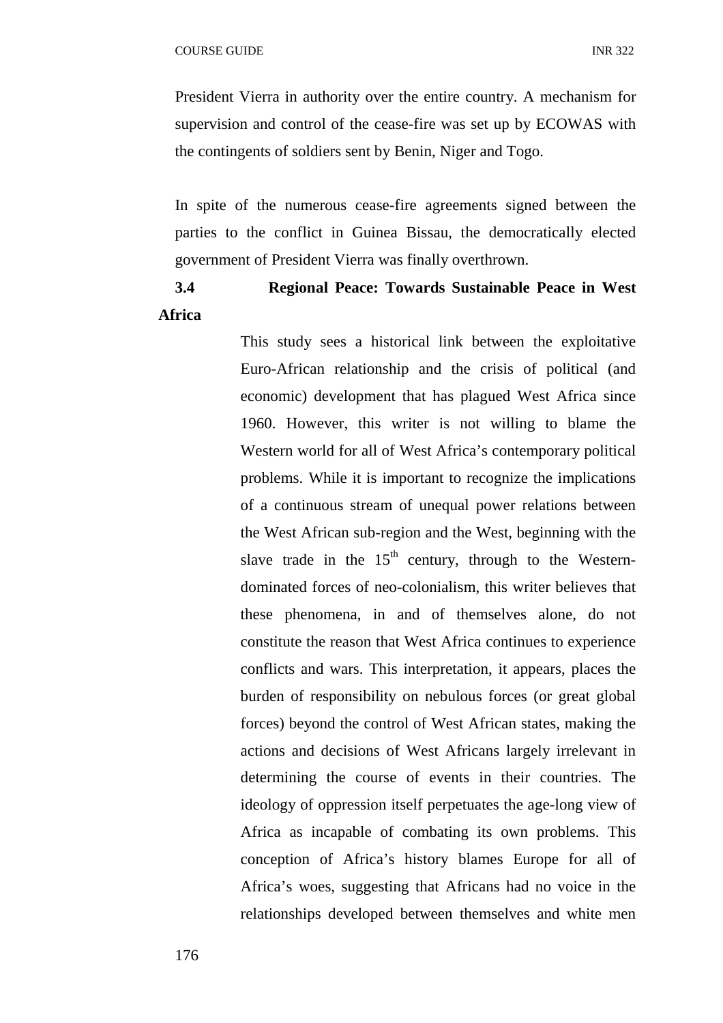President Vierra in authority over the entire country. A mechanism for supervision and control of the cease-fire was set up by ECOWAS with the contingents of soldiers sent by Benin, Niger and Togo.

In spite of the numerous cease-fire agreements signed between the parties to the conflict in Guinea Bissau, the democratically elected government of President Vierra was finally overthrown.

## **3.4 Regional Peace: Towards Sustainable Peace in West Africa**

This study sees a historical link between the exploitative Euro-African relationship and the crisis of political (and economic) development that has plagued West Africa since 1960. However, this writer is not willing to blame the Western world for all of West Africa's contemporary political problems. While it is important to recognize the implications of a continuous stream of unequal power relations between the West African sub-region and the West, beginning with the slave trade in the  $15<sup>th</sup>$  century, through to the Westerndominated forces of neo-colonialism, this writer believes that these phenomena, in and of themselves alone, do not constitute the reason that West Africa continues to experience conflicts and wars. This interpretation, it appears, places the burden of responsibility on nebulous forces (or great global forces) beyond the control of West African states, making the actions and decisions of West Africans largely irrelevant in determining the course of events in their countries. The ideology of oppression itself perpetuates the age-long view of Africa as incapable of combating its own problems. This conception of Africa's history blames Europe for all of Africa's woes, suggesting that Africans had no voice in the relationships developed between themselves and white men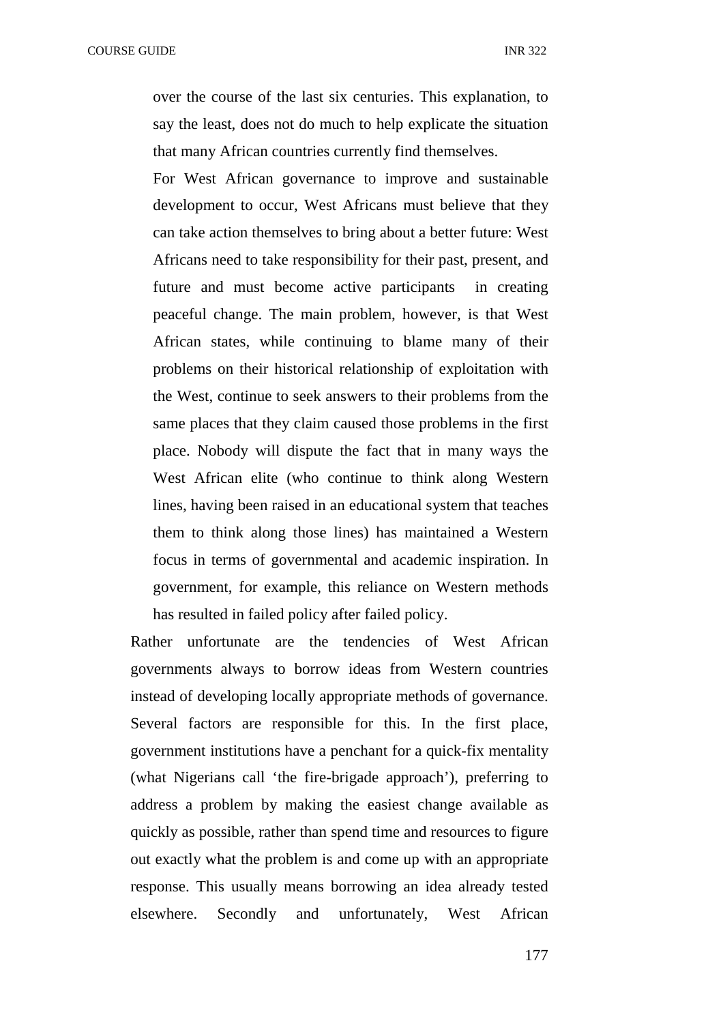over the course of the last six centuries. This explanation, to say the least, does not do much to help explicate the situation that many African countries currently find themselves.

For West African governance to improve and sustainable development to occur, West Africans must believe that they can take action themselves to bring about a better future: West Africans need to take responsibility for their past, present, and future and must become active participants in creating peaceful change. The main problem, however, is that West African states, while continuing to blame many of their problems on their historical relationship of exploitation with the West, continue to seek answers to their problems from the same places that they claim caused those problems in the first place. Nobody will dispute the fact that in many ways the West African elite (who continue to think along Western lines, having been raised in an educational system that teaches them to think along those lines) has maintained a Western focus in terms of governmental and academic inspiration. In government, for example, this reliance on Western methods has resulted in failed policy after failed policy.

Rather unfortunate are the tendencies of West African governments always to borrow ideas from Western countries instead of developing locally appropriate methods of governance. Several factors are responsible for this. In the first place, government institutions have a penchant for a quick-fix mentality (what Nigerians call 'the fire-brigade approach'), preferring to address a problem by making the easiest change available as quickly as possible, rather than spend time and resources to figure out exactly what the problem is and come up with an appropriate response. This usually means borrowing an idea already tested elsewhere. Secondly and unfortunately, West African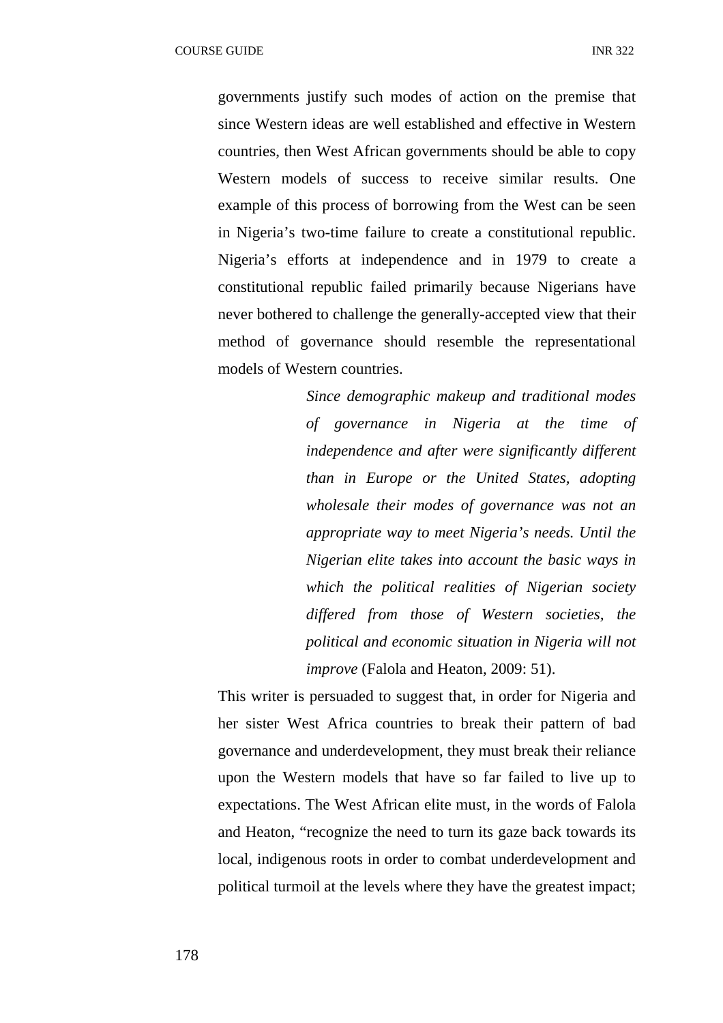governments justify such modes of action on the premise that since Western ideas are well established and effective in Western countries, then West African governments should be able to copy Western models of success to receive similar results. One example of this process of borrowing from the West can be seen in Nigeria's two-time failure to create a constitutional republic. Nigeria's efforts at independence and in 1979 to create a constitutional republic failed primarily because Nigerians have never bothered to challenge the generally-accepted view that their method of governance should resemble the representational models of Western countries.

> *Since demographic makeup and traditional modes of governance in Nigeria at the time of independence and after were significantly different than in Europe or the United States, adopting wholesale their modes of governance was not an appropriate way to meet Nigeria's needs. Until the Nigerian elite takes into account the basic ways in which the political realities of Nigerian society differed from those of Western societies, the political and economic situation in Nigeria will not improve* (Falola and Heaton, 2009: 51).

This writer is persuaded to suggest that, in order for Nigeria and her sister West Africa countries to break their pattern of bad governance and underdevelopment, they must break their reliance upon the Western models that have so far failed to live up to expectations. The West African elite must, in the words of Falola and Heaton, "recognize the need to turn its gaze back towards its local, indigenous roots in order to combat underdevelopment and political turmoil at the levels where they have the greatest impact;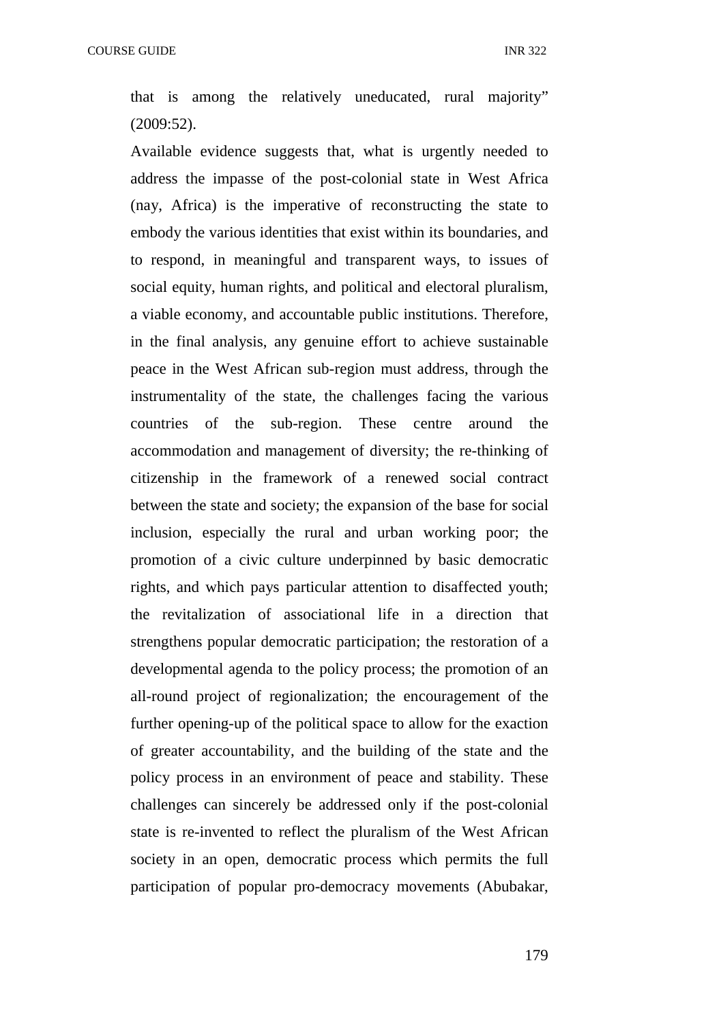that is among the relatively uneducated, rural majority" (2009:52).

Available evidence suggests that, what is urgently needed to address the impasse of the post-colonial state in West Africa (nay, Africa) is the imperative of reconstructing the state to embody the various identities that exist within its boundaries, and to respond, in meaningful and transparent ways, to issues of social equity, human rights, and political and electoral pluralism, a viable economy, and accountable public institutions. Therefore, in the final analysis, any genuine effort to achieve sustainable peace in the West African sub-region must address, through the instrumentality of the state, the challenges facing the various countries of the sub-region. These centre around the accommodation and management of diversity; the re-thinking of citizenship in the framework of a renewed social contract between the state and society; the expansion of the base for social inclusion, especially the rural and urban working poor; the promotion of a civic culture underpinned by basic democratic rights, and which pays particular attention to disaffected youth; the revitalization of associational life in a direction that strengthens popular democratic participation; the restoration of a developmental agenda to the policy process; the promotion of an all-round project of regionalization; the encouragement of the further opening-up of the political space to allow for the exaction of greater accountability, and the building of the state and the policy process in an environment of peace and stability. These challenges can sincerely be addressed only if the post-colonial state is re-invented to reflect the pluralism of the West African society in an open, democratic process which permits the full participation of popular pro-democracy movements (Abubakar,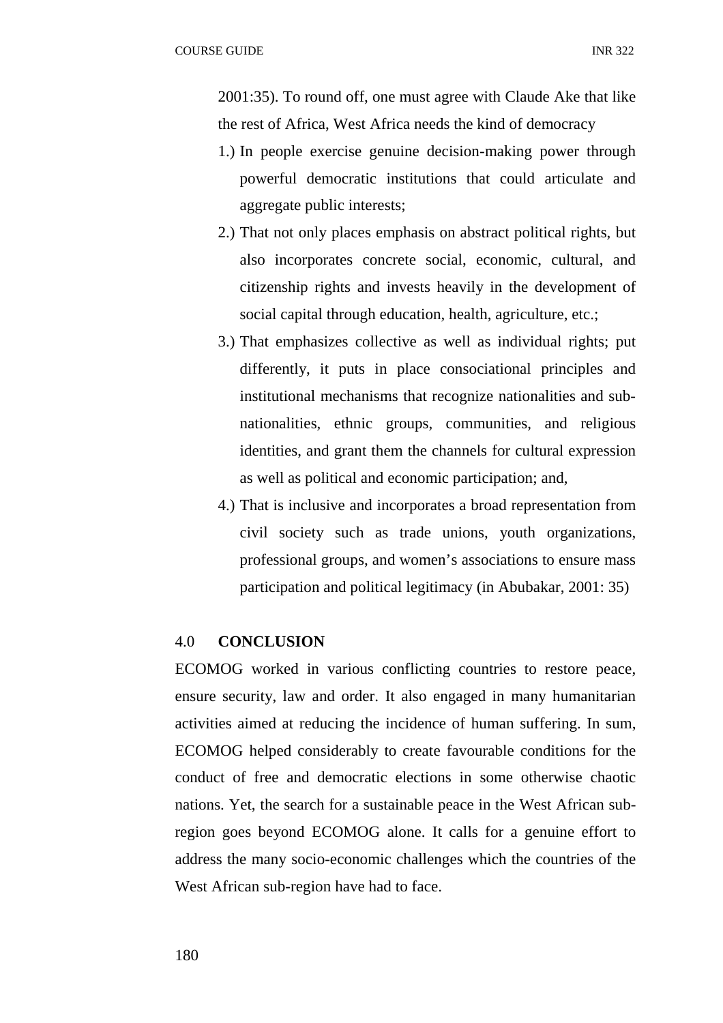2001:35). To round off, one must agree with Claude Ake that like the rest of Africa, West Africa needs the kind of democracy

- 1.) In people exercise genuine decision-making power through powerful democratic institutions that could articulate and aggregate public interests;
- 2.) That not only places emphasis on abstract political rights, but also incorporates concrete social, economic, cultural, and citizenship rights and invests heavily in the development of social capital through education, health, agriculture, etc.;
- 3.) That emphasizes collective as well as individual rights; put differently, it puts in place consociational principles and institutional mechanisms that recognize nationalities and subnationalities, ethnic groups, communities, and religious identities, and grant them the channels for cultural expression as well as political and economic participation; and,
- 4.) That is inclusive and incorporates a broad representation from civil society such as trade unions, youth organizations, professional groups, and women's associations to ensure mass participation and political legitimacy (in Abubakar, 2001: 35)

## 4.0 **CONCLUSION**

ECOMOG worked in various conflicting countries to restore peace, ensure security, law and order. It also engaged in many humanitarian activities aimed at reducing the incidence of human suffering. In sum, ECOMOG helped considerably to create favourable conditions for the conduct of free and democratic elections in some otherwise chaotic nations. Yet, the search for a sustainable peace in the West African subregion goes beyond ECOMOG alone. It calls for a genuine effort to address the many socio-economic challenges which the countries of the West African sub-region have had to face.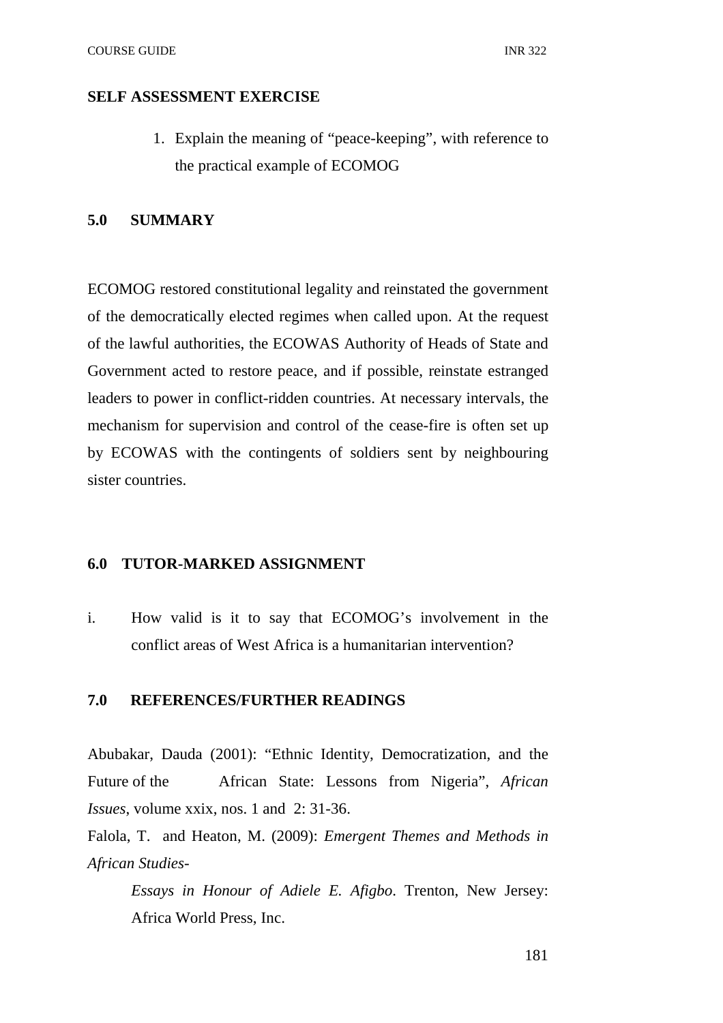## **SELF ASSESSMENT EXERCISE**

1. Explain the meaning of "peace-keeping", with reference to the practical example of ECOMOG

# **5.0 SUMMARY**

ECOMOG restored constitutional legality and reinstated the government of the democratically elected regimes when called upon. At the request of the lawful authorities, the ECOWAS Authority of Heads of State and Government acted to restore peace, and if possible, reinstate estranged leaders to power in conflict-ridden countries. At necessary intervals, the mechanism for supervision and control of the cease-fire is often set up by ECOWAS with the contingents of soldiers sent by neighbouring sister countries.

#### **6.0 TUTOR-MARKED ASSIGNMENT**

i. How valid is it to say that ECOMOG's involvement in the conflict areas of West Africa is a humanitarian intervention?

## **7.0 REFERENCES/FURTHER READINGS**

Abubakar, Dauda (2001): "Ethnic Identity, Democratization, and the Future of the African State: Lessons from Nigeria", *African Issues*, volume xxix, nos. 1 and 2: 31-36.

Falola, T. and Heaton, M. (2009): *Emergent Themes and Methods in African Studies-*

*Essays in Honour of Adiele E. Afigbo*. Trenton, New Jersey: Africa World Press, Inc.